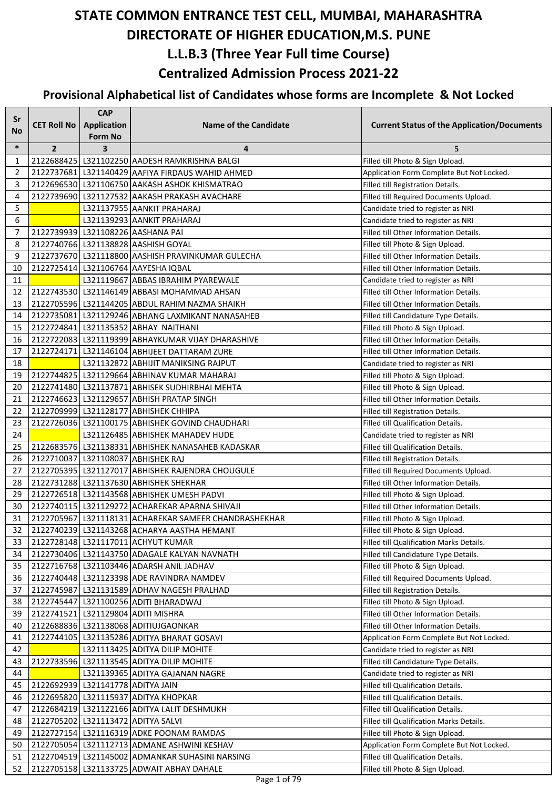| Sr       |                                   | <b>CAP</b>              |                                                                                                |                                                                                 |
|----------|-----------------------------------|-------------------------|------------------------------------------------------------------------------------------------|---------------------------------------------------------------------------------|
| No       | <b>CET Roll No</b>                | Application             | <b>Name of the Candidate</b>                                                                   | <b>Current Status of the Application/Documents</b>                              |
|          |                                   | <b>Form No</b>          |                                                                                                |                                                                                 |
| $\ast$   | $\overline{2}$                    | $\overline{\mathbf{3}}$ | 4                                                                                              | 5                                                                               |
| 1        |                                   |                         | 2122688425   L321102250   AADESH RAMKRISHNA BALGI                                              | Filled till Photo & Sign Upload.                                                |
| 2        |                                   |                         | 2122737681   L321140429   AAFIYA FIRDAUS WAHID AHMED                                           | Application Form Complete But Not Locked.                                       |
| 3        |                                   |                         | 2122696530 L321106750 AAKASH ASHOK KHISMATRAO                                                  | Filled till Registration Details.                                               |
| 4        |                                   |                         | 2122739690 L321127532 AAKASH PRAKASH AVACHARE                                                  | Filled till Required Documents Upload.                                          |
| 5        |                                   |                         | L321137955 AANKIT PRAHARAJ                                                                     | Candidate tried to register as NRI                                              |
| 6        |                                   |                         | L321139293 AANKIT PRAHARAJ                                                                     | Candidate tried to register as NRI                                              |
| 7        |                                   |                         | 2122739939 L321108226 AASHANA PAI                                                              | Filled till Other Information Details.                                          |
| 8        |                                   |                         | 2122740766 L321138828 AASHISH GOYAL                                                            | Filled till Photo & Sign Upload.                                                |
| 9        |                                   |                         | 2122737670 L321118800 AASHISH PRAVINKUMAR GULECHA                                              | Filled till Other Information Details.                                          |
| 10       |                                   |                         | 2122725414 L321106764 AAYESHA IQBAL                                                            | Filled till Other Information Details.                                          |
| 11       |                                   |                         | L321119667 ABBAS IBRAHIM PYAREWALE                                                             | Candidate tried to register as NRI                                              |
| 12       |                                   |                         | 2122743530 L321146149 ABBASI MOHAMMAD AHSAN                                                    | Filled till Other Information Details.                                          |
| 13       |                                   |                         | 2122705596 L321144205 ABDUL RAHIM NAZMA SHAIKH                                                 | Filled till Other Information Details.                                          |
| 14       |                                   |                         | 2122735081 L321129246 ABHANG LAXMIKANT NANASAHEB                                               | Filled till Candidature Type Details.                                           |
| 15       |                                   |                         | 2122724841 L321135352 ABHAY NAITHANI                                                           | Filled till Photo & Sign Upload.                                                |
| 16       |                                   |                         | 2122722083 L321119399 ABHAYKUMAR VIJAY DHARASHIVE                                              | Filled till Other Information Details.                                          |
| 17       |                                   |                         | 2122724171   L321146104   ABHIJEET DATTARAM ZURE                                               | Filled till Other Information Details.                                          |
| 18       |                                   |                         | L321132872 ABHIJIT MANIKSING RAJPUT                                                            | Candidate tried to register as NRI                                              |
| 19       |                                   |                         | 2122744825 L321129664 ABHINAV KUMAR MAHARAJ                                                    | Filled till Photo & Sign Upload.                                                |
| 20       |                                   |                         | 2122741480 L321137871 ABHISEK SUDHIRBHAI MEHTA                                                 | Filled till Photo & Sign Upload.                                                |
| 21       |                                   |                         | 2122746623 L321129657 ABHISH PRATAP SINGH                                                      | Filled till Other Information Details.                                          |
| 22       |                                   |                         | 2122709999 L321128177 ABHISHEK CHHIPA                                                          | Filled till Registration Details.                                               |
| 23       |                                   |                         | 2122726036 L321100175 ABHISHEK GOVIND CHAUDHARI                                                | Filled till Qualification Details.                                              |
| 24       |                                   |                         | L321126485 ABHISHEK MAHADEV HUDE                                                               | Candidate tried to register as NRI                                              |
| 25       |                                   |                         | 2122683576 L321138331 ABHISHEK NANASAHEB KADASKAR                                              | Filled till Qualification Details.                                              |
| 26       |                                   |                         | 2122710037 L321108037 ABHISHEK RAJ                                                             | Filled till Registration Details.                                               |
| 27       |                                   |                         | 2122705395   L321127017 ABHISHEK RAJENDRA CHOUGULE                                             | Filled till Required Documents Upload.                                          |
| 28       |                                   |                         | 2122731288 L321137630 ABHISHEK SHEKHAR                                                         | Filled till Other Information Details.                                          |
| 29       |                                   |                         | 2122726518 L321143568 ABHISHEK UMESH PADVI                                                     | Filled till Photo & Sign Upload.                                                |
| 30       |                                   |                         | 2122740115   L321129272   ACHAREKAR APARNA SHIVAJI                                             | Filled till Other Information Details.                                          |
| 31       |                                   |                         | 2122705967 L321118131 ACHAREKAR SAMEER CHANDRASHEKHAR                                          | Filled till Photo & Sign Upload.                                                |
| 32       |                                   |                         | 2122740239 L321143268 ACHARYA AASTHA HEMANT                                                    | Filled till Photo & Sign Upload.                                                |
| 33       |                                   |                         | 2122728148   L321117011   ACHYUT KUMAR                                                         | Filled till Qualification Marks Details.                                        |
| 34       |                                   |                         | 2122730406   L321143750   ADAGALE KALYAN NAVNATH                                               | Filled till Candidature Type Details.                                           |
| 35       |                                   |                         | 2122716768 L321103446 ADARSH ANIL JADHAV                                                       | Filled till Photo & Sign Upload.                                                |
| 36       |                                   |                         | 2122740448 L321123398 ADE RAVINDRA NAMDEV                                                      | Filled till Required Documents Upload.                                          |
| 37       |                                   |                         | 2122745987 L321131589 ADHAV NAGESH PRALHAD                                                     | Filled till Registration Details.                                               |
| 38       |                                   |                         | 2122745447 L321100256 ADITI BHARADWAJ                                                          | Filled till Photo & Sign Upload.                                                |
| 39       |                                   |                         | 2122741521 L321129804 ADITI MISHRA                                                             | Filled till Other Information Details.                                          |
| 40       |                                   |                         | 2122688836 L321138068 ADITIUJGAONKAR                                                           | Filled till Other Information Details.                                          |
| 41       |                                   |                         | 2122744105   L321135286 ADITYA BHARAT GOSAVI                                                   | Application Form Complete But Not Locked.                                       |
| 42       |                                   |                         | L321113425 ADITYA DILIP MOHITE                                                                 | Candidate tried to register as NRI                                              |
| 43       |                                   |                         | 2122733596 L321113545 ADITYA DILIP MOHITE                                                      | Filled till Candidature Type Details.                                           |
| 44       |                                   |                         | L321139365 ADITYA GAJANAN NAGRE                                                                | Candidate tried to register as NRI                                              |
| 45       | 2122692939 L321141778 ADITYA JAIN |                         |                                                                                                | Filled till Qualification Details.                                              |
| 46       |                                   |                         | 2122695820 L321115937 ADITYA KHOPKAR                                                           | Filled till Qualification Details.                                              |
| 47       |                                   |                         | 2122684219   L321122166   ADITYA LALIT DESHMUKH                                                | Filled till Qualification Details.                                              |
| 48       |                                   |                         | 2122705202 L321113472 ADITYA SALVI                                                             | Filled till Qualification Marks Details.                                        |
| 49       |                                   |                         | 2122727154 L321116319 ADKE POONAM RAMDAS                                                       | Filled till Photo & Sign Upload.                                                |
| 50       |                                   |                         | 2122705054 L321112713 ADMANE ASHWINI KESHAV                                                    | Application Form Complete But Not Locked.<br>Filled till Qualification Details. |
| 51<br>52 |                                   |                         | 2122704519 L321145002 ADMANKAR SUHASINI NARSING<br>2122705158   L321133725 ADWAIT ABHAY DAHALE |                                                                                 |
|          |                                   |                         |                                                                                                | Filled till Photo & Sign Upload.                                                |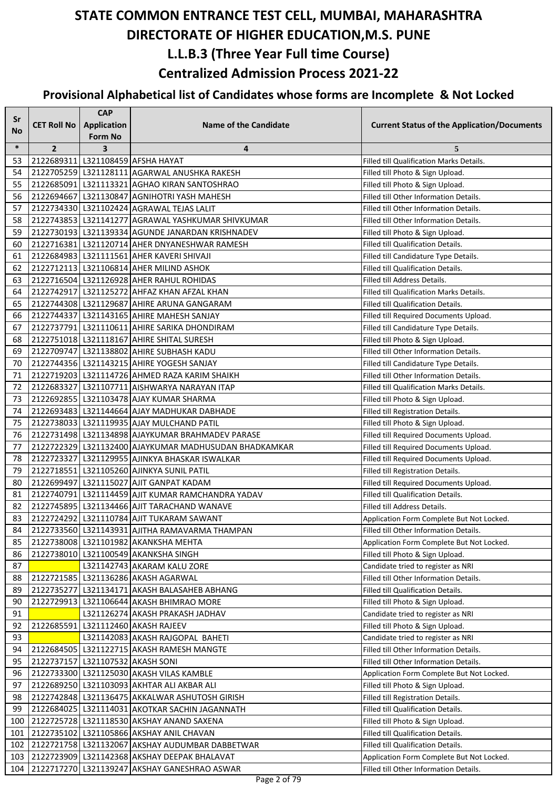| Sr     |                                  | <b>CAP</b>              |                                                       |                                                    |
|--------|----------------------------------|-------------------------|-------------------------------------------------------|----------------------------------------------------|
| No     | <b>CET Roll No</b>               | Application             | <b>Name of the Candidate</b>                          | <b>Current Status of the Application/Documents</b> |
|        |                                  | <b>Form No</b>          |                                                       |                                                    |
| $\ast$ | $\overline{2}$                   | $\overline{\mathbf{3}}$ | 4                                                     | 5                                                  |
| 53     |                                  |                         | 2122689311 L321108459 AFSHA HAYAT                     | Filled till Qualification Marks Details.           |
| 54     |                                  |                         | 2122705259 L321128111 AGARWAL ANUSHKA RAKESH          | Filled till Photo & Sign Upload.                   |
| 55     |                                  |                         | 2122685091 L321113321 AGHAO KIRAN SANTOSHRAO          | Filled till Photo & Sign Upload.                   |
| 56     |                                  |                         | 2122694667 L321130847 AGNIHOTRI YASH MAHESH           | Filled till Other Information Details.             |
| 57     |                                  |                         | 2122734330 L321102424 AGRAWAL TEJAS LALIT             | Filled till Other Information Details.             |
| 58     |                                  |                         | 2122743853 L321141277 AGRAWAL YASHKUMAR SHIVKUMAR     | Filled till Other Information Details.             |
| 59     |                                  |                         | 2122730193   L321139334 AGUNDE JANARDAN KRISHNADEV    | Filled till Photo & Sign Upload.                   |
| 60     |                                  |                         | 2122716381 L321120714 AHER DNYANESHWAR RAMESH         | Filled till Qualification Details.                 |
| 61     |                                  |                         | 2122684983   L321111561 AHER KAVERI SHIVAJI           | Filled till Candidature Type Details.              |
| 62     |                                  |                         | 2122712113   L321106814 AHER MILIND ASHOK             | Filled till Qualification Details.                 |
| 63     |                                  |                         | 2122716504 L321126928 AHER RAHUL ROHIDAS              | Filled till Address Details.                       |
| 64     |                                  |                         | 2122742917 L321125272 AHFAZ KHAN AFZAL KHAN           | Filled till Qualification Marks Details.           |
| 65     |                                  |                         | 2122744308 L321129687 AHIRE ARUNA GANGARAM            | Filled till Qualification Details.                 |
| 66     |                                  |                         | 2122744337 L321143165 AHIRE MAHESH SANJAY             | Filled till Required Documents Upload.             |
| 67     |                                  |                         | 2122737791 L321110611 AHIRE SARIKA DHONDIRAM          | Filled till Candidature Type Details.              |
| 68     |                                  |                         | 2122751018 L321118167 AHIRE SHITAL SURESH             | Filled till Photo & Sign Upload.                   |
| 69     |                                  |                         | 2122709747   L321138802   AHIRE SUBHASH KADU          | Filled till Other Information Details.             |
| 70     |                                  |                         | 2122744356   L321143215   AHIRE YOGESH SANJAY         | Filled till Candidature Type Details.              |
| 71     |                                  |                         | 2122719203 L321114726 AHMED RAZA KARIM SHAIKH         | Filled till Other Information Details.             |
| 72     |                                  |                         | 2122683327 L321107711 AISHWARYA NARAYAN ITAP          | Filled till Qualification Marks Details.           |
| 73     |                                  |                         | 2122692855 L321103478 AJAY KUMAR SHARMA               | Filled till Photo & Sign Upload.                   |
| 74     |                                  |                         | 2122693483 L321144664 AJAY MADHUKAR DABHADE           | Filled till Registration Details.                  |
| 75     |                                  |                         | 2122738033 L321119935 AJAY MULCHAND PATIL             | Filled till Photo & Sign Upload.                   |
| 76     |                                  |                         | 2122731498 L321134898 AJAYKUMAR BRAHMADEV PARASE      | Filled till Required Documents Upload.             |
| 77     |                                  |                         | 2122722329 L321132400 AJAYKUMAR MADHUSUDAN BHADKAMKAR | Filled till Required Documents Upload.             |
| 78     |                                  |                         | 2122723327 L321129955 AJINKYA BHASKAR ISWALKAR        | Filled till Required Documents Upload.             |
| 79     |                                  |                         | 2122718551 L321105260 AJINKYA SUNIL PATIL             | Filled till Registration Details.                  |
| 80     |                                  |                         | 2122699497 L321115027 AJIT GANPAT KADAM               | Filled till Required Documents Upload.             |
| 81     |                                  |                         | 2122740791 L321114459 AJIT KUMAR RAMCHANDRA YADAV     | Filled till Qualification Details.                 |
| 82     |                                  |                         | 2122745895   L321134466   AJIT TARACHAND WANAVE       | Filled till Address Details.                       |
| 83     |                                  |                         | 2122724292 L321110784 AJIT TUKARAM SAWANT             | Application Form Complete But Not Locked.          |
| 84     |                                  |                         | 2122733560 L321143931 AJITHA RAMAVARMA THAMPAN        | Filled till Other Information Details.             |
| 85     |                                  |                         | 2122738008 L321101982 AKANKSHA MEHTA                  | Application Form Complete But Not Locked.          |
| 86     |                                  |                         | 2122738010   L321100549   AKANKSHA SINGH              | Filled till Photo & Sign Upload.                   |
| 87     |                                  |                         | L321142743 AKARAM KALU ZORE                           | Candidate tried to register as NRI                 |
| 88     |                                  |                         | 2122721585 L321136286 AKASH AGARWAL                   | Filled till Other Information Details.             |
| 89     |                                  |                         | 2122735277 L321134171 AKASH BALASAHEB ABHANG          | Filled till Qualification Details.                 |
| 90     |                                  |                         | 2122729913   L321106644 AKASH BHIMRAO MORE            | Filled till Photo & Sign Upload.                   |
| 91     |                                  |                         | L321126274 AKASH PRAKASH JADHAV                       | Candidate tried to register as NRI                 |
| 92     |                                  |                         | 2122685591 L321112460 AKASH RAJEEV                    | Filled till Photo & Sign Upload.                   |
| 93     |                                  |                         | L321142083 AKASH RAJGOPAL BAHETI                      | Candidate tried to register as NRI                 |
| 94     |                                  |                         | 2122684505   L321122715   AKASH RAMESH MANGTE         | Filled till Other Information Details.             |
| 95     | 2122737157 L321107532 AKASH SONI |                         |                                                       | Filled till Other Information Details.             |
| 96     |                                  |                         | 2122733300 L321125030 AKASH VILAS KAMBLE              | Application Form Complete But Not Locked.          |
| 97     |                                  |                         | 2122689250 L321103093 AKHTAR ALI AKBAR ALI            | Filled till Photo & Sign Upload.                   |
| 98     |                                  |                         | 2122742848 L321136475 AKKALWAR ASHUTOSH GIRISH        | Filled till Registration Details.                  |
| 99     |                                  |                         | 2122684025   L321114031   AKOTKAR SACHIN JAGANNATH    | Filled till Qualification Details.                 |
| 100    |                                  |                         | 2122725728 L321118530 AKSHAY ANAND SAXENA             | Filled till Photo & Sign Upload.                   |
| 101    |                                  |                         | 2122735102 L321105866 AKSHAY ANIL CHAVAN              | Filled till Qualification Details.                 |
| 102    |                                  |                         | 2122721758   L321132067 AKSHAY AUDUMBAR DABBETWAR     | Filled till Qualification Details.                 |
| 103    |                                  |                         | 2122723909 L321142368 AKSHAY DEEPAK BHALAVAT          | Application Form Complete But Not Locked.          |
| 104    |                                  |                         | 2122717270 L321139247 AKSHAY GANESHRAO ASWAR          | Filled till Other Information Details.             |
|        |                                  |                         | $DoseO$ of $70$                                       |                                                    |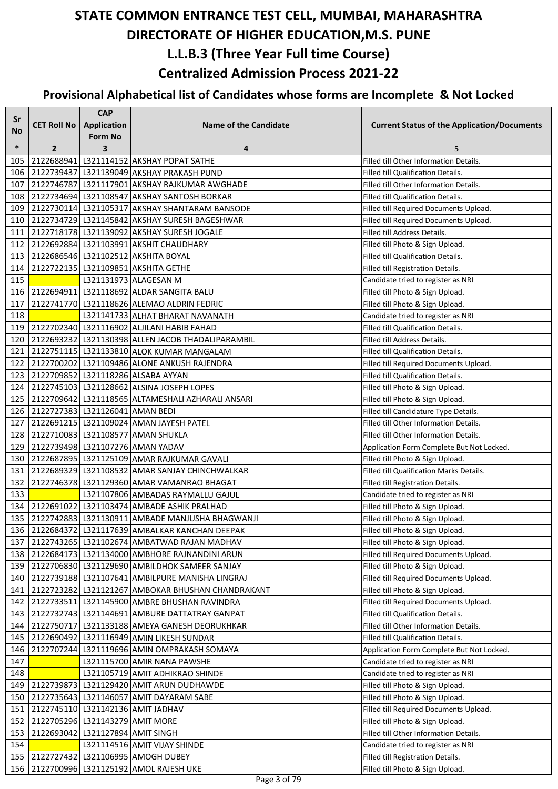| Sr        |                                  | <b>CAP</b>                                |                                                       |                                                    |
|-----------|----------------------------------|-------------------------------------------|-------------------------------------------------------|----------------------------------------------------|
| <b>No</b> | <b>CET Roll No</b>               | <b>Application</b>                        | <b>Name of the Candidate</b>                          | <b>Current Status of the Application/Documents</b> |
| $\ast$    | $\overline{2}$                   | <b>Form No</b><br>$\overline{\mathbf{3}}$ | 4                                                     | 5                                                  |
| 105       |                                  |                                           | 2122688941 L321114152 AKSHAY POPAT SATHE              | Filled till Other Information Details.             |
| 106       |                                  |                                           | 2122739437 L321139049 AKSHAY PRAKASH PUND             | Filled till Qualification Details.                 |
| 107       |                                  |                                           | 2122746787 L321117901 AKSHAY RAJKUMAR AWGHADE         | Filled till Other Information Details.             |
| 108       |                                  |                                           | 2122734694 L321108547 AKSHAY SANTOSH BORKAR           | <b>Filled till Qualification Details.</b>          |
| 109       |                                  |                                           | 2122730114 L321105317 AKSHAY SHANTARAM BANSODE        | Filled till Required Documents Upload.             |
| 110       |                                  |                                           | 2122734729 L321145842 AKSHAY SURESH BAGESHWAR         | Filled till Required Documents Upload.             |
| 111       |                                  |                                           | 2122718178   L321139092 AKSHAY SURESH JOGALE          | Filled till Address Details.                       |
| 112       |                                  |                                           | 2122692884 L321103991 AKSHIT CHAUDHARY                | Filled till Photo & Sign Upload.                   |
| 113       |                                  |                                           | 2122686546 L321102512 AKSHITA BOYAL                   | <b>Filled till Qualification Details.</b>          |
| 114       |                                  |                                           | 2122722135   L321109851   AKSHITA GETHE               | Filled till Registration Details.                  |
| 115       |                                  |                                           | L321131973 ALAGESAN M                                 | Candidate tried to register as NRI                 |
| 116       |                                  |                                           | 2122694911 L321118692 ALDAR SANGITA BALU              | Filled till Photo & Sign Upload.                   |
| 117       |                                  |                                           | 2122741770 L321118626 ALEMAO ALDRIN FEDRIC            | Filled till Photo & Sign Upload.                   |
| 118       |                                  |                                           | L321141733 ALHAT BHARAT NAVANATH                      | Candidate tried to register as NRI                 |
| 119       |                                  |                                           | 2122702340 L321116902 ALJILANI HABIB FAHAD            | Filled till Qualification Details.                 |
| 120       |                                  |                                           | 2122693232   L321130398   ALLEN JACOB THADALIPARAMBIL | Filled till Address Details.                       |
| 121       |                                  |                                           | 2122751115   L321133810 ALOK KUMAR MANGALAM           | <b>Filled till Qualification Details.</b>          |
| 122       |                                  |                                           | 2122700202 L321109486 ALONE ANKUSH RAJENDRA           | Filled till Required Documents Upload.             |
| 123       |                                  |                                           | 2122709852 L321118286 ALSABA AYYAN                    | Filled till Qualification Details.                 |
| 124       |                                  |                                           | 2122745103 L321128662 ALSINA JOSEPH LOPES             | Filled till Photo & Sign Upload.                   |
| 125       |                                  |                                           | 2122709642 L321118565 ALTAMESHALI AZHARALI ANSARI     | Filled till Photo & Sign Upload.                   |
| 126       | 2122727383 L321126041 AMAN BEDI  |                                           |                                                       | Filled till Candidature Type Details.              |
| 127       |                                  |                                           | 2122691215 L321109024 AMAN JAYESH PATEL               | Filled till Other Information Details.             |
| 128       |                                  |                                           | 2122710083   L321108577 AMAN SHUKLA                   | Filled till Other Information Details.             |
| 129       |                                  |                                           | 2122739498 L321107276 AMAN YADAV                      | Application Form Complete But Not Locked.          |
| 130       |                                  |                                           | 2122687895   L321125109   AMAR RAJKUMAR GAVALI        | Filled till Photo & Sign Upload.                   |
| 131       |                                  |                                           | 2122689329 L321108532 AMAR SANJAY CHINCHWALKAR        | Filled till Qualification Marks Details.           |
| 132       |                                  |                                           | 2122746378 L321129360 AMAR VAMANRAO BHAGAT            | Filled till Registration Details.                  |
| 133       |                                  |                                           | L321107806 AMBADAS RAYMALLU GAJUL                     | Candidate tried to register as NRI                 |
| 134       |                                  |                                           | 2122691022 L321103474 AMBADE ASHIK PRALHAD            | Filled till Photo & Sign Upload.                   |
| 135       |                                  |                                           | 2122742883   L321130911 AMBADE MANJUSHA BHAGWANJI     | Filled till Photo & Sign Upload.                   |
|           |                                  |                                           | 136 2122684372 L321117639 AMBALKAR KANCHAN DEEPAK     | Filled till Photo & Sign Upload.                   |
| 137       |                                  |                                           | 2122743265 L321102674 AMBATWAD RAJAN MADHAV           | Filled till Photo & Sign Upload.                   |
| 138       |                                  |                                           | 2122684173   L321134000 AMBHORE RAJNANDINI ARUN       | Filled till Required Documents Upload.             |
| 139       |                                  |                                           | 2122706830   L321129690   AMBILDHOK SAMEER SANJAY     | Filled till Photo & Sign Upload.                   |
| 140       |                                  |                                           | 2122739188 L321107641 AMBILPURE MANISHA LINGRAJ       | Filled till Required Documents Upload.             |
| 141       |                                  |                                           | 2122723282 L321121267 AMBOKAR BHUSHAN CHANDRAKANT     | Filled till Photo & Sign Upload.                   |
| 142       |                                  |                                           | 2122733511 L321145900 AMBRE BHUSHAN RAVINDRA          | Filled till Required Documents Upload.             |
| 143       |                                  |                                           | 2122732743   L321144691 AMBURE DATTATRAY GANPAT       | Filled till Qualification Details.                 |
| 144       |                                  |                                           | 2122750717 L321133188 AMEYA GANESH DEORUKHKAR         | Filled till Other Information Details.             |
| 145       |                                  |                                           | 2122690492 L321116949 AMIN LIKESH SUNDAR              | Filled till Qualification Details.                 |
| 146       |                                  |                                           | 2122707244 L321119696 AMIN OMPRAKASH SOMAYA           | Application Form Complete But Not Locked.          |
| 147       |                                  |                                           | L321115700 AMIR NANA PAWSHE                           | Candidate tried to register as NRI                 |
| 148       |                                  |                                           | L321105719 AMIT ADHIKRAO SHINDE                       | Candidate tried to register as NRI                 |
| 149       |                                  |                                           | 2122739873   L321129420   AMIT ARUN DUDHAWDE          | Filled till Photo & Sign Upload.                   |
| 150       |                                  |                                           | 2122735643   L321146057   AMIT DAYARAM SABE           | Filled till Photo & Sign Upload.                   |
| 151       |                                  |                                           | 2122745110 L321142136 AMIT JADHAV                     | Filled till Required Documents Upload.             |
| 152       | 2122705296 L321143279 AMIT MORE  |                                           |                                                       | Filled till Photo & Sign Upload.                   |
| 153       | 2122693042 L321127894 AMIT SINGH |                                           |                                                       | Filled till Other Information Details.             |
| 154       |                                  |                                           | L321114516 AMIT VIJAY SHINDE                          | Candidate tried to register as NRI                 |
| 155       | 2122727432                       |                                           | L321106995 AMOGH DUBEY                                | Filled till Registration Details.                  |
| 156       |                                  |                                           | 2122700996 L321125192 AMOL RAJESH UKE                 | Filled till Photo & Sign Upload.                   |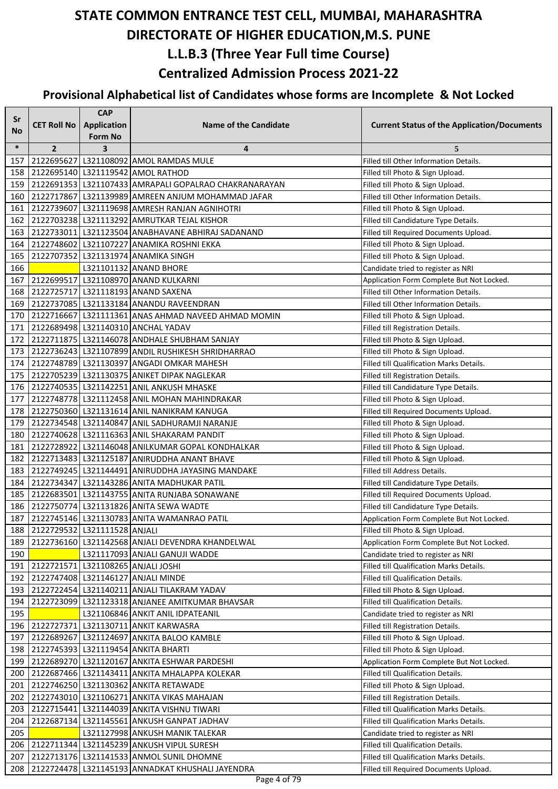| Sr     |                                  | <b>CAP</b>              |                                                       |                                                    |
|--------|----------------------------------|-------------------------|-------------------------------------------------------|----------------------------------------------------|
| No     | <b>CET Roll No</b>               | <b>Application</b>      | <b>Name of the Candidate</b>                          | <b>Current Status of the Application/Documents</b> |
|        |                                  | <b>Form No</b>          |                                                       |                                                    |
| $\ast$ | $\overline{2}$                   | $\overline{\mathbf{3}}$ | 4                                                     | 5                                                  |
| 157    |                                  |                         | 2122695627 L321108092 AMOL RAMDAS MULE                | Filled till Other Information Details.             |
| 158    |                                  |                         | 2122695140   L321119542   AMOL RATHOD                 | Filled till Photo & Sign Upload.                   |
| 159    |                                  |                         | 2122691353 L321107433 AMRAPALI GOPALRAO CHAKRANARAYAN | Filled till Photo & Sign Upload.                   |
| 160    |                                  |                         | 2122717867 L321139989 AMREEN ANJUM MOHAMMAD JAFAR     | Filled till Other Information Details.             |
| 161    |                                  |                         | 2122739607 L321119698 AMRESH RANJAN AGNIHOTRI         | Filled till Photo & Sign Upload.                   |
| 162    |                                  |                         | 2122703238 L321113292 AMRUTKAR TEJAL KISHOR           | Filled till Candidature Type Details.              |
| 163    |                                  |                         | 2122733011 L321123504 ANABHAVANE ABHIRAJ SADANAND     | Filled till Required Documents Upload.             |
| 164    |                                  |                         | 2122748602 L321107227 ANAMIKA ROSHNI EKKA             | Filled till Photo & Sign Upload.                   |
| 165    |                                  |                         | 2122707352 L321131974 ANAMIKA SINGH                   | Filled till Photo & Sign Upload.                   |
| 166    |                                  |                         | L321101132 ANAND BHORE                                | Candidate tried to register as NRI                 |
| 167    |                                  |                         | 2122699517 L321108970 ANAND KULKARNI                  | Application Form Complete But Not Locked.          |
| 168    |                                  |                         | 2122725717 L321118193 ANAND SAXENA                    | Filled till Other Information Details.             |
| 169    |                                  |                         | 2122737085 L321133184 ANANDU RAVEENDRAN               | Filled till Other Information Details.             |
| 170    |                                  |                         | 2122716667 L321111361 ANAS AHMAD NAVEED AHMAD MOMIN   | Filled till Photo & Sign Upload.                   |
| 171    |                                  |                         | 2122689498 L321140310 ANCHAL YADAV                    | Filled till Registration Details.                  |
| 172    |                                  |                         | 2122711875   L321146078 ANDHALE SHUBHAM SANJAY        | Filled till Photo & Sign Upload.                   |
| 173    |                                  |                         | 2122736243 L321107899 ANDIL RUSHIKESH SHRIDHARRAO     | Filled till Photo & Sign Upload.                   |
| 174    |                                  |                         | 2122748789 L321130397 ANGADI OMKAR MAHESH             | Filled till Qualification Marks Details.           |
| 175    |                                  |                         | 2122705239 L321130375 ANIKET DIPAK NAGLEKAR           | Filled till Registration Details.                  |
| 176    |                                  |                         | 2122740535 L321142251 ANIL ANKUSH MHASKE              | Filled till Candidature Type Details.              |
| 177    |                                  |                         | 2122748778   L321112458 ANIL MOHAN MAHINDRAKAR        | Filled till Photo & Sign Upload.                   |
| 178    |                                  |                         | 2122750360 L321131614 ANIL NANIKRAM KANUGA            | Filled till Required Documents Upload.             |
| 179    |                                  |                         | 2122734548   L321140847 ANIL SADHURAMJI NARANJE       | Filled till Photo & Sign Upload.                   |
| 180    |                                  |                         | 2122740628 L321116363 ANIL SHAKARAM PANDIT            | Filled till Photo & Sign Upload.                   |
| 181    |                                  |                         | 2122728922 L321146048 ANILKUMAR GOPAL KONDHALKAR      | Filled till Photo & Sign Upload.                   |
| 182    |                                  |                         | 2122713483   L321125187   ANIRUDDHA ANANT BHAVE       | Filled till Photo & Sign Upload.                   |
| 183    |                                  |                         | 2122749245   L321144491 ANIRUDDHA JAYASING MANDAKE    | Filled till Address Details.                       |
| 184    |                                  |                         | 2122734347 L321143286 ANITA MADHUKAR PATIL            | Filled till Candidature Type Details.              |
| 185    |                                  |                         | 2122683501 L321143755 ANITA RUNJABA SONAWANE          | Filled till Required Documents Upload.             |
| 186    |                                  |                         | 2122750774 L321131826 ANITA SEWA WADTE                | Filled till Candidature Type Details.              |
| 187    |                                  |                         | 2122745146 L321130783 ANITA WAMANRAO PATIL            | Application Form Complete But Not Locked.          |
|        | 188 2122729532 L321111528 ANJALI |                         |                                                       | Filled till Photo & Sign Upload.                   |
| 189    |                                  |                         | 2122736160 L321142568 ANJALI DEVENDRA KHANDELWAL      | Application Form Complete But Not Locked.          |
| 190    |                                  |                         | L321117093 ANJALI GANUJI WADDE                        | Candidate tried to register as NRI                 |
| 191    |                                  |                         | 2122721571 L321108265 ANJALI JOSHI                    | Filled till Qualification Marks Details.           |
| 192    |                                  |                         | 2122747408 L321146127 ANJALI MINDE                    | Filled till Qualification Details.                 |
| 193    |                                  |                         | 2122722454 L321140211 ANJALI TILAKRAM YADAV           | Filled till Photo & Sign Upload.                   |
| 194    |                                  |                         | 2122723099 L321123318 ANJANEE AMITKUMAR BHAVSAR       | Filled till Qualification Details.                 |
| 195    |                                  |                         | L321106846 ANKIT ANIL IDPATEANIL                      | Candidate tried to register as NRI                 |
| 196    |                                  |                         | 2122727371 L321130711 ANKIT KARWASRA                  | Filled till Registration Details.                  |
| 197    |                                  |                         | 2122689267 L321124697 ANKITA BALOO KAMBLE             | Filled till Photo & Sign Upload.                   |
| 198    |                                  |                         | 2122745393 L321119454 ANKITA BHARTI                   | Filled till Photo & Sign Upload.                   |
| 199    |                                  |                         | 2122689270 L321120167 ANKITA ESHWAR PARDESHI          | Application Form Complete But Not Locked.          |
| 200    |                                  |                         | 2122687466 L321143411 ANKITA MHALAPPA KOLEKAR         | Filled till Qualification Details.                 |
| 201    |                                  |                         | 2122746250 L321130362 ANKITA RETAWADE                 | Filled till Photo & Sign Upload.                   |
| 202    |                                  |                         | 2122743010   L321106271   ANKITA VIKAS MAHAJAN        | Filled till Registration Details.                  |
| 203    |                                  |                         | 2122715441   L321144039   ANKITA VISHNU TIWARI        | Filled till Qualification Marks Details.           |
| 204    |                                  |                         | 2122687134 L321145561 ANKUSH GANPAT JADHAV            | Filled till Qualification Marks Details.           |
| 205    |                                  |                         | L321127998 ANKUSH MANIK TALEKAR                       | Candidate tried to register as NRI                 |
| 206    |                                  |                         | 2122711344 L321145239 ANKUSH VIPUL SURESH             | Filled till Qualification Details.                 |
| 207    |                                  |                         | 2122713176   L321141533   ANMOL SUNIL DHOMNE          | Filled till Qualification Marks Details.           |
| 208    |                                  |                         | 2122724478 L321145193 ANNADKAT KHUSHALI JAYENDRA      | Filled till Required Documents Upload.             |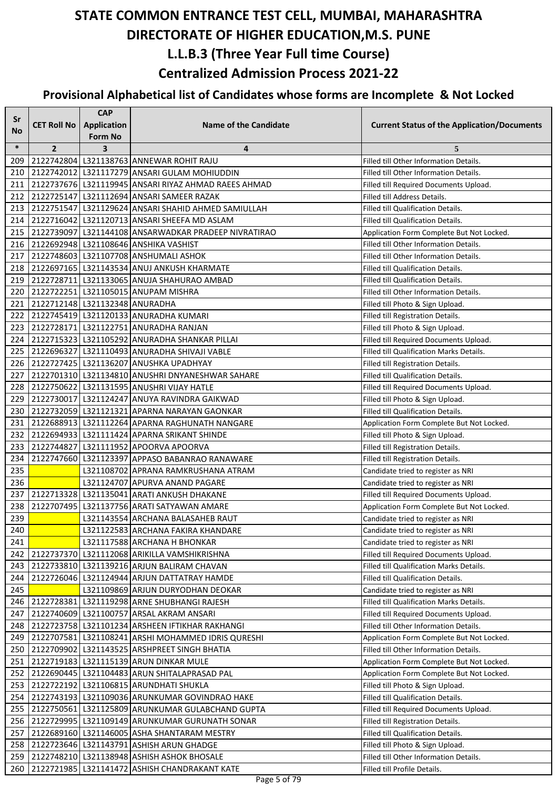| Sr        |                                | <b>CAP</b>              |                                                      |                                                    |
|-----------|--------------------------------|-------------------------|------------------------------------------------------|----------------------------------------------------|
| <b>No</b> | <b>CET Roll No</b>             | <b>Application</b>      | <b>Name of the Candidate</b>                         | <b>Current Status of the Application/Documents</b> |
|           |                                | <b>Form No</b>          |                                                      |                                                    |
| $\ast$    | $\overline{2}$                 | $\overline{\mathbf{3}}$ | 4                                                    | 5                                                  |
| 209       |                                |                         | 2122742804 L321138763 ANNEWAR ROHIT RAJU             | Filled till Other Information Details.             |
| 210       |                                |                         | 2122742012   L321117279   ANSARI GULAM MOHIUDDIN     | Filled till Other Information Details.             |
| 211       |                                |                         | 2122737676 L321119945 ANSARI RIYAZ AHMAD RAEES AHMAD | Filled till Required Documents Upload.             |
| 212       |                                |                         | 2122725147 L321112694 ANSARI SAMEER RAZAK            | Filled till Address Details.                       |
| 213       |                                |                         | 2122751547 L321129624 ANSARI SHAHID AHMED SAMIULLAH  | Filled till Qualification Details.                 |
| 214       |                                |                         | 2122716042   L321120713   ANSARI SHEEFA MD ASLAM     | Filled till Qualification Details.                 |
| 215       |                                |                         | 2122739097 L321144108 ANSARWADKAR PRADEEP NIVRATIRAO | Application Form Complete But Not Locked.          |
| 216       |                                |                         | 2122692948 L321108646 ANSHIKA VASHIST                | Filled till Other Information Details.             |
| 217       |                                |                         | 2122748603 L321107708 ANSHUMALI ASHOK                | Filled till Other Information Details.             |
| 218       |                                |                         | 2122697165   L321143534 ANUJ ANKUSH KHARMATE         | Filled till Qualification Details.                 |
| 219       |                                |                         | 2122728711 L321133065 ANUJA SHAHURAO AMBAD           | Filled till Qualification Details.                 |
| 220       |                                |                         | 2122722251 L321105015 ANUPAM MISHRA                  | Filled till Other Information Details.             |
| 221       | 2122712148 L321132348 ANURADHA |                         |                                                      | Filled till Photo & Sign Upload.                   |
| 222       |                                |                         | 2122745419 L321120133 ANURADHA KUMARI                | Filled till Registration Details.                  |
| 223       |                                |                         | 2122728171 L321122751 ANURADHA RANJAN                | Filled till Photo & Sign Upload.                   |
| 224       |                                |                         | 2122715323 L321105292 ANURADHA SHANKAR PILLAI        | Filled till Required Documents Upload.             |
| 225       |                                |                         | 2122696327 L321110493 ANURADHA SHIVAJI VABLE         | Filled till Qualification Marks Details.           |
| 226       |                                |                         | 2122727425 L321136207 ANUSHKA UPADHYAY               | Filled till Registration Details.                  |
| 227       |                                |                         | 2122701310   L321134810   ANUSHRI DNYANESHWAR SAHARE | Filled till Qualification Details.                 |
| 228       |                                |                         | 2122750622 L321131595 ANUSHRI VIJAY HATLE            | Filled till Required Documents Upload.             |
| 229       |                                |                         | 2122730017 L321124247 ANUYA RAVINDRA GAIKWAD         | Filled till Photo & Sign Upload.                   |
| 230       |                                |                         | 2122732059 L321121321 APARNA NARAYAN GAONKAR         | Filled till Qualification Details.                 |
| 231       |                                |                         | 2122688913   L321112264   APARNA RAGHUNATH NANGARE   | Application Form Complete But Not Locked.          |
| 232       |                                |                         | 2122694933   L321111424   APARNA SRIKANT SHINDE      | Filled till Photo & Sign Upload.                   |
| 233       |                                |                         | 2122744827 L321111952 APOORVA APOORVA                | Filled till Registration Details.                  |
| 234       |                                |                         | 2122747660 L321123397 APPASO BABANRAO RANAWARE       | Filled till Registration Details.                  |
| 235       |                                |                         | L321108702 APRANA RAMKRUSHANA ATRAM                  | Candidate tried to register as NRI                 |
| 236       |                                |                         | L321124707 APURVA ANAND PAGARE                       | Candidate tried to register as NRI                 |
| 237       |                                |                         | 2122713328 L321135041 ARATI ANKUSH DHAKANE           | Filled till Required Documents Upload.             |
| 238       |                                |                         | 2122707495   L321137756 ARATI SATYAWAN AMARE         | Application Form Complete But Not Locked.          |
| 239       |                                |                         | L321143554 ARCHANA BALASAHEB RAUT                    | Candidate tried to register as NRI                 |
| 240       |                                |                         | L321122583 ARCHANA FAKIRA KHANDARE                   | Candidate tried to register as NRI                 |
| 241       |                                |                         | L321117588 ARCHANA H BHONKAR                         | Candidate tried to register as NRI                 |
| 242       |                                |                         | 2122737370 L321112068 ARIKILLA VAMSHIKRISHNA         | Filled till Required Documents Upload.             |
| 243       |                                |                         | 2122733810 L321139216 ARJUN BALIRAM CHAVAN           | Filled till Qualification Marks Details.           |
| 244       |                                |                         | 2122726046 L321124944 ARJUN DATTATRAY HAMDE          | Filled till Qualification Details.                 |
| 245       |                                |                         | L321109869 ARJUN DURYODHAN DEOKAR                    | Candidate tried to register as NRI                 |
| 246       |                                |                         | 2122728381 L321119298 ARNE SHUBHANGI RAJESH          | Filled till Qualification Marks Details.           |
| 247       |                                |                         | 2122740609 L321100757 ARSAL AKRAM ANSARI             | Filled till Required Documents Upload.             |
| 248       |                                |                         | 2122723758 L321101234 ARSHEEN IFTIKHAR RAKHANGI      | Filled till Other Information Details.             |
| 249       |                                |                         | 2122707581 L321108241 ARSHI MOHAMMED IDRIS QURESHI   | Application Form Complete But Not Locked.          |
| 250       |                                |                         | 2122709902   L321143525 ARSHPREET SINGH BHATIA       | Filled till Other Information Details.             |
| 251       |                                |                         | 2122719183   L321115139   ARUN DINKAR MULE           | Application Form Complete But Not Locked.          |
| 252       |                                |                         | 2122690445   L321104483   ARUN SHITALAPRASAD PAL     | Application Form Complete But Not Locked.          |
| 253       |                                |                         | 2122722192 L321106815 ARUNDHATI SHUKLA               | Filled till Photo & Sign Upload.                   |
| 254       |                                |                         | 2122743193 L321109036 ARUNKUMAR GOVINDRAO HAKE       | Filled till Qualification Details.                 |
| 255       |                                |                         | 2122750561 L321125809 ARUNKUMAR GULABCHAND GUPTA     | Filled till Required Documents Upload.             |
| 256       |                                |                         | 2122729995 L321109149 ARUNKUMAR GURUNATH SONAR       | Filled till Registration Details.                  |
| 257       |                                |                         | 2122689160 L321146005 ASHA SHANTARAM MESTRY          | Filled till Qualification Details.                 |
| 258       |                                |                         | 2122723646   L321143791   ASHISH ARUN GHADGE         | Filled till Photo & Sign Upload.                   |
| 259       |                                |                         | 2122748210 L321138948 ASHISH ASHOK BHOSALE           | Filled till Other Information Details.             |
| 260       |                                |                         | 2122721985 L321141472 ASHISH CHANDRAKANT KATE        | Filled till Profile Details.                       |
|           |                                |                         |                                                      |                                                    |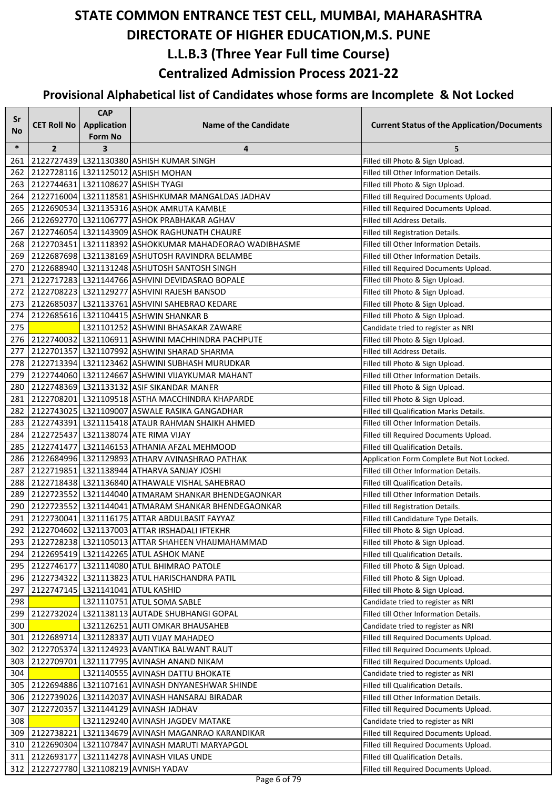| Sr     |                    | <b>CAP</b>                           |                                                        |                                                    |
|--------|--------------------|--------------------------------------|--------------------------------------------------------|----------------------------------------------------|
| No     | <b>CET Roll No</b> | <b>Application</b><br><b>Form No</b> | <b>Name of the Candidate</b>                           | <b>Current Status of the Application/Documents</b> |
| $\ast$ | $\overline{2}$     | $\overline{\mathbf{3}}$              | 4                                                      | 5                                                  |
| 261    |                    |                                      | 2122727439 L321130380 ASHISH KUMAR SINGH               | Filled till Photo & Sign Upload.                   |
| 262    |                    |                                      | 2122728116 L321125012 ASHISH MOHAN                     | Filled till Other Information Details.             |
| 263    |                    |                                      | 2122744631 L321108627 ASHISH TYAGI                     | Filled till Photo & Sign Upload.                   |
| 264    |                    |                                      | 2122716004 L321118581 ASHISHKUMAR MANGALDAS JADHAV     | Filled till Required Documents Upload.             |
| 265    |                    |                                      | 2122690534 L321135316 ASHOK AMRUTA KAMBLE              | Filled till Required Documents Upload.             |
| 266    |                    |                                      | 2122692770 L321106777 ASHOK PRABHAKAR AGHAV            | Filled till Address Details.                       |
| 267    |                    |                                      | 2122746054 L321143909 ASHOK RAGHUNATH CHAURE           | Filled till Registration Details.                  |
| 268    |                    |                                      | 2122703451 L321118392 ASHOKKUMAR MAHADEORAO WADIBHASME | Filled till Other Information Details.             |
| 269    |                    |                                      | 2122687698   L321138169   ASHUTOSH RAVINDRA BELAMBE    | Filled till Other Information Details.             |
| 270    |                    |                                      | 2122688940   L321131248   ASHUTOSH SANTOSH SINGH       | Filled till Required Documents Upload.             |
| 271    |                    |                                      | 2122717283 L321144766 ASHVINI DEVIDASRAO BOPALE        | Filled till Photo & Sign Upload.                   |
| 272    |                    |                                      | 2122708223 L321129277 ASHVINI RAJESH BANSOD            | Filled till Photo & Sign Upload.                   |
| 273    |                    |                                      | 2122685037 L321133761 ASHVINI SAHEBRAO KEDARE          | Filled till Photo & Sign Upload.                   |
| 274    |                    |                                      | 2122685616 L321104415 ASHWIN SHANKAR B                 | Filled till Photo & Sign Upload.                   |
| 275    |                    |                                      | L321101252 ASHWINI BHASAKAR ZAWARE                     | Candidate tried to register as NRI                 |
| 276    |                    |                                      | 2122740032 L321106911 ASHWINI MACHHINDRA PACHPUTE      | Filled till Photo & Sign Upload.                   |
| 277    |                    |                                      | 2122701357 L321107992 ASHWINI SHARAD SHARMA            | Filled till Address Details.                       |
| 278    |                    |                                      | 2122713394 L321123462 ASHWINI SUBHASH MURUDKAR         | Filled till Photo & Sign Upload.                   |
| 279    |                    |                                      | 2122744060 L321124667 ASHWINI VIJAYKUMAR MAHANT        | Filled till Other Information Details.             |
| 280    |                    |                                      | 2122748369 L321133132 ASIF SIKANDAR MANER              | Filled till Photo & Sign Upload.                   |
| 281    |                    |                                      | 2122708201 L321109518 ASTHA MACCHINDRA KHAPARDE        | Filled till Photo & Sign Upload.                   |
| 282    |                    |                                      | 2122743025   L321109007   ASWALE RASIKA GANGADHAR      | Filled till Qualification Marks Details.           |
| 283    |                    |                                      | 2122743391 L321115418 ATAUR RAHMAN SHAIKH AHMED        | Filled till Other Information Details.             |
| 284    |                    |                                      | 2122725437 L321138074 ATE RIMA VIJAY                   | Filled till Required Documents Upload.             |
| 285    |                    |                                      | 2122741477   L321146153 ATHANIA AFZAL MEHMOOD          | Filled till Qualification Details.                 |
| 286    |                    |                                      | 2122684996 L321129893 ATHARV AVINASHRAO PATHAK         | Application Form Complete But Not Locked.          |
| 287    |                    |                                      | 2122719851 L321138944 ATHARVA SANJAY JOSHI             | Filled till Other Information Details.             |
| 288    |                    |                                      | 2122718438 L321136840 ATHAWALE VISHAL SAHEBRAO         | Filled till Qualification Details.                 |
| 289    |                    |                                      | 2122723552 L321144040 ATMARAM SHANKAR BHENDEGAONKAR    | Filled till Other Information Details.             |
| 290    |                    |                                      | 2122723552 L321144041 ATMARAM SHANKAR BHENDEGAONKAR    | Filled till Registration Details.                  |
| 291    |                    |                                      | 2122730041 L321116175 ATTAR ABDULBASIT FAYYAZ          | Filled till Candidature Type Details.              |
| 292    |                    |                                      | 2122704602 L321137003 ATTAR IRSHADALI IFTEKHR          | Filled till Photo & Sign Upload.                   |
| 293    |                    |                                      | 2122728238   L321105013 ATTAR SHAHEEN VHAIJMAHAMMAD    | Filled till Photo & Sign Upload.                   |
| 294    |                    |                                      | 2122695419   L321142265   ATUL ASHOK MANE              | Filled till Qualification Details.                 |
| 295    |                    |                                      | 2122746177 L321114080 ATUL BHIMRAO PATOLE              | Filled till Photo & Sign Upload.                   |
| 296    |                    |                                      | 2122734322 L321113823 ATUL HARISCHANDRA PATIL          | Filled till Photo & Sign Upload.                   |
| 297    |                    |                                      | 2122747145   L321141041   ATUL KASHID                  | Filled till Photo & Sign Upload.                   |
| 298    |                    |                                      | L321110751 ATUL SOMA SABLE                             | Candidate tried to register as NRI                 |
| 299    |                    |                                      | 2122732024 L321138113 AUTADE SHUBHANGI GOPAL           | Filled till Other Information Details.             |
| 300    |                    |                                      | L321126251 AUTI OMKAR BHAUSAHEB                        | Candidate tried to register as NRI                 |
| 301    |                    |                                      | 2122689714 L321128337 AUTI VIJAY MAHADEO               | Filled till Required Documents Upload.             |
| 302    |                    |                                      | 2122705374 L321124923 AVANTIKA BALWANT RAUT            | Filled till Required Documents Upload.             |
| 303    |                    |                                      | 2122709701   L321117795   AVINASH ANAND NIKAM          | Filled till Required Documents Upload.             |
| 304    |                    |                                      | L321140555 AVINASH DATTU BHOKATE                       | Candidate tried to register as NRI                 |
| 305    |                    |                                      | 2122694886 L321107161 AVINASH DNYANESHWAR SHINDE       | Filled till Qualification Details.                 |
| 306    |                    |                                      | 2122739026 L321142037 AVINASH HANSARAJ BIRADAR         | Filled till Other Information Details.             |
| 307    |                    |                                      | 2122720357 L321144129 AVINASH JADHAV                   | Filled till Required Documents Upload.             |
| 308    |                    |                                      | L321129240 AVINASH JAGDEV MATAKE                       | Candidate tried to register as NRI                 |
| 309    |                    |                                      | 2122738221 L321134679 AVINASH MAGANRAO KARANDIKAR      | Filled till Required Documents Upload.             |
| 310    |                    |                                      | 2122690304 L321107847 AVINASH MARUTI MARYAPGOL         | Filled till Required Documents Upload.             |
| 311    | 2122693177         |                                      | L321114278 AVINASH VILAS UNDE                          | Filled till Qualification Details.                 |
| 312    |                    |                                      | 2122727780 L321108219 AVNISH YADAV                     | Filled till Required Documents Upload.             |
|        |                    |                                      |                                                        |                                                    |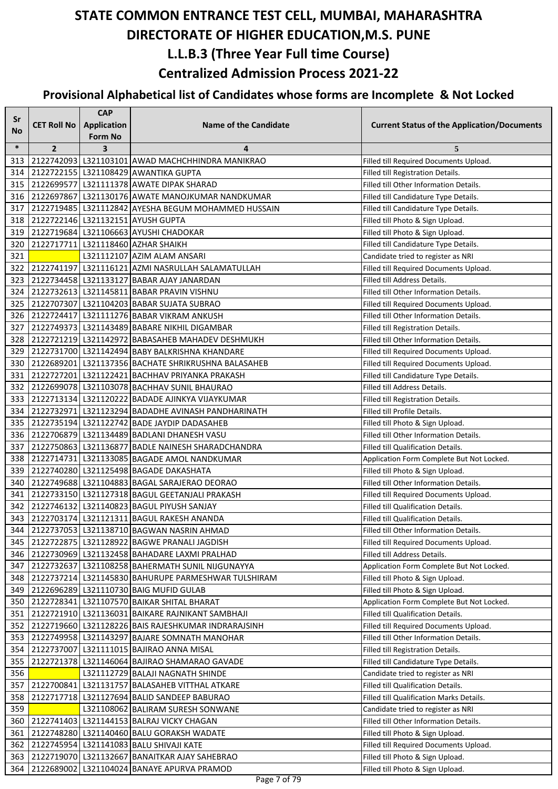| Sr            |                    | <b>CAP</b>     |                                                                                                    |                                                                             |
|---------------|--------------------|----------------|----------------------------------------------------------------------------------------------------|-----------------------------------------------------------------------------|
| No            | <b>CET Roll No</b> | Application    | <b>Name of the Candidate</b>                                                                       | <b>Current Status of the Application/Documents</b>                          |
|               |                    | <b>Form No</b> |                                                                                                    |                                                                             |
| $\ast$<br>313 | $\overline{2}$     | 3              | 4<br>2122742093 L321103101 AWAD MACHCHHINDRA MANIKRAO                                              | 5                                                                           |
| 314           |                    |                | 2122722155 L321108429 AWANTIKA GUPTA                                                               | Filled till Required Documents Upload.                                      |
| 315           |                    |                | 2122699577 L321111378 AWATE DIPAK SHARAD                                                           | Filled till Registration Details.<br>Filled till Other Information Details. |
| 316           |                    |                | 2122697867 L321130176 AWATE MANOJKUMAR NANDKUMAR                                                   |                                                                             |
|               |                    |                |                                                                                                    | Filled till Candidature Type Details.                                       |
| 317           |                    |                | 2122719485   L321112842 AYESHA BEGUM MOHAMMED HUSSAIN                                              | Filled till Candidature Type Details.                                       |
| 318           |                    |                | 2122722146   L321132151   AYUSH GUPTA                                                              | Filled till Photo & Sign Upload.                                            |
| 319<br>320    |                    |                | 2122719684 L321106663 AYUSHI CHADOKAR                                                              | Filled till Photo & Sign Upload.                                            |
| 321           |                    |                | 2122717711   L321118460   AZHAR SHAIKH<br>L321112107 AZIM ALAM ANSARI                              | Filled till Candidature Type Details.<br>Candidate tried to register as NRI |
| 322           |                    |                | 2122741197   L321116121 AZMI NASRULLAH SALAMATULLAH                                                | Filled till Required Documents Upload.                                      |
| 323           |                    |                | 2122734458 L321133127 BABAR AJAY JANARDAN                                                          | Filled till Address Details.                                                |
|               |                    |                | 2122732613 L321145811 BABAR PRAVIN VISHNU                                                          | Filled till Other Information Details.                                      |
| 324<br>325    |                    |                | 2122707307 L321104203 BABAR SUJATA SUBRAO                                                          |                                                                             |
| 326           |                    |                | 2122724417 L321111276 BABAR VIKRAM ANKUSH                                                          | Filled till Required Documents Upload.                                      |
| 327           |                    |                | 2122749373 L321143489 BABARE NIKHIL DIGAMBAR                                                       | Filled till Other Information Details.                                      |
| 328           |                    |                |                                                                                                    | Filled till Registration Details.<br>Filled till Other Information Details. |
| 329           |                    |                | 2122721219 L321142972 BABASAHEB MAHADEV DESHMUKH<br>2122731700 L321142494 BABY BALKRISHNA KHANDARE |                                                                             |
|               |                    |                | 2122689201 L321137356 BACHATE SHRIKRUSHNA BALASAHEB                                                | Filled till Required Documents Upload.                                      |
| 330           |                    |                |                                                                                                    | Filled till Required Documents Upload.                                      |
| 331           |                    |                | 2122727201 L321122421 BACHHAV PRIYANKA PRAKASH                                                     | Filled till Candidature Type Details.                                       |
| 332           |                    |                | 2122699078   L321103078   BACHHAV SUNIL BHAURAO                                                    | Filled till Address Details.                                                |
| 333           |                    |                | 2122713134 L321120222 BADADE AJINKYA VIJAYKUMAR                                                    | Filled till Registration Details.                                           |
| 334           |                    |                | 2122732971 L321123294 BADADHE AVINASH PANDHARINATH                                                 | Filled till Profile Details.                                                |
| 335           |                    |                | 2122735194 L321122742 BADE JAYDIP DADASAHEB                                                        | Filled till Photo & Sign Upload.                                            |
| 336           |                    |                | 2122706879 L321134489 BADLANI DHANESH VASU                                                         | Filled till Other Information Details.                                      |
| 337           |                    |                | 2122750863   L321136877   BADLE NAINESH SHARADCHANDRA                                              | Filled till Qualification Details.                                          |
| 338           |                    |                | 2122714731 L321133085 BAGADE AMOL NANDKUMAR                                                        | Application Form Complete But Not Locked.                                   |
| 339           |                    |                | 2122740280 L321125498 BAGADE DAKASHATA                                                             | Filled till Photo & Sign Upload.                                            |
| 340           |                    |                | 2122749688 L321104883 BAGAL SARAJERAO DEORAO                                                       | Filled till Other Information Details.                                      |
| 341           |                    |                | 2122733150 L321127318 BAGUL GEETANJALI PRAKASH                                                     | Filled till Required Documents Upload.                                      |
| 342           |                    |                | 2122746132 L321140823 BAGUL PIYUSH SANJAY                                                          | Filled till Qualification Details.                                          |
| 343           |                    |                | 2122703174 L321121311 BAGUL RAKESH ANANDA                                                          | Filled till Qualification Details.                                          |
| 344           |                    |                | 2122737053 L321138710 BAGWAN NASRIN AHMAD                                                          | Filled till Other Information Details.                                      |
| 345           |                    |                | 2122722875   L321128922   BAGWE PRANALI JAGDISH                                                    | Filled till Required Documents Upload.                                      |
| 346           |                    |                | 2122730969 L321132458 BAHADARE LAXMI PRALHAD                                                       | Filled till Address Details.                                                |
| 347           |                    |                | 2122732637 L321108258 BAHERMATH SUNIL NIJGUNAYYA                                                   | Application Form Complete But Not Locked.                                   |
| 348           |                    |                | 2122737214   L321145830   BAHURUPE PARMESHWAR TULSHIRAM                                            | Filled till Photo & Sign Upload.                                            |
| 349           |                    |                | 2122696289 L321110730 BAIG MUFID GULAB                                                             | Filled till Photo & Sign Upload.                                            |
| 350           |                    |                | 2122728341 L321107570 BAIKAR SHITAL BHARAT                                                         | Application Form Complete But Not Locked.                                   |
| 351           |                    |                | 2122721910 L321136031 BAIKARE RAJNIKANT SAMBHAJI                                                   | Filled till Qualification Details.                                          |
| 352           |                    |                | 2122719660 L321128226 BAIS RAJESHKUMAR INDRARAJSINH                                                | Filled till Required Documents Upload.                                      |
| 353           |                    |                | 2122749958 L321143297 BAJARE SOMNATH MANOHAR                                                       | Filled till Other Information Details.                                      |
| 354           |                    |                | 2122737007   L321111015   BAJIRAO ANNA MISAL                                                       | Filled till Registration Details.                                           |
| 355           |                    |                | 2122721378   L321146064   BAJIRAO SHAMARAO GAVADE                                                  | Filled till Candidature Type Details.                                       |
| 356           |                    |                | L321112729 BALAJI NAGNATH SHINDE                                                                   | Candidate tried to register as NRI                                          |
| 357           |                    |                | 2122700841   L321131757   BALASAHEB VITTHAL ATKARE                                                 | Filled till Qualification Details.                                          |
| 358           |                    |                | 2122717718   L321127694   BALID SANDEEP BABURAO                                                    | Filled till Qualification Marks Details.                                    |
| 359           |                    |                | L321108062 BALIRAM SURESH SONWANE                                                                  | Candidate tried to register as NRI                                          |
| 360           |                    |                | 2122741403   L321144153   BALRAJ VICKY CHAGAN                                                      | Filled till Other Information Details.                                      |
| 361           |                    |                | 2122748280   L321140460   BALU GORAKSH WADATE                                                      | Filled till Photo & Sign Upload.                                            |
| 362           |                    |                | 2122745954   L321141083   BALU SHIVAJI KATE                                                        | Filled till Required Documents Upload.                                      |
| 363           |                    |                | 2122719070 L321132667 BANAITKAR AJAY SAHEBRAO                                                      | Filled till Photo & Sign Upload.                                            |
| 364           |                    |                | 2122689002 L321104024 BANAYE APURVA PRAMOD                                                         | Filled till Photo & Sign Upload.                                            |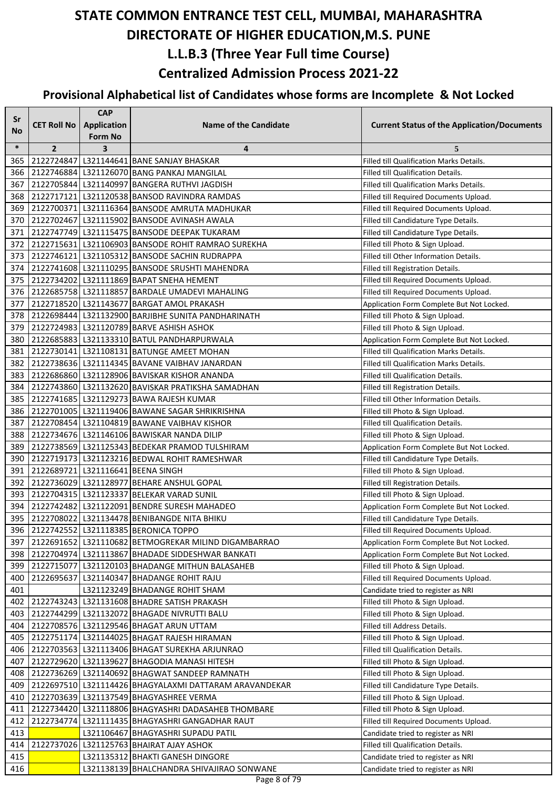| <b>Sr</b> |                    | <b>CAP</b>         |                                                          |                                                    |  |
|-----------|--------------------|--------------------|----------------------------------------------------------|----------------------------------------------------|--|
| No        | <b>CET Roll No</b> | <b>Application</b> | Name of the Candidate                                    | <b>Current Status of the Application/Documents</b> |  |
|           |                    | <b>Form No</b>     |                                                          |                                                    |  |
| $\ast$    | $\overline{2}$     | 3                  | 4                                                        | 5                                                  |  |
| 365       |                    |                    | 2122724847 L321144641 BANE SANJAY BHASKAR                | Filled till Qualification Marks Details.           |  |
| 366       |                    |                    | 2122746884 L321126070 BANG PANKAJ MANGILAL               | Filled till Qualification Details.                 |  |
| 367       |                    |                    | 2122705844 L321140997 BANGERA RUTHVI JAGDISH             | Filled till Qualification Marks Details.           |  |
| 368       |                    |                    | 2122717121   L321120538   BANSOD RAVINDRA RAMDAS         | Filled till Required Documents Upload.             |  |
| 369       |                    |                    | 2122700371   L321116364   BANSODE AMRUTA MADHUKAR        | Filled till Required Documents Upload.             |  |
| 370       |                    |                    | 2122702467   L321115902   BANSODE AVINASH AWALA          | Filled till Candidature Type Details.              |  |
| 371       |                    |                    | 2122747749   L321115475   BANSODE DEEPAK TUKARAM         | Filled till Candidature Type Details.              |  |
| 372       |                    |                    | 2122715631 L321106903 BANSODE ROHIT RAMRAO SUREKHA       | Filled till Photo & Sign Upload.                   |  |
| 373       |                    |                    | 2122746121 L321105312 BANSODE SACHIN RUDRAPPA            | Filled till Other Information Details.             |  |
| 374       |                    |                    | 2122741608 L321110295 BANSODE SRUSHTI MAHENDRA           | Filled till Registration Details.                  |  |
| 375       |                    |                    | 2122734202 L321111869 BAPAT SNEHA HEMENT                 | Filled till Required Documents Upload.             |  |
| 376       |                    |                    | 2122685758 L321118857 BARDALE UMADEVI MAHALING           | Filled till Required Documents Upload.             |  |
| 377       |                    |                    | 2122718520 L321143677 BARGAT AMOL PRAKASH                | Application Form Complete But Not Locked.          |  |
|           |                    |                    | 378 2122698444 L321132900 BARJIBHE SUNITA PANDHARINATH   | Filled till Photo & Sign Upload.                   |  |
| 379       |                    |                    | 2122724983 L321120789 BARVE ASHISH ASHOK                 | Filled till Photo & Sign Upload.                   |  |
| 380       |                    |                    | 2122685883 L321133310 BATUL PANDHARPURWALA               | Application Form Complete But Not Locked.          |  |
| 381       |                    |                    | 2122730141   L321108131   BATUNGE AMEET MOHAN            | Filled till Qualification Marks Details.           |  |
| 382       |                    |                    | 2122738636 L321114345 BAVANE VAIBHAV JANARDAN            | Filled till Qualification Marks Details.           |  |
| 383       |                    |                    | 2122686860 L321128906 BAVISKAR KISHOR ANANDA             | Filled till Qualification Details.                 |  |
| 384       |                    |                    | 2122743860 L321132620 BAVISKAR PRATIKSHA SAMADHAN        | Filled till Registration Details.                  |  |
| 385       |                    |                    | 2122741685 L321129273 BAWA RAJESH KUMAR                  | Filled till Other Information Details.             |  |
| 386       |                    |                    | 2122701005   L321119406   BAWANE SAGAR SHRIKRISHNA       | Filled till Photo & Sign Upload.                   |  |
| 387       |                    |                    | 2122708454 L321104819 BAWANE VAIBHAV KISHOR              | Filled till Qualification Details.                 |  |
| 388       |                    |                    | 2122734676 L321146106 BAWISKAR NANDA DILIP               | Filled till Photo & Sign Upload.                   |  |
| 389       |                    |                    | 2122738569 L321125343 BEDEKAR PRAMOD TULSHIRAM           | Application Form Complete But Not Locked.          |  |
| 390       |                    |                    | 2122719173 L321123216 BEDWAL ROHIT RAMESHWAR             | Filled till Candidature Type Details.              |  |
| 391       |                    |                    | 2122689721 L321116641 BEENA SINGH                        | Filled till Photo & Sign Upload.                   |  |
| 392       |                    |                    | 2122736029 L321128977 BEHARE ANSHUL GOPAL                | Filled till Registration Details.                  |  |
| 393       |                    |                    | 2122704315 L321123337 BELEKAR VARAD SUNIL                | Filled till Photo & Sign Upload.                   |  |
| 394       |                    |                    | 2122742482   L321122091   BENDRE SURESH MAHADEO          | Application Form Complete But Not Locked.          |  |
| 395       |                    |                    | 2122708022 L321134478 BENIBANGDE NITA BHIKU              | Filled till Candidature Type Details.              |  |
| 396       |                    |                    | 2122742552 L321118385 BERONICA TOPPO                     | Filled till Required Documents Upload.             |  |
| 397       |                    |                    | 2122691652   L321110682   BETMOGREKAR MILIND DIGAMBARRAO | Application Form Complete But Not Locked.          |  |
| 398       |                    |                    | 2122704974   L321113867   BHADADE SIDDESHWAR BANKATI     | Application Form Complete But Not Locked.          |  |
| 399       |                    |                    | 2122715077 L321120103 BHADANGE MITHUN BALASAHEB          | Filled till Photo & Sign Upload.                   |  |
| 400       |                    |                    | 2122695637 L321140347 BHADANGE ROHIT RAJU                | Filled till Required Documents Upload.             |  |
| 401       |                    |                    | L321123249 BHADANGE ROHIT SHAM                           | Candidate tried to register as NRI                 |  |
| 402       |                    |                    | 2122743243 L321131608 BHADRE SATISH PRAKASH              | Filled till Photo & Sign Upload.                   |  |
| 403       |                    |                    | 2122744299 L321132072 BHAGADE NIVRUTTI BALU              | Filled till Photo & Sign Upload.                   |  |
| 404       |                    |                    | 2122708576 L321129546 BHAGAT ARUN UTTAM                  | Filled till Address Details.                       |  |
| 405       |                    |                    | 2122751174 L321144025 BHAGAT RAJESH HIRAMAN              | Filled till Photo & Sign Upload.                   |  |
| 406       |                    |                    | 2122703563   L321113406   BHAGAT SUREKHA ARJUNRAO        | Filled till Qualification Details.                 |  |
| 407       |                    |                    | 2122729620 L321139627 BHAGODIA MANASI HITESH             | Filled till Photo & Sign Upload.                   |  |
|           |                    |                    |                                                          |                                                    |  |
| 408       |                    |                    | 2122736269 L321140692 BHAGWAT SANDEEP RAMNATH            | Filled till Photo & Sign Upload.                   |  |
| 409       |                    |                    | 2122697510 L321114426 BHAGYALAXMI DATTARAM ARAVANDEKAR   | Filled till Candidature Type Details.              |  |
| 410       |                    |                    | 2122703639 L321137549 BHAGYASHREE VERMA                  | Filled till Photo & Sign Upload.                   |  |
| 411       |                    |                    | 2122734420 L321118806 BHAGYASHRI DADASAHEB THOMBARE      | Filled till Photo & Sign Upload.                   |  |
| 412       |                    |                    | 2122734774 L321111435 BHAGYASHRI GANGADHAR RAUT          | Filled till Required Documents Upload.             |  |
| 413       |                    |                    | L321106467 BHAGYASHRI SUPADU PATIL                       | Candidate tried to register as NRI                 |  |
| 414       |                    |                    | 2122737026 L321125763 BHAIRAT AJAY ASHOK                 | Filled till Qualification Details.                 |  |
| 415       |                    |                    | L321135312 BHAKTI GANESH DINGORE                         | Candidate tried to register as NRI                 |  |
| 416       |                    |                    | L321138139 BHALCHANDRA SHIVAJIRAO SONWANE                | Candidate tried to register as NRI                 |  |
|           | Page 8 of 79       |                    |                                                          |                                                    |  |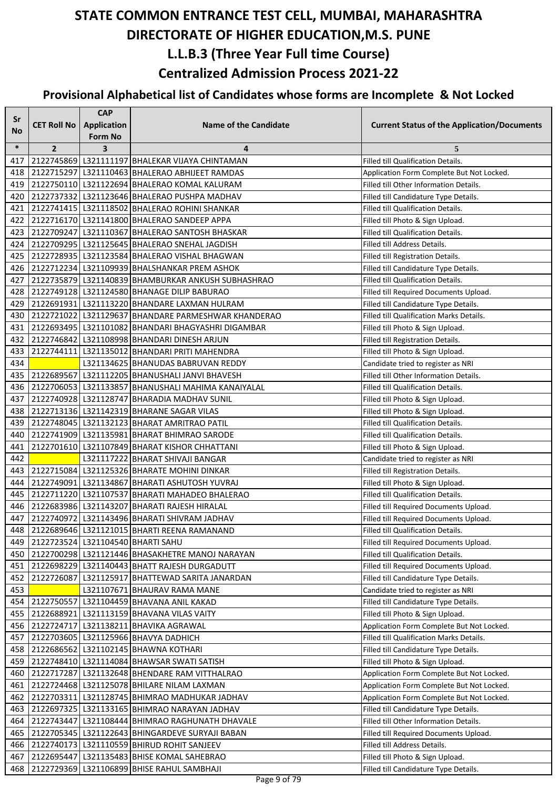| Sr     |                    | <b>CAP</b>         |                                                        |                                                    |
|--------|--------------------|--------------------|--------------------------------------------------------|----------------------------------------------------|
| No     | <b>CET Roll No</b> | <b>Application</b> | <b>Name of the Candidate</b>                           | <b>Current Status of the Application/Documents</b> |
|        |                    | <b>Form No</b>     |                                                        |                                                    |
| $\ast$ | $\overline{2}$     | 3                  | 4                                                      | 5                                                  |
| 417    |                    |                    | 2122745869 L321111197 BHALEKAR VIJAYA CHINTAMAN        | Filled till Qualification Details.                 |
| 418    |                    |                    | 2122715297 L321110463 BHALERAO ABHIJEET RAMDAS         | Application Form Complete But Not Locked.          |
| 419    |                    |                    | 2122750110 L321122694 BHALERAO KOMAL KALURAM           | Filled till Other Information Details.             |
| 420    |                    |                    | 2122737332 L321123646 BHALERAO PUSHPA MADHAV           | Filled till Candidature Type Details.              |
| 421    |                    |                    | 2122741415   L321118502   BHALERAO ROHINI SHANKAR      | Filled till Qualification Details.                 |
| 422    |                    |                    | 2122716170 L321141800 BHALERAO SANDEEP APPA            | Filled till Photo & Sign Upload.                   |
| 423    |                    |                    | 2122709247 L321110367 BHALERAO SANTOSH BHASKAR         | Filled till Qualification Details.                 |
| 424    |                    |                    | 2122709295 L321125645 BHALERAO SNEHAL JAGDISH          | Filled till Address Details.                       |
| 425    |                    |                    | 2122728935 L321123584 BHALERAO VISHAL BHAGWAN          | Filled till Registration Details.                  |
| 426    |                    |                    | 2122712234 L321109939 BHALSHANKAR PREM ASHOK           | Filled till Candidature Type Details.              |
| 427    |                    |                    | 2122735879 L321140839 BHAMBURKAR ANKUSH SUBHASHRAO     | Filled till Qualification Details.                 |
| 428    |                    |                    | 2122749128   L321124580   BHANAGE DILIP BABURAO        | Filled till Required Documents Upload.             |
| 429    |                    |                    | 2122691931 L321113220 BHANDARE LAXMAN HULRAM           | Filled till Candidature Type Details.              |
| 430    |                    |                    | 2122721022 L321129637 BHANDARE PARMESHWAR KHANDERAO    | Filled till Qualification Marks Details.           |
| 431    |                    |                    | 2122693495   L321101082   BHANDARI BHAGYASHRI DIGAMBAR | Filled till Photo & Sign Upload.                   |
| 432    |                    |                    | 2122746842   L321108998   BHANDARI DINESH ARJUN        | Filled till Registration Details.                  |
| 433    |                    |                    | 2122744111   L321135012   BHANDARI PRITI MAHENDRA      | Filled till Photo & Sign Upload.                   |
| 434    |                    |                    | L321134625 BHANUDAS BABRUVAN REDDY                     | Candidate tried to register as NRI                 |
| 435    |                    |                    | 2122689567 L321112205 BHANUSHALI JANVI BHAVESH         | Filled till Other Information Details.             |
| 436    |                    |                    | 2122706053 L321133857 BHANUSHALI MAHIMA KANAIYALAL     | Filled till Qualification Details.                 |
| 437    |                    |                    | 2122740928 L321128747 BHARADIA MADHAV SUNIL            | Filled till Photo & Sign Upload.                   |
| 438    |                    |                    | 2122713136 L321142319 BHARANE SAGAR VILAS              | Filled till Photo & Sign Upload.                   |
| 439    |                    |                    | 2122748045   L321132123   BHARAT AMRITRAO PATIL        | Filled till Qualification Details.                 |
| 440    |                    |                    | 2122741909 L321135981 BHARAT BHIMRAO SARODE            | Filled till Qualification Details.                 |
| 441    |                    |                    | 2122701610 L321107849 BHARAT KISHOR CHHATTANI          | Filled till Photo & Sign Upload.                   |
| 442    |                    |                    | L321117222 BHARAT SHIVAJI BANGAR                       | Candidate tried to register as NRI                 |
| 443    |                    |                    | 2122715084 L321125326 BHARATE MOHINI DINKAR            | Filled till Registration Details.                  |
| 444    |                    |                    | 2122749091 L321134867 BHARATI ASHUTOSH YUVRAJ          | Filled till Photo & Sign Upload.                   |
| 445    |                    |                    | 2122711220 L321107537 BHARATI MAHADEO BHALERAO         | Filled till Qualification Details.                 |
| 446    |                    |                    | 2122683986 L321143207 BHARATI RAJESH HIRALAL           | Filled till Required Documents Upload.             |
| 447    |                    |                    | 2122740972 L321143496 BHARATI SHIVRAM JADHAV           | Filled till Required Documents Upload.             |
| 448    |                    |                    | 2122689646 L321121015 BHARTI REENA RAMANAND            | Filled till Qualification Details.                 |
| 449    |                    |                    | 2122723524   L321104540   BHARTI SAHU                  | Filled till Required Documents Upload.             |
| 450    |                    |                    | 2122700298   L321121446   BHASAKHETRE MANOJ NARAYAN    | Filled till Qualification Details.                 |
| 451    |                    |                    | 2122698229 L321140443 BHATT RAJESH DURGADUTT           | Filled till Required Documents Upload.             |
| 452    |                    |                    | 2122726087 L321125917 BHATTEWAD SARITA JANARDAN        | Filled till Candidature Type Details.              |
| 453    |                    |                    | L321107671 BHAURAV RAMA MANE                           | Candidate tried to register as NRI                 |
| 454    |                    |                    | 2122750557 L321104459 BHAVANA ANIL KAKAD               | Filled till Candidature Type Details.              |
| 455    |                    |                    | 2122688921 L321113159 BHAVANA VILAS VAITY              | Filled till Photo & Sign Upload.                   |
| 456    |                    |                    | 2122724717   L321138211   BHAVIKA AGRAWAL              | Application Form Complete But Not Locked.          |
| 457    |                    |                    | 2122703605   L321125966   BHAVYA DADHICH               | Filled till Qualification Marks Details.           |
| 458    |                    |                    | 2122686562   L321102145   BHAWNA KOTHARI               | Filled till Candidature Type Details.              |
| 459    |                    |                    | 2122748410   L321114084   BHAWSAR SWATI SATISH         | Filled till Photo & Sign Upload.                   |
| 460    |                    |                    | 2122717287 L321132648 BHENDARE RAM VITTHALRAO          | Application Form Complete But Not Locked.          |
| 461    |                    |                    | 2122724468   L321125078   BHILARE NILAM LAXMAN         | Application Form Complete But Not Locked.          |
| 462    |                    |                    | 2122703311 L321128745 BHIMRAO MADHUKAR JADHAV          | Application Form Complete But Not Locked.          |
| 463    |                    |                    | 2122697325   L321133165   BHIMRAO NARAYAN JADHAV       | Filled till Candidature Type Details.              |
| 464    |                    |                    | 2122743447 L321108444 BHIMRAO RAGHUNATH DHAVALE        | Filled till Other Information Details.             |
| 465    |                    |                    | 2122705345   L321122643   BHINGARDEVE SURYAJI BABAN    | Filled till Required Documents Upload.             |
| 466    |                    |                    | 2122740173   L321110559   BHIRUD ROHIT SANJEEV         | Filled till Address Details.                       |
| 467    | 2122695447         |                    | L321135483 BHISE KOMAL SAHEBRAO                        |                                                    |
|        |                    |                    | 2122729369 L321106899 BHISE RAHUL SAMBHAJI             | Filled till Photo & Sign Upload.                   |
| 468    |                    |                    |                                                        | Filled till Candidature Type Details.              |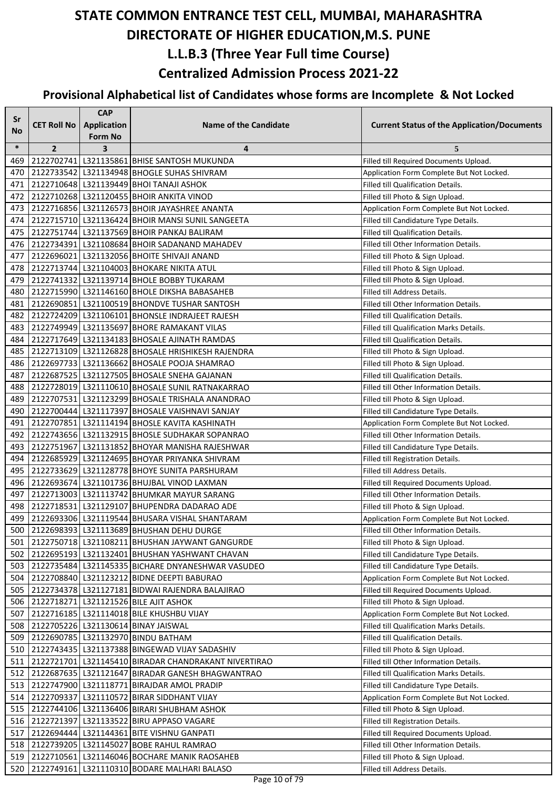| Sr        |                    | <b>CAP</b>         |                                                      |                                                    |
|-----------|--------------------|--------------------|------------------------------------------------------|----------------------------------------------------|
| <b>No</b> | <b>CET Roll No</b> | <b>Application</b> | <b>Name of the Candidate</b>                         | <b>Current Status of the Application/Documents</b> |
|           |                    | <b>Form No</b>     |                                                      |                                                    |
| $\ast$    | $\overline{2}$     | 3                  | 4                                                    | 5                                                  |
| 469       |                    |                    | 2122702741 L321135861 BHISE SANTOSH MUKUNDA          | Filled till Required Documents Upload.             |
| 470       |                    |                    | 2122733542 L321134948 BHOGLE SUHAS SHIVRAM           | Application Form Complete But Not Locked.          |
| 471       |                    |                    | 2122710648 L321139449 BHOI TANAJI ASHOK              | Filled till Qualification Details.                 |
| 472       |                    |                    | 2122710268 L321120455 BHOIR ANKITA VINOD             | Filled till Photo & Sign Upload.                   |
| 473       |                    |                    | 2122716856 L321126573 BHOIR JAYASHREE ANANTA         | Application Form Complete But Not Locked.          |
| 474       |                    |                    | 2122715710 L321136424 BHOIR MANSI SUNIL SANGEETA     | Filled till Candidature Type Details.              |
| 475       |                    |                    | 2122751744 L321137569 BHOIR PANKAJ BALIRAM           | Filled till Qualification Details.                 |
| 476       |                    |                    | 2122734391   L321108684   BHOIR SADANAND MAHADEV     | Filled till Other Information Details.             |
| 477       |                    |                    | 2122696021 L321132056 BHOITE SHIVAJI ANAND           | Filled till Photo & Sign Upload.                   |
| 478       |                    |                    | 2122713744 L321104003 BHOKARE NIKITA ATUL            | Filled till Photo & Sign Upload.                   |
| 479       |                    |                    | 2122741332 L321139714 BHOLE BOBBY TUKARAM            | Filled till Photo & Sign Upload.                   |
| 480       |                    |                    | 2122715990 L321146160 BHOLE DIKSHA BABASAHEB         | Filled till Address Details.                       |
| 481       |                    |                    | 2122690851 L321100519 BHONDVE TUSHAR SANTOSH         | Filled till Other Information Details.             |
| 482       |                    |                    | 2122724209 L321106101 BHONSLE INDRAJEET RAJESH       | Filled till Qualification Details.                 |
| 483       |                    |                    | 2122749949 L321135697 BHORE RAMAKANT VILAS           | Filled till Qualification Marks Details.           |
| 484       |                    |                    | 2122717649   L321134183   BHOSALE AJINATH RAMDAS     | Filled till Qualification Details.                 |
| 485       |                    |                    | 2122713109 L321126828 BHOSALE HRISHIKESH RAJENDRA    | Filled till Photo & Sign Upload.                   |
| 486       |                    |                    | 2122697733 L321136662 BHOSALE POOJA SHAMRAO          | Filled till Photo & Sign Upload.                   |
| 487       |                    |                    | 2122687525   L321127505   BHOSALE SNEHA GAJANAN      | Filled till Qualification Details.                 |
| 488       |                    |                    | 2122728019 L321110610 BHOSALE SUNIL RATNAKARRAO      | Filled till Other Information Details.             |
| 489       |                    |                    | 2122707531 L321123299 BHOSALE TRISHALA ANANDRAO      | Filled till Photo & Sign Upload.                   |
| 490       |                    |                    | 2122700444 L321117397 BHOSALE VAISHNAVI SANJAY       | Filled till Candidature Type Details.              |
| 491       |                    |                    | 2122707851 L321114194 BHOSLE KAVITA KASHINATH        | Application Form Complete But Not Locked.          |
| 492       |                    |                    | 2122743656   L321132915   BHOSLE SUDHAKAR SOPANRAO   | Filled till Other Information Details.             |
| 493       |                    |                    | 2122751967 L321131852 BHOYAR MANISHA RAJESHWAR       | Filled till Candidature Type Details.              |
| 494       |                    |                    | 2122685929 L321124695 BHOYAR PRIYANKA SHIVRAM        | Filled till Registration Details.                  |
| 495       |                    |                    | 2122733629 L321128778 BHOYE SUNITA PARSHURAM         | Filled till Address Details.                       |
| 496       |                    |                    | 2122693674 L321101736 BHUJBAL VINOD LAXMAN           | Filled till Required Documents Upload.             |
| 497       |                    |                    | 2122713003 L321113742 BHUMKAR MAYUR SARANG           | Filled till Other Information Details.             |
| 498       |                    |                    | 2122718531 L321129107 BHUPENDRA DADARAO ADE          | Filled till Photo & Sign Upload.                   |
| 499       |                    |                    | 2122693306   L321119544   BHUSARA VISHAL SHANTARAM   | Application Form Complete But Not Locked.          |
| 500       |                    |                    | 2122698393 L321113689 BHUSHAN DEHU DURGE             | Filled till Other Information Details.             |
| 501       |                    |                    | 2122750718   L321108211   BHUSHAN JAYWANT GANGURDE   | Filled till Photo & Sign Upload.                   |
| 502       |                    |                    | 2122695193   L321132401   BHUSHAN YASHWANT CHAVAN    | Filled till Candidature Type Details.              |
| 503       |                    |                    | 2122735484 L321145335 BICHARE DNYANESHWAR VASUDEO    | Filled till Candidature Type Details.              |
| 504       |                    |                    | 2122708840 L321123212 BIDNE DEEPTI BABURAO           | Application Form Complete But Not Locked.          |
| 505       |                    |                    | 2122734378   L321127181   BIDWAI RAJENDRA BALAJIRAO  | Filled till Required Documents Upload.             |
| 506       |                    |                    | 2122718271 L321121526 BILE AJIT ASHOK                | Filled till Photo & Sign Upload.                   |
| 507       |                    |                    | 2122716185 L321114018 BILE KHUSHBU VIJAY             | Application Form Complete But Not Locked.          |
| 508       |                    |                    | 2122705226   L321130614   BINAY JAISWAL              | Filled till Qualification Marks Details.           |
| 509       |                    |                    | 2122690785   L321132970   BINDU BATHAM               | Filled till Qualification Details.                 |
| 510       |                    |                    | 2122743435 L321137388 BINGEWAD VIJAY SADASHIV        | Filled till Photo & Sign Upload.                   |
| 511       |                    |                    | 2122721701 L321145410 BIRADAR CHANDRAKANT NIVERTIRAO | Filled till Other Information Details.             |
| 512       |                    |                    | 2122687635   L321121647   BIRADAR GANESH BHAGWANTRAO | Filled till Qualification Marks Details.           |
| 513       |                    |                    | 2122747900 L321118771 BIRAJDAR AMOL PRADIP           | Filled till Candidature Type Details.              |
| 514 I     |                    |                    | 2122709337   L321110572   BIRAR SIDDHANT VIJAY       | Application Form Complete But Not Locked.          |
| 515       |                    |                    | 2122744106   L321136406   BIRARI SHUBHAM ASHOK       | Filled till Photo & Sign Upload.                   |
| 516       |                    |                    | 2122721397 L321133522 BIRU APPASO VAGARE             | Filled till Registration Details.                  |
| 517       |                    |                    | 2122694444   L321144361   BITE VISHNU GANPATI        | Filled till Required Documents Upload.             |
| 518 I     |                    |                    | 2122739205   L321145027   BOBE RAHUL RAMRAO          | Filled till Other Information Details.             |
| 519       |                    |                    | 2122710561 L321146046 BOCHARE MANIK RAOSAHEB         | Filled till Photo & Sign Upload.                   |
| 520       |                    |                    | 2122749161 L321110310 BODARE MALHARI BALASO          | Filled till Address Details.                       |
|           |                    |                    |                                                      |                                                    |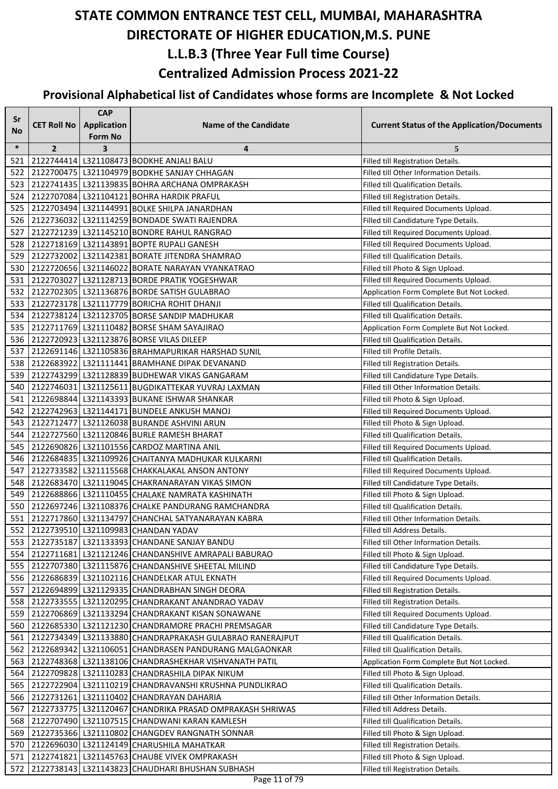| Sr     |                    | <b>CAP</b>                           |                                                            |                                                    |
|--------|--------------------|--------------------------------------|------------------------------------------------------------|----------------------------------------------------|
| No     | <b>CET Roll No</b> | <b>Application</b><br><b>Form No</b> | <b>Name of the Candidate</b>                               | <b>Current Status of the Application/Documents</b> |
| $\ast$ | $\overline{2}$     | 3                                    | 4                                                          | 5                                                  |
| 521    |                    |                                      | 2122744414 L321108473 BODKHE ANJALI BALU                   | Filled till Registration Details.                  |
| 522    |                    |                                      | 2122700475 L321104979 BODKHE SANJAY CHHAGAN                | Filled till Other Information Details.             |
| 523    |                    |                                      | 2122741435   L321139835   BOHRA ARCHANA OMPRAKASH          | Filled till Qualification Details.                 |
| 524    |                    |                                      | 2122707084 L321104121 BOHRA HARDIK PRAFUL                  | Filled till Registration Details.                  |
| 525    |                    |                                      | 2122703494 L321144991 BOLKE SHILPA JANARDHAN               | Filled till Required Documents Upload.             |
| 526    |                    |                                      | 2122736032 L321114259 BONDADE SWATI RAJENDRA               | Filled till Candidature Type Details.              |
| 527    |                    |                                      | 2122721239 L321145210 BONDRE RAHUL RANGRAO                 | Filled till Required Documents Upload.             |
| 528    |                    |                                      | 2122718169   L321143891   BOPTE RUPALI GANESH              | Filled till Required Documents Upload.             |
| 529    |                    |                                      | 2122732002 L321142381 BORATE JITENDRA SHAMRAO              | Filled till Qualification Details.                 |
| 530    |                    |                                      | 2122720656 L321146022 BORATE NARAYAN VYANKATRAO            | Filled till Photo & Sign Upload.                   |
| 531    |                    |                                      | 2122703027 L321128713 BORDE PRATIK YOGESHWAR               | Filled till Required Documents Upload.             |
| 532    |                    |                                      | 2122702305 L321136876 BORDE SATISH GULABRAO                | Application Form Complete But Not Locked.          |
| 533    |                    |                                      | 2122723178 L321117779 BORICHA ROHIT DHANJI                 | Filled till Qualification Details.                 |
| 534    |                    |                                      | 2122738124 L321123705 BORSE SANDIP MADHUKAR                | Filled till Qualification Details.                 |
| 535    |                    |                                      | 2122711769 L321110482 BORSE SHAM SAYAJIRAO                 | Application Form Complete But Not Locked.          |
| 536    |                    |                                      | 2122720923 L321123876 BORSE VILAS DILEEP                   | Filled till Qualification Details.                 |
| 537    |                    |                                      | 2122691146   L321105836   BRAHMAPURIKAR HARSHAD SUNIL      | Filled till Profile Details.                       |
| 538    |                    |                                      | 2122683922   L321111441   BRAMHANE DIPAK DEVANAND          | Filled till Registration Details.                  |
| 539    |                    |                                      | 2122743299 L321128839 BUDHEWAR VIKAS GANGARAM              | Filled till Candidature Type Details.              |
| 540    |                    |                                      | 2122746031 L321125611 BUGDIKATTEKAR YUVRAJ LAXMAN          | Filled till Other Information Details.             |
| 541    |                    |                                      | 2122698844 L321143393 BUKANE ISHWAR SHANKAR                | Filled till Photo & Sign Upload.                   |
| 542    |                    |                                      | 2122742963 L321144171 BUNDELE ANKUSH MANOJ                 | Filled till Required Documents Upload.             |
| 543    |                    |                                      | 2122712477 L321126038 BURANDE ASHVINI ARUN                 | Filled till Photo & Sign Upload.                   |
| 544    |                    |                                      | 2122727560 L321120846 BURLE RAMESH BHARAT                  | Filled till Qualification Details.                 |
| 545    |                    |                                      | 2122690826 L321101556 CARDOZ MARTINA ANIL                  | Filled till Required Documents Upload.             |
| 546    |                    |                                      | 2122684835   L321109926 CHAITANYA MADHUKAR KULKARNI        | Filled till Qualification Details.                 |
| 547    |                    |                                      | 2122733582 L321115568 CHAKKALAKAL ANSON ANTONY             | Filled till Required Documents Upload.             |
| 548    |                    |                                      | 2122683470 L321119045 CHAKRANARAYAN VIKAS SIMON            | Filled till Candidature Type Details.              |
| 549    |                    |                                      | 2122688866 L321110455 CHALAKE NAMRATA KASHINATH            | Filled till Photo & Sign Upload.                   |
| 550    |                    |                                      | 2122697246   L321108376 CHALKE PANDURANG RAMCHANDRA        | <b>Filled till Qualification Details.</b>          |
| 551    |                    |                                      | 2122717860 L321134797 CHANCHAL SATYANARAYAN KABRA          | Filled till Other Information Details.             |
| 552    |                    |                                      | 2122739510 L321109983 CHANDAN YADAV                        | Filled till Address Details.                       |
| 553    |                    |                                      | 2122735187   L321133393   CHANDANE SANJAY BANDU            | Filled till Other Information Details.             |
| 554    |                    |                                      | 2122711681 L321121246 CHANDANSHIVE AMRAPALI BABURAO        | Filled till Photo & Sign Upload.                   |
| 555    |                    |                                      | 2122707380 L321115876 CHANDANSHIVE SHEETAL MILIND          | Filled till Candidature Type Details.              |
| 556    |                    |                                      | 2122686839 L321102116 CHANDELKAR ATUL EKNATH               | Filled till Required Documents Upload.             |
| 557    |                    |                                      | 2122694899   L321129335   CHANDRABHAN SINGH DEORA          | Filled till Registration Details.                  |
| 558    |                    |                                      | 2122733555 L321120295 CHANDRAKANT ANANDRAO YADAV           | Filled till Registration Details.                  |
| 559    |                    |                                      | 2122706869 L321133294 CHANDRAKANT KISAN SONAWANE           | Filled till Required Documents Upload.             |
| 560    |                    |                                      | 2122685330 L321121230 CHANDRAMORE PRACHI PREMSAGAR         | Filled till Candidature Type Details.              |
| 561    |                    |                                      | 2122734349   L321133880 CHANDRAPRAKASH GULABRAO RANERAJPUT | Filled till Qualification Details.                 |
| 562    |                    |                                      | 2122689342 L321106051 CHANDRASEN PANDURANG MALGAONKAR      | Filled till Qualification Details.                 |
| 563    |                    |                                      | 2122748368   L321138106 CHANDRASHEKHAR VISHVANATH PATIL    | Application Form Complete But Not Locked.          |
| 564    |                    |                                      | 2122709828 L321110283 CHANDRASHILA DIPAK NIKUM             | Filled till Photo & Sign Upload.                   |
| 565    |                    |                                      | 2122722904 L321110219 CHANDRAVANSHI KRUSHNA PUNDLIKRAO     | Filled till Qualification Details.                 |
| 566    |                    |                                      | 2122731261 L321110402 CHANDRAYAN DAHARIA                   | Filled till Other Information Details.             |
| 567    |                    |                                      | 2122733775   L321120467 CHANDRIKA PRASAD OMPRAKASH SHRIWAS | Filled till Address Details.                       |
| 568    |                    |                                      | 2122707490 L321107515 CHANDWANI KARAN KAMLESH              | Filled till Qualification Details.                 |
| 569    |                    |                                      | 2122735366   L321110802 CHANGDEV RANGNATH SONNAR           | Filled till Photo & Sign Upload.                   |
| 570    |                    |                                      | 2122696030 L321124149 CHARUSHILA MAHATKAR                  | Filled till Registration Details.                  |
| 571    |                    |                                      | 2122741821 L321145763 CHAUBE VIVEK OMPRAKASH               | Filled till Photo & Sign Upload.                   |
| 572    |                    |                                      | 2122738143   L321143823 CHAUDHARI BHUSHAN SUBHASH          | Filled till Registration Details.                  |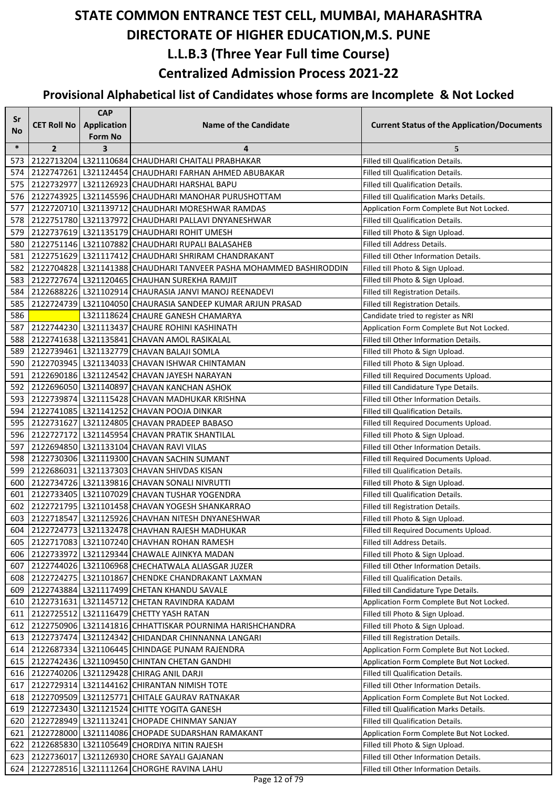| Sr     |                    | <b>CAP</b>              |                                                                                                    |                                                                                |
|--------|--------------------|-------------------------|----------------------------------------------------------------------------------------------------|--------------------------------------------------------------------------------|
| No     | <b>CET Roll No</b> | <b>Application</b>      | <b>Name of the Candidate</b>                                                                       | <b>Current Status of the Application/Documents</b>                             |
|        |                    | Form No                 |                                                                                                    |                                                                                |
| $\ast$ | $\overline{2}$     | $\overline{\mathbf{3}}$ | 4                                                                                                  | 5                                                                              |
| 573    |                    |                         | 2122713204 L321110684 CHAUDHARI CHAITALI PRABHAKAR                                                 | Filled till Qualification Details.                                             |
| 574    |                    |                         | 2122747261 L321124454 CHAUDHARI FARHAN AHMED ABUBAKAR                                              | Filled till Qualification Details.                                             |
| 575    |                    |                         | 2122732977 L321126923 CHAUDHARI HARSHAL BAPU                                                       | Filled till Qualification Details.                                             |
| 576    |                    |                         | 2122743925 L321145596 CHAUDHARI MANOHAR PURUSHOTTAM                                                | Filled till Qualification Marks Details.                                       |
| 577    |                    |                         | 2122720710 L321139712 CHAUDHARI MORESHWAR RAMDAS                                                   | Application Form Complete But Not Locked.                                      |
| 578    |                    |                         | 2122751780 L321137972 CHAUDHARI PALLAVI DNYANESHWAR                                                | Filled till Qualification Details.                                             |
| 579    |                    |                         | 2122737619 L321135179 CHAUDHARI ROHIT UMESH                                                        | Filled till Photo & Sign Upload.                                               |
| 580    |                    |                         | 2122751146   L321107882 CHAUDHARI RUPALI BALASAHEB                                                 | Filled till Address Details.                                                   |
| 581    |                    |                         | 2122751629   L321117412 CHAUDHARI SHRIRAM CHANDRAKANT                                              | Filled till Other Information Details.                                         |
| 582    |                    |                         | 2122704828   L321141388   CHAUDHARI TANVEER PASHA MOHAMMED BASHIRODDIN                             | Filled till Photo & Sign Upload.                                               |
| 583    |                    |                         | 2122727674 L321120465 CHAUHAN SUREKHA RAMJIT                                                       | Filled till Photo & Sign Upload.                                               |
| 584    |                    |                         | 2122688226   L321102914 CHAURASIA JANVI MANOJ REENADEVI                                            | Filled till Registration Details.                                              |
| 585    |                    |                         | 2122724739 L321104050 CHAURASIA SANDEEP KUMAR ARJUN PRASAD                                         | Filled till Registration Details.                                              |
| 586    |                    |                         | L321118624 CHAURE GANESH CHAMARYA                                                                  | Candidate tried to register as NRI                                             |
| 587    |                    |                         | 2122744230 L321113437 CHAURE ROHINI KASHINATH                                                      | Application Form Complete But Not Locked.                                      |
| 588    |                    |                         | 2122741638 L321135841 CHAVAN AMOL RASIKALAL                                                        | Filled till Other Information Details.                                         |
| 589    |                    |                         | 2122739461 L321132779 CHAVAN BALAJI SOMLA                                                          | Filled till Photo & Sign Upload.                                               |
| 590    |                    |                         | 2122703945   L321134033 CHAVAN ISHWAR CHINTAMAN                                                    | Filled till Photo & Sign Upload.                                               |
| 591    |                    |                         | 2122690186 L321124542 CHAVAN JAYESH NARAYAN                                                        | Filled till Required Documents Upload.                                         |
| 592    |                    |                         | 2122696050 L321140897 CHAVAN KANCHAN ASHOK                                                         | Filled till Candidature Type Details.                                          |
| 593    |                    |                         | 2122739874 L321115428 CHAVAN MADHUKAR KRISHNA                                                      | Filled till Other Information Details.                                         |
| 594    |                    |                         | 2122741085 L321141252 CHAVAN POOJA DINKAR                                                          | Filled till Qualification Details.                                             |
| 595    |                    |                         | 2122731627 L321124805 CHAVAN PRADEEP BABASO                                                        | Filled till Required Documents Upload.                                         |
| 596    |                    |                         | 2122727172 L321145954 CHAVAN PRATIK SHANTILAL                                                      | Filled till Photo & Sign Upload.                                               |
| 597    |                    |                         | 2122694850 L321133104 CHAVAN RAVI VILAS                                                            | Filled till Other Information Details.                                         |
| 598    |                    |                         | 2122730306   L321119300 CHAVAN SACHIN SUMANT                                                       | Filled till Required Documents Upload.                                         |
| 599    |                    |                         | 2122686031 L321137303 CHAVAN SHIVDAS KISAN                                                         | Filled till Qualification Details.                                             |
| 600    |                    |                         | 2122734726   L321139816 CHAVAN SONALI NIVRUTTI                                                     | Filled till Photo & Sign Upload.                                               |
| 601    |                    |                         | 2122733405   L321107029   CHAVAN TUSHAR YOGENDRA                                                   | Filled till Qualification Details.                                             |
| 602    |                    |                         | 2122721795   L321101458 CHAVAN YOGESH SHANKARRAO                                                   | Filled till Registration Details.                                              |
| 603    |                    |                         | 2122718547 L321125926 CHAVHAN NITESH DNYANESHWAR                                                   | Filled till Photo & Sign Upload.                                               |
|        |                    |                         | 604 2122724773 L321132478 CHAVHAN RAJESH MADHUKAR                                                  | Filled till Required Documents Upload.                                         |
| 605 I  |                    |                         | 2122717083   L321107240 CHAVHAN ROHAN RAMESH                                                       | Filled till Address Details.                                                   |
| 606    |                    |                         | 2122733972 L321129344 CHAWALE AJINKYA MADAN                                                        | Filled till Photo & Sign Upload.                                               |
| 607    |                    |                         | 2122744026   L321106968   CHECHATWALA ALIASGAR JUZER                                               | Filled till Other Information Details.                                         |
| 608    |                    |                         | 2122724275   L321101867 CHENDKE CHANDRAKANT LAXMAN                                                 | Filled till Qualification Details.                                             |
| 609    |                    |                         | 2122743884 L321117499 CHETAN KHANDU SAVALE                                                         | Filled till Candidature Type Details.                                          |
| 610    |                    |                         | 2122731631 L321145712 CHETAN RAVINDRA KADAM                                                        | Application Form Complete But Not Locked.                                      |
| 611    |                    |                         | 2122725512 L321116479 CHETTY YASH RATAN                                                            | Filled till Photo & Sign Upload.                                               |
| 612    |                    |                         | 2122750906 L321141816 CHHATTISKAR POURNIMA HARISHCHANDRA                                           | Filled till Photo & Sign Upload.                                               |
| 613 I  |                    |                         | 2122737474 L321124342 CHIDANDAR CHINNANNA LANGARI<br>2122687334 L321106445 CHINDAGE PUNAM RAJENDRA | Filled till Registration Details.<br>Application Form Complete But Not Locked. |
| 614    |                    |                         |                                                                                                    | Application Form Complete But Not Locked.                                      |
| 615    |                    |                         | 2122742436   L321109450 CHINTAN CHETAN GANDHI<br>616 2122740206 L321129428 CHIRAG ANIL DARJI       | Filled till Qualification Details.                                             |
| 617    |                    |                         | 2122729314 L321144162 CHIRANTAN NIMISH TOTE                                                        | Filled till Other Information Details.                                         |
| 618    |                    |                         | 2122709509 L321125771 CHITALE GAURAV RATNAKAR                                                      | Application Form Complete But Not Locked.                                      |
| 619    |                    |                         | 2122723430 L321121524 CHITTE YOGITA GANESH                                                         | Filled till Qualification Marks Details.                                       |
| 620    |                    |                         | 2122728949 L321113241 CHOPADE CHINMAY SANJAY                                                       | Filled till Qualification Details.                                             |
| 621    |                    |                         | 2122728000 L321114086 CHOPADE SUDARSHAN RAMAKANT                                                   | Application Form Complete But Not Locked.                                      |
| 622    |                    |                         | 2122685830   L321105649 CHORDIYA NITIN RAJESH                                                      | Filled till Photo & Sign Upload.                                               |
| 623    |                    |                         | 2122736017   L321126930 CHORE SAYALI GAJANAN                                                       | Filled till Other Information Details.                                         |
| 624 I  |                    |                         | 2122728516   L321111264 CHORGHE RAVINA LAHU                                                        | Filled till Other Information Details.                                         |
|        |                    |                         |                                                                                                    |                                                                                |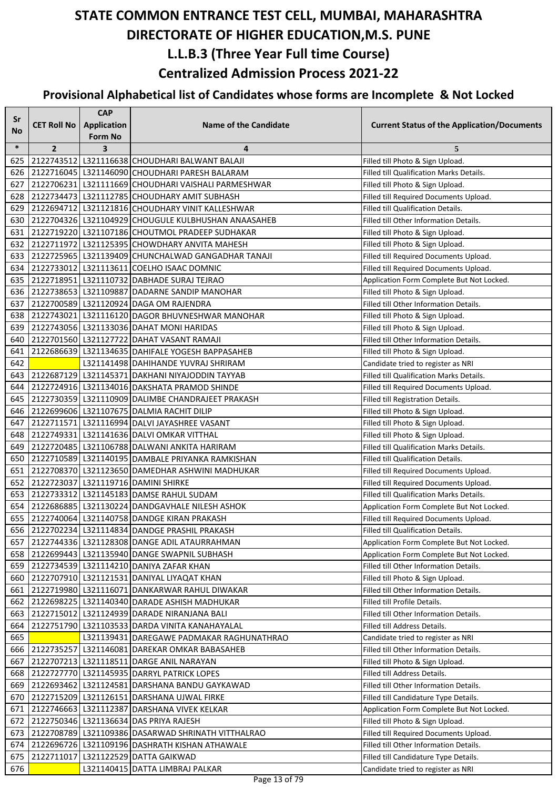| Sr         |                    | <b>CAP</b>                           |                                                                                            |                                                                                     |
|------------|--------------------|--------------------------------------|--------------------------------------------------------------------------------------------|-------------------------------------------------------------------------------------|
| No         | <b>CET Roll No</b> | <b>Application</b><br><b>Form No</b> | <b>Name of the Candidate</b>                                                               | <b>Current Status of the Application/Documents</b>                                  |
| $\ast$     | $\overline{2}$     | $\overline{\mathbf{3}}$              | 4                                                                                          | 5                                                                                   |
| 625        |                    |                                      | 2122743512 L321116638 CHOUDHARI BALWANT BALAJI                                             | Filled till Photo & Sign Upload.                                                    |
| 626        |                    |                                      | 2122716045   L321146090 CHOUDHARI PARESH BALARAM                                           | Filled till Qualification Marks Details.                                            |
| 627        |                    |                                      | 2122706231 L321111669 CHOUDHARI VAISHALI PARMESHWAR                                        | Filled till Photo & Sign Upload.                                                    |
| 628        |                    |                                      | 2122734473   L321112785 CHOUDHARY AMIT SUBHASH                                             | Filled till Required Documents Upload.                                              |
| 629        |                    |                                      | 2122694712   L321121816 CHOUDHARY VINIT KALLESHWAR                                         | <b>Filled till Qualification Details.</b>                                           |
| 630        |                    |                                      | 2122704326   L321104929 CHOUGULE KULBHUSHAN ANAASAHEB                                      | Filled till Other Information Details.                                              |
| 631        |                    |                                      | 2122719220   L321107186 CHOUTMOL PRADEEP SUDHAKAR                                          | Filled till Photo & Sign Upload.                                                    |
| 632        |                    |                                      | 2122711972   L321125395 CHOWDHARY ANVITA MAHESH                                            | Filled till Photo & Sign Upload.                                                    |
| 633        |                    |                                      | 2122725965   L321139409 CHUNCHALWAD GANGADHAR TANAJI                                       | Filled till Required Documents Upload.                                              |
| 634        |                    |                                      | 2122733012   L321113611   COELHO ISAAC DOMNIC                                              | Filled till Required Documents Upload.                                              |
| 635        |                    |                                      | 2122718951 L321110732 DABHADE SURAJ TEJRAO                                                 | Application Form Complete But Not Locked.                                           |
| 636        |                    |                                      | 2122738653 L321109887 DADARNE SANDIP MANOHAR                                               | Filled till Photo & Sign Upload.                                                    |
| 637        |                    |                                      | 2122700589 L321120924 DAGA OM RAJENDRA                                                     | Filled till Other Information Details.                                              |
| 638        |                    |                                      | 2122743021 L321116120 DAGOR BHUVNESHWAR MANOHAR                                            | Filled till Photo & Sign Upload.                                                    |
| 639        |                    |                                      | 2122743056 L321133036 DAHAT MONI HARIDAS                                                   | Filled till Photo & Sign Upload.                                                    |
| 640        |                    |                                      | 2122701560 L321127722 DAHAT VASANT RAMAJI                                                  | Filled till Other Information Details.                                              |
| 641        |                    |                                      | 2122686639   L321134635   DAHIFALE YOGESH BAPPASAHEB                                       | Filled till Photo & Sign Upload.                                                    |
| 642        |                    |                                      | L321141498 DAHIHANDE YUVRAJ SHRIRAM                                                        | Candidate tried to register as NRI                                                  |
| 643        |                    |                                      | 2122687129   L321145371   DAKHANI NIYAJODDIN TAYYAB                                        | Filled till Qualification Marks Details.                                            |
| 644        |                    |                                      | 2122724916 L321134016 DAKSHATA PRAMOD SHINDE                                               | Filled till Required Documents Upload.                                              |
| 645        |                    |                                      | 2122730359 L321110909 DALIMBE CHANDRAJEET PRAKASH                                          | Filled till Registration Details.                                                   |
| 646        |                    |                                      | 2122699606 L321107675 DALMIA RACHIT DILIP                                                  | Filled till Photo & Sign Upload.                                                    |
| 647        |                    |                                      | 2122711571 L321116994 DALVI JAYASHREE VASANT                                               | Filled till Photo & Sign Upload.                                                    |
| 648        |                    |                                      | 2122749331 L321141636 DALVI OMKAR VITTHAL                                                  | Filled till Photo & Sign Upload.                                                    |
| 649        |                    |                                      | 2122720485   L321106788 DALWANI ANKITA HARIRAM                                             | Filled till Qualification Marks Details.                                            |
| 650        |                    |                                      | 2122710589 L321140195 DAMBALE PRIYANKA RAMKISHAN                                           | <b>Filled till Qualification Details.</b>                                           |
| 651        |                    |                                      | 2122708370 L321123650 DAMEDHAR ASHWINI MADHUKAR                                            | Filled till Required Documents Upload.                                              |
| 652        |                    |                                      | 2122723037 L321119716 DAMINI SHIRKE                                                        | Filled till Required Documents Upload.                                              |
| 653        |                    |                                      | 2122733312 L321145183 DAMSE RAHUL SUDAM                                                    | Filled till Qualification Marks Details.                                            |
| 654        |                    |                                      | 2122686885 L321130224 DANDGAVHALE NILESH ASHOK                                             | Application Form Complete But Not Locked.                                           |
| 655        |                    |                                      | 2122740064 L321140758 DANDGE KIRAN PRAKASH                                                 | Filled till Required Documents Upload.                                              |
|            |                    |                                      | 656 2122702234 L321114834 DANDGE PRASHIL PRAKASH                                           | Filled till Qualification Details.                                                  |
| 657        |                    |                                      | 2122744336   L321128308   DANGE ADIL ATAURRAHMAN                                           | Application Form Complete But Not Locked.                                           |
| 658<br>659 |                    |                                      | 2122699443   L321135940   DANGE SWAPNIL SUBHASH<br>2122734539 L321114210 DANIYA ZAFAR KHAN | Application Form Complete But Not Locked.<br>Filled till Other Information Details. |
| 660        |                    |                                      | 2122707910 L321121531 DANIYAL LIYAQAT KHAN                                                 | Filled till Photo & Sign Upload.                                                    |
| 661        |                    |                                      | 2122719980 L321116071 DANKARWAR RAHUL DIWAKAR                                              | Filled till Other Information Details.                                              |
| 662        |                    |                                      | 2122698225   L321140340 DARADE ASHISH MADHUKAR                                             | Filled till Profile Details.                                                        |
| 663        |                    |                                      | 2122715012 L321124939 DARADE NIRANJANA BALI                                                | Filled till Other Information Details.                                              |
| 664        |                    |                                      | 2122751790   L321103533 DARDA VINITA KANAHAYALAL                                           | Filled till Address Details.                                                        |
| 665        |                    |                                      | L321139431 DAREGAWE PADMAKAR RAGHUNATHRAO                                                  | Candidate tried to register as NRI                                                  |
| 666        |                    |                                      | 2122735257 L321146081 DAREKAR OMKAR BABASAHEB                                              | Filled till Other Information Details.                                              |
| 667        |                    |                                      | 2122707213   L321118511   DARGE ANIL NARAYAN                                               | Filled till Photo & Sign Upload.                                                    |
| 668        |                    |                                      | 2122727770   L321145935   DARRYL PATRICK LOPES                                             | Filled till Address Details.                                                        |
| 669        |                    |                                      | 2122693462   L321124581   DARSHANA BANDU GAYKAWAD                                          | Filled till Other Information Details.                                              |
| 670        |                    |                                      | 2122715209 L321126151 DARSHANA UJWAL FIRKE                                                 | Filled till Candidature Type Details.                                               |
| 671        |                    |                                      | 2122746663 L321112387 DARSHANA VIVEK KELKAR                                                | Application Form Complete But Not Locked.                                           |
| 672        |                    |                                      | 2122750346 L321136634 DAS PRIYA RAJESH                                                     | Filled till Photo & Sign Upload.                                                    |
| 673        |                    |                                      | 2122708789 L321109386 DASARWAD SHRINATH VITTHALRAO                                         | Filled till Required Documents Upload.                                              |
| 674        |                    |                                      | 2122696726   L321109196   DASHRATH KISHAN ATHAWALE                                         | Filled till Other Information Details.                                              |
| 675        |                    |                                      | 2122711017 L321122529 DATTA GAIKWAD                                                        | Filled till Candidature Type Details.                                               |
| 676        |                    |                                      | L321140415 DATTA LIMBRAJ PALKAR                                                            | Candidate tried to register as NRI                                                  |
|            |                    |                                      |                                                                                            |                                                                                     |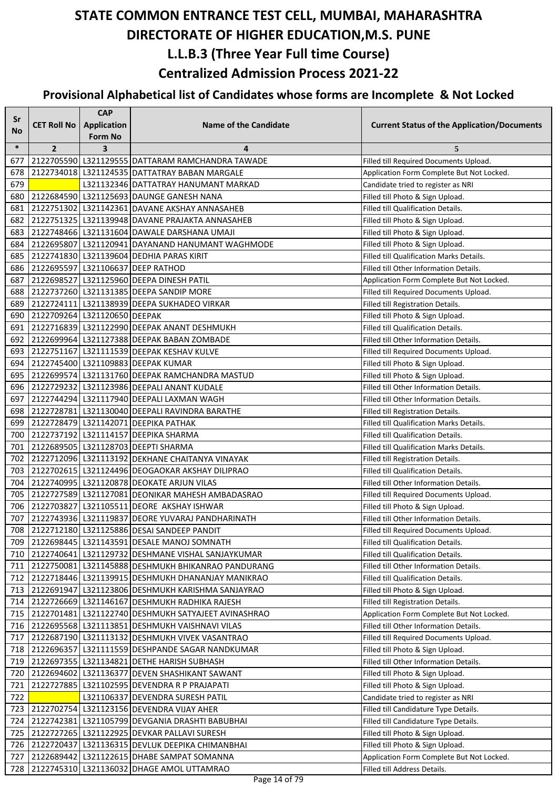| Sr         |                              | <b>CAP</b>              |                                                                                                    |                                                                              |
|------------|------------------------------|-------------------------|----------------------------------------------------------------------------------------------------|------------------------------------------------------------------------------|
| No         | <b>CET Roll No</b>           | <b>Application</b>      | <b>Name of the Candidate</b>                                                                       | <b>Current Status of the Application/Documents</b>                           |
|            |                              | <b>Form No</b>          |                                                                                                    |                                                                              |
| $\ast$     | $\overline{2}$               | $\overline{\mathbf{3}}$ | 4                                                                                                  | 5                                                                            |
| 677        |                              |                         | 2122705590 L321129555 DATTARAM RAMCHANDRA TAWADE                                                   | Filled till Required Documents Upload.                                       |
| 678        |                              |                         | 2122734018   L321124535   DATTATRAY BABAN MARGALE                                                  | Application Form Complete But Not Locked.                                    |
| 679        |                              |                         | L321132346 DATTATRAY HANUMANT MARKAD                                                               | Candidate tried to register as NRI                                           |
| 680        |                              |                         | 2122684590 L321125693 DAUNGE GANESH NANA                                                           | Filled till Photo & Sign Upload.                                             |
| 681        |                              |                         | 2122751302 L321142361 DAVANE AKSHAY ANNASAHEB<br>2122751325   L321139948 DAVANE PRAJAKTA ANNASAHEB | Filled till Qualification Details.                                           |
| 682<br>683 |                              |                         |                                                                                                    | Filled till Photo & Sign Upload.                                             |
| 684        |                              |                         | 2122748466 L321131604 DAWALE DARSHANA UMAJI<br>2122695807 L321120941 DAYANAND HANUMANT WAGHMODE    | Filled till Photo & Sign Upload.                                             |
| 685        |                              |                         | 2122741830 L321139604 DEDHIA PARAS KIRIT                                                           | Filled till Photo & Sign Upload.<br>Filled till Qualification Marks Details. |
| 686        |                              |                         | 2122695597 L321106637 DEEP RATHOD                                                                  | Filled till Other Information Details.                                       |
| 687        |                              |                         | 2122698527 L321125960 DEEPA DINESH PATIL                                                           | Application Form Complete But Not Locked.                                    |
| 688        |                              |                         | 2122737260 L321131385 DEEPA SANDIP MORE                                                            | Filled till Required Documents Upload.                                       |
| 689        |                              |                         | 2122724111 L321138939 DEEPA SUKHADEO VIRKAR                                                        | Filled till Registration Details.                                            |
| 690        | 2122709264 L321120650 DEEPAK |                         |                                                                                                    | Filled till Photo & Sign Upload.                                             |
| 691        |                              |                         | 2122716839 L321122990 DEEPAK ANANT DESHMUKH                                                        | Filled till Qualification Details.                                           |
| 692        |                              |                         | 2122699964 L321127388 DEEPAK BABAN ZOMBADE                                                         | Filled till Other Information Details.                                       |
| 693        |                              |                         | 2122751167 L321111539 DEEPAK KESHAV KULVE                                                          | Filled till Required Documents Upload.                                       |
| 694        |                              |                         | 2122745400 L321109883 DEEPAK KUMAR                                                                 | Filled till Photo & Sign Upload.                                             |
| 695        |                              |                         | 2122699574   L321131760   DEEPAK RAMCHANDRA MASTUD                                                 | Filled till Photo & Sign Upload.                                             |
| 696        |                              |                         | 2122729232 L321123986 DEEPALI ANANT KUDALE                                                         | Filled till Other Information Details.                                       |
| 697        |                              |                         | 2122744294 L321117940 DEEPALI LAXMAN WAGH                                                          | Filled till Other Information Details.                                       |
| 698        |                              |                         | 2122728781 L321130040 DEEPALI RAVINDRA BARATHE                                                     | Filled till Registration Details.                                            |
| 699        |                              |                         | 2122728479 L321142071 DEEPIKA PATHAK                                                               | Filled till Qualification Marks Details.                                     |
| 700        |                              |                         | 2122737192 L321114157 DEEPIKA SHARMA                                                               | Filled till Qualification Details.                                           |
| 701        |                              |                         | 2122689505 L321128703 DEEPTI SHARMA                                                                | Filled till Qualification Marks Details.                                     |
| 702        |                              |                         | 2122712096 L321113192 DEKHANE CHAITANYA VINAYAK                                                    | Filled till Registration Details.                                            |
| 703        |                              |                         | 2122702615   L321124496   DEOGAOKAR AKSHAY DILIPRAO                                                | Filled till Qualification Details.                                           |
| 704        |                              |                         | 2122740995   L321120878   DEOKATE ARJUN VILAS                                                      | Filled till Other Information Details.                                       |
| 705        |                              |                         | 2122727589 L321127081 DEONIKAR MAHESH AMBADASRAO                                                   | Filled till Required Documents Upload.                                       |
| 706        |                              |                         | 2122703827 L321105511 DEORE AKSHAY ISHWAR                                                          | Filled till Photo & Sign Upload.                                             |
| 707        |                              |                         | 2122743936 L321119837 DEORE YUVARAJ PANDHARINATH                                                   | Filled till Other Information Details.                                       |
|            |                              |                         | 708 2122712180 L321125886 DESAI SANDEEP PANDIT                                                     | Filled till Required Documents Upload.                                       |
| 709        |                              |                         | 2122698445   L321143591 DESALE MANOJ SOMNATH                                                       | Filled till Qualification Details.                                           |
| 710        |                              |                         | 2122740641   L321129732   DESHMANE VISHAL SANJAYKUMAR                                              | Filled till Qualification Details.                                           |
| 711        |                              |                         | 2122750081   L321145888 DESHMUKH BHIKANRAO PANDURANG                                               | Filled till Other Information Details.                                       |
| 712        |                              |                         | 2122718446   L321139915   DESHMUKH DHANANJAY MANIKRAO                                              | Filled till Qualification Details.                                           |
| 713        |                              |                         | 2122691947 L321123806 DESHMUKH KARISHMA SANJAYRAO                                                  | Filled till Photo & Sign Upload.                                             |
| 714        |                              |                         | 2122726669 L321146167 DESHMUKH RADHIKA RAJESH                                                      | Filled till Registration Details.                                            |
| 715        |                              |                         | 2122701481   L321122740   DESHMUKH SATYAJEET AVINASHRAO                                            | Application Form Complete But Not Locked.                                    |
| 716        |                              |                         | 2122695568   L321113851   DESHMUKH VAISHNAVI VILAS                                                 | Filled till Other Information Details.                                       |
| 717        |                              |                         | 2122687190 L321113132 DESHMUKH VIVEK VASANTRAO                                                     | Filled till Required Documents Upload.                                       |
| 718        |                              |                         | 2122696357 L321111559 DESHPANDE SAGAR NANDKUMAR                                                    | Filled till Photo & Sign Upload.                                             |
| 719        |                              |                         | 2122697355   L321134821   DETHE HARISH SUBHASH                                                     | Filled till Other Information Details.                                       |
| 720        |                              |                         | 2122694602   L321136377 DEVEN SHASHIKANT SAWANT                                                    | Filled till Photo & Sign Upload.                                             |
| 721        |                              |                         | 2122727885   L321102595 DEVENDRA R P PRAJAPATI                                                     | Filled till Photo & Sign Upload.                                             |
| 722        |                              |                         | L321106337 DEVENDRA SURESH PATIL                                                                   | Candidate tried to register as NRI                                           |
| 723        |                              |                         | 2122702754 L321123156 DEVENDRA VIJAY AHER                                                          | Filled till Candidature Type Details.                                        |
| 724        |                              |                         | 2122742381 L321105799 DEVGANIA DRASHTI BABUBHAI                                                    | Filled till Candidature Type Details.                                        |
| 725        |                              |                         | 2122727265 L321122925 DEVKAR PALLAVI SURESH                                                        | Filled till Photo & Sign Upload.                                             |
| 726        |                              |                         | 2122720437 L321136315 DEVLUK DEEPIKA CHIMANBHAI                                                    | Filled till Photo & Sign Upload.                                             |
| 727        |                              |                         | 2122689442   L321122615   DHABE SAMPAT SOMANNA                                                     | Application Form Complete But Not Locked.                                    |
| 728        |                              |                         | 2122745310 L321136032 DHAGE AMOL UTTAMRAO                                                          | Filled till Address Details.                                                 |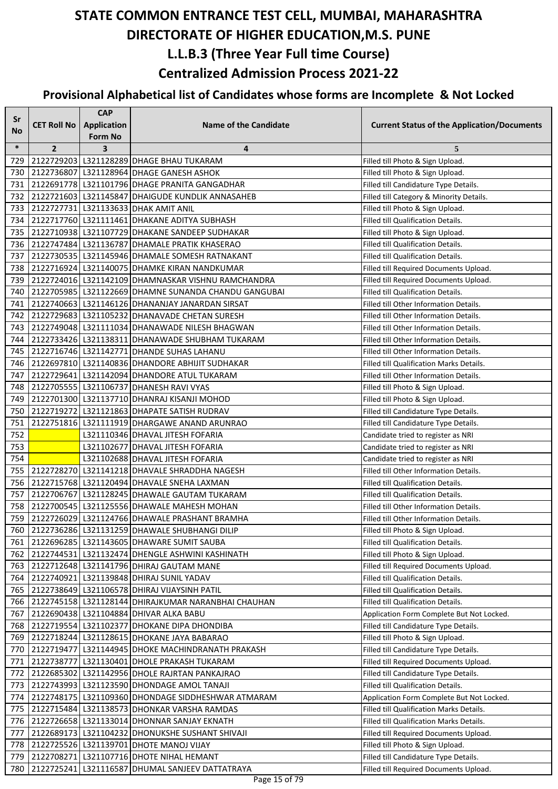| Sr     |                    | <b>CAP</b>              |                                                        |                                                    |
|--------|--------------------|-------------------------|--------------------------------------------------------|----------------------------------------------------|
| No     | <b>CET Roll No</b> | <b>Application</b>      | <b>Name of the Candidate</b>                           | <b>Current Status of the Application/Documents</b> |
|        |                    | <b>Form No</b>          |                                                        |                                                    |
| $\ast$ | $\overline{2}$     | $\overline{\mathbf{3}}$ | 4                                                      | 5                                                  |
| 729    |                    |                         | 2122729203 L321128289 DHAGE BHAU TUKARAM               | Filled till Photo & Sign Upload.                   |
| 730    |                    |                         | 2122736807 L321128964 DHAGE GANESH ASHOK               | Filled till Photo & Sign Upload.                   |
| 731    |                    |                         | 2122691778   L321101796   DHAGE PRANITA GANGADHAR      | Filled till Candidature Type Details.              |
| 732    |                    |                         | 2122721603   L321145847 DHAIGUDE KUNDLIK ANNASAHEB     | Filled till Category & Minority Details.           |
| 733    |                    |                         | 2122727731 L321133633 DHAK AMIT ANIL                   | Filled till Photo & Sign Upload.                   |
| 734    |                    |                         | 2122717760 L321111461 DHAKANE ADITYA SUBHASH           | Filled till Qualification Details.                 |
| 735    |                    |                         | 2122710938 L321107729 DHAKANE SANDEEP SUDHAKAR         | Filled till Photo & Sign Upload.                   |
| 736    |                    |                         | 2122747484 L321136787 DHAMALE PRATIK KHASERAO          | Filled till Qualification Details.                 |
| 737    |                    |                         | 2122730535   L321145946   DHAMALE SOMESH RATNAKANT     | Filled till Qualification Details.                 |
| 738    |                    |                         | 2122716924 L321140075 DHAMKE KIRAN NANDKUMAR           | Filled till Required Documents Upload.             |
| 739    |                    |                         | 2122724016 L321142109 DHAMNASKAR VISHNU RAMCHANDRA     | Filled till Required Documents Upload.             |
| 740    |                    |                         | 2122705985   L321122669 DHAMNE SUNANDA CHANDU GANGUBAI | Filled till Qualification Details.                 |
| 741    |                    |                         | 2122740663   L321146126   DHANANJAY JANARDAN SIRSAT    | Filled till Other Information Details.             |
| 742    |                    |                         | 2122729683   L321105232 DHANAVADE CHETAN SURESH        | Filled till Other Information Details.             |
| 743    |                    |                         | 2122749048 L321111034 DHANAWADE NILESH BHAGWAN         | Filled till Other Information Details.             |
| 744    |                    |                         | 2122733426   L321138311   DHANAWADE SHUBHAM TUKARAM    | Filled till Other Information Details.             |
| 745    |                    |                         | 2122716746 L321142771 DHANDE SUHAS LAHANU              | Filled till Other Information Details.             |
| 746    |                    |                         | 2122697810 L321140836 DHANDORE ABHIJIT SUDHAKAR        | Filled till Qualification Marks Details.           |
| 747    |                    |                         | 2122729641 L321142094 DHANDORE ATUL TUKARAM            | Filled till Other Information Details.             |
| 748    |                    |                         | 2122705555 L321106737 DHANESH RAVI VYAS                | Filled till Photo & Sign Upload.                   |
| 749    |                    |                         | 2122701300 L321137710 DHANRAJ KISANJI MOHOD            | Filled till Photo & Sign Upload.                   |
| 750    |                    |                         | 2122719272 L321121863 DHAPATE SATISH RUDRAV            | Filled till Candidature Type Details.              |
| 751    |                    |                         | 2122751816 L321111919 DHARGAWE ANAND ARUNRAO           | Filled till Candidature Type Details.              |
| 752    |                    |                         | L321110346 DHAVAL JITESH FOFARIA                       | Candidate tried to register as NRI                 |
| 753    |                    |                         | L321102677 DHAVAL JITESH FOFARIA                       | Candidate tried to register as NRI                 |
| 754    |                    |                         | L321102688 DHAVAL JITESH FOFARIA                       | Candidate tried to register as NRI                 |
| 755    |                    |                         | 2122728270 L321141218 DHAVALE SHRADDHA NAGESH          | Filled till Other Information Details.             |
| 756    |                    |                         | 2122715768 L321120494 DHAVALE SNEHA LAXMAN             | Filled till Qualification Details.                 |
| 757    |                    |                         | 2122706767 L321128245 DHAWALE GAUTAM TUKARAM           | Filled till Qualification Details.                 |
| 758    |                    |                         | 2122700545 L321125556 DHAWALE MAHESH MOHAN             | Filled till Other Information Details.             |
| 759    |                    |                         | 2122726029 L321124766 DHAWALE PRASHANT BRAMHA          | Filled till Other Information Details.             |
|        |                    |                         | 760 2122736286 L321131259 DHAWALE SHUBHANGI DILIP      | Filled till Photo & Sign Upload.                   |
| 761    |                    |                         | 2122696285 L321143605 DHAWARE SUMIT SAUBA              | Filled till Qualification Details.                 |
| 762    |                    |                         | 2122744531 L321132474 DHENGLE ASHWINI KASHINATH        | Filled till Photo & Sign Upload.                   |
| 763    |                    |                         | 2122712648 L321141796 DHIRAJ GAUTAM MANE               | Filled till Required Documents Upload.             |
| 764    |                    |                         | 2122740921 L321139848 DHIRAJ SUNIL YADAV               | Filled till Qualification Details.                 |
| 765    |                    |                         | 2122738649 L321106578 DHIRAJ VIJAYSINH PATIL           | Filled till Qualification Details.                 |
| 766    |                    |                         | 2122745158 L321128144 DHIRAJKUMAR NARANBHAI CHAUHAN    | Filled till Qualification Details.                 |
| 767    |                    |                         | 2122690438 L321104884 DHIVAR ALKA BABU                 | Application Form Complete But Not Locked.          |
| 768    |                    |                         | 2122719554 L321102377 DHOKANE DIPA DHONDIBA            | Filled till Candidature Type Details.              |
| 769    |                    |                         | 2122718244 L321128615 DHOKANE JAYA BABARAO             | Filled till Photo & Sign Upload.                   |
| 770    |                    |                         | 2122719477 L321144945 DHOKE MACHINDRANATH PRAKASH      | Filled till Candidature Type Details.              |
| 771    |                    |                         | 2122738777 L321130401 DHOLE PRAKASH TUKARAM            | Filled till Required Documents Upload.             |
| 772    |                    |                         | 2122685302 L321142956 DHOLE RAJRTAN PANKAJRAO          | Filled till Candidature Type Details.              |
| 773    |                    |                         | 2122743993 L321123590 DHONDAGE AMOL TANAJI             | Filled till Qualification Details.                 |
| 774    |                    |                         | 2122748175   L321109360   DHONDAGE SIDDHESHWAR ATMARAM | Application Form Complete But Not Locked.          |
| 775    |                    |                         | 2122715484 L321138573 DHONKAR VARSHA RAMDAS            | Filled till Qualification Marks Details.           |
| 776    |                    |                         | 2122726658 L321133014 DHONNAR SANJAY EKNATH            | Filled till Qualification Marks Details.           |
| 777    |                    |                         | 2122689173   L321104232   DHONUKSHE SUSHANT SHIVAJI    | Filled till Required Documents Upload.             |
| 778    |                    |                         | 2122725526 L321139701 DHOTE MANOJ VIJAY                | Filled till Photo & Sign Upload.                   |
| 779    |                    |                         | 2122708271   L321107716   DHOTE NIHAL HEMANT           | Filled till Candidature Type Details.              |
| 780    |                    |                         | 2122725241 L321116587 DHUMAL SANJEEV DATTATRAYA        | Filled till Required Documents Upload.             |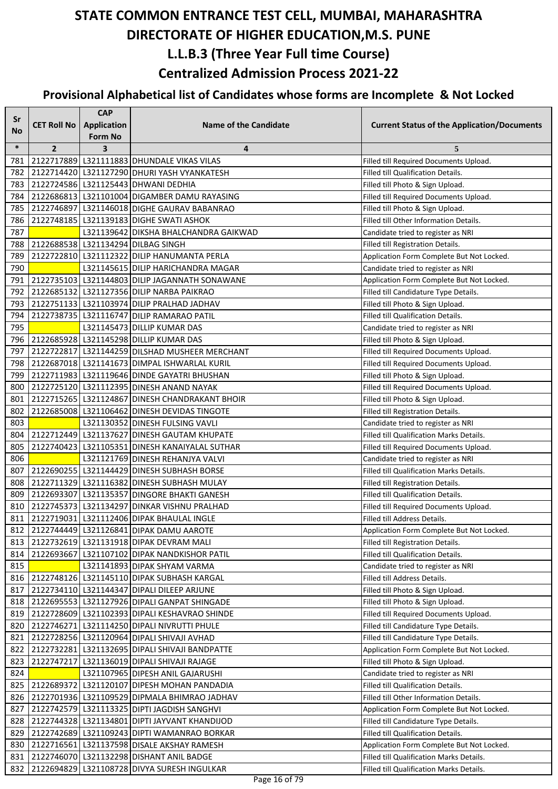| Sr         |                    | <b>CAP</b>                                |                                                                                              |                                                                                |
|------------|--------------------|-------------------------------------------|----------------------------------------------------------------------------------------------|--------------------------------------------------------------------------------|
| <b>No</b>  | <b>CET Roll No</b> | Application                               | <b>Name of the Candidate</b>                                                                 | <b>Current Status of the Application/Documents</b>                             |
| $\ast$     | $\overline{2}$     | <b>Form No</b><br>$\overline{\mathbf{3}}$ | 4                                                                                            | 5                                                                              |
| 781        |                    |                                           | 2122717889 L321111883 DHUNDALE VIKAS VILAS                                                   | Filled till Required Documents Upload.                                         |
| 782        |                    |                                           | 2122714420 L321127290 DHURI YASH VYANKATESH                                                  | Filled till Qualification Details.                                             |
| 783        |                    |                                           | 2122724586   L321125443   DHWANI DEDHIA                                                      | Filled till Photo & Sign Upload.                                               |
| 784        |                    |                                           | 2122686813   L321101004   DIGAMBER DAMU RAYASING                                             | Filled till Required Documents Upload.                                         |
| 785        |                    |                                           | 2122746897 L321146018 DIGHE GAURAV BABANRAO                                                  | Filled till Photo & Sign Upload.                                               |
| 786        |                    |                                           | 2122748185   L321139183   DIGHE SWATI ASHOK                                                  | Filled till Other Information Details.                                         |
| 787        |                    |                                           | L321139642 DIKSHA BHALCHANDRA GAIKWAD                                                        | Candidate tried to register as NRI                                             |
| 788        |                    |                                           | 2122688538   L321134294   DILBAG SINGH                                                       | Filled till Registration Details.                                              |
| 789        |                    |                                           | 2122722810 L321112322 DILIP HANUMANTA PERLA                                                  | Application Form Complete But Not Locked.                                      |
| 790        |                    |                                           | L321145615 DILIP HARICHANDRA MAGAR                                                           | Candidate tried to register as NRI                                             |
| 791        |                    |                                           | 2122735103 L321144803 DILIP JAGANNATH SONAWANE                                               | Application Form Complete But Not Locked.                                      |
| 792        |                    |                                           | 2122685132 L321127356 DILIP NARBA PAIKRAO                                                    | Filled till Candidature Type Details.                                          |
| 793        |                    |                                           | 2122751133   L321103974   DILIP PRALHAD JADHAV                                               | Filled till Photo & Sign Upload.                                               |
| 794        |                    |                                           | 2122738735   L321116747   DILIP RAMARAO PATIL                                                | Filled till Qualification Details.                                             |
| 795        |                    |                                           | L321145473 DILLIP KUMAR DAS                                                                  | Candidate tried to register as NRI                                             |
| 796        |                    |                                           | 2122685928 L321145298 DILLIP KUMAR DAS                                                       | Filled till Photo & Sign Upload.                                               |
| 797        |                    |                                           | 2122722817 L321144259 DILSHAD MUSHEER MERCHANT                                               | Filled till Required Documents Upload.                                         |
| 798        |                    |                                           | 2122687018 L321141673 DIMPAL ISHWARLAL KURIL                                                 | Filled till Required Documents Upload.                                         |
| 799        |                    |                                           | 2122711983 L321119646 DINDE GAYATRI BHUSHAN                                                  | Filled till Photo & Sign Upload.                                               |
| 800        |                    |                                           | 2122725120 L321112395 DINESH ANAND NAYAK                                                     | Filled till Required Documents Upload.                                         |
| 801        |                    |                                           | 2122715265 L321124867 DINESH CHANDRAKANT BHOIR                                               | Filled till Photo & Sign Upload.                                               |
| 802        |                    |                                           | 2122685008 L321106462 DINESH DEVIDAS TINGOTE                                                 | Filled till Registration Details.                                              |
| 803        |                    |                                           | L321130352 DINESH FULSING VAVLI                                                              | Candidate tried to register as NRI                                             |
| 804        |                    |                                           | 2122712449   L321137627   DINESH GAUTAM KHUPATE                                              | Filled till Qualification Marks Details.                                       |
| 805        |                    |                                           | 2122740423   L321105351   DINESH KANAIYALAL SUTHAR                                           | Filled till Required Documents Upload.                                         |
| 806        |                    |                                           | L321121769 DINESH REHANJYA VALVI                                                             | Candidate tried to register as NRI                                             |
| 807        |                    |                                           | 2122690255   L321144429   DINESH SUBHASH BORSE                                               | Filled till Qualification Marks Details.                                       |
| 808        |                    |                                           | 2122711329 L321116382 DINESH SUBHASH MULAY                                                   | Filled till Registration Details.                                              |
| 809        |                    |                                           | 2122693307 L321135357 DINGORE BHAKTI GANESH                                                  | Filled till Qualification Details.                                             |
| 810        |                    |                                           | 2122745373   L321134297   DINKAR VISHNU PRALHAD                                              | Filled till Required Documents Upload.                                         |
| 811        |                    |                                           | 2122719031 L321112406 DIPAK BHAULAL INGLE                                                    | Filled till Address Details.                                                   |
|            |                    |                                           | 812 2122744449 L321126841 DIPAK DAMU AAROTE                                                  | Application Form Complete But Not Locked.                                      |
| 813        |                    |                                           | 2122732619 L321131918 DIPAK DEVRAM MALI                                                      | Filled till Registration Details.                                              |
| 814        |                    |                                           | 2122693667 L321107102 DIPAK NANDKISHOR PATIL                                                 | Filled till Qualification Details.                                             |
| 815        |                    |                                           | L321141893 DIPAK SHYAM VARMA                                                                 | Candidate tried to register as NRI                                             |
| 816        |                    |                                           | 2122748126 L321145110 DIPAK SUBHASH KARGAL                                                   | Filled till Address Details.                                                   |
| 817        |                    |                                           | 2122734110 L321144347 DIPALI DILEEP ARJUNE                                                   | Filled till Photo & Sign Upload.                                               |
| 818        |                    |                                           | 2122695553   L321127926   DIPALI GANPAT SHINGADE                                             | Filled till Photo & Sign Upload.                                               |
| 819        |                    |                                           | 2122728609 L321102393 DIPALI KESHAVRAO SHINDE                                                | Filled till Required Documents Upload.                                         |
| 820        |                    |                                           | 2122746271   L321114250   DIPALI NIVRUTTI PHULE                                              | Filled till Candidature Type Details.<br>Filled till Candidature Type Details. |
| 821<br>822 |                    |                                           | 2122728256 L321120964 DIPALI SHIVAJI AVHAD<br>2122732281 L321132695 DIPALI SHIVAJI BANDPATTE | Application Form Complete But Not Locked.                                      |
| 823        |                    |                                           | 2122747217   L321136019   DIPALI SHIVAJI RAJAGE                                              | Filled till Photo & Sign Upload.                                               |
| 824        |                    |                                           | L321107965 DIPESH ANIL GAJARUSHI                                                             | Candidate tried to register as NRI                                             |
| 825        |                    |                                           | 2122689372 L321120107 DIPESH MOHAN PANDADIA                                                  | Filled till Qualification Details.                                             |
| 826        |                    |                                           | 2122701936 L321109529 DIPMALA BHIMRAO JADHAV                                                 | Filled till Other Information Details.                                         |
| 827        |                    |                                           | 2122742579 L321113325 DIPTI JAGDISH SANGHVI                                                  | Application Form Complete But Not Locked.                                      |
| 828        |                    |                                           | 2122744328   L321134801   DIPTI JAYVANT KHANDIJOD                                            | Filled till Candidature Type Details.                                          |
| 829        |                    |                                           | 2122742689 L321109243 DIPTI WAMANRAO BORKAR                                                  | Filled till Qualification Details.                                             |
| 830        |                    |                                           | 2122716561 L321137598 DISALE AKSHAY RAMESH                                                   | Application Form Complete But Not Locked.                                      |
| 831        |                    |                                           | 2122746070 L321132298 DISHANT ANIL BADGE                                                     | Filled till Qualification Marks Details.                                       |
| 832        |                    |                                           | 2122694829 L321108728 DIVYA SURESH INGULKAR                                                  | Filled till Qualification Marks Details.                                       |
|            |                    |                                           |                                                                                              |                                                                                |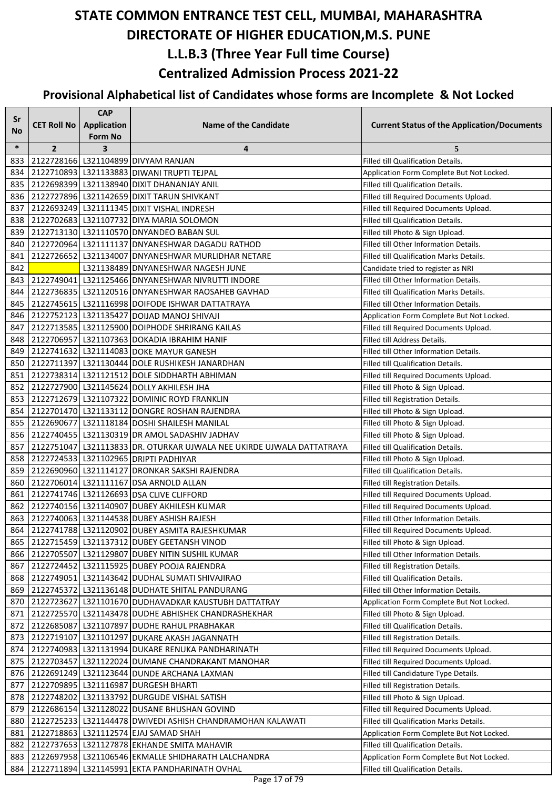| Sr        |                    | <b>CAP</b>              |                                                                       |                                                    |
|-----------|--------------------|-------------------------|-----------------------------------------------------------------------|----------------------------------------------------|
| <b>No</b> | <b>CET Roll No</b> | <b>Application</b>      | <b>Name of the Candidate</b>                                          | <b>Current Status of the Application/Documents</b> |
|           |                    | Form No                 |                                                                       |                                                    |
| $\ast$    | $\overline{2}$     | $\overline{\mathbf{3}}$ | 4                                                                     | 5                                                  |
| 833       |                    |                         | 2122728166   L321104899 DIVYAM RANJAN                                 | <b>Filled till Qualification Details.</b>          |
| 834       |                    |                         | 2122710893 L321133883 DIWANI TRUPTI TEJPAL                            | Application Form Complete But Not Locked.          |
| 835       |                    |                         | 2122698399   L321138940   DIXIT DHANANJAY ANIL                        | Filled till Qualification Details.                 |
| 836       |                    |                         | 2122727896 L321142659 DIXIT TARUN SHIVKANT                            | Filled till Required Documents Upload.             |
| 837       |                    |                         | 2122693249 L321111345 DIXIT VISHAL INDRESH                            | Filled till Required Documents Upload.             |
| 838       |                    |                         | 2122702683   L321107732 DIYA MARIA SOLOMON                            | <b>Filled till Qualification Details.</b>          |
| 839       |                    |                         | 2122713130   L321110570   DNYANDEO BABAN SUL                          | Filled till Photo & Sign Upload.                   |
| 840       |                    |                         | 2122720964 L321111137 DNYANESHWAR DAGADU RATHOD                       | Filled till Other Information Details.             |
| 841       |                    |                         | 2122726652 L321134007 DNYANESHWAR MURLIDHAR NETARE                    | Filled till Qualification Marks Details.           |
| 842       |                    |                         | L321138489 DNYANESHWAR NAGESH JUNE                                    | Candidate tried to register as NRI                 |
| 843       |                    |                         | 2122749041 L321125466 DNYANESHWAR NIVRUTTI INDORE                     | Filled till Other Information Details.             |
| 844       |                    |                         | 2122736835   L321120516   DNYANESHWAR RAOSAHEB GAVHAD                 | Filled till Qualification Marks Details.           |
| 845       |                    |                         | 2122745615   L321116998   DOIFODE ISHWAR DATTATRAYA                   | Filled till Other Information Details.             |
| 846       |                    |                         | 2122752123 L321135427 DOIJAD MANOJ SHIVAJI                            | Application Form Complete But Not Locked.          |
| 847       |                    |                         | 2122713585   L321125900   DOIPHODE SHRIRANG KAILAS                    | Filled till Required Documents Upload.             |
| 848       |                    |                         | 2122706957 L321107363 DOKADIA IBRAHIM HANIF                           | Filled till Address Details.                       |
| 849       |                    |                         | 2122741632 L321114083 DOKE MAYUR GANESH                               | Filled till Other Information Details.             |
| 850       |                    |                         | 2122711397   L321130444   DOLE RUSHIKESH JANARDHAN                    | Filled till Qualification Details.                 |
| 851       |                    |                         | 2122738314 L321121512 DOLE SIDDHARTH ABHIMAN                          | Filled till Required Documents Upload.             |
| 852       |                    |                         | 2122727900 L321145624 DOLLY AKHILESH JHA                              | Filled till Photo & Sign Upload.                   |
| 853       |                    |                         | 2122712679 L321107322 DOMINIC ROYD FRANKLIN                           | Filled till Registration Details.                  |
| 854       |                    |                         | 2122701470   L321133112   DONGRE ROSHAN RAJENDRA                      | Filled till Photo & Sign Upload.                   |
| 855       |                    |                         | 2122690677   L321118184   DOSHI SHAILESH MANILAL                      | Filled till Photo & Sign Upload.                   |
| 856       |                    |                         | 2122740455   L321130319   DR AMOL SADASHIV JADHAV                     | Filled till Photo & Sign Upload.                   |
| 857       |                    |                         | 2122751047 L321113833 DR. OTURKAR UJWALA NEE UKIRDE UJWALA DATTATRAYA | Filled till Qualification Details.                 |
| 858       |                    |                         | 2122724533   L321102965   DRIPTI PADHIYAR                             | Filled till Photo & Sign Upload.                   |
| 859       |                    |                         | 2122690960 L321114127 DRONKAR SAKSHI RAJENDRA                         | Filled till Qualification Details.                 |
| 860       |                    |                         | 2122706014 L321111167 DSA ARNOLD ALLAN                                | Filled till Registration Details.                  |
| 861       |                    |                         | 2122741746 L321126693 DSA CLIVE CLIFFORD                              | Filled till Required Documents Upload.             |
| 862       |                    |                         | 2122740156 L321140907 DUBEY AKHILESH KUMAR                            | Filled till Required Documents Upload.             |
| 863       |                    |                         | 2122740063 L321144538 DUBEY ASHISH RAJESH                             | Filled till Other Information Details.             |
| 864       |                    |                         | 2122741788 L321120902 DUBEY ASMITA RAJESHKUMAR                        | Filled till Required Documents Upload.             |
| 865       |                    |                         | 2122715459 L321137312 DUBEY GEETANSH VINOD                            | Filled till Photo & Sign Upload.                   |
| 866       |                    |                         | 2122705507 L321129807 DUBEY NITIN SUSHIL KUMAR                        | Filled till Other Information Details.             |
| 867       |                    |                         | 2122724452   L321115925   DUBEY POOJA RAJENDRA                        | Filled till Registration Details.                  |
| 868       |                    |                         | 2122749051 L321143642 DUDHAL SUMATI SHIVAJIRAO                        | Filled till Qualification Details.                 |
| 869       |                    |                         | 2122745372   L321136148   DUDHATE SHITAL PANDURANG                    | Filled till Other Information Details.             |
| 870       |                    |                         | 2122723627 L321101670 DUDHAVADKAR KAUSTUBH DATTATRAY                  | Application Form Complete But Not Locked.          |
| 871       |                    |                         | 2122725570 L321143478 DUDHE ABHISHEK CHANDRASHEKHAR                   | Filled till Photo & Sign Upload.                   |
| 872       |                    |                         | 2122685087 L321107897 DUDHE RAHUL PRABHAKAR                           | Filled till Qualification Details.                 |
| 873       |                    |                         | 2122719107 L321101297 DUKARE AKASH JAGANNATH                          | Filled till Registration Details.                  |
| 874       |                    |                         | 2122740983   L321131994 DUKARE RENUKA PANDHARINATH                    | Filled till Required Documents Upload.             |
| 875       |                    |                         | 2122703457 L321122024 DUMANE CHANDRAKANT MANOHAR                      | Filled till Required Documents Upload.             |
| 876       |                    |                         | 2122691249   L321123644   DUNDE ARCHANA LAXMAN                        | Filled till Candidature Type Details.              |
| 877       |                    |                         | 2122709895   L321116987 DURGESH BHARTI                                | Filled till Registration Details.                  |
| 878       |                    |                         | 2122748202 L321133792 DURGUDE VISHAL SATISH                           | Filled till Photo & Sign Upload.                   |
| 879       |                    |                         | 2122686154   L321128022   DUSANE BHUSHAN GOVIND                       | Filled till Required Documents Upload.             |
| 880       |                    |                         | 2122725233   L321144478   DWIVEDI ASHISH CHANDRAMOHAN KALAWATI        | Filled till Qualification Marks Details.           |
| 881       |                    |                         | 2122718863   L321112574   EJAJ SAMAD SHAH                             | Application Form Complete But Not Locked.          |
| 882       |                    |                         | 2122737653 L321127878 EKHANDE SMITA MAHAVIR                           | Filled till Qualification Details.                 |
| 883       |                    |                         | 2122697958   L321106546 EKMALLE SHIDHARATH LALCHANDRA                 | Application Form Complete But Not Locked.          |
| 884       | 2122711894         |                         | L321145991 EKTA PANDHARINATH OVHAL                                    | Filled till Qualification Details.                 |
|           |                    |                         |                                                                       |                                                    |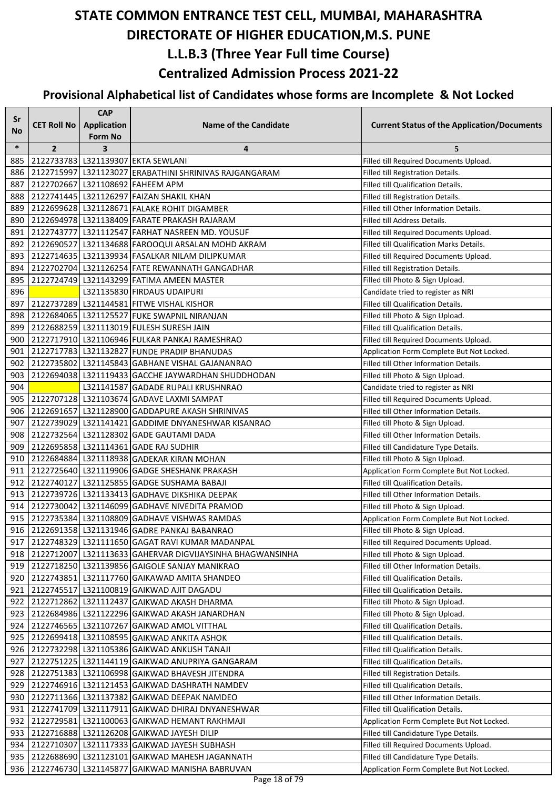| Sr        |                    | <b>CAP</b>                           |                                                           |                                                    |
|-----------|--------------------|--------------------------------------|-----------------------------------------------------------|----------------------------------------------------|
| <b>No</b> | <b>CET Roll No</b> | <b>Application</b><br><b>Form No</b> | Name of the Candidate                                     | <b>Current Status of the Application/Documents</b> |
| $\ast$    | $\overline{2}$     | $\overline{\mathbf{3}}$              | 4                                                         | 5                                                  |
| 885       |                    |                                      | 2122733783 L321139307 EKTA SEWLANI                        | Filled till Required Documents Upload.             |
| 886       |                    |                                      | 2122715997 L321123027 ERABATHINI SHRINIVAS RAJGANGARAM    | Filled till Registration Details.                  |
| 887       |                    |                                      | 2122702667 L321108692 FAHEEM APM                          | Filled till Qualification Details.                 |
| 888       |                    |                                      | 2122741445   L321126297   FAIZAN SHAKIL KHAN              | Filled till Registration Details.                  |
| 889       |                    |                                      | 2122699628 L321128671 FALAKE ROHIT DIGAMBER               | Filled till Other Information Details.             |
| 890       |                    |                                      | 2122694978   L321138409   FARATE PRAKASH RAJARAM          | Filled till Address Details.                       |
| 891       |                    |                                      | 2122743777   L321112547   FARHAT NASREEN MD. YOUSUF       | Filled till Required Documents Upload.             |
| 892       |                    |                                      | 2122690527 L321134688 FAROOQUI ARSALAN MOHD AKRAM         | Filled till Qualification Marks Details.           |
| 893       |                    |                                      | 2122714635   L321139934   FASALKAR NILAM DILIPKUMAR       | Filled till Required Documents Upload.             |
| 894       |                    |                                      | 2122702704 L321126254 FATE REWANNATH GANGADHAR            | Filled till Registration Details.                  |
| 895       |                    |                                      | 2122724749 L321143299 FATIMA AMEEN MASTER                 | Filled till Photo & Sign Upload.                   |
| 896       |                    |                                      | L321135830 FIRDAUS UDAIPURI                               | Candidate tried to register as NRI                 |
| 897       |                    |                                      | 2122737289 L321144581 FITWE VISHAL KISHOR                 | Filled till Qualification Details.                 |
| 898       |                    |                                      | 2122684065 L321125527 FUKE SWAPNIL NIRANJAN               | Filled till Photo & Sign Upload.                   |
| 899       |                    |                                      | 2122688259 L321113019 FULESH SURESH JAIN                  | Filled till Qualification Details.                 |
| 900       |                    |                                      | 2122717910 L321106946 FULKAR PANKAJ RAMESHRAO             | Filled till Required Documents Upload.             |
| 901       |                    |                                      | 2122717783   L321132827   FUNDE PRADIP BHANUDAS           | Application Form Complete But Not Locked.          |
| 902       |                    |                                      | 2122735802   L321145843   GABHANE VISHAL GAJANANRAO       | Filled till Other Information Details.             |
| 903       |                    |                                      | 2122694038 L321119433 GACCHE JAYWARDHAN SHUDDHODAN        | Filled till Photo & Sign Upload.                   |
| 904       |                    |                                      | L321141587 GADADE RUPALI KRUSHNRAO                        | Candidate tried to register as NRI                 |
| 905       |                    |                                      | 2122707128 L321103674 GADAVE LAXMI SAMPAT                 | Filled till Required Documents Upload.             |
| 906       |                    |                                      | 2122691657 L321128900 GADDAPURE AKASH SHRINIVAS           | Filled till Other Information Details.             |
| 907       |                    |                                      | 2122739029 L321141421 GADDIME DNYANESHWAR KISANRAO        | Filled till Photo & Sign Upload.                   |
| 908       |                    |                                      | 2122732564 L321128302 GADE GAUTAMI DADA                   | Filled till Other Information Details.             |
| 909       |                    |                                      | 2122695858 L321114361 GADE RAJ SUDHIR                     | Filled till Candidature Type Details.              |
| 910       |                    |                                      | 2122684884 L321118938 GADEKAR KIRAN MOHAN                 | Filled till Photo & Sign Upload.                   |
| 911       |                    |                                      | 2122725640 L321119906 GADGE SHESHANK PRAKASH              | Application Form Complete But Not Locked.          |
| 912       |                    |                                      | 2122740127 L321125855 GADGE SUSHAMA BABAJI                | Filled till Qualification Details.                 |
| 913       |                    |                                      | 2122739726 L321133413 GADHAVE DIKSHIKA DEEPAK             | Filled till Other Information Details.             |
| 914       |                    |                                      | 2122730042 L321146099 GADHAVE NIVEDITA PRAMOD             | Filled till Photo & Sign Upload.                   |
| 915       |                    |                                      | 2122735384 L321108809 GADHAVE VISHWAS RAMDAS              | Application Form Complete But Not Locked.          |
| 916       |                    |                                      | 2122691358 L321131946 GADRE PANKAJ BABANRAO               | Filled till Photo & Sign Upload.                   |
| 917       |                    |                                      | 2122748329   L321111650   GAGAT RAVI KUMAR MADANPAL       | Filled till Required Documents Upload.             |
| 918       |                    |                                      | 2122712007 L321113633 GAHERVAR DIGVIJAYSINHA BHAGWANSINHA | Filled till Photo & Sign Upload.                   |
| 919       |                    |                                      | 2122718250 L321139856 GAIGOLE SANJAY MANIKRAO             | Filled till Other Information Details.             |
| 920       |                    |                                      | 2122743851 L321117760 GAIKAWAD AMITA SHANDEO              | Filled till Qualification Details.                 |
| 921       |                    |                                      | 2122745517 L321100819 GAIKWAD AJIT DAGADU                 | Filled till Qualification Details.                 |
| 922       |                    |                                      | 2122712862   L321112437   GAIKWAD AKASH DHARMA            | Filled till Photo & Sign Upload.                   |
| 923       |                    |                                      | 2122684986   L321122296   GAIKWAD AKASH JANARDHAN         | Filled till Photo & Sign Upload.                   |
| 924       |                    |                                      | 2122746565   L321107267   GAIKWAD AMOL VITTHAL            | Filled till Qualification Details.                 |
| 925       |                    |                                      | 2122699418   L321108595   GAIKWAD ANKITA ASHOK            | Filled till Qualification Details.                 |
| 926       |                    |                                      | 2122732298 L321105386 GAIKWAD ANKUSH TANAJI               | Filled till Qualification Details.                 |
| 927       |                    |                                      | 2122751225   L321144119 GAIKWAD ANUPRIYA GANGARAM         | Filled till Qualification Details.                 |
| 928       |                    |                                      | 2122751383 L321106998 GAIKWAD BHAVESH JITENDRA            | Filled till Registration Details.                  |
| 929       |                    |                                      | 2122746916   L321121453   GAIKWAD DASHRATH NAMDEV         | Filled till Qualification Details.                 |
| 930       |                    |                                      | 2122711366 L321137382 GAIKWAD DEEPAK NAMDEO               | Filled till Other Information Details.             |
| 931       |                    |                                      | 2122741709 L321117911 GAIKWAD DHIRAJ DNYANESHWAR          | Filled till Qualification Details.                 |
| 932       |                    |                                      | 2122729581 L321100063 GAIKWAD HEMANT RAKHMAJI             | Application Form Complete But Not Locked.          |
| 933       |                    |                                      | 2122716888   L321126208   GAIKWAD JAYESH DILIP            | Filled till Candidature Type Details.              |
| 934       |                    |                                      | 2122710307 L321117333 GAIKWAD JAYESH SUBHASH              | Filled till Required Documents Upload.             |
| 935       |                    |                                      | 2122688690 L321123101 GAIKWAD MAHESH JAGANNATH            | Filled till Candidature Type Details.              |
| 936       | 2122746730         | L321145877                           | GAIKWAD MANISHA BABRUVAN                                  | Application Form Complete But Not Locked.          |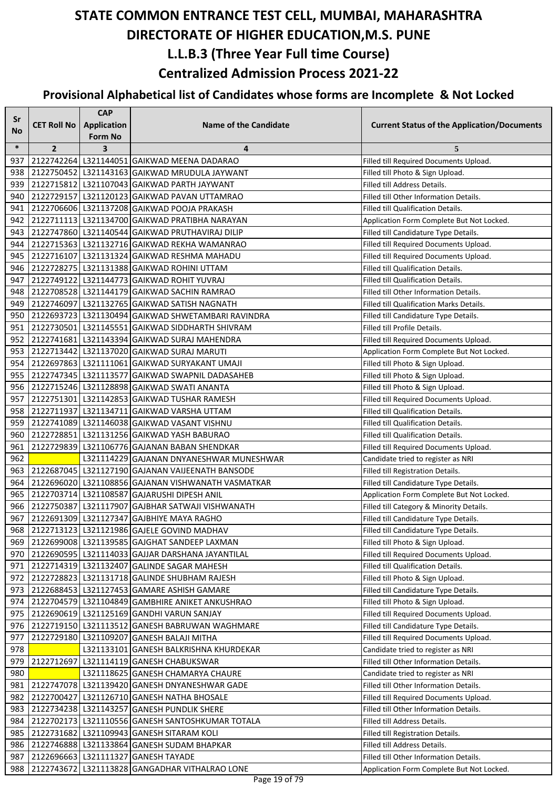| Sr         |                    | <b>CAP</b>         |                                                                                     |                                                                                 |
|------------|--------------------|--------------------|-------------------------------------------------------------------------------------|---------------------------------------------------------------------------------|
| <b>No</b>  | <b>CET Roll No</b> | <b>Application</b> | <b>Name of the Candidate</b>                                                        | <b>Current Status of the Application/Documents</b>                              |
| $\ast$     |                    | <b>Form No</b>     |                                                                                     | 5                                                                               |
| 937        | $\overline{2}$     | 3                  | 4<br>2122742264 L321144051 GAIKWAD MEENA DADARAO                                    | Filled till Required Documents Upload.                                          |
| 938        |                    |                    | 2122750452 L321143163 GAIKWAD MRUDULA JAYWANT                                       | Filled till Photo & Sign Upload.                                                |
| 939        |                    |                    | 2122715812 L321107043 GAIKWAD PARTH JAYWANT                                         | Filled till Address Details.                                                    |
| 940        |                    |                    | 2122729157 L321120123 GAIKWAD PAVAN UTTAMRAO                                        | Filled till Other Information Details.                                          |
| 941        |                    |                    | 2122706606 L321137208 GAIKWAD POOJA PRAKASH                                         | Filled till Qualification Details.                                              |
| 942        |                    |                    | 2122711113   L321134700 GAIKWAD PRATIBHA NARAYAN                                    | Application Form Complete But Not Locked.                                       |
| 943        |                    |                    | 2122747860   L321140544   GAIKWAD PRUTHAVIRAJ DILIP                                 | Filled till Candidature Type Details.                                           |
| 944        |                    |                    | 2122715363 L321132716 GAIKWAD REKHA WAMANRAO                                        | Filled till Required Documents Upload.                                          |
| 945        |                    |                    | 2122716107 L321131324 GAIKWAD RESHMA MAHADU                                         | Filled till Required Documents Upload.                                          |
| 946        |                    |                    | 2122728275 L321131388 GAIKWAD ROHINI UTTAM                                          | Filled till Qualification Details.                                              |
| 947        |                    |                    | 2122749122 L321144773 GAIKWAD ROHIT YUVRAJ                                          | Filled till Qualification Details.                                              |
| 948        |                    |                    | 2122708528 L321144179 GAIKWAD SACHIN RAMRAO                                         | Filled till Other Information Details.                                          |
| 949        |                    |                    | 2122746097 L321132765 GAIKWAD SATISH NAGNATH                                        | Filled till Qualification Marks Details.                                        |
| 950        |                    |                    | 2122693723 L321130494 GAIKWAD SHWETAMBARI RAVINDRA                                  | Filled till Candidature Type Details.                                           |
| 951        |                    |                    | 2122730501 L321145551 GAIKWAD SIDDHARTH SHIVRAM                                     | Filled till Profile Details.                                                    |
| 952        |                    |                    | 2122741681 L321143394 GAIKWAD SURAJ MAHENDRA                                        | Filled till Required Documents Upload.                                          |
| 953        |                    |                    | 2122713442 L321137020 GAIKWAD SURAJ MARUTI                                          | Application Form Complete But Not Locked.                                       |
| 954        |                    |                    | 2122697863 L321111061 GAIKWAD SURYAKANT UMAJI                                       | Filled till Photo & Sign Upload.                                                |
| 955        |                    |                    | 2122747345 L321113577 GAIKWAD SWAPNIL DADASAHEB                                     | Filled till Photo & Sign Upload.                                                |
| 956        |                    |                    | 2122715246 L321128898 GAIKWAD SWATI ANANTA                                          | Filled till Photo & Sign Upload.                                                |
| 957        |                    |                    | 2122751301 L321142853 GAIKWAD TUSHAR RAMESH                                         | Filled till Required Documents Upload.                                          |
| 958        |                    |                    | 2122711937 L321134711 GAIKWAD VARSHA UTTAM                                          | Filled till Qualification Details.                                              |
| 959        |                    |                    | 2122741089 L321146038 GAIKWAD VASANT VISHNU                                         | Filled till Qualification Details.                                              |
| 960        |                    |                    | 2122728851 L321131256 GAIKWAD YASH BABURAO                                          | Filled till Qualification Details.                                              |
| 961        |                    |                    | 2122729839 L321106776 GAJANAN BABAN SHENDKAR                                        | Filled till Required Documents Upload.                                          |
| 962        |                    |                    | L321114229 GAJANAN DNYANESHWAR MUNESHWAR                                            | Candidate tried to register as NRI                                              |
| 963        |                    |                    | 2122687045   L321127190 GAJANAN VAIJEENATH BANSODE                                  | Filled till Registration Details.                                               |
| 964        |                    |                    | 2122696020 L321108856 GAJANAN VISHWANATH VASMATKAR                                  | Filled till Candidature Type Details.                                           |
| 965        |                    |                    | 2122703714 L321108587 GAJARUSHI DIPESH ANIL                                         | Application Form Complete But Not Locked.                                       |
| 966        |                    |                    | 2122750387 L321117907 GAJBHAR SATWAJI VISHWANATH                                    | Filled till Category & Minority Details.                                        |
| 967        |                    |                    | 2122691309 L321127347 GAJBHIYE MAYA RAGHO                                           | Filled till Candidature Type Details.                                           |
| 968        |                    |                    | 2122713123 L321121986 GAJELE GOVIND MADHAV                                          | Filled till Candidature Type Details.                                           |
| 969        |                    |                    | 2122699008   L321139585   GAJGHAT SANDEEP LAXMAN                                    | Filled till Photo & Sign Upload.                                                |
| 970        |                    |                    | 2122690595   L321114033   GAJJAR DARSHANA JAYANTILAL                                | Filled till Required Documents Upload.                                          |
| 971        |                    |                    | 2122714319 L321132407 GALINDE SAGAR MAHESH                                          | Filled till Qualification Details.                                              |
| 972        |                    |                    | 2122728823 L321131718 GALINDE SHUBHAM RAJESH                                        | Filled till Photo & Sign Upload.                                                |
| 973        |                    |                    | 2122688453   L321127453 GAMARE ASHISH GAMARE                                        | Filled till Candidature Type Details.                                           |
| 974        |                    |                    | 2122704579   L321104849   GAMBHIRE ANIKET ANKUSHRAO                                 | Filled till Photo & Sign Upload.                                                |
| 975        |                    |                    | 2122690619 L321125169 GANDHI VARUN SANJAY                                           | Filled till Required Documents Upload.<br>Filled till Candidature Type Details. |
| 976        |                    |                    | 2122719150   L321113512 GANESH BABRUWAN WAGHMARE                                    | Filled till Required Documents Upload.                                          |
| 977<br>978 |                    |                    | 2122729180 L321109207 GANESH BALAJI MITHA<br>L321133101 GANESH BALKRISHNA KHURDEKAR | Candidate tried to register as NRI                                              |
| 979        |                    |                    | 2122712697 L321114119 GANESH CHABUKSWAR                                             | Filled till Other Information Details.                                          |
| 980        |                    |                    | L321118625 GANESH CHAMARYA CHAURE                                                   | Candidate tried to register as NRI                                              |
| 981        |                    |                    | 2122747078 L321139420 GANESH DNYANESHWAR GADE                                       | Filled till Other Information Details.                                          |
| 982        |                    |                    | 2122700427 L321126710 GANESH NATHA BHOSALE                                          | Filled till Required Documents Upload.                                          |
| 983        |                    |                    | 2122734238   L321143257   GANESH PUNDLIK SHERE                                      | Filled till Other Information Details.                                          |
| 984        |                    |                    | 2122702173   L321110556   GANESH SANTOSHKUMAR TOTALA                                | Filled till Address Details.                                                    |
| 985        |                    |                    | 2122731682 L321109943 GANESH SITARAM KOLI                                           | Filled till Registration Details.                                               |
| 986        |                    |                    | 2122746888   L321133864   GANESH SUDAM BHAPKAR                                      | Filled till Address Details.                                                    |
| 987        |                    |                    | 2122696663 L321111327 GANESH TAYADE                                                 | Filled till Other Information Details.                                          |
| 988        |                    |                    | 2122743672 L321113828 GANGADHAR VITHALRAO LONE                                      | Application Form Complete But Not Locked.                                       |
|            |                    |                    |                                                                                     |                                                                                 |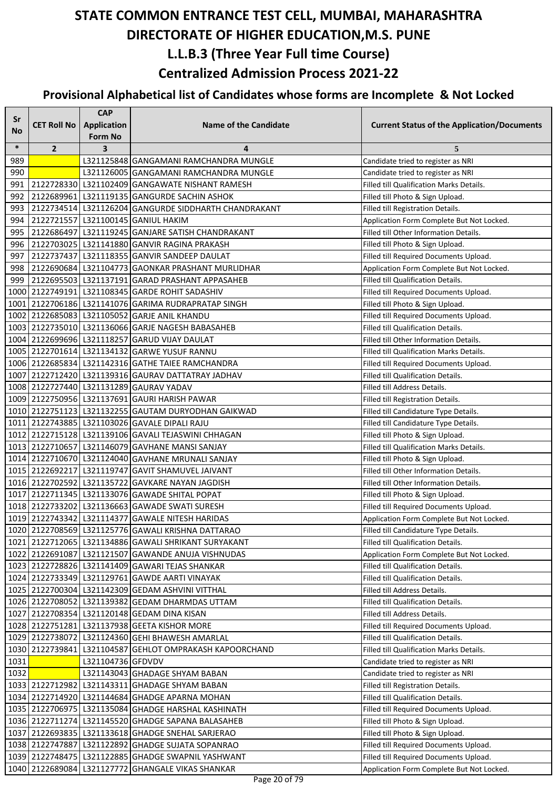| Sr         |                    | <b>CAP</b>              |                                                                                                 |                                                                                 |
|------------|--------------------|-------------------------|-------------------------------------------------------------------------------------------------|---------------------------------------------------------------------------------|
| No         | <b>CET Roll No</b> | <b>Application</b>      | <b>Name of the Candidate</b>                                                                    | <b>Current Status of the Application/Documents</b>                              |
|            |                    | Form No                 |                                                                                                 |                                                                                 |
| $\ast$     | $\overline{2}$     | $\overline{\mathbf{3}}$ | 4                                                                                               | 5                                                                               |
| 989        |                    |                         | L321125848 GANGAMANI RAMCHANDRA MUNGLE                                                          | Candidate tried to register as NRI                                              |
| 990        |                    |                         | L321126005 GANGAMANI RAMCHANDRA MUNGLE                                                          | Candidate tried to register as NRI                                              |
| 991        |                    |                         | 2122728330 L321102409 GANGAWATE NISHANT RAMESH                                                  | Filled till Qualification Marks Details.                                        |
| 992        |                    |                         | 2122689961 L321119135 GANGURDE SACHIN ASHOK                                                     | Filled till Photo & Sign Upload.                                                |
| 993        |                    |                         | 2122734514 L321126204 GANGURDE SIDDHARTH CHANDRAKANT                                            | Filled till Registration Details.                                               |
| 994        |                    |                         | 2122721557 L321100145 GANIUL HAKIM                                                              | Application Form Complete But Not Locked.                                       |
| 995        |                    |                         | 2122686497   L321119245   GANJARE SATISH CHANDRAKANT                                            | Filled till Other Information Details.                                          |
| 996        |                    |                         | 2122703025   L321141880 GANVIR RAGINA PRAKASH                                                   | Filled till Photo & Sign Upload.                                                |
| 997        |                    |                         | 2122737437 L321118355 GANVIR SANDEEP DAULAT<br>2122690684 L321104773 GAONKAR PRASHANT MURLIDHAR | Filled till Required Documents Upload.                                          |
| 998<br>999 |                    |                         | 2122695503   L321137191 GARAD PRASHANT APPASAHEB                                                | Application Form Complete But Not Locked.<br>Filled till Qualification Details. |
|            |                    |                         | 1000 2122749191 L321108345 GARDE ROHIT SADASHIV                                                 | Filled till Required Documents Upload.                                          |
|            |                    |                         | 1001 2122706186 L321141076 GARIMA RUDRAPRATAP SINGH                                             | Filled till Photo & Sign Upload.                                                |
|            |                    |                         | 1002 2122685083 L321105052 GARJE ANIL KHANDU                                                    | Filled till Required Documents Upload.                                          |
|            |                    |                         | 1003 2122735010 L321136066 GARJE NAGESH BABASAHEB                                               | Filled till Qualification Details.                                              |
|            |                    |                         | 1004 2122699696 L321118257 GARUD VIJAY DAULAT                                                   | Filled till Other Information Details.                                          |
|            |                    |                         | 1005 2122701614 L321134132 GARWE YUSUF RANNU                                                    | Filled till Qualification Marks Details.                                        |
|            |                    |                         | 1006 2122685834 L321142316 GATHE TAIEE RAMCHANDRA                                               | Filled till Required Documents Upload.                                          |
|            |                    |                         | 1007   2122712420   L321139316   GAURAV DATTATRAY JADHAV                                        | Filled till Qualification Details.                                              |
|            |                    |                         | 1008 2122727440 L321131289 GAURAV YADAV                                                         | Filled till Address Details.                                                    |
|            |                    |                         | 1009 2122750956 L321137691 GAURI HARISH PAWAR                                                   | Filled till Registration Details.                                               |
|            |                    |                         | 1010 2122751123 L321132255 GAUTAM DURYODHAN GAIKWAD                                             | Filled till Candidature Type Details.                                           |
|            |                    |                         | 1011 2122743885 L321103026 GAVALE DIPALI RAJU                                                   | Filled till Candidature Type Details.                                           |
|            |                    |                         | 1012 2122715128 L321139106 GAVALI TEJASWINI CHHAGAN                                             | Filled till Photo & Sign Upload.                                                |
|            |                    |                         | 1013 2122710657 L321146079 GAVHANE MANSI SANJAY                                                 | Filled till Qualification Marks Details.                                        |
|            |                    |                         | 1014 2122710670 L321124040 GAVHANE MRUNALI SANJAY                                               | Filled till Photo & Sign Upload.                                                |
|            |                    |                         | 1015 2122692217 L321119747 GAVIT SHAMUVEL JAIVANT                                               | Filled till Other Information Details.                                          |
|            |                    |                         | 1016 2122702592 L321135722 GAVKARE NAYAN JAGDISH                                                | Filled till Other Information Details.                                          |
|            |                    |                         | 1017 2122711345 L321133076 GAWADE SHITAL POPAT                                                  | Filled till Photo & Sign Upload.                                                |
|            |                    |                         | 1018 2122733202 L321136663 GAWADE SWATI SURESH                                                  | Filled till Required Documents Upload.                                          |
|            |                    |                         | 1019 2122743342 L321114377 GAWALE NITESH HARIDAS                                                | Application Form Complete But Not Locked.                                       |
|            |                    |                         | 1020 2122708569 L321125776 GAWALI KRISHNA DATTARAO                                              | Filled till Candidature Type Details.                                           |
|            |                    |                         | 1021 2122712065   L321134886 GAWALI SHRIKANT SURYAKANT                                          | Filled till Qualification Details.                                              |
|            |                    |                         | 1022 2122691087 L321121507 GAWANDE ANUJA VISHNUDAS                                              | Application Form Complete But Not Locked.                                       |
|            |                    |                         | 1023 2122728826 L321141409 GAWARI TEJAS SHANKAR                                                 | Filled till Qualification Details.                                              |
|            |                    |                         | 1024 2122733349 L321129761 GAWDE AARTI VINAYAK                                                  | Filled till Qualification Details.                                              |
|            |                    |                         | 1025 2122700304 L321142309 GEDAM ASHVINI VITTHAL                                                | Filled till Address Details.                                                    |
|            |                    |                         | 1026 2122708052 L321139382 GEDAM DHARMDAS UTTAM                                                 | Filled till Qualification Details.                                              |
|            |                    |                         | 1027 2122708354 L321120148 GEDAM DINA KISAN                                                     | Filled till Address Details.                                                    |
|            |                    |                         | 1028 2122751281 L321137938 GEETA KISHOR MORE                                                    | Filled till Required Documents Upload.                                          |
|            |                    |                         | 1029 2122738072 L321124360 GEHI BHAWESH AMARLAL                                                 | Filled till Qualification Details.                                              |
|            |                    |                         | 1030 2122739841 L321104587 GEHLOT OMPRAKASH KAPOORCHAND                                         | Filled till Qualification Marks Details.                                        |
| 1031       |                    | L321104736 GFDVDV       |                                                                                                 | Candidate tried to register as NRI                                              |
| 1032       |                    |                         | L321143043 GHADAGE SHYAM BABAN                                                                  | Candidate tried to register as NRI                                              |
|            |                    |                         | 1033 2122712982 L321143311 GHADAGE SHYAM BABAN                                                  | Filled till Registration Details.                                               |
|            |                    |                         | 1034 2122714920 L321144684 GHADGE APARNA MOHAN                                                  | Filled till Qualification Details.                                              |
|            |                    |                         | 1035 2122706975   L321135084 GHADGE HARSHAL KASHINATH                                           | Filled till Required Documents Upload.                                          |
|            |                    |                         | 1036 2122711274 L321145520 GHADGE SAPANA BALASAHEB                                              | Filled till Photo & Sign Upload.                                                |
|            |                    |                         | 1037 2122693835   L321133618 GHADGE SNEHAL SARJERAO                                             | Filled till Photo & Sign Upload.                                                |
|            |                    |                         | 1038 2122747887 L321122892 GHADGE SUJATA SOPANRAO                                               | Filled till Required Documents Upload.                                          |
|            | 1039 2122748475    |                         | L321122885 GHADGE SWAPNIL YASHWANT                                                              | Filled till Required Documents Upload.                                          |
|            |                    |                         | 1040 2122689084 L321127772 GHANGALE VIKAS SHANKAR                                               | Application Form Complete But Not Locked.                                       |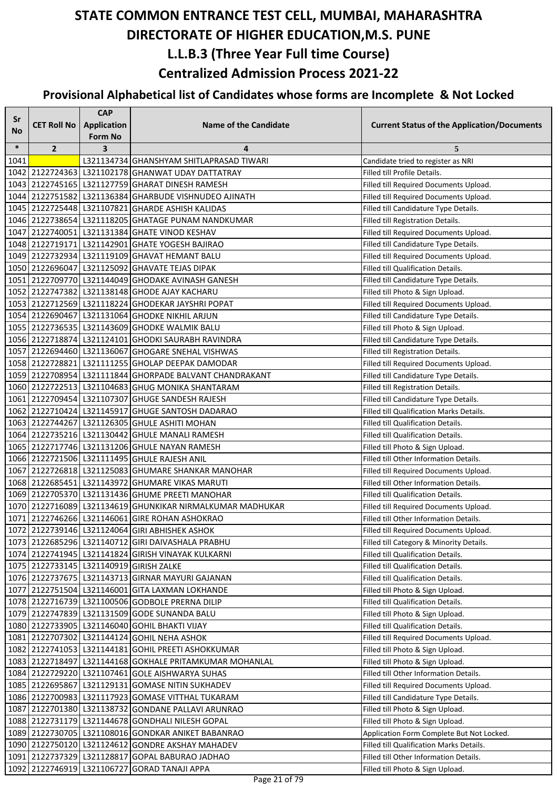| Sr     |                            | <b>CAP</b>                    |                                                           |                                                    |
|--------|----------------------------|-------------------------------|-----------------------------------------------------------|----------------------------------------------------|
| No     | <b>CET Roll No</b>         | Application<br><b>Form No</b> | <b>Name of the Candidate</b>                              | <b>Current Status of the Application/Documents</b> |
| $\ast$ | $\overline{2}$             | 3                             | 4                                                         | 5                                                  |
| 1041   |                            |                               | L321134734 GHANSHYAM SHITLAPRASAD TIWARI                  | Candidate tried to register as NRI                 |
|        |                            |                               | 1042 2122724363 L321102178 GHANWAT UDAY DATTATRAY         | <b>Filled till Profile Details.</b>                |
|        |                            |                               | 1043 2122745165 L321127759 GHARAT DINESH RAMESH           | Filled till Required Documents Upload.             |
|        |                            |                               | 1044 2122751582 L321136384 GHARBUDE VISHNUDEO AJINATH     | Filled till Required Documents Upload.             |
|        |                            |                               | 1045 2122725448 L321107821 GHARDE ASHISH KALIDAS          | Filled till Candidature Type Details.              |
|        |                            |                               | 1046 2122738654 L321118205 GHATAGE PUNAM NANDKUMAR        | Filled till Registration Details.                  |
|        |                            |                               | 1047 2122740051 L321131384 GHATE VINOD KESHAV             | Filled till Required Documents Upload.             |
|        |                            |                               | 1048 2122719171 L321142901 GHATE YOGESH BAJIRAO           | Filled till Candidature Type Details.              |
|        |                            |                               | 1049 2122732934 L321119109 GHAVAT HEMANT BALU             | Filled till Required Documents Upload.             |
|        |                            |                               | 1050 2122696047 L321125092 GHAVATE TEJAS DIPAK            | Filled till Qualification Details.                 |
|        |                            |                               | 1051 2122709770 L321144049 GHODAKE AVINASH GANESH         | Filled till Candidature Type Details.              |
|        |                            |                               | 1052 2122747382 L321138148 GHODE AJAY KACHARU             | Filled till Photo & Sign Upload.                   |
|        |                            |                               | 1053 2122712569 L321118224 GHODEKAR JAYSHRI POPAT         | Filled till Required Documents Upload.             |
|        |                            |                               | 1054 2122690467 L321131064 GHODKE NIKHIL ARJUN            | Filled till Candidature Type Details.              |
|        |                            |                               | 1055 2122736535 L321143609 GHODKE WALMIK BALU             | Filled till Photo & Sign Upload.                   |
|        |                            |                               | 1056 2122718874 L321124101 GHODKI SAURABH RAVINDRA        | Filled till Candidature Type Details.              |
|        |                            |                               | 1057 2122694460 L321136067 GHOGARE SNEHAL VISHWAS         | Filled till Registration Details.                  |
|        |                            |                               | 1058 2122728821 L321111255 GHOLAP DEEPAK DAMODAR          | Filled till Required Documents Upload.             |
|        |                            |                               | 1059 2122708954 L321111844 GHORPADE BALVANT CHANDRAKANT   | Filled till Candidature Type Details.              |
|        |                            |                               | 1060 2122722513 L321104683 GHUG MONIKA SHANTARAM          | Filled till Registration Details.                  |
|        |                            |                               | 1061 2122709454 L321107307 GHUGE SANDESH RAJESH           | Filled till Candidature Type Details.              |
|        |                            |                               | 1062 2122710424 L321145917 GHUGE SANTOSH DADARAO          | Filled till Qualification Marks Details.           |
|        |                            |                               | 1063 2122744267 L321126305 GHULE ASHITI MOHAN             | Filled till Qualification Details.                 |
|        |                            |                               | 1064 2122735216 L321130442 GHULE MANALI RAMESH            | Filled till Qualification Details.                 |
|        |                            |                               | 1065 2122717746 L321131206 GHULE NAYAN RAMESH             | Filled till Photo & Sign Upload.                   |
|        |                            |                               | 1066 2122721506 L321111495 GHULE RAJESH ANIL              | Filled till Other Information Details.             |
|        |                            |                               | 1067 2122726818 L321125083 GHUMARE SHANKAR MANOHAR        | Filled till Required Documents Upload.             |
|        |                            |                               | 1068 2122685451 L321143972 GHUMARE VIKAS MARUTI           | Filled till Other Information Details.             |
|        |                            |                               | 1069 2122705370 L321131436 GHUME PREETI MANOHAR           | Filled till Qualification Details.                 |
|        |                            |                               | 1070 2122716089 L321134619 GHUNKIKAR NIRMALKUMAR MADHUKAR | Filled till Required Documents Upload.             |
|        |                            |                               | 1071 2122746266 L321146061 GIRE ROHAN ASHOKRAO            | Filled till Other Information Details.             |
|        |                            |                               | 1072 2122739146 L321124064 GIRI ABHISHEK ASHOK            | Filled till Required Documents Upload.             |
|        |                            |                               | 1073 2122685296 L321140712 GIRI DAIVASHALA PRABHU         | Filled till Category & Minority Details.           |
|        |                            |                               | 1074 2122741945 L321141824 GIRISH VINAYAK KULKARNI        | Filled till Qualification Details.                 |
|        |                            |                               | 1075 2122733145   L321140919 GIRISH ZALKE                 | Filled till Qualification Details.                 |
|        |                            |                               | 1076 2122737675   L321143713 GIRNAR MAYURI GAJANAN        | Filled till Qualification Details.                 |
|        |                            |                               | 1077 2122751504 L321146001 GITA LAXMAN LOKHANDE           | Filled till Photo & Sign Upload.                   |
|        |                            |                               | 1078 2122716739 L321100506 GODBOLE PRERNA DILIP           | Filled till Qualification Details.                 |
|        |                            |                               | 1079 2122747839 L321131509 GODE SUNANDA BALU              | Filled till Photo & Sign Upload.                   |
|        |                            |                               | 1080 2122733905 L321146040 GOHIL BHAKTI VIJAY             | Filled till Qualification Details.                 |
|        |                            |                               | 1081 2122707302 L321144124 GOHIL NEHA ASHOK               | Filled till Required Documents Upload.             |
|        |                            |                               | 1082 2122741053 L321144181 GOHIL PREETI ASHOKKUMAR        | Filled till Photo & Sign Upload.                   |
|        |                            |                               | 1083 2122718497 L321144168 GOKHALE PRITAMKUMAR MOHANLAL   | Filled till Photo & Sign Upload.                   |
|        |                            |                               | 1084 2122729220 L321107461 GOLE AISHWARYA SUHAS           | Filled till Other Information Details.             |
|        |                            |                               | 1085 2122695867 L321129131 GOMASE NITIN SUKHADEV          | Filled till Required Documents Upload.             |
|        |                            |                               | 1086 2122700983   L321117923 GOMASE VITTHAL TUKARAM       | Filled till Candidature Type Details.              |
|        |                            |                               | 1087 2122701380   L321138732 GONDANE PALLAVI ARUNRAO      | Filled till Photo & Sign Upload.                   |
|        |                            |                               | 1088 2122731179 L321144678 GONDHALI NILESH GOPAL          | Filled till Photo & Sign Upload.                   |
|        |                            |                               | 1089 2122730705 L321108016 GONDKAR ANIKET BABANRAO        | Application Form Complete But Not Locked.          |
|        |                            |                               | 1090 2122750120 L321124612 GONDRE AKSHAY MAHADEV          | Filled till Qualification Marks Details.           |
|        |                            |                               | 1091 2122737329 L321128817 GOPAL BABURAO JADHAO           | Filled till Other Information Details.             |
|        | 1092 2122746919 L321106727 |                               | <b>GORAD TANAJI APPA</b>                                  | Filled till Photo & Sign Upload.                   |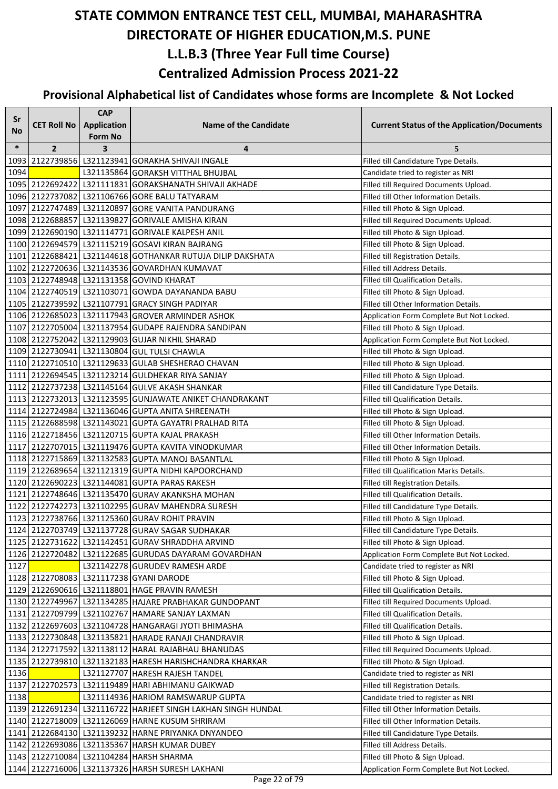| Sr     |                    | <b>CAP</b>         |                                                               |                                                                              |
|--------|--------------------|--------------------|---------------------------------------------------------------|------------------------------------------------------------------------------|
| No.    | <b>CET Roll No</b> | <b>Application</b> | <b>Name of the Candidate</b>                                  | <b>Current Status of the Application/Documents</b>                           |
| $\ast$ |                    | Form No            |                                                               |                                                                              |
|        | $\overline{2}$     | 3                  | 4<br>1093 2122739856 L321123941 GORAKHA SHIVAJI INGALE        | 5                                                                            |
| 1094   |                    |                    | L321135864 GORAKSH VITTHAL BHUJBAL                            | Filled till Candidature Type Details.                                        |
|        |                    |                    | 1095 2122692422 L321111831 GORAKSHANATH SHIVAJI AKHADE        | Candidate tried to register as NRI<br>Filled till Required Documents Upload. |
|        |                    |                    | 1096 2122737082 L321106766 GORE BALU TATYARAM                 | Filled till Other Information Details.                                       |
|        |                    |                    | 1097 2122747489 L321120897 GORE VANITA PANDURANG              | Filled till Photo & Sign Upload.                                             |
|        |                    |                    | 1098 2122688857 L321139827 GORIVALE AMISHA KIRAN              | Filled till Required Documents Upload.                                       |
|        |                    |                    | 1099 2122690190 L321114771 GORIVALE KALPESH ANIL              | Filled till Photo & Sign Upload.                                             |
|        |                    |                    | 1100 2122694579 L321115219 GOSAVI KIRAN BAJRANG               | Filled till Photo & Sign Upload.                                             |
|        |                    |                    | 1101 2122688421 L321144618 GOTHANKAR RUTUJA DILIP DAKSHATA    | Filled till Registration Details.                                            |
|        |                    |                    | 1102 2122720636 L321143536 GOVARDHAN KUMAVAT                  | Filled till Address Details.                                                 |
|        |                    |                    | 1103 2122748948 L321131358 GOVIND KHARAT                      | Filled till Qualification Details.                                           |
|        |                    |                    | 1104 2122740519 L321103071 GOWDA DAYANANDA BABU               | Filled till Photo & Sign Upload.                                             |
|        |                    |                    | 1105 2122739592 L321107791 GRACY SINGH PADIYAR                | Filled till Other Information Details.                                       |
|        |                    |                    | 1106 2122685023 L321117943 GROVER ARMINDER ASHOK              | Application Form Complete But Not Locked.                                    |
|        |                    |                    | 1107 2122705004 L321137954 GUDAPE RAJENDRA SANDIPAN           | Filled till Photo & Sign Upload.                                             |
|        |                    |                    | 1108 2122752042 L321129903 GUJAR NIKHIL SHARAD                | Application Form Complete But Not Locked.                                    |
|        |                    |                    | 1109 2122730941 L321130804 GUL TULSI CHAWLA                   | Filled till Photo & Sign Upload.                                             |
|        |                    |                    | 1110 2122710510 L321129633 GULAB SHESHERAO CHAVAN             | Filled till Photo & Sign Upload.                                             |
|        |                    |                    | 1111 2122694545 L321123214 GULDHEKAR RIYA SANJAY              | Filled till Photo & Sign Upload.                                             |
|        |                    |                    | 1112 2122737238 L321145164 GULVE AKASH SHANKAR                | Filled till Candidature Type Details.                                        |
|        |                    |                    | 1113 2122732013 L321123595 GUNJAWATE ANIKET CHANDRAKANT       | <b>Filled till Qualification Details.</b>                                    |
|        |                    |                    | 1114 2122724984 L321136046 GUPTA ANITA SHREENATH              | Filled till Photo & Sign Upload.                                             |
|        |                    |                    | 1115 2122688598 L321143021 GUPTA GAYATRI PRALHAD RITA         | Filled till Photo & Sign Upload.                                             |
|        |                    |                    | 1116 2122718456 L321120715 GUPTA KAJAL PRAKASH                | Filled till Other Information Details.                                       |
|        |                    |                    | 1117 2122707015 L321119476 GUPTA KAVITA VINODKUMAR            | Filled till Other Information Details.                                       |
|        |                    |                    | 1118 2122715869 L321132583 GUPTA MANOJ BASANTLAL              | Filled till Photo & Sign Upload.                                             |
|        |                    |                    | 1119 2122689654 L321121319 GUPTA NIDHI KAPOORCHAND            | Filled till Qualification Marks Details.                                     |
|        |                    |                    | 1120 2122690223 L321144081 GUPTA PARAS RAKESH                 | Filled till Registration Details.                                            |
|        |                    |                    | 1121 2122748646 L321135470 GURAV AKANKSHA MOHAN               | Filled till Qualification Details.                                           |
|        |                    |                    | 1122 2122742273 L321102295 GURAV MAHENDRA SURESH              | Filled till Candidature Type Details.                                        |
|        |                    |                    | 1123 2122738766 L321125360 GURAV ROHIT PRAVIN                 | Filled till Photo & Sign Upload.                                             |
|        |                    |                    | 1124 2122703749 L321137728 GURAV SAGAR SUDHAKAR               | Filled till Candidature Type Details.                                        |
|        |                    |                    | 1125 2122731622 L321142451 GURAV SHRADDHA ARVIND              | Filled till Photo & Sign Upload.                                             |
|        |                    |                    | 1126 2122720482 L321122685 GURUDAS DAYARAM GOVARDHAN          | Application Form Complete But Not Locked.                                    |
| 1127   |                    |                    | L321142278 GURUDEV RAMESH ARDE                                | Candidate tried to register as NRI                                           |
|        |                    |                    | 1128 2122708083 L321117238 GYANI DARODE                       | Filled till Photo & Sign Upload.                                             |
|        |                    |                    | 1129 2122690616 L321118801 HAGE PRAVIN RAMESH                 | Filled till Qualification Details.                                           |
|        |                    |                    | 1130 2122749967 L321134285 HAJARE PRABHAKAR GUNDOPANT         | Filled till Required Documents Upload.                                       |
|        |                    |                    | 1131 2122709799 L321102767 HAMARE SANJAY LAXMAN               | Filled till Qualification Details.                                           |
|        |                    |                    | 1132 2122697603 L321104728 HANGARAGI JYOTI BHIMASHA           | Filled till Qualification Details.                                           |
|        |                    |                    | 1133 2122730848 L321135821 HARADE RANAJI CHANDRAVIR           | Filled till Photo & Sign Upload.                                             |
|        |                    |                    | 1134 2122717592 L321138112 HARAL RAJABHAU BHANUDAS            | Filled till Required Documents Upload.                                       |
|        |                    |                    | 1135   2122739810   L321132183   HARESH HARISHCHANDRA KHARKAR | Filled till Photo & Sign Upload.                                             |
| 1136   |                    |                    | L321127707 HARESH RAJESH TANDEL                               | Candidate tried to register as NRI                                           |
|        |                    |                    | 1137 2122702573 L321119489 HARI ABHIMANU GAIKWAD              | Filled till Registration Details.                                            |
| 1138   |                    |                    | L321114936 HARIOM RAMSWARUP GUPTA                             | Candidate tried to register as NRI                                           |
|        |                    |                    | 1139 2122691234 L321116722 HARJEET SINGH LAKHAN SINGH HUNDAL  | Filled till Other Information Details.                                       |
|        |                    |                    | 1140 2122718009 L321126069 HARNE KUSUM SHRIRAM                | Filled till Other Information Details.                                       |
|        |                    |                    | 1141 2122684130 L321139232 HARNE PRIYANKA DNYANDEO            | Filled till Candidature Type Details.                                        |
|        |                    |                    | 1142 2122693086 L321135367 HARSH KUMAR DUBEY                  | Filled till Address Details.                                                 |
|        |                    |                    | 1143 2122710084 L321104284 HARSH SHARMA                       | Filled till Photo & Sign Upload.                                             |
|        |                    |                    | 1144 2122716006 L321137326 HARSH SURESH LAKHANI               | Application Form Complete But Not Locked.                                    |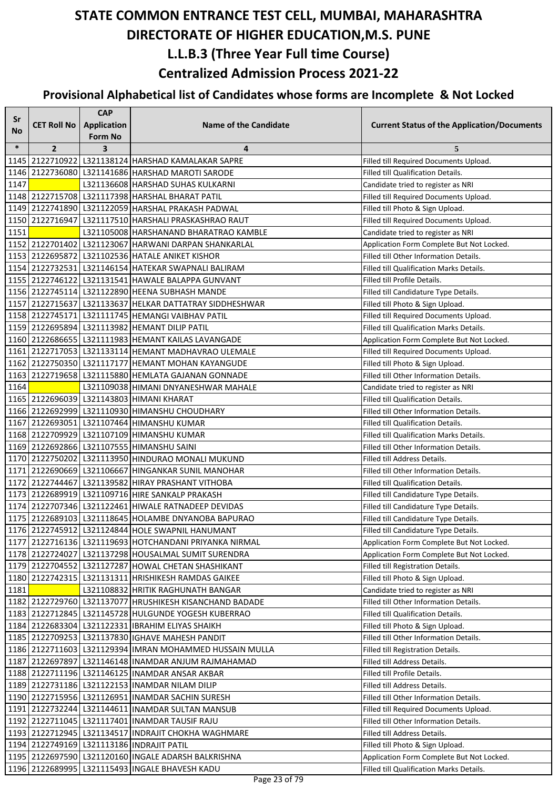| Sr     |                    | <b>CAP</b>     |                                                           |                                                    |
|--------|--------------------|----------------|-----------------------------------------------------------|----------------------------------------------------|
| No     | <b>CET Roll No</b> | Application    | <b>Name of the Candidate</b>                              | <b>Current Status of the Application/Documents</b> |
|        |                    | <b>Form No</b> |                                                           |                                                    |
| $\ast$ | $\overline{2}$     | 3              | 4                                                         | 5                                                  |
|        |                    |                | 1145 2122710922 L321138124 HARSHAD KAMALAKAR SAPRE        | Filled till Required Documents Upload.             |
|        |                    |                | 1146 2122736080 L321141686 HARSHAD MAROTI SARODE          | Filled till Qualification Details.                 |
| 1147   |                    |                | L321136608 HARSHAD SUHAS KULKARNI                         | Candidate tried to register as NRI                 |
|        |                    |                | 1148 2122715708 L321117398 HARSHAL BHARAT PATIL           | Filled till Required Documents Upload.             |
|        |                    |                | 1149 2122741890 L321122059 HARSHAL PRAKASH PADWAL         | Filled till Photo & Sign Upload.                   |
|        |                    |                | 1150 2122716947 L321117510 HARSHALI PRASKASHRAO RAUT      | Filled till Required Documents Upload.             |
| 1151   |                    |                | L321105008 HARSHANAND BHARATRAO KAMBLE                    | Candidate tried to register as NRI                 |
|        |                    |                | 1152 2122701402 L321123067 HARWANI DARPAN SHANKARLAL      | Application Form Complete But Not Locked.          |
|        |                    |                | 1153 2122695872 L321102536 HATALE ANIKET KISHOR           | Filled till Other Information Details.             |
|        |                    |                | 1154 2122732531 L321146154 HATEKAR SWAPNALI BALIRAM       | Filled till Qualification Marks Details.           |
|        |                    |                | 1155 2122746122 L321131541 HAWALE BALAPPA GUNVANT         | Filled till Profile Details.                       |
|        |                    |                | 1156 2122745114 L321122890 HEENA SUBHASH MANDE            | Filled till Candidature Type Details.              |
|        |                    |                | 1157 2122715637 L321133637 HELKAR DATTATRAY SIDDHESHWAR   | Filled till Photo & Sign Upload.                   |
|        |                    |                | 1158 2122745171 L321111745 HEMANGI VAIBHAV PATIL          | Filled till Required Documents Upload.             |
|        |                    |                | 1159 2122695894 L321113982 HEMANT DILIP PATIL             | Filled till Qualification Marks Details.           |
|        |                    |                | 1160 2122686655   L321111983   HEMANT KAILAS LAVANGADE    | Application Form Complete But Not Locked.          |
|        |                    |                | 1161 2122717053 L321133114 HEMANT MADHAVRAO ULEMALE       | Filled till Required Documents Upload.             |
|        |                    |                | 1162 2122750350 L321117177 HEMANT MOHAN KAYANGUDE         | Filled till Photo & Sign Upload.                   |
|        |                    |                | 1163   2122719658   L321115880   HEMLATA GAJANAN GONNADE  | Filled till Other Information Details.             |
| 1164   |                    |                | L321109038 HIMANI DNYANESHWAR MAHALE                      | Candidate tried to register as NRI                 |
|        |                    |                | 1165 2122696039 L321143803 HIMANI KHARAT                  | Filled till Qualification Details.                 |
|        |                    |                | 1166 2122692999 L321110930 HIMANSHU CHOUDHARY             | Filled till Other Information Details.             |
|        |                    |                | 1167 2122693051 L321107464 HIMANSHU KUMAR                 | Filled till Qualification Details.                 |
|        |                    |                | 1168 2122709929 L321107109 HIMANSHU KUMAR                 | Filled till Qualification Marks Details.           |
|        |                    |                | 1169 2122692866 L321107555 HIMANSHU SAINI                 | Filled till Other Information Details.             |
|        |                    |                | 1170 2122750202 L321113950 HINDURAO MONALI MUKUND         | Filled till Address Details.                       |
|        |                    |                | 1171 2122690669 L321106667 HINGANKAR SUNIL MANOHAR        | Filled till Other Information Details.             |
|        |                    |                | 1172 2122744467 L321139582 HIRAY PRASHANT VITHOBA         | Filled till Qualification Details.                 |
|        |                    |                | 1173 2122689919 L321109716 HIRE SANKALP PRAKASH           | Filled till Candidature Type Details.              |
|        |                    |                | 1174 2122707346 L321122461 HIWALE RATNADEEP DEVIDAS       | Filled till Candidature Type Details.              |
|        |                    |                | 1175 2122689103   L321118645   HOLAMBE DNYANOBA BAPURAO   | Filled till Candidature Type Details.              |
|        |                    |                | 1176 2122745912 L321124844 HOLE SWAPNIL HANUMANT          | Filled till Candidature Type Details.              |
|        |                    |                | 1177 2122716136 L321119693 HOTCHANDANI PRIYANKA NIRMAL    | Application Form Complete But Not Locked.          |
|        |                    |                | 1178 2122724027 L321137298 HOUSALMAL SUMIT SURENDRA       | Application Form Complete But Not Locked.          |
|        |                    |                | 1179 2122704552 L321127287 HOWAL CHETAN SHASHIKANT        | Filled till Registration Details.                  |
|        |                    |                | 1180 2122742315   L321131311   HRISHIKESH RAMDAS GAIKEE   | Filled till Photo & Sign Upload.                   |
| 1181   |                    |                | L321108832 HRITIK RAGHUNATH BANGAR                        | Candidate tried to register as NRI                 |
|        |                    |                | 1182 2122729760 L321137077 HRUSHIKESH KISANCHAND BADADE   | Filled till Other Information Details.             |
|        |                    |                | 1183 2122712845   L321145728 HULGUNDE YOGESH KUBERRAO     | Filled till Qualification Details.                 |
|        |                    |                | 1184 2122683304 L321122331 IBRAHIM ELIYAS SHAIKH          | Filled till Photo & Sign Upload.                   |
|        |                    |                | 1185 2122709253 L321137830 IGHAVE MAHESH PANDIT           | Filled till Other Information Details.             |
|        |                    |                | 1186 2122711603 L321129394 IMRAN MOHAMMED HUSSAIN MULLA   | Filled till Registration Details.                  |
|        |                    |                | 1187   2122697897   L321146148   INAMDAR ANJUM RAJMAHAMAD | Filled till Address Details.                       |
|        |                    |                | 1188 2122711196 L321146125 INAMDAR ANSAR AKBAR            | Filled till Profile Details.                       |
|        |                    |                | 1189 2122731186 L321122153 INAMDAR NILAM DILIP            | Filled till Address Details.                       |
|        |                    |                | 1190 2122715956 L321126951 INAMDAR SACHIN SURESH          | Filled till Other Information Details.             |
|        |                    |                | 1191 2122732244 L321144611 INAMDAR SULTAN MANSUB          | Filled till Required Documents Upload.             |
|        |                    |                | 1192 2122711045 L321117401 INAMDAR TAUSIF RAJU            | Filled till Other Information Details.             |
|        |                    |                | 1193   2122712945   L321134517   INDRAJIT CHOKHA WAGHMARE | Filled till Address Details.                       |
|        |                    |                | 1194 2122749169 L321113186 INDRAJIT PATIL                 | Filled till Photo & Sign Upload.                   |
|        |                    |                | 1195   2122697590   L321120160   INGALE ADARSH BALKRISHNA | Application Form Complete But Not Locked.          |
|        |                    |                | 1196 2122689995 L321115493 INGALE BHAVESH KADU            | Filled till Qualification Marks Details.           |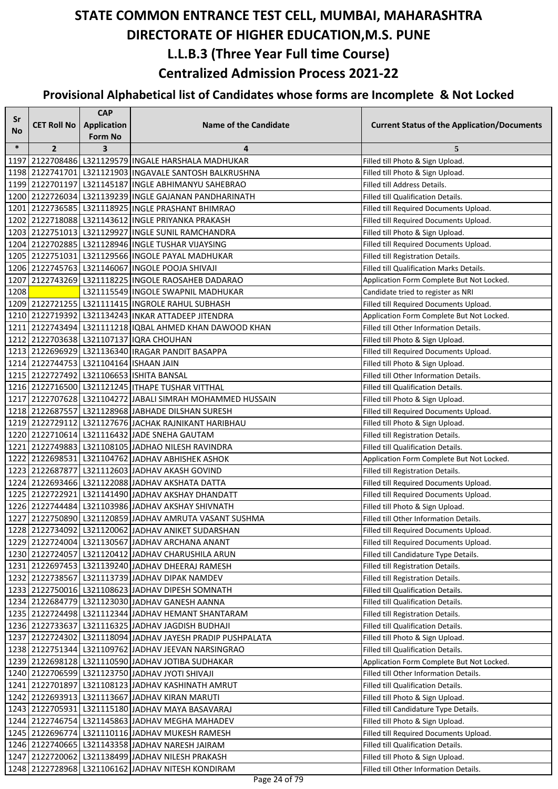| Sr     |                                        | <b>CAP</b>              |                                                            |                                                    |
|--------|----------------------------------------|-------------------------|------------------------------------------------------------|----------------------------------------------------|
| No     | <b>CET Roll No</b>                     | Application             | <b>Name of the Candidate</b>                               | <b>Current Status of the Application/Documents</b> |
|        |                                        | Form No                 |                                                            |                                                    |
| $\ast$ | $\overline{2}$                         | $\overline{\mathbf{3}}$ | 4                                                          | 5                                                  |
|        |                                        |                         | 1197 2122708486 L321129579 INGALE HARSHALA MADHUKAR        | Filled till Photo & Sign Upload.                   |
|        |                                        |                         | 1198 2122741701   L321121903   INGAVALE SANTOSH BALKRUSHNA | Filled till Photo & Sign Upload.                   |
|        |                                        |                         | 1199 2122701197 L321145187 INGLE ABHIMANYU SAHEBRAO        | Filled till Address Details.                       |
|        |                                        |                         | 1200 2122726034 L321139239 INGLE GAJANAN PANDHARINATH      | Filled till Qualification Details.                 |
|        |                                        |                         | 1201 2122736585 L321118925 INGLE PRASHANT BHIMRAO          | Filled till Required Documents Upload.             |
|        |                                        |                         | 1202 2122718088 L321143612 INGLE PRIYANKA PRAKASH          | Filled till Required Documents Upload.             |
|        |                                        |                         | 1203 2122751013 L321129927 INGLE SUNIL RAMCHANDRA          | Filled till Photo & Sign Upload.                   |
|        |                                        |                         | 1204 2122702885 L321128946 INGLE TUSHAR VIJAYSING          | Filled till Required Documents Upload.             |
|        |                                        |                         | 1205 2122751031 L321129566 INGOLE PAYAL MADHUKAR           | Filled till Registration Details.                  |
|        |                                        |                         | 1206 2122745763   L321146067   INGOLE POOJA SHIVAJI        | Filled till Qualification Marks Details.           |
| 1207   |                                        |                         | 2122743269 L321118225 INGOLE RAOSAHEB DADARAO              | Application Form Complete But Not Locked.          |
| 1208   |                                        |                         | L321115549 INGOLE SWAPNIL MADHUKAR                         | Candidate tried to register as NRI                 |
|        |                                        |                         | 1209 2122721255 L321111415 INGROLE RAHUL SUBHASH           | Filled till Required Documents Upload.             |
|        |                                        |                         | 1210 2122719392 L321134243 INKAR ATTADEEP JITENDRA         | Application Form Complete But Not Locked.          |
|        |                                        |                         | 1211 2122743494 L321111218 IQBAL AHMED KHAN DAWOOD KHAN    | Filled till Other Information Details.             |
|        |                                        |                         | 1212 2122703638 L321107137 IQRA CHOUHAN                    | Filled till Photo & Sign Upload.                   |
|        |                                        |                         | 1213 2122696929 L321136340 IRAGAR PANDIT BASAPPA           | Filled till Required Documents Upload.             |
|        | 1214 2122744753 L321104164 ISHAAN JAIN |                         |                                                            | Filled till Photo & Sign Upload.                   |
|        |                                        |                         | 1215 2122727492 L321106653 ISHITA BANSAL                   | Filled till Other Information Details.             |
|        |                                        |                         | 1216 2122716500 L321121245 ITHAPE TUSHAR VITTHAL           | Filled till Qualification Details.                 |
|        |                                        |                         | 1217 2122707628 L321104272 JABALI SIMRAH MOHAMMED HUSSAIN  | Filled till Photo & Sign Upload.                   |
|        |                                        |                         | 1218 2122687557 L321128968 JABHADE DILSHAN SURESH          | Filled till Required Documents Upload.             |
|        |                                        |                         | 1219 2122729112 L321127676 JACHAK RAJNIKANT HARIBHAU       | Filled till Photo & Sign Upload.                   |
|        |                                        |                         | 1220 2122710614 L321116432 JADE SNEHA GAUTAM               | Filled till Registration Details.                  |
|        |                                        |                         | 1221 2122749883 L321108105 JADHAO NILESH RAVINDRA          | Filled till Qualification Details.                 |
|        |                                        |                         | 1222   2122698531   L321104762  JADHAV ABHISHEK ASHOK      | Application Form Complete But Not Locked.          |
|        |                                        |                         | 1223 2122687877 L321112603 JADHAV AKASH GOVIND             | Filled till Registration Details.                  |
|        |                                        |                         | 1224 2122693466 L321122088 JADHAV AKSHATA DATTA            | Filled till Required Documents Upload.             |
|        |                                        |                         | 1225 2122722921 L321141490 JADHAV AKSHAY DHANDATT          | Filled till Required Documents Upload.             |
|        |                                        |                         | 1226 2122744484 L321103986 JADHAV AKSHAY SHIVNATH          | Filled till Photo & Sign Upload.                   |
|        |                                        |                         | 1227 2122750890 L321120859 JADHAV AMRUTA VASANT SUSHMA     | Filled till Other Information Details.             |
|        |                                        |                         | 1228 2122734092 L321120062 JADHAV ANIKET SUDARSHAN         | Filled till Required Documents Upload.             |
|        |                                        |                         | 1229 2122724004 L321130567 JADHAV ARCHANA ANANT            | Filled till Required Documents Upload.             |
|        |                                        |                         | 1230 2122724057 L321120412 JADHAV CHARUSHILA ARUN          | Filled till Candidature Type Details.              |
|        |                                        |                         | 1231 2122697453 L321139240 JADHAV DHEERAJ RAMESH           | Filled till Registration Details.                  |
|        |                                        |                         | 1232 2122738567 L321113739 JADHAV DIPAK NAMDEV             | Filled till Registration Details.                  |
|        |                                        |                         | 1233 2122750016 L321108623 JADHAV DIPESH SOMNATH           | Filled till Qualification Details.                 |
|        |                                        |                         | 1234 2122684779 L321123030 JADHAV GANESH AANNA             | Filled till Qualification Details.                 |
|        |                                        |                         | 1235 2122724498 L321112344 JADHAV HEMANT SHANTARAM         | Filled till Registration Details.                  |
|        |                                        |                         | 1236 2122733637 L321116325 JADHAV JAGDISH BUDHAJI          | Filled till Qualification Details.                 |
|        |                                        |                         | 1237 2122724302 L321118094 JADHAV JAYESH PRADIP PUSHPALATA | Filled till Photo & Sign Upload.                   |
|        |                                        |                         | 1238 2122751344 L321109762 JADHAV JEEVAN NARSINGRAO        | Filled till Qualification Details.                 |
|        |                                        |                         | 1239 2122698128 L321110590 JADHAV JOTIBA SUDHAKAR          | Application Form Complete But Not Locked.          |
|        |                                        |                         | 1240 2122706599 L321123750 JADHAV JYOTI SHIVAJI            | Filled till Other Information Details.             |
|        |                                        |                         | 1241 2122701897 L321108123 JADHAV KASHINATH AMRUT          | Filled till Qualification Details.                 |
|        |                                        |                         | 1242 2122693913 L321113667 JADHAV KIRAN MARUTI             | Filled till Photo & Sign Upload.                   |
|        |                                        |                         | 1243 2122705931 L321115180 JADHAV MAYA BASAVARAJ           | Filled till Candidature Type Details.              |
|        |                                        |                         | 1244 2122746754 L321145863 JADHAV MEGHA MAHADEV            | Filled till Photo & Sign Upload.                   |
|        |                                        |                         | 1245   2122696774   L321110116   JADHAV MUKESH RAMESH      | Filled till Required Documents Upload.             |
|        |                                        |                         | 1246 2122740665 L321143358 JADHAV NARESH JAIRAM            | Filled till Qualification Details.                 |
|        |                                        |                         | 1247 2122720062 L321138499 JADHAV NILESH PRAKASH           | Filled till Photo & Sign Upload.                   |
|        |                                        |                         | 1248 2122728968 L321106162 JADHAV NITESH KONDIRAM          | Filled till Other Information Details.             |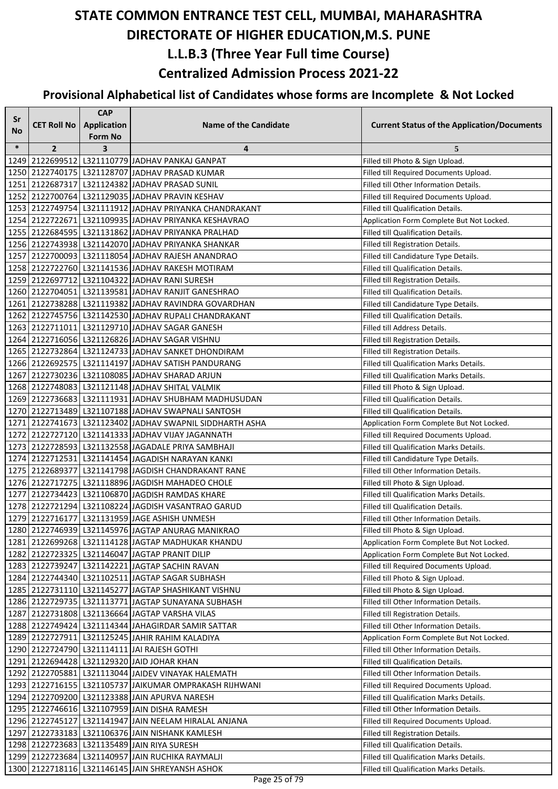| Sr     |                    | <b>CAP</b>     |                                                                                                        |                                                                                |
|--------|--------------------|----------------|--------------------------------------------------------------------------------------------------------|--------------------------------------------------------------------------------|
| No     | <b>CET Roll No</b> | Application    | <b>Name of the Candidate</b>                                                                           | <b>Current Status of the Application/Documents</b>                             |
|        |                    | <b>Form No</b> |                                                                                                        |                                                                                |
| $\ast$ | $\overline{2}$     | 3              | 4                                                                                                      | 5                                                                              |
|        |                    |                | 1249 2122699512 L321110779 JADHAV PANKAJ GANPAT                                                        | Filled till Photo & Sign Upload.                                               |
|        |                    |                | 1250 2122740175 L321128707 JADHAV PRASAD KUMAR                                                         | Filled till Required Documents Upload.                                         |
|        |                    |                | 1251 2122687317 L321124382 JADHAV PRASAD SUNIL                                                         | Filled till Other Information Details.                                         |
|        |                    |                | 1252 2122700764 L321129035 JADHAV PRAVIN KESHAV                                                        | Filled till Required Documents Upload.                                         |
|        |                    |                | 1253 2122749754 L321111912 JADHAV PRIYANKA CHANDRAKANT                                                 | Filled till Qualification Details.                                             |
|        |                    |                | 1254 2122722671 L321109935 JADHAV PRIYANKA KESHAVRAO                                                   | Application Form Complete But Not Locked.                                      |
|        |                    |                | 1255 2122684595 L321131862 JADHAV PRIYANKA PRALHAD                                                     | Filled till Qualification Details.                                             |
|        |                    |                | 1256 2122743938 L321142070 JADHAV PRIYANKA SHANKAR                                                     | Filled till Registration Details.                                              |
|        |                    |                | 1257 2122700093 L321118054 JADHAV RAJESH ANANDRAO                                                      | Filled till Candidature Type Details.                                          |
|        |                    |                | 1258 2122722760 L321141536 JADHAV RAKESH MOTIRAM                                                       | Filled till Qualification Details.                                             |
|        |                    |                | 1259 2122697712 L321104322 JADHAV RANI SURESH                                                          | Filled till Registration Details.                                              |
|        |                    |                | 1260 2122704051 L321139581 JADHAV RANJIT GANESHRAO                                                     | Filled till Qualification Details.                                             |
|        |                    |                | 1261 2122738288 L321119382 JADHAV RAVINDRA GOVARDHAN                                                   | Filled till Candidature Type Details.                                          |
|        |                    |                | 1262 2122745756 L321142530 JADHAV RUPALI CHANDRAKANT                                                   | Filled till Qualification Details.                                             |
|        |                    |                | 1263 2122711011 L321129710 JADHAV SAGAR GANESH                                                         | Filled till Address Details.                                                   |
|        |                    |                | 1264 2122716056 L321126826 JADHAV SAGAR VISHNU                                                         | Filled till Registration Details.                                              |
|        |                    |                | 1265 2122732864 L321124733 JADHAV SANKET DHONDIRAM                                                     | Filled till Registration Details.                                              |
|        |                    |                | 1266 2122692575 L321114197 JADHAV SATISH PANDURANG                                                     | Filled till Qualification Marks Details.                                       |
|        |                    |                | 1267 2122730236 L321108085 JADHAV SHARAD ARJUN                                                         | Filled till Qualification Marks Details.                                       |
|        |                    |                | 1268 2122748083 L321121148 JADHAV SHITAL VALMIK                                                        | Filled till Photo & Sign Upload.                                               |
|        |                    |                | 1269 2122736683 L321111931 JADHAV SHUBHAM MADHUSUDAN                                                   | Filled till Qualification Details.                                             |
|        |                    |                | 1270 2122713489 L321107188 JADHAV SWAPNALI SANTOSH                                                     | Filled till Qualification Details.                                             |
|        |                    |                | 1271 2122741673 L321123402 JADHAV SWAPNIL SIDDHARTH ASHA                                               | Application Form Complete But Not Locked.                                      |
|        |                    |                | 1272 2122727120 L321141333 JADHAV VIJAY JAGANNATH                                                      | Filled till Required Documents Upload.                                         |
|        |                    |                | 1273 2122728593 L321132558 JAGADALE PRIYA SAMBHAJI                                                     | Filled till Qualification Marks Details.                                       |
|        |                    |                | 1274   2122712531   L321141454   JAGADISH NARAYAN KANKI                                                | Filled till Candidature Type Details.                                          |
|        |                    |                | 1275 2122689377 L321141798 JAGDISH CHANDRAKANT RANE                                                    | Filled till Other Information Details.                                         |
|        |                    |                | 1276 2122717275 L321118896 JAGDISH MAHADEO CHOLE                                                       | Filled till Photo & Sign Upload.                                               |
|        |                    |                | 1277 2122734423 L321106870 JAGDISH RAMDAS KHARE                                                        | Filled till Qualification Marks Details.                                       |
|        |                    |                | 1278 2122721294 L321108224 JAGDISH VASANTRAO GARUD                                                     | Filled till Qualification Details.                                             |
|        |                    |                | 1279 2122716177 L321131959 JAGE ASHISH UNMESH                                                          | Filled till Other Information Details.                                         |
|        |                    |                | 1280 2122746939 L321145976 JAGTAP ANURAG MANIKRAO                                                      | Filled till Photo & Sign Upload.                                               |
|        |                    |                | 1281 2122699268 L321114128 JAGTAP MADHUKAR KHANDU                                                      | Application Form Complete But Not Locked.                                      |
|        |                    |                | 1282 2122723325 L321146047 JAGTAP PRANIT DILIP                                                         | Application Form Complete But Not Locked.                                      |
|        |                    |                | 1283 2122739247 L321142221 JAGTAP SACHIN RAVAN                                                         | Filled till Required Documents Upload.                                         |
|        |                    |                | 1284 2122744340 L321102511 JAGTAP SAGAR SUBHASH                                                        | Filled till Photo & Sign Upload.                                               |
|        |                    |                | 1285 2122731110 L321145277 JAGTAP SHASHIKANT VISHNU                                                    | Filled till Photo & Sign Upload.                                               |
|        |                    |                | 1286 2122729735 L321113771 JAGTAP SUNAYANA SUBHASH                                                     | Filled till Other Information Details.                                         |
|        |                    |                | 1287 2122731808 L321136664 JAGTAP VARSHA VILAS                                                         | Filled till Registration Details.                                              |
|        |                    |                | 1288 2122749424 L321114344 JAHAGIRDAR SAMIR SATTAR                                                     | Filled till Other Information Details.                                         |
|        |                    |                | 1289 2122727911 L321125245 JAHIR RAHIM KALADIYA                                                        | Application Form Complete But Not Locked.                                      |
|        |                    |                | 1290 2122724790 L321114111 JAI RAJESH GOTHI                                                            | Filled till Other Information Details.                                         |
|        |                    |                | 1291 2122694428 L321129320 JAID JOHAR KHAN                                                             | Filled till Qualification Details.                                             |
|        |                    |                | 1292 2122705881 L321113044 JAIDEV VINAYAK HALEMATH                                                     | Filled till Other Information Details.                                         |
|        |                    |                | 1293 2122716155 L321105737 JAIKUMAR OMPRAKASH RIJHWANI                                                 | Filled till Required Documents Upload.                                         |
|        |                    |                | 1294 2122709200 L321123388 JAIN APURVA NARESH                                                          | Filled till Qualification Marks Details.                                       |
|        |                    |                | 1295 2122746616 L321107959 JAIN DISHA RAMESH                                                           | Filled till Other Information Details.                                         |
|        |                    |                | 1296 2122745127 L321141947 JAIN NEELAM HIRALAL ANJANA                                                  | Filled till Required Documents Upload.                                         |
|        |                    |                | 1297 2122733183 L321106376 JJAIN NISHANK KAMLESH                                                       | Filled till Registration Details.                                              |
|        |                    |                | 1298 2122723683 L321135489 JJAIN RIYA SURESH<br>1299   2122723684   L321140957   JAIN RUCHIKA RAYMALJI | Filled till Qualification Details.<br>Filled till Qualification Marks Details. |
|        |                    |                | 1300 2122718116   L321146145   JAIN SHREYANSH ASHOK                                                    | Filled till Qualification Marks Details.                                       |
|        |                    |                |                                                                                                        |                                                                                |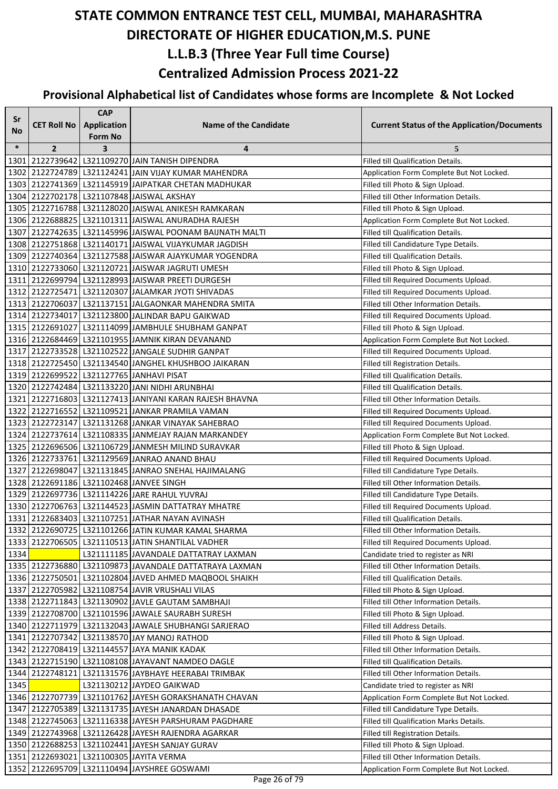| Sr     |                    | <b>CAP</b>                    |                                                                                                                |                                                                            |
|--------|--------------------|-------------------------------|----------------------------------------------------------------------------------------------------------------|----------------------------------------------------------------------------|
| No.    | <b>CET Roll No</b> | <b>Application</b><br>Form No | <b>Name of the Candidate</b>                                                                                   | <b>Current Status of the Application/Documents</b>                         |
| $\ast$ | $\overline{2}$     | 3                             | 4                                                                                                              | 5                                                                          |
|        |                    |                               | 1301 2122739642 L321109270 JAIN TANISH DIPENDRA                                                                | Filled till Qualification Details.                                         |
|        |                    |                               | 1302 2122724789 L321124241 JAIN VIJAY KUMAR MAHENDRA                                                           | Application Form Complete But Not Locked.                                  |
|        |                    |                               | 1303 2122741369 L321145919 JAIPATKAR CHETAN MADHUKAR                                                           | Filled till Photo & Sign Upload.                                           |
|        |                    |                               | 1304 2122702178 L321107848 JAISWAL AKSHAY                                                                      | Filled till Other Information Details.                                     |
|        |                    |                               | 1305   2122716788   L321128020 JAISWAL ANIKESH RAMKARAN                                                        | Filled till Photo & Sign Upload.                                           |
|        |                    |                               | 1306 2122688825 L321101311 JAISWAL ANURADHA RAJESH                                                             | Application Form Complete But Not Locked.                                  |
|        |                    |                               | 1307 2122742635 L321145996 JAISWAL POONAM BAJJNATH MALTI                                                       | Filled till Qualification Details.                                         |
|        |                    |                               | 1308 2122751868 L321140171 JAISWAL VIJAYKUMAR JAGDISH                                                          | Filled till Candidature Type Details.                                      |
|        |                    |                               | 1309 2122740364 L321127588 JJAISWAR AJAYKUMAR YOGENDRA                                                         | Filled till Qualification Details.                                         |
|        |                    |                               | 1310 2122733060 L321120721 JAISWAR JAGRUTI UMESH                                                               | Filled till Photo & Sign Upload.                                           |
|        |                    |                               | 1311 2122699794 L321128993 JAISWAR PREETI DURGESH                                                              | Filled till Required Documents Upload.                                     |
|        |                    |                               | 1312 2122725471 L321120307 JALAMKAR JYOTI SHIVADAS                                                             | Filled till Required Documents Upload.                                     |
|        |                    |                               | 1313 2122706037 L321137151 JALGAONKAR MAHENDRA SMITA                                                           | Filled till Other Information Details.                                     |
|        |                    |                               | 1314 2122734017 L321123800 JALINDAR BAPU GAIKWAD                                                               | Filled till Required Documents Upload.                                     |
|        |                    |                               | 1315 2122691027 L321114099 JAMBHULE SHUBHAM GANPAT                                                             | Filled till Photo & Sign Upload.                                           |
|        |                    |                               | 1316 2122684469 L321101955 JAMNIK KIRAN DEVANAND                                                               | Application Form Complete But Not Locked.                                  |
|        |                    |                               | 1317 2122733528 L321102522 JANGALE SUDHIR GANPAT                                                               | Filled till Required Documents Upload.                                     |
|        |                    |                               | 1318 2122725450 L321134540 JANGHEL KHUSHBOO JAIKARAN                                                           | Filled till Registration Details.                                          |
|        |                    |                               | 1319 2122699522 L321127765 JANHAVI PISAT                                                                       | Filled till Qualification Details.                                         |
|        |                    |                               | 1320 2122742484 L321133220 JANI NIDHI ARUNBHAI                                                                 | Filled till Qualification Details.                                         |
|        |                    |                               | 1321 2122716803 L321127413 JANIYANI KARAN RAJESH BHAVNA                                                        | Filled till Other Information Details.                                     |
|        |                    |                               | 1322 2122716552 L321109521 JANKAR PRAMILA VAMAN                                                                | Filled till Required Documents Upload.                                     |
|        |                    |                               | 1323 2122723147 L321131268 JANKAR VINAYAK SAHEBRAO                                                             | Filled till Required Documents Upload.                                     |
|        |                    |                               | 1324 2122737614 L321108335 JANMEJAY RAJAN MARKANDEY                                                            | Application Form Complete But Not Locked.                                  |
|        |                    |                               | 1325 2122696506 L321106729 JANMESH MILIND SURAVKAR                                                             | Filled till Photo & Sign Upload.                                           |
|        |                    |                               | 1326 2122733761 L321129569 JANRAO ANAND BHAU                                                                   | Filled till Required Documents Upload.                                     |
|        |                    |                               | 1327 2122698047 L321131845 JANRAO SNEHAL HAJIMALANG                                                            | Filled till Candidature Type Details.                                      |
|        |                    |                               | 1328 2122691186 L321102468 JANVEE SINGH                                                                        | Filled till Other Information Details.                                     |
|        |                    |                               | 1329 2122697736 L321114226 JARE RAHUL YUVRAJ                                                                   | Filled till Candidature Type Details.                                      |
|        |                    |                               | 1330 2122706763   L321144523 JJASMIN DATTATRAY MHATRE                                                          | Filled till Required Documents Upload.                                     |
|        |                    |                               | 1331 2122683403 L321107251 JATHAR NAYAN AVINASH                                                                | Filled till Qualification Details.                                         |
|        |                    |                               | 1332 2122690725 L321101266 JATIN KUMAR KAMAL SHARMA                                                            | Filled till Other Information Details.                                     |
|        |                    |                               | 1333 2122706505 L321110513 JATIN SHANTILAL VADHER                                                              | Filled till Required Documents Upload.                                     |
| 1334   |                    |                               | L321111185 JAVANDALE DATTATRAY LAXMAN                                                                          | Candidate tried to register as NRI                                         |
|        |                    |                               | 1335   2122736880   L321109873   JAVANDALE DATTATRAYA LAXMAN                                                   | Filled till Other Information Details.                                     |
|        |                    |                               | 1336 2122750501 L321102804 JAVED AHMED MAQBOOL SHAIKH                                                          | Filled till Qualification Details.                                         |
|        |                    |                               | 1337 2122705982 L321108754 JAVIR VRUSHALI VILAS                                                                | Filled till Photo & Sign Upload.                                           |
|        |                    |                               | 1338 2122711843 L321130902 JAVLE GAUTAM SAMBHAJI<br>1339 2122708700 L321101596 JAWALE SAURABH SURESH           | Filled till Other Information Details.                                     |
|        |                    |                               | 1340 2122711979 L321132043 JAWALE SHUBHANGI SARJERAO                                                           | Filled till Photo & Sign Upload.<br>Filled till Address Details.           |
|        |                    |                               |                                                                                                                |                                                                            |
|        |                    |                               | 1341 2122707342 L321138570 JAY MANOJ RATHOD<br>1342 2122708419 L321144557 JAYA MANIK KADAK                     | Filled till Photo & Sign Upload.<br>Filled till Other Information Details. |
|        |                    |                               |                                                                                                                | Filled till Qualification Details.                                         |
|        |                    |                               | 1343   2122715190   L321108108   JAYAVANT NAMDEO DAGLE<br>1344 2122748121 L321131576 JAYBHAYE HEERABAI TRIMBAK | Filled till Other Information Details.                                     |
| 1345   |                    |                               | L321130212 JAYDEO GAIKWAD                                                                                      | Candidate tried to register as NRI                                         |
|        |                    |                               | 1346 2122707739 L321101762 JAYESH GORAKSHANATH CHAVAN                                                          | Application Form Complete But Not Locked.                                  |
|        |                    |                               | 1347 2122705389 L321131735 JAYESH JANARDAN DHASADE                                                             | Filled till Candidature Type Details.                                      |
|        |                    |                               | 1348 2122745063 L321116338 JAYESH PARSHURAM PAGDHARE                                                           | Filled till Qualification Marks Details.                                   |
|        |                    |                               | 1349 2122743968 L321126428 JAYESH RAJENDRA AGARKAR                                                             | Filled till Registration Details.                                          |
|        |                    |                               | 1350 2122688253 L321102441 JAYESH SANJAY GURAV                                                                 | Filled till Photo & Sign Upload.                                           |
|        |                    |                               | 1351 2122693021 L321100305 JAYITA VERMA                                                                        | Filled till Other Information Details.                                     |
|        |                    |                               | 1352 2122695709 L321110494 JAYSHREE GOSWAMI                                                                    | Application Form Complete But Not Locked.                                  |
|        |                    |                               |                                                                                                                |                                                                            |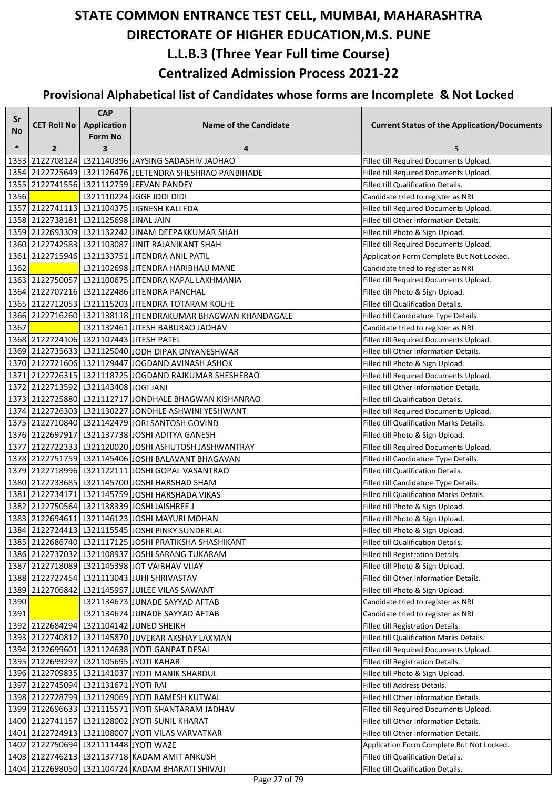| Sr     |                                       | <b>CAP</b>     |                                                             |                                                                                  |
|--------|---------------------------------------|----------------|-------------------------------------------------------------|----------------------------------------------------------------------------------|
| No     | <b>CET Roll No</b>                    | Application    | <b>Name of the Candidate</b>                                | <b>Current Status of the Application/Documents</b>                               |
|        |                                       | <b>Form No</b> |                                                             |                                                                                  |
| $\ast$ | $\overline{2}$                        | 3              | 4<br>1353 2122708124 L321140396 JAYSING SADASHIV JADHAO     | 5<br>Filled till Required Documents Upload.                                      |
|        |                                       |                | 1354 2122725649 L321126476 JEETENDRA SHESHRAO PANBIHADE     |                                                                                  |
|        |                                       |                | 1355 2122741556 L321112759 JEEVAN PANDEY                    | Filled till Required Documents Upload.                                           |
| 1356   |                                       |                | L321110224 JGGF JDDI DIDI                                   | Filled till Qualification Details.                                               |
|        |                                       |                | 1357 2122741113 L321104375 JIGNESH KALLEDA                  | Candidate tried to register as NRI                                               |
|        | 1358 2122738181 L321125698 JINAL JAIN |                |                                                             | Filled till Required Documents Upload.<br>Filled till Other Information Details. |
|        |                                       |                | 1359 2122693309 L321132242 JINAM DEEPAKKUMAR SHAH           | Filled till Photo & Sign Upload.                                                 |
|        |                                       |                | 1360 2122742583 L321103087 JJINIT RAJANIKANT SHAH           | Filled till Required Documents Upload.                                           |
| 1361   |                                       |                | 2122715946   L321133751   JITENDRA ANIL PATIL               | Application Form Complete But Not Locked.                                        |
| 1362   |                                       |                | L321102698 JITENDRA HARIBHAU MANE                           | Candidate tried to register as NRI                                               |
|        |                                       |                | 1363 2122750057 L321100675 JITENDRA KAPAL LAKHMANIA         | Filled till Required Documents Upload.                                           |
|        |                                       |                | 1364 2122707216 L321122486 JITENDRA PANCHAL                 | Filled till Photo & Sign Upload.                                                 |
|        |                                       |                | 1365 2122712053 L321115203 JITENDRA TOTARAM KOLHE           | Filled till Qualification Details.                                               |
|        |                                       |                | 1366 2122716260 L321138118 JITENDRAKUMAR BHAGWAN KHANDAGALE | Filled till Candidature Type Details.                                            |
| 1367   |                                       |                | L321132461 JITESH BABURAO JADHAV                            | Candidate tried to register as NRI                                               |
|        |                                       |                | 1368 2122724106 L321107443 JITESH PATEL                     | Filled till Required Documents Upload.                                           |
|        |                                       |                | 1369 2122735633 L321125040 JODH DIPAK DNYANESHWAR           | Filled till Other Information Details.                                           |
|        |                                       |                | 1370 2122721606 L321129447 JOGDAND AVINASH ASHOK            | Filled till Photo & Sign Upload.                                                 |
|        |                                       |                | 1371 2122726315 L321118725 JOGDAND RAJKUMAR SHESHERAO       | Filled till Required Documents Upload.                                           |
|        | 1372 2122713592 L321143408 JOGI JANI  |                |                                                             | Filled till Other Information Details.                                           |
|        |                                       |                | 1373 2122725880 L321112717 JONDHALE BHAGWAN KISHANRAO       | Filled till Qualification Details.                                               |
|        |                                       |                | 1374 2122726303 L321130227 JONDHLE ASHWINI YESHWANT         | Filled till Required Documents Upload.                                           |
|        |                                       |                | 1375 2122710840 L321142479 JORI SANTOSH GOVIND              | Filled till Qualification Marks Details.                                         |
|        |                                       |                | 1376 2122697917 L321137738 JOSHI ADITYA GANESH              | Filled till Photo & Sign Upload.                                                 |
|        |                                       |                | 1377 2122722333 L321120020 JJOSHI ASHUTOSH JASHWANTRAY      | Filled till Required Documents Upload.                                           |
|        |                                       |                | 1378 2122751759 L321145406 JOSHI BALAVANT BHAGAVAN          | Filled till Candidature Type Details.                                            |
|        |                                       |                | 1379 2122718996 L321122111 JOSHI GOPAL VASANTRAO            | Filled till Qualification Details.                                               |
|        |                                       |                | 1380 2122733685 L321145700 JOSHI HARSHAD SHAM               | Filled till Candidature Type Details.                                            |
|        |                                       |                | 1381 2122734171 L321145759 JOSHI HARSHADA VIKAS             | Filled till Qualification Marks Details.                                         |
|        |                                       |                | 1382 2122750564 L321138339 JOSHI JAISHREE J                 | Filled till Photo & Sign Upload.                                                 |
|        |                                       |                | 1383 2122694611 L321146123 JOSHI MAYURI MOHAN               | Filled till Photo & Sign Upload.                                                 |
|        |                                       |                | 1384 2122724413 1321115545 JOSHI PINKY SUNDERLAL            | Filled till Photo & Sign Upload.                                                 |
|        |                                       |                | 1385 2122686740 L321117125 JOSHI PRATIKSHA SHASHIKANT       | Filled till Qualification Details.                                               |
|        |                                       |                | 1386 2122737032 L321108937 JOSHI SARANG TUKARAM             | Filled till Registration Details.                                                |
|        |                                       |                | 1387 2122718089 L321145398 JOT VAIBHAV VIJAY                | Filled till Photo & Sign Upload.                                                 |
|        |                                       |                | 1388 2122727454 L321113043 JUHI SHRIVASTAV                  | Filled till Other Information Details.                                           |
|        |                                       |                | 1389 2122706842 L321145957 JUILEE VILAS SAWANT              | Filled till Photo & Sign Upload.                                                 |
| 1390   |                                       |                | L321134673 JUNADE SAYYAD AFTAB                              | Candidate tried to register as NRI                                               |
| 1391   |                                       |                | L321134674 JUNADE SAYYAD AFTAB                              | Candidate tried to register as NRI                                               |
|        |                                       |                | 1392 2122684294 L321104142 JUNED SHEIKH                     | Filled till Registration Details.                                                |
|        |                                       |                | 1393 2122740812 L321145870 JUVEKAR AKSHAY LAXMAN            | Filled till Qualification Marks Details.                                         |
|        |                                       |                | 1394 2122699601 L321124638 JYOTI GANPAT DESAI               | Filled till Required Documents Upload.                                           |
|        |                                       |                | 1395 2122699297 L321105695 JYOTI KAHAR                      | Filled till Registration Details.                                                |
|        |                                       |                | 1396 2122709835 L321141037 JYOTI MANIK SHARDUL              | Filled till Photo & Sign Upload.                                                 |
|        | 1397 2122745094 L321131671 JYOTI RAI  |                |                                                             | Filled till Address Details.                                                     |
|        |                                       |                | 1398 2122728799 L321129069 JYOTI RAMESH KUTWAL              | Filled till Other Information Details.                                           |
|        |                                       |                | 1399 2122696633 L321115571 JYOTI SHANTARAM JADHAV           | Filled till Required Documents Upload.                                           |
|        |                                       |                | 1400 2122741157 L321128002 JYOTI SUNIL KHARAT               | Filled till Other Information Details.                                           |
|        |                                       |                | 1401 2122724913 L321108007 JYOTI VILAS VARVATKAR            | Filled till Other Information Details.                                           |
|        | 1402 2122750694 L321111448 JYOTI WAZE |                |                                                             | Application Form Complete But Not Locked.                                        |
|        |                                       |                | 1403   2122746213   L321137718 KADAM AMIT ANKUSH            | Filled till Qualification Details.                                               |
|        |                                       |                | 1404 2122698050 L321104724 KADAM BHARATI SHIVAJI            | Filled till Qualification Details.                                               |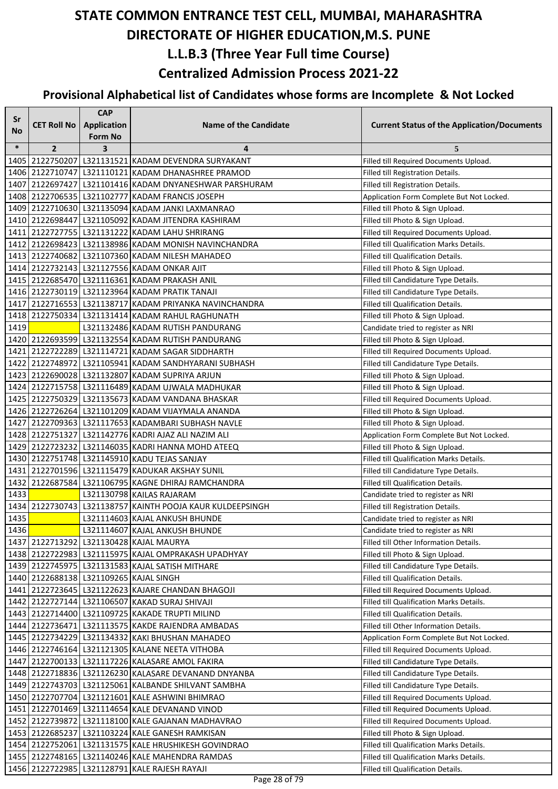| Sr        |                                        | <b>CAP</b>              |                                                           |                                                    |
|-----------|----------------------------------------|-------------------------|-----------------------------------------------------------|----------------------------------------------------|
| <b>No</b> | <b>CET Roll No</b>                     | Application             | <b>Name of the Candidate</b>                              | <b>Current Status of the Application/Documents</b> |
|           |                                        | <b>Form No</b>          |                                                           |                                                    |
| $\ast$    | $\overline{2}$                         | $\overline{\mathbf{3}}$ | 4                                                         | 5                                                  |
|           |                                        |                         | 1405 2122750207 L321131521 KADAM DEVENDRA SURYAKANT       | Filled till Required Documents Upload.             |
|           |                                        |                         | 1406 2122710747 L321110121 KADAM DHANASHREE PRAMOD        | Filled till Registration Details.                  |
|           |                                        |                         | 1407 2122697427 L321101416 KADAM DNYANESHWAR PARSHURAM    | Filled till Registration Details.                  |
|           |                                        |                         | 1408 2122706535 L321102777 KADAM FRANCIS JOSEPH           | Application Form Complete But Not Locked.          |
|           |                                        |                         | 1409 2122710630 L321135094 KADAM JANKI LAXMANRAO          | Filled till Photo & Sign Upload.                   |
|           |                                        |                         | 1410 2122698447 L321105092 KADAM JITENDRA KASHIRAM        | Filled till Photo & Sign Upload.                   |
|           |                                        |                         | 1411 2122727755 L321131222 KADAM LAHU SHRIRANG            | Filled till Required Documents Upload.             |
|           |                                        |                         | 1412 2122698423 L321138986 KADAM MONISH NAVINCHANDRA      | Filled till Qualification Marks Details.           |
|           |                                        |                         | 1413 2122740682 L321107360 KADAM NILESH MAHADEO           | Filled till Qualification Details.                 |
|           |                                        |                         | 1414 2122732143 L321127556 KADAM ONKAR AJIT               | Filled till Photo & Sign Upload.                   |
|           |                                        |                         | 1415 2122685470 L321116361 KADAM PRAKASH ANIL             | Filled till Candidature Type Details.              |
|           |                                        |                         | 1416 2122730119 L321123964 KADAM PRATIK TANAJI            | Filled till Candidature Type Details.              |
|           |                                        |                         | 1417 2122716553 L321138717 KADAM PRIYANKA NAVINCHANDRA    | Filled till Qualification Details.                 |
|           |                                        |                         | 1418 2122750334 L321131414 KADAM RAHUL RAGHUNATH          | Filled till Photo & Sign Upload.                   |
| 1419      |                                        |                         | L321132486 KADAM RUTISH PANDURANG                         | Candidate tried to register as NRI                 |
|           |                                        |                         | 1420 2122693599 L321132554 KADAM RUTISH PANDURANG         | Filled till Photo & Sign Upload.                   |
|           |                                        |                         | 1421 2122722289 L321114721 KADAM SAGAR SIDDHARTH          | Filled till Required Documents Upload.             |
|           |                                        |                         | 1422 2122748972 L321105941 KADAM SANDHYARANI SUBHASH      | Filled till Candidature Type Details.              |
|           |                                        |                         | 1423 2122690028 L321132807 KADAM SUPRIYA ARJUN            | Filled till Photo & Sign Upload.                   |
|           |                                        |                         | 1424 2122715758 L321116489 KADAM UJWALA MADHUKAR          | Filled till Photo & Sign Upload.                   |
|           |                                        |                         | 1425 2122750329 L321135673 KADAM VANDANA BHASKAR          | Filled till Required Documents Upload.             |
|           |                                        |                         | 1426 2122726264 L321101209 KADAM VIJAYMALA ANANDA         | Filled till Photo & Sign Upload.                   |
|           |                                        |                         | 1427 2122709363 L321117653 KADAMBARI SUBHASH NAVLE        | Filled till Photo & Sign Upload.                   |
|           |                                        |                         | 1428 2122751327 L321142776 KADRI AJAZ ALI NAZIM ALI       | Application Form Complete But Not Locked.          |
|           |                                        |                         | 1429 2122723232 L321146035 KADRI HANNA MOHD ATEEQ         | Filled till Photo & Sign Upload.                   |
|           |                                        |                         | 1430 2122751748 L321145910 KADU TEJAS SANJAY              | Filled till Qualification Marks Details.           |
|           |                                        |                         | 1431 2122701596 L321115479 KADUKAR AKSHAY SUNIL           | Filled till Candidature Type Details.              |
| 1432      |                                        |                         | 2122687584 L321106795 KAGNE DHIRAJ RAMCHANDRA             | Filled till Qualification Details.                 |
| 1433      |                                        |                         | L321130798 KAILAS RAJARAM                                 | Candidate tried to register as NRI                 |
|           |                                        |                         | 1434 2122730743 L321138757 KAINTH POOJA KAUR KULDEEPSINGH | Filled till Registration Details.                  |
| 1435      |                                        |                         | L321114603 KAJAL ANKUSH BHUNDE                            | Candidate tried to register as NRI                 |
| 1436      |                                        |                         | L321114607 KAJAL ANKUSH BHUNDE                            | Candidate tried to register as NRI                 |
|           |                                        |                         | 1437 2122713292 L321130428 KAJAL MAURYA                   | Filled till Other Information Details.             |
|           |                                        |                         | 1438 2122722983 L321115975 KAJAL OMPRAKASH UPADHYAY       | Filled till Photo & Sign Upload.                   |
|           |                                        |                         | 1439 2122745975 L321131583 KAJAL SATISH MITHARE           | Filled till Candidature Type Details.              |
|           | 1440 2122688138 L321109265 KAJAL SINGH |                         |                                                           | Filled till Qualification Details.                 |
|           |                                        |                         | 1441 2122723645 L321122623 KAJARE CHANDAN BHAGOJI         | Filled till Required Documents Upload.             |
|           |                                        |                         | 1442 2122727144 L321106507 KAKAD SURAJ SHIVAJI            | Filled till Qualification Marks Details.           |
|           |                                        |                         | 1443   2122714400   L321109725   KAKADE TRUPTI MILIND     | Filled till Qualification Details.                 |
|           |                                        |                         | 1444 2122736471 L321113575 KAKDE RAJENDRA AMBADAS         | Filled till Other Information Details.             |
|           |                                        |                         | 1445   2122734229   L321134332 KAKI BHUSHAN MAHADEO       | Application Form Complete But Not Locked.          |
|           |                                        |                         | 1446 2122746164 L321121305 KALANE NEETA VITHOBA           | Filled till Required Documents Upload.             |
|           |                                        |                         | 1447 2122700133 L321117226 KALASARE AMOL FAKIRA           | Filled till Candidature Type Details.              |
|           |                                        |                         | 1448 2122718836 L321126230 KALASARE DEVANAND DNYANBA      | Filled till Candidature Type Details.              |
|           |                                        |                         | 1449 2122743703 L321125061 KALBANDE SHILVANT SAMBHA       | Filled till Candidature Type Details.              |
|           |                                        |                         | 1450 2122707704 L321121601 KALE ASHWINI BHIMRAO           | Filled till Required Documents Upload.             |
|           |                                        |                         | 1451 2122701469 L321114654 KALE DEVANAND VINOD            | Filled till Required Documents Upload.             |
|           |                                        |                         | 1452 2122739872 L321118100 KALE GAJANAN MADHAVRAO         | Filled till Required Documents Upload.             |
|           |                                        |                         | 1453 2122685237 L321103224 KALE GANESH RAMKISAN           | Filled till Photo & Sign Upload.                   |
|           |                                        |                         | 1454 2122752061 L321131575 KALE HRUSHIKESH GOVINDRAO      | Filled till Qualification Marks Details.           |
|           |                                        |                         | 1455   2122748165   L321140246 KALE MAHENDRA RAMDAS       | Filled till Qualification Marks Details.           |
|           |                                        |                         | 1456 2122722985 L321128791 KALE RAJESH RAYAJI             | Filled till Qualification Details.                 |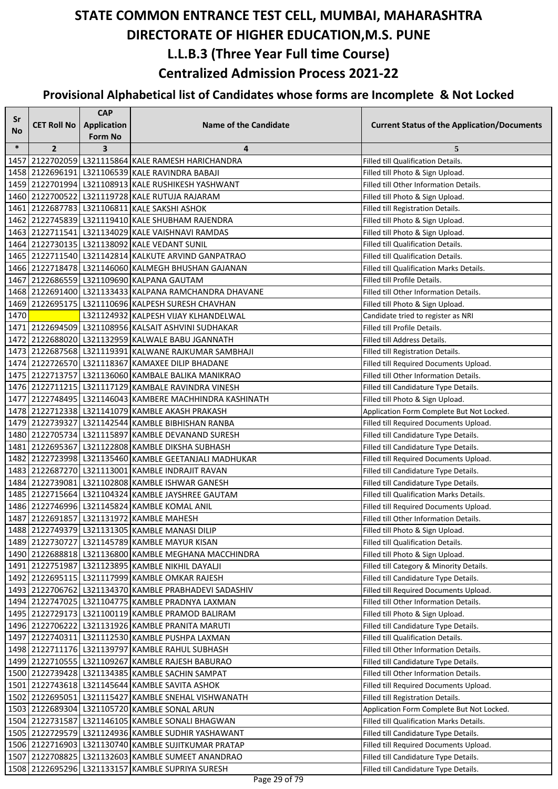| Sr     |                    | <b>CAP</b>         |                                                           |                                                    |
|--------|--------------------|--------------------|-----------------------------------------------------------|----------------------------------------------------|
| No     | <b>CET Roll No</b> | <b>Application</b> | <b>Name of the Candidate</b>                              | <b>Current Status of the Application/Documents</b> |
|        |                    | <b>Form No</b>     |                                                           |                                                    |
| $\ast$ | $\overline{2}$     | 3                  | 4                                                         | 5                                                  |
| 1457   |                    |                    | 2122702059 L321115864 KALE RAMESH HARICHANDRA             | Filled till Qualification Details.                 |
|        |                    |                    | 1458 2122696191 L321106539 KALE RAVINDRA BABAJI           | Filled till Photo & Sign Upload.                   |
|        |                    |                    | 1459 2122701994 L321108913 KALE RUSHIKESH YASHWANT        | Filled till Other Information Details.             |
|        |                    |                    | 1460 2122700522 L321119728 KALE RUTUJA RAJARAM            | Filled till Photo & Sign Upload.                   |
|        |                    |                    | 1461 2122687783 L321106811 KALE SAKSHI ASHOK              | Filled till Registration Details.                  |
|        |                    |                    | 1462 2122745839 L321119410 KALE SHUBHAM RAJENDRA          | Filled till Photo & Sign Upload.                   |
|        |                    |                    | 1463 2122711541 L321134029 KALE VAISHNAVI RAMDAS          | Filled till Photo & Sign Upload.                   |
|        |                    |                    | 1464 2122730135 L321138092 KALE VEDANT SUNIL              | Filled till Qualification Details.                 |
|        |                    |                    | 1465   2122711540   L321142814   KALKUTE ARVIND GANPATRAO | Filled till Qualification Details.                 |
|        |                    |                    | 1466 2122718478 L321146060 KALMEGH BHUSHAN GAJANAN        | Filled till Qualification Marks Details.           |
|        |                    |                    | 1467 2122686559 L321109690 KALPANA GAUTAM                 | Filled till Profile Details.                       |
|        |                    |                    | 1468 2122691400 L321133433 KALPANA RAMCHANDRA DHAVANE     | Filled till Other Information Details.             |
|        |                    |                    | 1469 2122695175   L321110696 KALPESH SURESH CHAVHAN       | Filled till Photo & Sign Upload.                   |
| 1470   |                    |                    | L321124932 KALPESH VIJAY KLHANDELWAL                      | Candidate tried to register as NRI                 |
|        |                    |                    | 1471 2122694509 L321108956 KALSAIT ASHVINI SUDHAKAR       | Filled till Profile Details.                       |
|        |                    |                    | 1472 2122688020 L321132959 KALWALE BABU JGANNATH          | Filled till Address Details.                       |
|        |                    |                    | 1473 2122687568 L321119391 KALWANE RAJKUMAR SAMBHAJI      | Filled till Registration Details.                  |
|        |                    |                    | 1474 2122726570 L321118367 KAMAXEE DILIP BHADANE          | Filled till Required Documents Upload.             |
|        |                    |                    | 1475 2122713757 L321136060 KAMBALE BALIKA MANIKRAO        | Filled till Other Information Details.             |
|        |                    |                    | 1476 2122711215 L321117129 KAMBALE RAVINDRA VINESH        | Filled till Candidature Type Details.              |
|        |                    |                    | 1477 2122748495 L321146043 KAMBERE MACHHINDRA KASHINATH   | Filled till Photo & Sign Upload.                   |
|        |                    |                    | 1478 2122712338 L321141079 KAMBLE AKASH PRAKASH           | Application Form Complete But Not Locked.          |
|        |                    |                    | 1479   2122739327   L321142544   KAMBLE BIBHISHAN RANBA   | Filled till Required Documents Upload.             |
|        |                    |                    | 1480 2122705734 L321115897 KAMBLE DEVANAND SURESH         | Filled till Candidature Type Details.              |
|        |                    |                    | 1481 2122695367 L321122808 KAMBLE DIKSHA SUBHASH          | Filled till Candidature Type Details.              |
|        |                    |                    | 1482 2122723998 L321135460 KAMBLE GEETANJALI MADHUKAR     | Filled till Required Documents Upload.             |
|        |                    |                    | 1483 2122687270 L321113001 KAMBLE INDRAJIT RAVAN          | Filled till Candidature Type Details.              |
|        |                    |                    | 1484 2122739081 L321102808 KAMBLE ISHWAR GANESH           | Filled till Candidature Type Details.              |
|        |                    |                    | 1485 2122715664 L321104324 KAMBLE JAYSHREE GAUTAM         | Filled till Qualification Marks Details.           |
|        |                    |                    | 1486 2122746996 L321145824 KAMBLE KOMAL ANIL              | Filled till Required Documents Upload.             |
|        |                    |                    | 1487 2122691857 L321131972 KAMBLE MAHESH                  | Filled till Other Information Details.             |
|        |                    |                    | 1488 2122749379 L321131305 KAMBLE MANASI DILIP            | Filled till Photo & Sign Upload.                   |
|        |                    |                    | 1489 2122730727 L321145789 KAMBLE MAYUR KISAN             | Filled till Qualification Details.                 |
|        |                    |                    | 1490 2122688818 L321136800 KAMBLE MEGHANA MACCHINDRA      | Filled till Photo & Sign Upload.                   |
|        |                    |                    | 1491 2122751987 L321123895 KAMBLE NIKHIL DAYALJI          | Filled till Category & Minority Details.           |
|        |                    |                    | 1492 2122695115 L321117999 KAMBLE OMKAR RAJESH            | Filled till Candidature Type Details.              |
|        |                    |                    | 1493 2122706762 L321134370 KAMBLE PRABHADEVI SADASHIV     | Filled till Required Documents Upload.             |
|        |                    |                    | 1494 2122747025 L321104775 KAMBLE PRADNYA LAXMAN          | Filled till Other Information Details.             |
|        |                    |                    | 1495 2122729173   L321100119 KAMBLE PRAMOD BALIRAM        | Filled till Photo & Sign Upload.                   |
|        |                    |                    | 1496 2122706222 L321131926 KAMBLE PRANITA MARUTI          | Filled till Candidature Type Details.              |
|        |                    |                    | 1497 2122740311 L321112530 KAMBLE PUSHPA LAXMAN           | Filled till Qualification Details.                 |
|        |                    |                    | 1498 2122711176 L321139797 KAMBLE RAHUL SUBHASH           | Filled till Other Information Details.             |
|        |                    |                    | 1499 2122710555 L321109267 KAMBLE RAJESH BABURAO          | Filled till Candidature Type Details.              |
|        |                    |                    | 1500 2122739428 L321134385 KAMBLE SACHIN SAMPAT           | Filled till Other Information Details.             |
|        |                    |                    | 1501 2122743618 L321145644 KAMBLE SAVITA ASHOK            | Filled till Required Documents Upload.             |
|        |                    |                    | 1502 2122695051 L321115427 KAMBLE SNEHAL VISHWANATH       | Filled till Registration Details.                  |
|        |                    |                    | 1503 2122689304 L321105720 KAMBLE SONAL ARUN              | Application Form Complete But Not Locked.          |
|        |                    |                    | 1504 2122731587 L321146105 KAMBLE SONALI BHAGWAN          | Filled till Qualification Marks Details.           |
|        |                    |                    | 1505 2122729579 L321124936 KAMBLE SUDHIR YASHAWANT        | Filled till Candidature Type Details.              |
|        |                    |                    | 1506   2122716903   L321130740 KAMBLE SUJITKUMAR PRATAP   | Filled till Required Documents Upload.             |
|        |                    |                    | 1507 2122708825 L321132603 KAMBLE SUMEET ANANDRAO         | Filled till Candidature Type Details.              |
|        |                    |                    | 1508 2122695296 L321133157 KAMBLE SUPRIYA SURESH          | Filled till Candidature Type Details.              |
|        |                    |                    |                                                           |                                                    |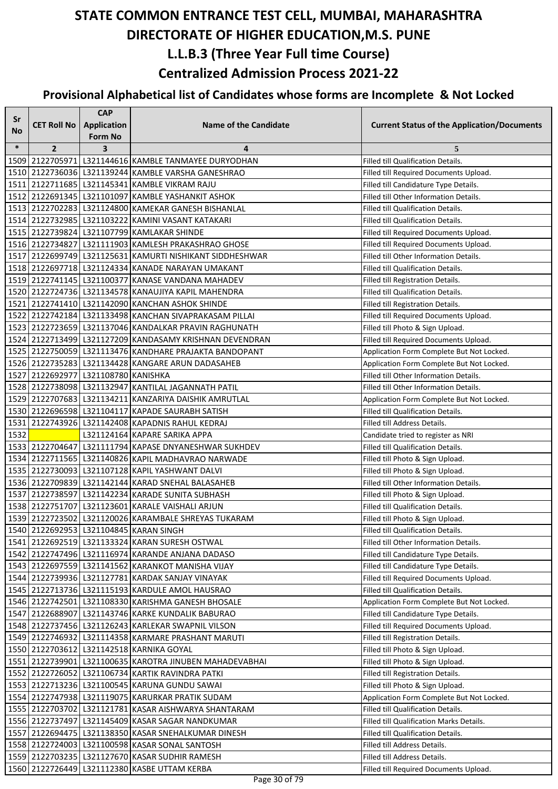| Sr     |                                     | <b>CAP</b>                           |                                                                |                                                    |
|--------|-------------------------------------|--------------------------------------|----------------------------------------------------------------|----------------------------------------------------|
| No     | <b>CET Roll No</b>                  | <b>Application</b><br><b>Form No</b> | <b>Name of the Candidate</b>                                   | <b>Current Status of the Application/Documents</b> |
| $\ast$ | $\overline{2}$                      | 3                                    | 4                                                              | 5                                                  |
|        |                                     |                                      | 1509 2122705971 L321144616 KAMBLE TANMAYEE DURYODHAN           | Filled till Qualification Details.                 |
|        |                                     |                                      | 1510 2122736036 L321139244 KAMBLE VARSHA GANESHRAO             | Filled till Required Documents Upload.             |
|        |                                     |                                      | 1511 2122711685 L321145341 KAMBLE VIKRAM RAJU                  | Filled till Candidature Type Details.              |
|        |                                     |                                      | 1512 2122691345 L321101097 KAMBLE YASHANKIT ASHOK              | Filled till Other Information Details.             |
|        |                                     |                                      | 1513 2122702283 L321124800 KAMEKAR GANESH BISHANLAL            | Filled till Qualification Details.                 |
|        |                                     |                                      | 1514 2122732985 L321103222 KAMINI VASANT KATAKARI              | Filled till Qualification Details.                 |
|        |                                     |                                      | 1515 2122739824 L321107799 KAMLAKAR SHINDE                     | Filled till Required Documents Upload.             |
|        |                                     |                                      | 1516 2122734827 L321111903 KAMLESH PRAKASHRAO GHOSE            | Filled till Required Documents Upload.             |
|        |                                     |                                      | 1517   2122699749   L321125631   KAMURTI NISHIKANT SIDDHESHWAR | Filled till Other Information Details.             |
|        |                                     |                                      | 1518 2122697718 L321124334 KANADE NARAYAN UMAKANT              | Filled till Qualification Details.                 |
|        |                                     |                                      | 1519 2122741145 L321100377 KANASE VANDANA MAHADEV              | Filled till Registration Details.                  |
|        |                                     |                                      | 1520 2122724736 L321134578 KANAUJIYA KAPIL MAHENDRA            | Filled till Qualification Details.                 |
|        |                                     |                                      | 1521 2122741410 L321142090 KANCHAN ASHOK SHINDE                | Filled till Registration Details.                  |
|        |                                     |                                      | 1522 2122742184 L321133498 KANCHAN SIVAPRAKASAM PILLAI         | Filled till Required Documents Upload.             |
|        |                                     |                                      | 1523 2122723659 L321137046 KANDALKAR PRAVIN RAGHUNATH          | Filled till Photo & Sign Upload.                   |
|        |                                     |                                      | 1524 2122713499 L321127209 KANDASAMY KRISHNAN DEVENDRAN        | Filled till Required Documents Upload.             |
|        |                                     |                                      | 1525 2122750059 L321113476 KANDHARE PRAJAKTA BANDOPANT         | Application Form Complete But Not Locked.          |
|        |                                     |                                      | 1526 2122735283 L321134428 KANGARE ARUN DADASAHEB              | Application Form Complete But Not Locked.          |
|        | 1527 2122692977 L321108780 KANISHKA |                                      |                                                                | Filled till Other Information Details.             |
|        |                                     |                                      | 1528 2122738098 L321132947 KANTILAL JAGANNATH PATIL            | Filled till Other Information Details.             |
|        |                                     |                                      | 1529 2122707683 L321134211 KANZARIYA DAISHIK AMRUTLAL          | Application Form Complete But Not Locked.          |
|        |                                     |                                      | 1530 2122696598 L321104117 KAPADE SAURABH SATISH               | Filled till Qualification Details.                 |
|        |                                     |                                      | 1531 2122743926 L321142408 KAPADNIS RAHUL KEDRAJ               | Filled till Address Details.                       |
| 1532   |                                     |                                      | L321124164 KAPARE SARIKA APPA                                  | Candidate tried to register as NRI                 |
|        |                                     |                                      | 1533 2122704647 L321111794 KAPASE DNYANESHWAR SUKHDEV          | Filled till Qualification Details.                 |
|        |                                     |                                      | 1534 2122711565 L321140826 KAPIL MADHAVRAO NARWADE             | Filled till Photo & Sign Upload.                   |
|        |                                     |                                      | 1535 2122730093 L321107128 KAPIL YASHWANT DALVI                | Filled till Photo & Sign Upload.                   |
|        |                                     |                                      | 1536 2122709839 L321142144 KARAD SNEHAL BALASAHEB              | Filled till Other Information Details.             |
|        |                                     |                                      | 1537 2122738597 L321142234 KARADE SUNITA SUBHASH               | Filled till Photo & Sign Upload.                   |
|        |                                     |                                      | 1538 2122751707 L321123601 KARALE VAISHALI ARJUN               | Filled till Qualification Details.                 |
|        |                                     |                                      | 1539 2122723502 L321120026 KARAMBALE SHREYAS TUKARAM           | Filled till Photo & Sign Upload.                   |
|        |                                     |                                      | 1540 2122692953 L321104845 KARAN SINGH                         | Filled till Qualification Details.                 |
|        |                                     |                                      | 1541 2122692519 L321133324 KARAN SURESH OSTWAL                 | Filled till Other Information Details.             |
|        |                                     |                                      | 1542 2122747496 L321116974 KARANDE ANJANA DADASO               | Filled till Candidature Type Details.              |
|        |                                     |                                      | 1543 2122697559 L321141562 KARANKOT MANISHA VIJAY              | Filled till Candidature Type Details.              |
|        |                                     |                                      | 1544 2122739936 L321127781 KARDAK SANJAY VINAYAK               | Filled till Required Documents Upload.             |
|        |                                     |                                      | 1545 2122713736 L321115193 KARDULE AMOL HAUSRAO                | Filled till Qualification Details.                 |
|        |                                     |                                      | 1546   2122742501   L321108330 KARISHMA GANESH BHOSALE         | Application Form Complete But Not Locked.          |
|        |                                     |                                      | 1547 2122688907 L321143746 KARKE KUNDALIK BABURAO              | Filled till Candidature Type Details.              |
|        |                                     |                                      | 1548 2122737456 L321126243 KARLEKAR SWAPNIL VILSON             | Filled till Required Documents Upload.             |
|        |                                     |                                      | 1549 2122746932 L321114358 KARMARE PRASHANT MARUTI             | Filled till Registration Details.                  |
|        |                                     |                                      | 1550 2122703612 L321142518 KARNIKA GOYAL                       | Filled till Photo & Sign Upload.                   |
|        |                                     |                                      | 1551 2122739901 L321100635 KAROTRA JINUBEN MAHADEVABHAI        | Filled till Photo & Sign Upload.                   |
|        |                                     |                                      | 1552 2122726052 L321106734 KARTIK RAVINDRA PATKI               | Filled till Registration Details.                  |
|        |                                     |                                      | 1553   2122713236   L321100545 KARUNA GUNDU SAWAI              | Filled till Photo & Sign Upload.                   |
|        |                                     |                                      | 1554 2122747938 L321119075 KARURKAR PRATIK SUDAM               | Application Form Complete But Not Locked.          |
|        |                                     |                                      | 1555 2122703702 L321121781 KASAR AISHWARYA SHANTARAM           | Filled till Qualification Details.                 |
|        |                                     |                                      | 1556 2122737497 L321145409 KASAR SAGAR NANDKUMAR               | Filled till Qualification Marks Details.           |
|        |                                     |                                      | 1557 2122694475   L321138350 KASAR SNEHALKUMAR DINESH          | Filled till Qualification Details.                 |
|        |                                     |                                      | 1558 2122724003 L321100598 KASAR SONAL SANTOSH                 | Filled till Address Details.                       |
|        |                                     |                                      | 1559 2122703235 L321127670 KASAR SUDHIR RAMESH                 | Filled till Address Details.                       |
|        |                                     |                                      | 1560 2122726449 L321112380 KASBE UTTAM KERBA                   | Filled till Required Documents Upload.             |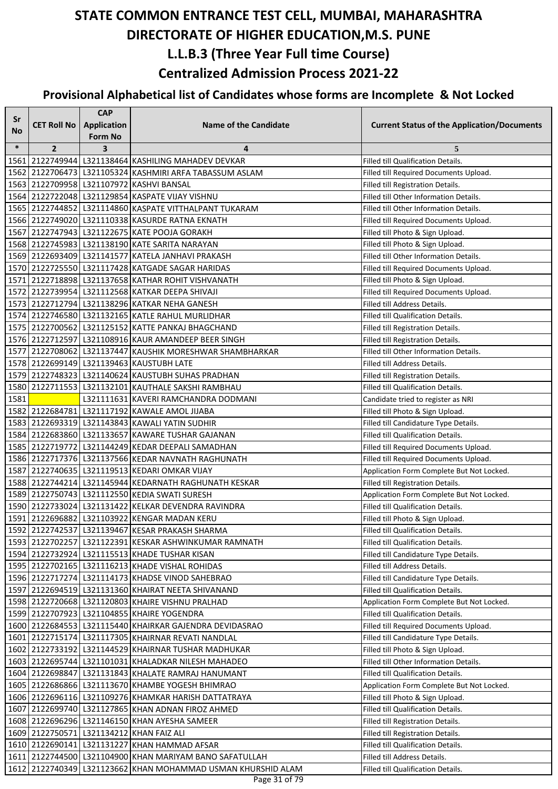| Sr        |                    | <b>CAP</b>          |                                                                               |                                                    |
|-----------|--------------------|---------------------|-------------------------------------------------------------------------------|----------------------------------------------------|
| <b>No</b> | <b>CET Roll No</b> | <b>Application</b>  | <b>Name of the Candidate</b>                                                  | <b>Current Status of the Application/Documents</b> |
| $\ast$    | $\overline{2}$     | <b>Form No</b><br>3 | 4                                                                             | 5                                                  |
| 1561      |                    |                     | 2122749944 L321138464 KASHILING MAHADEV DEVKAR                                | <b>Filled till Qualification Details.</b>          |
| 1562      |                    |                     | 2122706473 L321105324 KASHMIRI ARFA TABASSUM ASLAM                            | Filled till Required Documents Upload.             |
| 1563      |                    |                     | 2122709958 L321107972 KASHVI BANSAL                                           | Filled till Registration Details.                  |
|           |                    |                     | 1564 2122722048 L321129854 KASPATE VIJAY VISHNU                               | Filled till Other Information Details.             |
|           |                    |                     | 1565 2122744852 L321114860 KASPATE VITTHALPANT TUKARAM                        | Filled till Other Information Details.             |
|           |                    |                     | 1566 2122749020 L321110338 KASURDE RATNA EKNATH                               | Filled till Required Documents Upload.             |
| 1567      |                    |                     | 2122747943 L321122675 KATE POOJA GORAKH                                       | Filled till Photo & Sign Upload.                   |
|           |                    |                     | 1568 2122745983 L321138190 KATE SARITA NARAYAN                                | Filled till Photo & Sign Upload.                   |
|           |                    |                     | 1569 2122693409 L321141577 KATELA JANHAVI PRAKASH                             | Filled till Other Information Details.             |
|           |                    |                     | 1570 2122725550 L321117428 KATGADE SAGAR HARIDAS                              | Filled till Required Documents Upload.             |
|           |                    |                     | 1571 2122718898 L321137658 KATHAR ROHIT VISHVANATH                            | Filled till Photo & Sign Upload.                   |
|           |                    |                     | 1572 2122739954 L321112568 KATKAR DEEPA SHIVAJI                               | Filled till Required Documents Upload.             |
|           |                    |                     | 1573 2122712794 L321138296 KATKAR NEHA GANESH                                 | Filled till Address Details.                       |
|           |                    |                     | 1574 2122746580 L321132165 KATLE RAHUL MURLIDHAR                              | Filled till Qualification Details.                 |
|           |                    |                     | 1575 2122700562 L321125152 KATTE PANKAJ BHAGCHAND                             | Filled till Registration Details.                  |
|           |                    |                     | 1576 2122712597 L321108916 KAUR AMANDEEP BEER SINGH                           | Filled till Registration Details.                  |
|           |                    |                     | 1577 2122708062 L321137447 KAUSHIK MORESHWAR SHAMBHARKAR                      | Filled till Other Information Details.             |
|           |                    |                     | 1578 2122699149 L321139463 KAUSTUBH LATE                                      | Filled till Address Details.                       |
|           |                    |                     | 1579 2122748323 L321140624 KAUSTUBH SUHAS PRADHAN                             | Filled till Registration Details.                  |
|           |                    |                     | 1580 2122711553 L321132101 KAUTHALE SAKSHI RAMBHAU                            | Filled till Qualification Details.                 |
| 1581      |                    |                     | L321111631 KAVERI RAMCHANDRA DODMANI                                          | Candidate tried to register as NRI                 |
|           |                    |                     | 1582 2122684781 L321117192 KAWALE AMOL JIJABA                                 | Filled till Photo & Sign Upload.                   |
| 1583      |                    |                     | 2122693319 L321143843 KAWALI YATIN SUDHIR                                     | Filled till Candidature Type Details.              |
|           |                    |                     | 1584 2122683860 L321133657 KAWARE TUSHAR GAJANAN                              | Filled till Qualification Details.                 |
|           |                    |                     | 1585 2122719772 L321144249 KEDAR DEEPALI SAMADHAN                             | Filled till Required Documents Upload.             |
|           |                    |                     | 1586 2122717376 L321137566 KEDAR NAVNATH RAGHUNATH                            | Filled till Required Documents Upload.             |
| 1587      |                    |                     | 2122740635 L321119513 KEDARI OMKAR VIJAY                                      | Application Form Complete But Not Locked.          |
|           |                    |                     | 1588 2122744214 L321145944 KEDARNATH RAGHUNATH KESKAR                         | Filled till Registration Details.                  |
|           |                    |                     | 1589 2122750743 L321112550 KEDIA SWATI SURESH                                 | Application Form Complete But Not Locked.          |
|           |                    |                     | 1590 2122733024 L321131422 KELKAR DEVENDRA RAVINDRA                           | Filled till Qualification Details.                 |
|           |                    |                     | 1591 2122696882 L321103922 KENGAR MADAN KERU                                  | Filled till Photo & Sign Upload.                   |
|           |                    |                     | 1592 2122742537 L321139467 KESAR PRAKASH SHARMA                               | Filled till Qualification Details.                 |
|           |                    |                     | 1593 2122702257 L321122391 KESKAR ASHWINKUMAR RAMNATH                         | Filled till Qualification Details.                 |
|           |                    |                     | 1594 2122732924 L321115513 KHADE TUSHAR KISAN                                 | Filled till Candidature Type Details.              |
|           |                    |                     | 1595 2122702165 L321116213 KHADE VISHAL ROHIDAS                               | Filled till Address Details.                       |
|           |                    |                     | 1596 2122717274 L321114173 KHADSE VINOD SAHEBRAO                              | Filled till Candidature Type Details.              |
|           |                    |                     | 1597 2122694519 L321131360 KHAIRAT NEETA SHIVANAND                            | Filled till Qualification Details.                 |
|           |                    |                     | 1598 2122720668 L321120803 KHAIRE VISHNU PRALHAD                              | Application Form Complete But Not Locked.          |
|           |                    |                     | 1599 2122707923 L321104855 KHAIRE YOGENDRA                                    | Filled till Qualification Details.                 |
|           |                    |                     | 1600 2122684553 L321115440 KHAIRKAR GAJENDRA DEVIDASRAO                       | Filled till Required Documents Upload.             |
|           |                    |                     | 1601 2122715174 L321117305 KHAIRNAR REVATI NANDLAL                            | Filled till Candidature Type Details.              |
|           |                    |                     | 1602 2122733192 L321144529 KHAIRNAR TUSHAR MADHUKAR                           | Filled till Photo & Sign Upload.                   |
|           |                    |                     | 1603 2122695744 L321101031 KHALADKAR NILESH MAHADEO                           | Filled till Other Information Details.             |
|           |                    |                     | 1604 2122698847 L321131843 KHALATE RAMRAJ HANUMANT                            | Filled till Qualification Details.                 |
|           |                    |                     | 1605 2122686866 L321113670 KHAMBE YOGESH BHIMRAO                              | Application Form Complete But Not Locked.          |
|           |                    |                     | 1606 2122696116 L321109276 KHAMKAR HARISH DATTATRAYA                          | Filled till Photo & Sign Upload.                   |
|           |                    |                     | 1607 2122699740   L321127865 KHAN ADNAN FIROZ AHMED                           | Filled till Qualification Details.                 |
|           |                    |                     | 1608 2122696296 L321146150 KHAN AYESHA SAMEER                                 | Filled till Registration Details.                  |
|           |                    |                     | 1609 2122750571 L321134212 KHAN FAIZ ALI                                      | Filled till Registration Details.                  |
|           |                    |                     | 1610 2122690141 L321131227 KHAN HAMMAD AFSAR                                  | Filled till Qualification Details.                 |
|           |                    |                     | 1611 2122744500 L321104900 KHAN MARIYAM BANO SAFATULLAH                       | Filled till Address Details.                       |
|           |                    |                     | 1612 2122740349 L321123662 KHAN MOHAMMAD USMAN KHURSHID ALAM<br>Page 31 of 79 | Filled till Qualification Details.                 |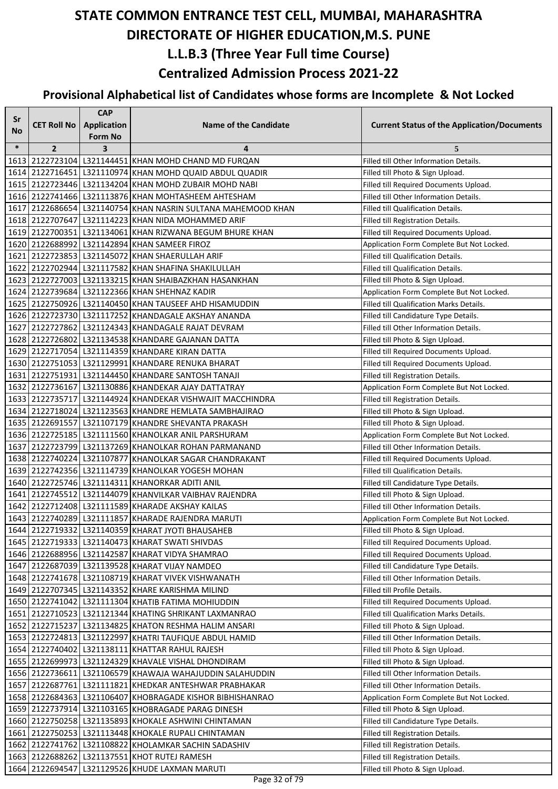| Sr<br><b>No</b> | <b>CET Roll No</b> | <b>CAP</b><br><b>Application</b> | <b>Name of the Candidate</b>                                 | <b>Current Status of the Application/Documents</b>                               |
|-----------------|--------------------|----------------------------------|--------------------------------------------------------------|----------------------------------------------------------------------------------|
|                 |                    | <b>Form No</b>                   |                                                              |                                                                                  |
| $\ast$          | $\overline{2}$     | 3                                | 4<br>1613 2122723104 L321144451 KHAN MOHD CHAND MD FURQAN    | 5<br>Filled till Other Information Details.                                      |
|                 |                    |                                  | 1614 2122716451 L321110974 KHAN MOHD QUAID ABDUL QUADIR      |                                                                                  |
|                 |                    |                                  | 1615 2122723446 L321134204 KHAN MOHD ZUBAIR MOHD NABI        | Filled till Photo & Sign Upload.                                                 |
|                 |                    |                                  | 1616 2122741466 L321113876 KHAN MOHTASHEEM AHTESHAM          | Filled till Required Documents Upload.<br>Filled till Other Information Details. |
|                 |                    |                                  | 1617 2122686654 L321140754 KHAN NASRIN SULTANA MAHEMOOD KHAN | Filled till Qualification Details.                                               |
|                 |                    |                                  | 1618 2122707647 L321114223 KHAN NIDA MOHAMMED ARIF           | Filled till Registration Details.                                                |
|                 |                    |                                  | 1619 2122700351 L321134061 KHAN RIZWANA BEGUM BHURE KHAN     | Filled till Required Documents Upload.                                           |
|                 |                    |                                  | 1620 2122688992 L321142894 KHAN SAMEER FIROZ                 | Application Form Complete But Not Locked.                                        |
|                 |                    |                                  | 1621 2122723853   L321145072 KHAN SHAERULLAH ARIF            | Filled till Qualification Details.                                               |
|                 |                    |                                  | 1622 2122702944 L321117582 KHAN SHAFINA SHAKILULLAH          | Filled till Qualification Details.                                               |
|                 |                    |                                  | 1623 2122727003 L321133215 KHAN SHAIBAZKHAN HASANKHAN        | Filled till Photo & Sign Upload.                                                 |
|                 |                    |                                  | 1624 2122739684 L321122366 KHAN SHEHNAZ KADIR                | Application Form Complete But Not Locked.                                        |
|                 |                    |                                  | 1625 2122750926 L321140450 KHAN TAUSEEF AHD HISAMUDDIN       | Filled till Qualification Marks Details.                                         |
|                 |                    |                                  | 1626 2122723730 L321117252 KHANDAGALE AKSHAY ANANDA          | Filled till Candidature Type Details.                                            |
|                 |                    |                                  | 1627 2122727862 L321124343 KHANDAGALE RAJAT DEVRAM           | Filled till Other Information Details.                                           |
|                 |                    |                                  | 1628 2122726802 L321134538 KHANDARE GAJANAN DATTA            | Filled till Photo & Sign Upload.                                                 |
|                 |                    |                                  | 1629 2122717054 L321114359 KHANDARE KIRAN DATTA              | Filled till Required Documents Upload.                                           |
|                 |                    |                                  | 1630 2122751053 L321129991 KHANDARE RENUKA BHARAT            | Filled till Required Documents Upload.                                           |
|                 |                    |                                  | 1631 2122751931 L321144450 KHANDARE SANTOSH TANAJI           | Filled till Registration Details.                                                |
|                 |                    |                                  | 1632 2122736167 L321130886 KHANDEKAR AJAY DATTATRAY          | Application Form Complete But Not Locked.                                        |
|                 |                    |                                  | 1633 2122735717 L321144924 KHANDEKAR VISHWAJIT MACCHINDRA    | Filled till Registration Details.                                                |
|                 |                    |                                  | 1634 2122718024 L321123563 KHANDRE HEMLATA SAMBHAJIRAO       | Filled till Photo & Sign Upload.                                                 |
|                 |                    |                                  | 1635 2122691557 L321107179 KHANDRE SHEVANTA PRAKASH          | Filled till Photo & Sign Upload.                                                 |
|                 |                    |                                  | 1636 2122725185 L321111560 KHANOLKAR ANIL PARSHURAM          | Application Form Complete But Not Locked.                                        |
|                 |                    |                                  | 1637 2122723799 L321137269 KHANOLKAR ROHAN PARMANAND         | Filled till Other Information Details.                                           |
|                 |                    |                                  | 1638 2122740224 L321107877 KHANOLKAR SAGAR CHANDRAKANT       | Filled till Required Documents Upload.                                           |
|                 |                    |                                  | 1639 2122742356 L321114739 KHANOLKAR YOGESH MOHAN            | Filled till Qualification Details.                                               |
|                 |                    |                                  | 1640 2122725746 L321114311 KHANORKAR ADITI ANIL              | Filled till Candidature Type Details.                                            |
|                 |                    |                                  | 1641 2122745512 L321144079 KHANVILKAR VAIBHAV RAJENDRA       | Filled till Photo & Sign Upload.                                                 |
|                 |                    |                                  | 1642 2122712408 L321111589 KHARADE AKSHAY KAILAS             | Filled till Other Information Details.                                           |
|                 |                    |                                  | 1643 2122740289 L321111857 KHARADE RAJENDRA MARUTI           | Application Form Complete But Not Locked.                                        |
|                 |                    |                                  | 1644 2122719332 L321140359 KHARAT JYOTI BHAUSAHEB            | Filled till Photo & Sign Upload.                                                 |
|                 |                    |                                  | 1645 2122719333 L321140473 KHARAT SWATI SHIVDAS              | Filled till Required Documents Upload.                                           |
|                 |                    |                                  | 1646 2122688956 L321142587 KHARAT VIDYA SHAMRAO              | Filled till Required Documents Upload.                                           |
|                 |                    |                                  | 1647 2122687039 L321139528 KHARAT VIJAY NAMDEO               | Filled till Candidature Type Details.                                            |
|                 |                    |                                  | 1648 2122741678 L321108719 KHARAT VIVEK VISHWANATH           | Filled till Other Information Details.                                           |
|                 |                    |                                  | 1649 2122707345 L321143352 KHARE KARISHMA MILIND             | Filled till Profile Details.                                                     |
|                 |                    |                                  | 1650 2122741042 L321111304 KHATIB FATIMA MOHIUDDIN           | Filled till Required Documents Upload.                                           |
|                 |                    |                                  | 1651 2122710523 L321121344 KHATING SHRIKANT LAXMANRAO        | Filled till Qualification Marks Details.                                         |
|                 |                    |                                  | 1652 2122715237 L321134825 KHATON RESHMA HALIM ANSARI        | Filled till Photo & Sign Upload.                                                 |
|                 |                    |                                  | 1653 2122724813 L321122997 KHATRI TAUFIQUE ABDUL HAMID       | Filled till Other Information Details.                                           |
|                 |                    |                                  | 1654 2122740402   L321138111 KHATTAR RAHUL RAJESH            | Filled till Photo & Sign Upload.                                                 |
|                 |                    |                                  | 1655 2122699973 L321124329 KHAVALE VISHAL DHONDIRAM          | Filled till Photo & Sign Upload.                                                 |
|                 |                    |                                  | 1656 2122736611 L321106579 KHAWAJA WAHAJUDDIN SALAHUDDIN     | Filled till Other Information Details.                                           |
|                 |                    |                                  | 1657 2122687761 L321111821 KHEDKAR ANTESHWAR PRABHAKAR       | Filled till Other Information Details.                                           |
|                 |                    |                                  | 1658 2122684363 L321106407 KHOBRAGADE KISHOR BIBHISHANRAO    | Application Form Complete But Not Locked.                                        |
|                 |                    |                                  | 1659 2122737914 L321103165 KHOBRAGADE PARAG DINESH           | Filled till Photo & Sign Upload.                                                 |
|                 |                    |                                  | 1660 2122750258 L321135893 KHOKALE ASHWINI CHINTAMAN         | Filled till Candidature Type Details.                                            |
|                 |                    |                                  | 1661 2122750253 L321113448 KHOKALE RUPALI CHINTAMAN          | Filled till Registration Details.                                                |
|                 |                    |                                  | 1662 2122741762 L321108822 KHOLAMKAR SACHIN SADASHIV         | Filled till Registration Details.                                                |
|                 |                    |                                  | 1663 2122688262 L321137551 KHOT RUTEJ RAMESH                 | Filled till Registration Details.                                                |
|                 | 1664 2122694547    |                                  | L321129526 KHUDE LAXMAN MARUTI                               | Filled till Photo & Sign Upload.                                                 |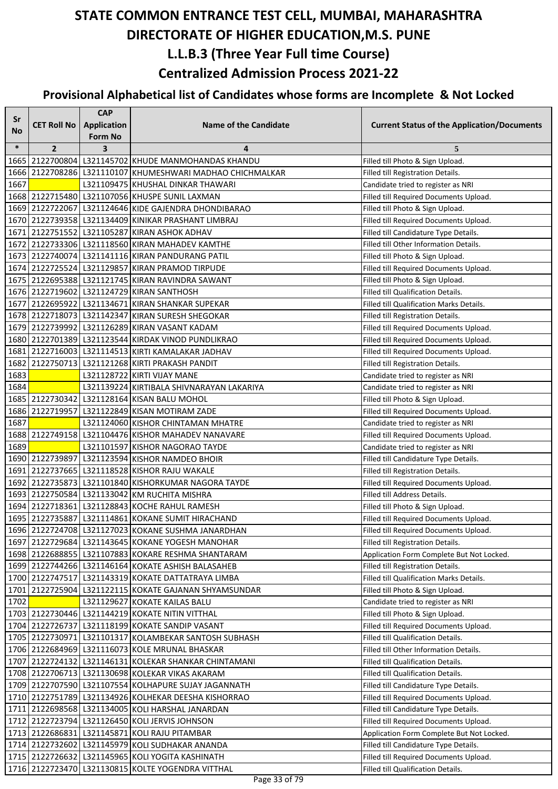| Sr     |                    | <b>CAP</b>              |                                                                                               |                                                                                  |
|--------|--------------------|-------------------------|-----------------------------------------------------------------------------------------------|----------------------------------------------------------------------------------|
| No     | <b>CET Roll No</b> | <b>Application</b>      | <b>Name of the Candidate</b>                                                                  | <b>Current Status of the Application/Documents</b>                               |
|        |                    | <b>Form No</b>          |                                                                                               |                                                                                  |
| $\ast$ | $\overline{2}$     | $\overline{\mathbf{3}}$ | 4                                                                                             | 5                                                                                |
| 1665   |                    |                         | 2122700804 L321145702 KHUDE MANMOHANDAS KHANDU                                                | Filled till Photo & Sign Upload.                                                 |
|        |                    |                         | 1666 2122708286 L321110107 KHUMESHWARI MADHAO CHICHMALKAR                                     | Filled till Registration Details.                                                |
| 1667   |                    |                         | L321109475 KHUSHAL DINKAR THAWARI                                                             | Candidate tried to register as NRI                                               |
|        |                    |                         | 1668 2122715480 L321107056 KHUSPE SUNIL LAXMAN                                                | Filled till Required Documents Upload.                                           |
|        |                    |                         | 1669 2122722067 L321124646 KIDE GAJENDRA DHONDIBARAO                                          | Filled till Photo & Sign Upload.                                                 |
|        |                    |                         | 1670 2122739358 L321134409 KINIKAR PRASHANT LIMBRAJ                                           | Filled till Required Documents Upload.                                           |
|        |                    |                         | 1671 2122751552 L321105287 KIRAN ASHOK ADHAV                                                  | Filled till Candidature Type Details.                                            |
|        |                    |                         | 1672 2122733306 L321118560 KIRAN MAHADEV KAMTHE                                               | Filled till Other Information Details.                                           |
|        |                    |                         | 1673   2122740074   L321141116 KIRAN PANDURANG PATIL                                          | Filled till Photo & Sign Upload.                                                 |
|        |                    |                         | 1674 2122725524 L321129857 KIRAN PRAMOD TIRPUDE                                               | Filled till Required Documents Upload.                                           |
|        |                    |                         | 1675 2122695388 L321121745 KIRAN RAVINDRA SAWANT                                              | Filled till Photo & Sign Upload.                                                 |
|        |                    |                         | 1676 2122719602 L321124729 KIRAN SANTHOSH<br>1677 2122695922 L321134671 KIRAN SHANKAR SUPEKAR | Filled till Qualification Details.                                               |
|        |                    |                         | 1678 2122718073 L321142347 KIRAN SURESH SHEGOKAR                                              | Filled till Qualification Marks Details.                                         |
|        |                    |                         | 1679 2122739992 L321126289 KIRAN VASANT KADAM                                                 | Filled till Registration Details.                                                |
|        |                    |                         | 1680 2122701389 L321123544 KIRDAK VINOD PUNDLIKRAO                                            | Filled till Required Documents Upload.<br>Filled till Required Documents Upload. |
|        |                    |                         | 1681 2122716003 L321114513 KIRTI KAMALAKAR JADHAV                                             |                                                                                  |
| 1682   |                    |                         | 2122750713   L321121268 KIRTI PRAKASH PANDIT                                                  | Filled till Required Documents Upload.                                           |
| 1683   |                    |                         | L321128722 KIRTI VIJAY MANE                                                                   | Filled till Registration Details.                                                |
| 1684   |                    |                         | L321139224 KIRTIBALA SHIVNARAYAN LAKARIYA                                                     | Candidate tried to register as NRI<br>Candidate tried to register as NRI         |
|        |                    |                         | 1685 2122730342 L321128164 KISAN BALU MOHOL                                                   | Filled till Photo & Sign Upload.                                                 |
|        |                    |                         | 1686 2122719957 L321122849 KISAN MOTIRAM ZADE                                                 | Filled till Required Documents Upload.                                           |
| 1687   |                    |                         | L321124060 KISHOR CHINTAMAN MHATRE                                                            | Candidate tried to register as NRI                                               |
|        |                    |                         | 1688 2122749158 L321104476 KISHOR MAHADEV NANAVARE                                            | Filled till Required Documents Upload.                                           |
| 1689   |                    |                         | L321101597 KISHOR NAGORAO TAYDE                                                               | Candidate tried to register as NRI                                               |
|        |                    |                         | 1690 2122739897 L321123594 KISHOR NAMDEO BHOIR                                                | Filled till Candidature Type Details.                                            |
|        |                    |                         | 1691 2122737665 L321118528 KISHOR RAJU WAKALE                                                 | Filled till Registration Details.                                                |
|        |                    |                         | 1692 2122735873 L321101840 KISHORKUMAR NAGORA TAYDE                                           | Filled till Required Documents Upload.                                           |
|        |                    |                         | 1693 2122750584 L321133042 KM RUCHITA MISHRA                                                  | Filled till Address Details.                                                     |
|        |                    |                         | 1694 2122718361 L321128843 KOCHE RAHUL RAMESH                                                 | Filled till Photo & Sign Upload.                                                 |
|        |                    |                         | 1695 2122735887 L321114861 KOKANE SUMIT HIRACHAND                                             | Filled till Required Documents Upload.                                           |
|        |                    |                         | 1696 2122724708 L321127023 KOKANE SUSHMA JANARDHAN                                            | Filled till Required Documents Upload.                                           |
|        |                    |                         | 1697 2122729684 L321143645 KOKANE YOGESH MANOHAR                                              | Filled till Registration Details.                                                |
|        |                    |                         | 1698 2122688855 L321107883 KOKARE RESHMA SHANTARAM                                            | Application Form Complete But Not Locked.                                        |
|        |                    |                         | 1699 2122744266 L321146164 KOKATE ASHISH BALASAHEB                                            | Filled till Registration Details.                                                |
|        |                    |                         | 1700 2122747517 L321143319 KOKATE DATTATRAYA LIMBA                                            | Filled till Qualification Marks Details.                                         |
| 1701   |                    |                         | 2122725904 L321122115 KOKATE GAJANAN SHYAMSUNDAR                                              | Filled till Photo & Sign Upload.                                                 |
| 1702   |                    |                         | L321129627 KOKATE KAILAS BALU                                                                 | Candidate tried to register as NRI                                               |
|        |                    |                         | 1703 2122730446 L321144219 KOKATE NITIN VITTHAL                                               | Filled till Photo & Sign Upload.                                                 |
|        |                    |                         | 1704 2122726737 L321118199 KOKATE SANDIP VASANT                                               | Filled till Required Documents Upload.                                           |
|        |                    |                         | 1705   2122730971   L321101317 KOLAMBEKAR SANTOSH SUBHASH                                     | Filled till Qualification Details.                                               |
|        |                    |                         | 1706 2122684969 L321116073 KOLE MRUNAL BHASKAR                                                | Filled till Other Information Details.                                           |
|        |                    |                         | 1707   2122724132   L321146131 KOLEKAR SHANKAR CHINTAMANI                                     | Filled till Qualification Details.                                               |
|        |                    |                         | 1708 2122706713 L321130698 KOLEKAR VIKAS AKARAM                                               | Filled till Qualification Details.                                               |
|        |                    |                         | 1709 2122707590 L321107554 KOLHAPURE SUJAY JAGANNATH                                          | Filled till Candidature Type Details.                                            |
|        |                    |                         | 1710 2122751789 L321134926 KOLHEKAR DEESHA KISHORRAO                                          | Filled till Required Documents Upload.                                           |
|        |                    |                         | 1711 2122698568 L321134005 KOLI HARSHAL JANARDAN                                              | Filled till Candidature Type Details.                                            |
|        |                    |                         | 1712 2122723794 L321126450 KOLI JERVIS JOHNSON                                                | Filled till Required Documents Upload.                                           |
|        |                    |                         | 1713 2122686831 L321145871 KOLI RAJU PITAMBAR                                                 | Application Form Complete But Not Locked.                                        |
|        |                    |                         | 1714 2122732602 L321145979 KOLI SUDHAKAR ANANDA                                               | Filled till Candidature Type Details.                                            |
|        |                    |                         | 1715   2122726632   L321145965   KOLI YOGITA KASHINATH                                        | Filled till Required Documents Upload.                                           |
|        |                    |                         | 1716 2122723470 L321130815 KOLTE YOGENDRA VITTHAL                                             | Filled till Qualification Details.                                               |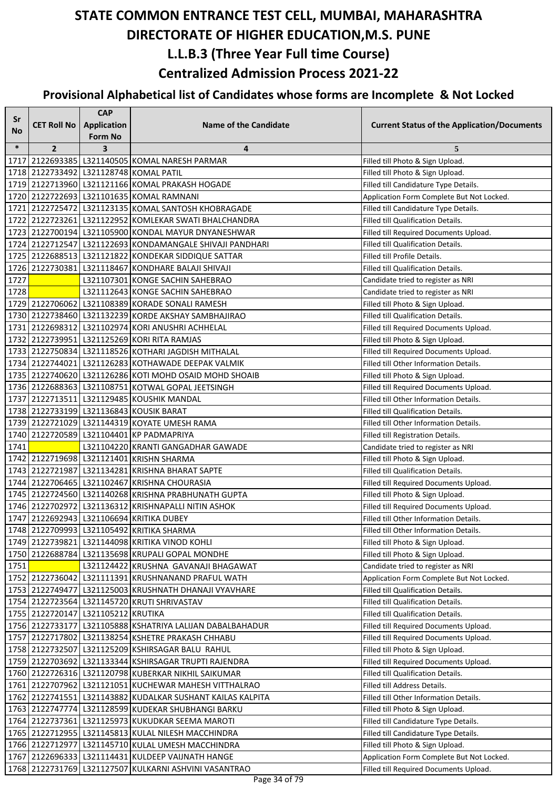| Sr     |                                    | <b>CAP</b>          |                                                                                            |                                                                                 |
|--------|------------------------------------|---------------------|--------------------------------------------------------------------------------------------|---------------------------------------------------------------------------------|
| No     | <b>CET Roll No</b>                 | Application         | <b>Name of the Candidate</b>                                                               | <b>Current Status of the Application/Documents</b>                              |
| $\ast$ | $\overline{2}$                     | <b>Form No</b><br>3 | 4                                                                                          | 5                                                                               |
|        |                                    |                     | 1717 2122693385 L321140505 KOMAL NARESH PARMAR                                             | Filled till Photo & Sign Upload.                                                |
|        |                                    |                     | 1718 2122733492 L321128748 KOMAL PATIL                                                     | Filled till Photo & Sign Upload.                                                |
|        |                                    |                     | 1719 2122713960 L321121166 KOMAL PRAKASH HOGADE                                            | Filled till Candidature Type Details.                                           |
|        |                                    |                     | 1720 2122722693 L321101635 KOMAL RAMNANI                                                   | Application Form Complete But Not Locked.                                       |
|        |                                    |                     | 1721 2122725472 L321123135 KOMAL SANTOSH KHOBRAGADE                                        | Filled till Candidature Type Details.                                           |
|        |                                    |                     | 1722 2122723261 L321122952 KOMLEKAR SWATI BHALCHANDRA                                      | Filled till Qualification Details.                                              |
|        |                                    |                     | 1723   2122700194   L321105900 KONDAL MAYUR DNYANESHWAR                                    | Filled till Required Documents Upload.                                          |
|        |                                    |                     | 1724 2122712547 L321122693 KONDAMANGALE SHIVAJI PANDHARI                                   | Filled till Qualification Details.                                              |
|        |                                    |                     | 1725 2122688513 L321121822 KONDEKAR SIDDIQUE SATTAR                                        | Filled till Profile Details.                                                    |
|        |                                    |                     | 1726 2122730381 L321118467 KONDHARE BALAJI SHIVAJI                                         | Filled till Qualification Details.                                              |
| 1727   |                                    |                     | L321107301 KONGE SACHIN SAHEBRAO                                                           | Candidate tried to register as NRI                                              |
| 1728   |                                    |                     | L321112643 KONGE SACHIN SAHEBRAO                                                           | Candidate tried to register as NRI                                              |
|        |                                    |                     | 1729 2122706062 L321108389 KORADE SONALI RAMESH                                            | Filled till Photo & Sign Upload.                                                |
|        |                                    |                     | 1730 2122738460 L321132239 KORDE AKSHAY SAMBHAJIRAO                                        | Filled till Qualification Details.                                              |
|        |                                    |                     | 1731 2122698312 L321102974 KORI ANUSHRI ACHHELAL                                           | Filled till Required Documents Upload.                                          |
|        |                                    |                     | 1732 2122739951 L321125269 KORI RITA RAMJAS                                                | Filled till Photo & Sign Upload.                                                |
|        |                                    |                     | 1733 2122750834 L321118526 KOTHARI JAGDISH MITHALAL                                        | Filled till Required Documents Upload.                                          |
|        |                                    |                     | 1734 2122744021 L321126283 KOTHAWADE DEEPAK VALMIK                                         | Filled till Other Information Details.                                          |
|        |                                    |                     | 1735 2122740620 L321126286 KOTI MOHD OSAID MOHD SHOAIB                                     | Filled till Photo & Sign Upload.                                                |
|        |                                    |                     | 1736 2122688363 L321108751 KOTWAL GOPAL JEETSINGH                                          | Filled till Required Documents Upload.                                          |
|        |                                    |                     | 1737 2122713511 L321129485 KOUSHIK MANDAL                                                  | Filled till Other Information Details.                                          |
|        |                                    |                     | 1738 2122733199 L321136843 KOUSIK BARAT                                                    | Filled till Qualification Details.                                              |
|        |                                    |                     | 1739 2122721029 L321144319 KOYATE UMESH RAMA                                               | Filled till Other Information Details.                                          |
|        |                                    |                     | 1740 2122720589 L321104401 KP PADMAPRIYA                                                   | Filled till Registration Details.                                               |
| 1741   |                                    |                     | L321104220 KRANTI GANGADHAR GAWADE                                                         | Candidate tried to register as NRI                                              |
|        |                                    |                     | 1742 2122719698 L321121401 KRISHN SHARMA                                                   | Filled till Photo & Sign Upload.                                                |
|        |                                    |                     | 1743 2122721987 L321134281 KRISHNA BHARAT SAPTE                                            | Filled till Qualification Details.                                              |
|        |                                    |                     | 1744 2122706465 L321102467 KRISHNA CHOURASIA                                               | Filled till Required Documents Upload.                                          |
|        |                                    |                     | 1745 2122724560 L321140268 KRISHNA PRABHUNATH GUPTA                                        | Filled till Photo & Sign Upload.                                                |
|        |                                    |                     | 1746 2122702972 L321136312 KRISHNAPALLI NITIN ASHOK                                        | Filled till Required Documents Upload.                                          |
|        |                                    |                     | 1747 2122692943 L321106694 KRITIKA DUBEY                                                   | Filled till Other Information Details.                                          |
|        |                                    |                     | 1748 2122709993 L321105492 KRITIKA SHARMA                                                  | Filled till Other Information Details.                                          |
|        |                                    |                     | 1749   2122739821   L321144098 KRITIKA VINOD KOHLI                                         | Filled till Photo & Sign Upload.                                                |
|        |                                    |                     | 1750 2122688784 L321135698 KRUPALI GOPAL MONDHE                                            | Filled till Photo & Sign Upload.                                                |
| 1751   |                                    |                     | L321124422 KRUSHNA GAVANAJI BHAGAWAT<br>1752 2122736042 L321111391 KRUSHNANAND PRAFUL WATH | Candidate tried to register as NRI                                              |
|        |                                    |                     | 1753 2122749477 L321125003 KRUSHNATH DHANAJI VYAVHARE                                      | Application Form Complete But Not Locked.<br>Filled till Qualification Details. |
|        |                                    |                     | 1754 2122723564 L321145720 KRUTI SHRIVASTAV                                                | Filled till Qualification Details.                                              |
|        | 1755 2122720147 L321105212 KRUTIKA |                     |                                                                                            | Filled till Qualification Details.                                              |
|        |                                    |                     | 1756 2122733177 L321105888 KSHATRIYA LALIJAN DABALBAHADUR                                  | Filled till Required Documents Upload.                                          |
|        |                                    |                     | 1757 2122717802 L321138254 KSHETRE PRAKASH CHHABU                                          | Filled till Required Documents Upload.                                          |
|        |                                    |                     | 1758 2122732507 L321125209 KSHIRSAGAR BALU RAHUL                                           | Filled till Photo & Sign Upload.                                                |
|        |                                    |                     | 1759 2122703692 L321133344 KSHIRSAGAR TRUPTI RAJENDRA                                      | Filled till Required Documents Upload.                                          |
|        |                                    |                     | 1760 2122726316 L321120798 KUBERKAR NIKHIL SAIKUMAR                                        | Filled till Qualification Details.                                              |
|        |                                    |                     | 1761 2122707962 L321121051 KUCHEWAR MAHESH VITTHALRAO                                      | Filled till Address Details.                                                    |
|        |                                    |                     | 1762 2122741551 L321143882 KUDALKAR SUSHANT KAILAS KALPITA                                 | Filled till Other Information Details.                                          |
|        |                                    |                     | 1763 2122747774 L321128599 KUDEKAR SHUBHANGI BARKU                                         | Filled till Photo & Sign Upload.                                                |
|        |                                    |                     | 1764 2122737361 L321125973 KUKUDKAR SEEMA MAROTI                                           | Filled till Candidature Type Details.                                           |
|        |                                    |                     | 1765 2122712955   L321145813 KULAL NILESH MACCHINDRA                                       | Filled till Candidature Type Details.                                           |
|        |                                    |                     | 1766 2122712977 L321145710 KULAL UMESH MACCHINDRA                                          | Filled till Photo & Sign Upload.                                                |
|        |                                    |                     | 1767 2122696333 L321114431 KULDEEP VAIJNATH HANGE                                          | Application Form Complete But Not Locked.                                       |
|        |                                    |                     | 1768 2122731769 L321127507 KULKARNI ASHVINI VASANTRAO                                      | Filled till Required Documents Upload.                                          |
|        |                                    |                     | $D \geq 24.6570$                                                                           |                                                                                 |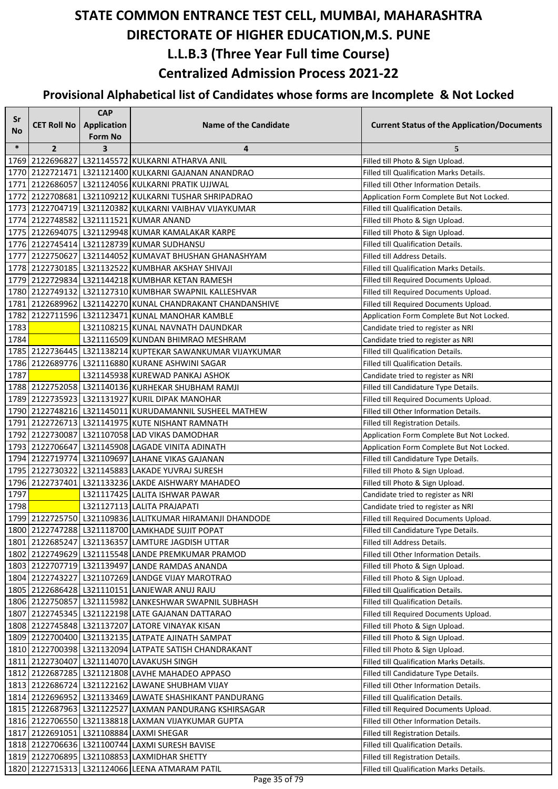| Sr     |                    | <b>CAP</b>                    |                                                                                              |                                                                                 |
|--------|--------------------|-------------------------------|----------------------------------------------------------------------------------------------|---------------------------------------------------------------------------------|
| No     | <b>CET Roll No</b> | Application<br><b>Form No</b> | <b>Name of the Candidate</b>                                                                 | <b>Current Status of the Application/Documents</b>                              |
| $\ast$ | $\overline{2}$     | 3                             | 4                                                                                            | 5                                                                               |
|        |                    |                               | 1769   2122696827   L321145572   KULKARNI ATHARVA ANIL                                       | Filled till Photo & Sign Upload.                                                |
|        |                    |                               | 1770 2122721471 L321121400 KULKARNI GAJANAN ANANDRAO                                         | Filled till Qualification Marks Details.                                        |
|        |                    |                               | 1771 2122686057 L321124056 KULKARNI PRATIK UJJWAL                                            | Filled till Other Information Details.                                          |
|        |                    |                               | 1772 2122708681 L321109212 KULKARNI TUSHAR SHRIPADRAO                                        | Application Form Complete But Not Locked.                                       |
|        |                    |                               | 1773 2122704719 L321120382 KULKARNI VAIBHAV VIJAYKUMAR                                       | Filled till Qualification Details.                                              |
|        |                    |                               | 1774 2122748582 L321111521 KUMAR ANAND                                                       | Filled till Photo & Sign Upload.                                                |
|        |                    |                               | 1775   2122694075   L321129948 KUMAR KAMALAKAR KARPE                                         | Filled till Photo & Sign Upload.                                                |
|        |                    |                               | 1776 2122745414 L321128739 KUMAR SUDHANSU                                                    | Filled till Qualification Details.                                              |
|        |                    |                               | 1777 2122750627 L321144052 KUMAVAT BHUSHAN GHANASHYAM                                        | Filled till Address Details.                                                    |
|        |                    |                               | 1778 2122730185 L321132522 KUMBHAR AKSHAY SHIVAJI                                            | Filled till Qualification Marks Details.                                        |
|        |                    |                               | 1779 2122729834 L321144218 KUMBHAR KETAN RAMESH                                              | Filled till Required Documents Upload.                                          |
|        |                    |                               | 1780 2122749132 L321127310 KUMBHAR SWAPNIL KALLESHVAR                                        | Filled till Required Documents Upload.                                          |
|        |                    |                               | 1781 2122689962 L321142270 KUNAL CHANDRAKANT CHANDANSHIVE                                    | Filled till Required Documents Upload.                                          |
|        |                    |                               | 1782 2122711596 L321123471 KUNAL MANOHAR KAMBLE                                              | Application Form Complete But Not Locked.                                       |
| 1783   |                    |                               | L321108215 KUNAL NAVNATH DAUNDKAR                                                            | Candidate tried to register as NRI                                              |
| 1784   |                    |                               | L321116509 KUNDAN BHIMRAO MESHRAM                                                            | Candidate tried to register as NRI                                              |
|        |                    |                               | 1785 2122736445 L321138214 KUPTEKAR SAWANKUMAR VIJAYKUMAR                                    | Filled till Qualification Details.                                              |
|        |                    |                               | 1786 2122689776 L321116880 KURANE ASHWINI SAGAR                                              | Filled till Qualification Details.                                              |
| 1787   |                    |                               | L321145938 KUREWAD PANKAJ ASHOK                                                              | Candidate tried to register as NRI                                              |
|        |                    |                               | 1788 2122752058 L321140136 KURHEKAR SHUBHAM RAMJI                                            | Filled till Candidature Type Details.                                           |
|        |                    |                               | 1789 2122735923 L321131927 KURIL DIPAK MANOHAR                                               | Filled till Required Documents Upload.                                          |
|        |                    |                               | 1790 2122748216   L321145011 KURUDAMANNIL SUSHEEL MATHEW                                     | Filled till Other Information Details.                                          |
|        |                    |                               | 1791 2122726713 L321141975 KUTE NISHANT RAMNATH                                              | Filled till Registration Details.                                               |
|        |                    |                               | 1792 2122730087 L321107058 LAD VIKAS DAMODHAR                                                | Application Form Complete But Not Locked.                                       |
|        |                    |                               | 1793 2122706647 L321145908 LAGADE VINITA ADINATH                                             | Application Form Complete But Not Locked.                                       |
|        |                    |                               | 1794 2122719774 L321109697 LAHANE VIKAS GAJANAN                                              | Filled till Candidature Type Details.                                           |
|        |                    |                               | 1795 2122730322 L321145883 LAKADE YUVRAJ SURESH                                              | Filled till Photo & Sign Upload.                                                |
|        |                    |                               | 1796 2122737401 L321133236 LAKDE AISHWARY MAHADEO                                            | Filled till Photo & Sign Upload.                                                |
| 1797   |                    |                               | L321117425 LALITA ISHWAR PAWAR                                                               | Candidate tried to register as NRI                                              |
| 1798   |                    |                               | L321127113 LALITA PRAJAPATI                                                                  | Candidate tried to register as NRI                                              |
|        |                    |                               | 1799 2122725750 L321109836 LALITKUMAR HIRAMANJI DHANDODE                                     | Filled till Required Documents Upload.                                          |
|        |                    |                               | 1800 2122747288 L321118700 LAMKHADE SUJIT POPAT                                              | Filled till Candidature Type Details.                                           |
|        |                    |                               | 1801 2122685247 L321136357 LAMTURE JAGDISH UTTAR                                             | Filled till Address Details.                                                    |
|        |                    |                               | 1802 2122749629 L321115548 LANDE PREMKUMAR PRAMOD                                            | Filled till Other Information Details.                                          |
|        |                    |                               | 1803   2122707719   L321139497   LANDE RAMDAS ANANDA                                         | Filled till Photo & Sign Upload.                                                |
|        |                    |                               | 1804 2122743227 L321107269 LANDGE VIJAY MAROTRAO                                             | Filled till Photo & Sign Upload.                                                |
|        |                    |                               | 1805 2122686428 L321110151 LANJEWAR ANUJ RAJU                                                | Filled till Qualification Details.                                              |
|        |                    |                               | 1806 2122750857 L321115982 LANKESHWAR SWAPNIL SUBHASH                                        | Filled till Qualification Details.                                              |
|        |                    |                               | 1807 2122745345 L321122198 LATE GAJANAN DATTARAO                                             | Filled till Required Documents Upload.                                          |
|        |                    |                               | 1808 2122745848 L321137207 LATORE VINAYAK KISAN                                              | Filled till Photo & Sign Upload.                                                |
|        |                    |                               | 1809 2122700400 L321132135 LATPATE AJINATH SAMPAT                                            | Filled till Photo & Sign Upload.<br>Filled till Photo & Sign Upload.            |
|        |                    |                               | 1810   2122700398   L321132094   LATPATE SATISH CHANDRAKANT                                  | Filled till Qualification Marks Details.                                        |
|        |                    |                               | 1811 2122730407 L321114070 LAVAKUSH SINGH<br>1812 2122687285 L321121808 LAVHE MAHADEO APPASO |                                                                                 |
|        |                    |                               | 1813 2122686724 L321122162 LAWANE SHUBHAM VIJAY                                              | Filled till Candidature Type Details.<br>Filled till Other Information Details. |
|        |                    |                               | 1814 2122696952 L321133469 LAWATE SHASHIKANT PANDURANG                                       | Filled till Qualification Details.                                              |
|        |                    |                               | 1815 2122687963 L321122527 LAXMAN PANDURANG KSHIRSAGAR                                       | Filled till Required Documents Upload.                                          |
|        |                    |                               | 1816 2122706550 L321138818 LAXMAN VIJAYKUMAR GUPTA                                           | Filled till Other Information Details.                                          |
|        |                    |                               | 1817 2122691051 L321108884 LAXMI SHEGAR                                                      | Filled till Registration Details.                                               |
|        |                    |                               | 1818 2122706636 L321100744 LAXMI SURESH BAVISE                                               | Filled till Qualification Details.                                              |
|        |                    |                               | 1819 2122706895 L321108853 LAXMIDHAR SHETTY                                                  | Filled till Registration Details.                                               |
|        |                    |                               | 1820 2122715313 L321124066 LEENA ATMARAM PATIL                                               | Filled till Qualification Marks Details.                                        |
|        |                    |                               |                                                                                              |                                                                                 |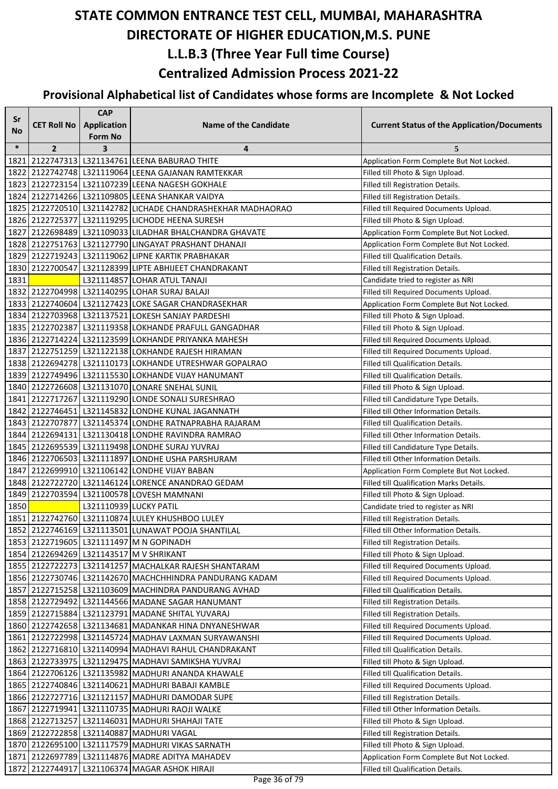| Sr     |                    | <b>CAP</b>             |                                                             |                                                    |
|--------|--------------------|------------------------|-------------------------------------------------------------|----------------------------------------------------|
| No     | <b>CET Roll No</b> | <b>Application</b>     | <b>Name of the Candidate</b>                                | <b>Current Status of the Application/Documents</b> |
|        |                    | <b>Form No</b>         |                                                             |                                                    |
| $\ast$ | $\overline{2}$     | 3                      | 4                                                           | 5                                                  |
| 1821   |                    |                        | 2122747313   L321134761 LEENA BABURAO THITE                 | Application Form Complete But Not Locked.          |
|        |                    |                        | 1822   2122742748   L321119064   LEENA GAJANAN RAMTEKKAR    | Filled till Photo & Sign Upload.                   |
|        |                    |                        | 1823 2122723154 L321107239 LEENA NAGESH GOKHALE             | Filled till Registration Details.                  |
|        |                    |                        | 1824 2122714266 L321109805 LEENA SHANKAR VAIDYA             | Filled till Registration Details.                  |
|        |                    |                        | 1825 2122720510 L321142782 LICHADE CHANDRASHEKHAR MADHAORAO | Filled till Required Documents Upload.             |
|        |                    |                        | 1826 2122725377 L321119295 LICHODE HEENA SURESH             | Filled till Photo & Sign Upload.                   |
|        |                    |                        | 1827 2122698489 L321109033 LILADHAR BHALCHANDRA GHAVATE     | Application Form Complete But Not Locked.          |
|        |                    |                        | 1828 2122751763 L321127790 LINGAYAT PRASHANT DHANAJI        | Application Form Complete But Not Locked.          |
|        |                    |                        | 1829 2122719243 L321119062 LIPNE KARTIK PRABHAKAR           | Filled till Qualification Details.                 |
|        |                    |                        | 1830 2122700547 L321128399 LIPTE ABHIJEET CHANDRAKANT       | Filled till Registration Details.                  |
| 1831   |                    |                        | L321114857 LOHAR ATUL TANAJI                                | Candidate tried to register as NRI                 |
|        |                    |                        | 1832 2122704998 L321140295 LOHAR SURAJ BALAJI               | Filled till Required Documents Upload.             |
|        |                    |                        | 1833 2122740604 L321127423 LOKE SAGAR CHANDRASEKHAR         | Application Form Complete But Not Locked.          |
|        |                    |                        | 1834 2122703968 L321137521 LOKESH SANJAY PARDESHI           | Filled till Photo & Sign Upload.                   |
|        |                    |                        | 1835 2122702387 L321119358 LOKHANDE PRAFULL GANGADHAR       | Filled till Photo & Sign Upload.                   |
|        |                    |                        | 1836 2122714224 L321123599 LOKHANDE PRIYANKA MAHESH         | Filled till Required Documents Upload.             |
|        |                    |                        | 1837 2122751259 L321122138 LOKHANDE RAJESH HIRAMAN          | Filled till Required Documents Upload.             |
|        |                    |                        | 1838 2122694278 L321110173 LOKHANDE UTRESHWAR GOPALRAO      | Filled till Qualification Details.                 |
|        |                    |                        | 1839 2122749496 L321115530 LOKHANDE VIJAY HANUMANT          | Filled till Qualification Details.                 |
|        |                    |                        | 1840 2122726608 L321131070 LONARE SNEHAL SUNIL              | Filled till Photo & Sign Upload.                   |
|        |                    |                        | 1841 2122717267 L321119290 LONDE SONALI SURESHRAO           | Filled till Candidature Type Details.              |
|        |                    |                        | 1842 2122746451 L321145832 LONDHE KUNAL JAGANNATH           | Filled till Other Information Details.             |
|        |                    |                        | 1843   2122707877   L321145374   LONDHE RATNAPRABHA RAJARAM | Filled till Qualification Details.                 |
|        |                    |                        | 1844 2122694131 L321130418 LONDHE RAVINDRA RAMRAO           | Filled till Other Information Details.             |
|        |                    |                        | 1845 2122695539 L321119498 LONDHE SURAJ YUVRAJ              | Filled till Candidature Type Details.              |
|        |                    |                        | 1846 2122706503 L321111897 LONDHE USHA PARSHURAM            | Filled till Other Information Details.             |
|        |                    |                        | 1847 2122699910 L321106142 LONDHE VIJAY BABAN               | Application Form Complete But Not Locked.          |
|        |                    |                        | 1848 2122722720 L321146124 LORENCE ANANDRAO GEDAM           | Filled till Qualification Marks Details.           |
|        |                    |                        | 1849 2122703594 L321100578 LOVESH MAMNANI                   | Filled till Photo & Sign Upload.                   |
| 1850   |                    | L321110939 LUCKY PATIL |                                                             | Candidate tried to register as NRI                 |
|        |                    |                        | 1851 2122742760 L321110874 LULEY KHUSHBOO LULEY             | Filled till Registration Details.                  |
|        |                    |                        | 1852 2122746169 L321113501 LUNAWAT POOJA SHANTILAL          | Filled till Other Information Details.             |
|        |                    |                        | 1853 2122719605 L321111497 M N GOPINADH                     | Filled till Registration Details.                  |
|        |                    |                        | 1854 2122694269 L321143517 M V SHRIKANT                     | Filled till Photo & Sign Upload.                   |
|        |                    |                        | 1855   2122722273   L321141257   MACHALKAR RAJESH SHANTARAM | Filled till Required Documents Upload.             |
|        |                    |                        | 1856 2122730746 L321142670 MACHCHHINDRA PANDURANG KADAM     | Filled till Required Documents Upload.             |
|        |                    |                        | 1857 2122715258 L321103609 MACHINDRA PANDURANG AVHAD        | Filled till Qualification Details.                 |
|        |                    |                        | 1858 2122729492 L321144566 MADANE SAGAR HANUMANT            | Filled till Registration Details.                  |
|        |                    |                        | 1859 2122715884 L321123791 MADANE SHITAL YUVARAJ            | Filled till Registration Details.                  |
|        |                    |                        | 1860 2122742658 L321134681 MADANKAR HINA DNYANESHWAR        | Filled till Required Documents Upload.             |
|        |                    |                        | 1861   2122722998   L321145724   MADHAV LAXMAN SURYAWANSHI  | Filled till Required Documents Upload.             |
|        |                    |                        | 1862   2122716810   L321140994   MADHAVI RAHUL CHANDRAKANT  | Filled till Qualification Details.                 |
|        |                    |                        | 1863 2122733975 L321129475 MADHAVI SAMIKSHA YUVRAJ          | Filled till Photo & Sign Upload.                   |
|        |                    |                        | 1864 2122706126 L321135982 MADHURI ANANDA KHAWALE           | Filled till Qualification Details.                 |
|        |                    |                        | 1865   2122740846   L321140621   MADHURI BABAJI KAMBLE      | Filled till Required Documents Upload.             |
|        |                    |                        | 1866 2122727716 L321121157 MADHURI DAMODAR SUPE             | Filled till Registration Details.                  |
|        |                    |                        | 1867 2122719941 L321110735 MADHURI RAOJI WALKE              | Filled till Other Information Details.             |
|        |                    |                        | 1868 2122713257 L321146031 MADHURI SHAHAJI TATE             | Filled till Photo & Sign Upload.                   |
|        |                    |                        | 1869   2122722858   L321140887   MADHURI VAGAL              | Filled till Registration Details.                  |
|        |                    |                        | 1870 2122695100 L321117579 MADHURI VIKAS SARNATH            | Filled till Photo & Sign Upload.                   |
|        |                    |                        | 1871   2122697789   L321114876   MADRE ADITYA MAHADEV       | Application Form Complete But Not Locked.          |
|        | 1872 2122744917    |                        | L321106374 MAGAR ASHOK HIRAJI                               | Filled till Qualification Details.                 |
|        |                    |                        |                                                             |                                                    |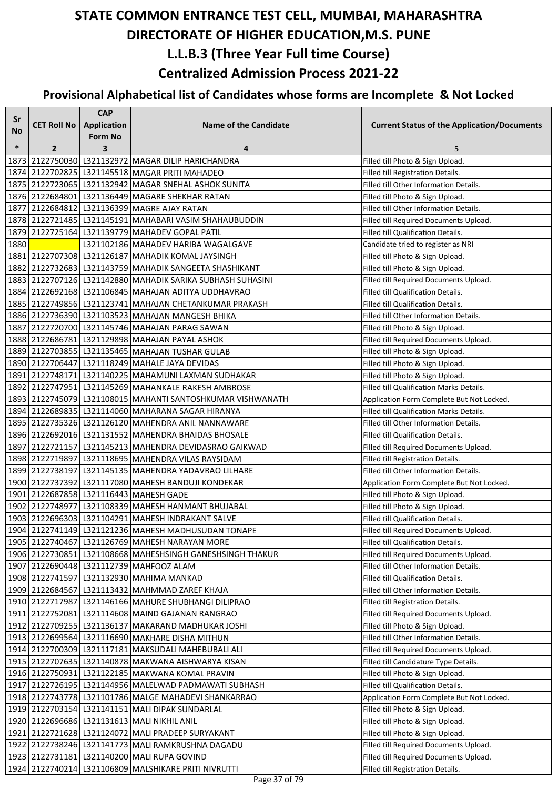| Sr     |                    | <b>CAP</b>         |                                                                  |                                                    |
|--------|--------------------|--------------------|------------------------------------------------------------------|----------------------------------------------------|
| No     | <b>CET Roll No</b> | <b>Application</b> | <b>Name of the Candidate</b>                                     | <b>Current Status of the Application/Documents</b> |
| $\ast$ | $\overline{2}$     | <b>Form No</b>     |                                                                  |                                                    |
|        |                    | 3                  | 4<br>1873 2122750030 L321132972 MAGAR DILIP HARICHANDRA          | 5<br>Filled till Photo & Sign Upload.              |
|        |                    |                    | 1874 2122702825 L321145518 MAGAR PRITI MAHADEO                   | Filled till Registration Details.                  |
|        |                    |                    | 1875 2122723065 L321132942 MAGAR SNEHAL ASHOK SUNITA             | Filled till Other Information Details.             |
|        |                    |                    | 1876 2122684801 L321136449 MAGARE SHEKHAR RATAN                  | Filled till Photo & Sign Upload.                   |
|        |                    |                    | 1877 2122684812 L321136399 MAGRE AJAY RATAN                      | Filled till Other Information Details.             |
|        |                    |                    | 1878 2122721485 L321145191 MAHABARI VASIM SHAHAUBUDDIN           | Filled till Required Documents Upload.             |
| 1879   |                    |                    | 2122725164 L321139779 MAHADEV GOPAL PATIL                        | Filled till Qualification Details.                 |
| 1880   |                    |                    | L321102186 MAHADEV HARIBA WAGALGAVE                              | Candidate tried to register as NRI                 |
|        |                    |                    | 1881 2122707308 L321126187 MAHADIK KOMAL JAYSINGH                | Filled till Photo & Sign Upload.                   |
|        |                    |                    | 1882 2122732683 L321143759 MAHADIK SANGEETA SHASHIKANT           | Filled till Photo & Sign Upload.                   |
|        |                    |                    | 1883   2122707126   L321142880   MAHADIK SARIKA SUBHASH SUHASINI | Filled till Required Documents Upload.             |
|        |                    |                    | 1884 2122692168 L321106845 MAHAJAN ADITYA UDDHAVRAO              | Filled till Qualification Details.                 |
|        |                    |                    | 1885   2122749856   L321123741 MAHAJAN CHETANKUMAR PRAKASH       | Filled till Qualification Details.                 |
|        |                    |                    | 1886 2122736390 L321103523 MAHAJAN MANGESH BHIKA                 | Filled till Other Information Details.             |
|        |                    |                    | 1887 2122720700 L321145746 MAHAJAN PARAG SAWAN                   | Filled till Photo & Sign Upload.                   |
|        |                    |                    | 1888 2122686781 L321129898 MAHAJAN PAYAL ASHOK                   | Filled till Required Documents Upload.             |
|        |                    |                    | 1889 2122703855 L321135465 MAHAJAN TUSHAR GULAB                  | Filled till Photo & Sign Upload.                   |
|        |                    |                    | 1890 2122706447 L321118249 MAHALE JAYA DEVIDAS                   | Filled till Photo & Sign Upload.                   |
|        |                    |                    | 1891 2122748171 L321140225 MAHAMUNI LAXMAN SUDHAKAR              | Filled till Photo & Sign Upload.                   |
|        |                    |                    | 1892 2122747951 L321145269 MAHANKALE RAKESH AMBROSE              | Filled till Qualification Marks Details.           |
|        |                    |                    | 1893 2122745079 L321108015 MAHANTI SANTOSHKUMAR VISHWANATH       | Application Form Complete But Not Locked.          |
|        |                    |                    | 1894 2122689835 L321114060 MAHARANA SAGAR HIRANYA                | Filled till Qualification Marks Details.           |
|        |                    |                    | 1895 2122735326 L321126120 MAHENDRA ANIL NANNAWARE               | Filled till Other Information Details.             |
|        |                    |                    | 1896   2122692016   L321131552   MAHENDRA BHAIDAS BHOSALE        | Filled till Qualification Details.                 |
|        |                    |                    | 1897 2122721157 L321145213 MAHENDRA DEVIDASRAO GAIKWAD           | Filled till Required Documents Upload.             |
|        |                    |                    | 1898 2122719897 L321118695 MAHENDRA VILAS RAYSIDAM               | Filled till Registration Details.                  |
|        |                    |                    | 1899 2122738197 L321145135 MAHENDRA YADAVRAO LILHARE             | Filled till Other Information Details.             |
|        |                    |                    | 1900 2122737392 L321117080 MAHESH BANDUJI KONDEKAR               | Application Form Complete But Not Locked.          |
|        |                    |                    | 1901 2122687858 L321116443 MAHESH GADE                           | Filled till Photo & Sign Upload.                   |
|        |                    |                    | 1902 2122748977 L321108339 MAHESH HANMANT BHUJABAL               | Filled till Photo & Sign Upload.                   |
|        |                    |                    | 1903 2122696303 L321104291 MAHESH INDRAKANT SALVE                | Filled till Qualification Details.                 |
|        |                    |                    | 1904 2122741149 L321121236 MAHESH MADHUSUDAN TONAPE              | Filled till Required Documents Upload.             |
|        |                    |                    | 1905   2122740467   L321126769   MAHESH NARAYAN MORE             | Filled till Qualification Details.                 |
|        |                    |                    | 1906 2122730851 L321108668 MAHESHSINGH GANESHSINGH THAKUR        | Filled till Required Documents Upload.             |
|        |                    |                    | 1907 2122690448 L321112739 MAHFOOZ ALAM                          | Filled till Other Information Details.             |
|        |                    |                    | 1908 2122741597 L321132930 MAHIMA MANKAD                         | Filled till Qualification Details.                 |
|        |                    |                    | 1909 2122684567 L321113432 MAHMMAD ZAREF KHAJA                   | Filled till Other Information Details.             |
|        |                    |                    | 1910 2122717987 L321146166 MAHURE SHUBHANGI DILIPRAO             | Filled till Registration Details.                  |
|        |                    |                    | 1911 2122752081 L321114608 MAIND GAJANAN RANGRAO                 | Filled till Required Documents Upload.             |
|        |                    |                    | 1912 2122709255 L321136137 MAKARAND MADHUKAR JOSHI               | Filled till Photo & Sign Upload.                   |
|        |                    |                    | 1913   2122699564   L321116690   MAKHARE DISHA MITHUN            | Filled till Other Information Details.             |
|        |                    |                    | 1914   2122700309   L321117181   MAKSUDALI MAHEBUBALI ALI        | Filled till Required Documents Upload.             |
|        |                    |                    | 1915   2122707635   L321140878 MAKWANA AISHWARYA KISAN           | Filled till Candidature Type Details.              |
|        |                    |                    | 1916 2122750931 L321122185 MAKWANA KOMAL PRAVIN                  | Filled till Photo & Sign Upload.                   |
|        |                    |                    | 1917 2122726195 L321144956 MALELWAD PADMAWATI SUBHASH            | Filled till Qualification Details.                 |
|        |                    |                    | 1918 2122743778   L321101786   MALGE MAHADEVI SHANKARRAO         | Application Form Complete But Not Locked.          |
|        |                    |                    | 1919 2122703154 L321141151 MALI DIPAK SUNDARLAL                  | Filled till Photo & Sign Upload.                   |
|        |                    |                    | 1920 2122696686 L321131613 MALI NIKHIL ANIL                      | Filled till Photo & Sign Upload.                   |
|        |                    |                    | 1921 2122721628 L321124072 MALI PRADEEP SURYAKANT                | Filled till Photo & Sign Upload.                   |
|        |                    |                    | 1922   2122738246   L321141773   MALI RAMKRUSHNA DAGADU          | Filled till Required Documents Upload.             |
|        |                    |                    | 1923 2122731181 L321140200 MALI RUPA GOVIND                      | Filled till Required Documents Upload.             |
|        |                    |                    | 1924 2122740214 L321106809 MALSHIKARE PRITI NIVRUTTI             | Filled till Registration Details.                  |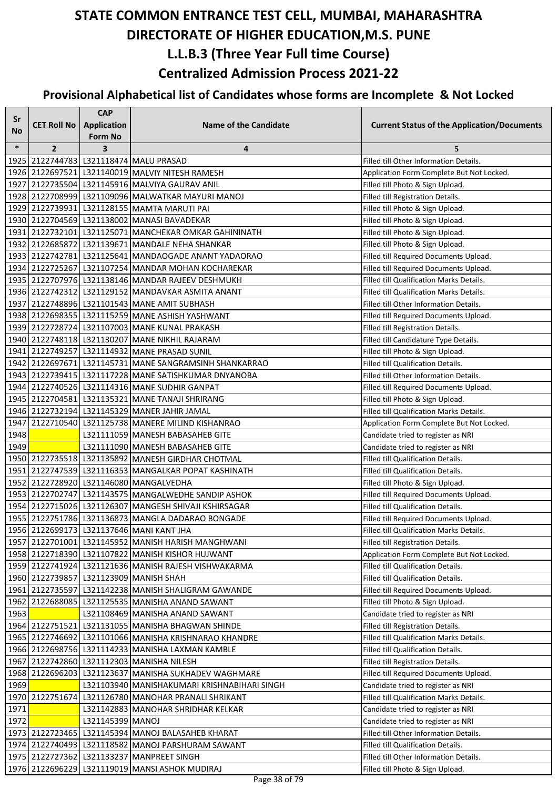| Sr     |                    | <b>CAP</b>                           |                                                                                                              |                                                                                    |
|--------|--------------------|--------------------------------------|--------------------------------------------------------------------------------------------------------------|------------------------------------------------------------------------------------|
| No     | <b>CET Roll No</b> | <b>Application</b><br><b>Form No</b> | <b>Name of the Candidate</b>                                                                                 | <b>Current Status of the Application/Documents</b>                                 |
| $\ast$ | $\overline{2}$     | 3                                    | 4                                                                                                            | 5                                                                                  |
|        |                    |                                      | 1925 2122744783 L321118474 MALU PRASAD                                                                       | Filled till Other Information Details.                                             |
|        |                    |                                      | 1926 2122697521 L321140019 MALVIY NITESH RAMESH                                                              | Application Form Complete But Not Locked.                                          |
| 1927   |                    |                                      | 2122735504 L321145916 MALVIYA GAURAV ANIL                                                                    | Filled till Photo & Sign Upload.                                                   |
|        |                    |                                      | 1928 2122708999 L321109096 MALWATKAR MAYURI MANOJ                                                            | Filled till Registration Details.                                                  |
|        |                    |                                      | 1929 2122739931 L321128155 MAMTA MARUTI PAI                                                                  | Filled till Photo & Sign Upload.                                                   |
|        |                    |                                      | 1930 2122704569 L321138002 MANASI BAVADEKAR                                                                  | Filled till Photo & Sign Upload.                                                   |
|        |                    |                                      | 1931 2122732101 L321125071 MANCHEKAR OMKAR GAHININATH                                                        | Filled till Photo & Sign Upload.                                                   |
|        |                    |                                      | 1932 2122685872 L321139671 MANDALE NEHA SHANKAR                                                              | Filled till Photo & Sign Upload.                                                   |
|        |                    |                                      | 1933   2122742781   L321125641   MANDAOGADE ANANT YADAORAO                                                   | Filled till Required Documents Upload.                                             |
|        |                    |                                      | 1934 2122725267 L321107254 MANDAR MOHAN KOCHAREKAR                                                           | Filled till Required Documents Upload.                                             |
|        |                    |                                      | 1935 2122707976 L321138146 MANDAR RAJEEV DESHMUKH                                                            | Filled till Qualification Marks Details.                                           |
|        |                    |                                      | 1936 2122742312 L321129152 MANDAVKAR ASMITA ANANT                                                            | Filled till Qualification Marks Details.                                           |
|        |                    |                                      | 1937 2122748896 L321101543 MANE AMIT SUBHASH                                                                 | Filled till Other Information Details.                                             |
|        |                    |                                      | 1938 2122698355 L321115259 MANE ASHISH YASHWANT                                                              | Filled till Required Documents Upload.                                             |
|        |                    |                                      | 1939 2122728724 L321107003 MANE KUNAL PRAKASH                                                                | Filled till Registration Details.                                                  |
|        |                    |                                      | 1940 2122748118 L321130207 MANE NIKHIL RAJARAM                                                               | Filled till Candidature Type Details.                                              |
|        |                    |                                      | 1941 2122749257 L321114932 MANE PRASAD SUNIL                                                                 | Filled till Photo & Sign Upload.                                                   |
|        |                    |                                      | 1942 2122697671 L321145731 MANE SANGRAMSINH SHANKARRAO                                                       | Filled till Qualification Details.                                                 |
|        |                    |                                      | 1943 2122739415 L321117228 MANE SATISHKUMAR DNYANOBA                                                         | Filled till Other Information Details.                                             |
|        |                    |                                      | 1944 2122740526 L321114316 MANE SUDHIR GANPAT                                                                | Filled till Required Documents Upload.                                             |
|        |                    |                                      | 1945 2122704581 L321135321 MANE TANAJI SHRIRANG                                                              | Filled till Photo & Sign Upload.                                                   |
|        |                    |                                      | 1946 2122732194 L321145329 MANER JAHIR JAMAL                                                                 | Filled till Qualification Marks Details.                                           |
| 1947   |                    |                                      | 2122710540   L321125738   MANERE MILIND KISHANRAO                                                            | Application Form Complete But Not Locked.                                          |
| 1948   |                    |                                      | L321111059 MANESH BABASAHEB GITE                                                                             | Candidate tried to register as NRI                                                 |
| 1949   |                    |                                      | L321111090 MANESH BABASAHEB GITE                                                                             | Candidate tried to register as NRI                                                 |
|        |                    |                                      | 1950 2122735518 L321135892 MANESH GIRDHAR CHOTMAL                                                            | Filled till Qualification Details.                                                 |
|        |                    |                                      | 1951 2122747539 L321116353 MANGALKAR POPAT KASHINATH                                                         | Filled till Qualification Details.                                                 |
|        |                    |                                      | 1952 2122728920 L321146080 MANGALVEDHA                                                                       | Filled till Photo & Sign Upload.                                                   |
|        |                    |                                      | 1953 2122702747 L321143575 MANGALWEDHE SANDIP ASHOK<br>1954 2122715026 L321126307 MANGESH SHIVAJI KSHIRSAGAR | Filled till Required Documents Upload.                                             |
|        |                    |                                      | 1955 2122751786 L321136873 MANGLA DADARAO BONGADE                                                            | Filled till Qualification Details.                                                 |
|        |                    |                                      | 1956 2122699173 L321137646 MANI KANT JHA                                                                     | Filled till Required Documents Upload.<br>Filled till Qualification Marks Details. |
|        |                    |                                      | 1957 2122701001 L321145952 MANISH HARISH MANGHWANI                                                           | Filled till Registration Details.                                                  |
|        |                    |                                      | 1958 2122718390 L321107822 MANISH KISHOR HUJWANT                                                             | Application Form Complete But Not Locked.                                          |
|        |                    |                                      | 1959 2122741924 L321121636 MANISH RAJESH VISHWAKARMA                                                         | Filled till Qualification Details.                                                 |
|        |                    |                                      | 1960 2122739857 L321123909 MANISH SHAH                                                                       | Filled till Qualification Details.                                                 |
|        |                    |                                      | 1961 2122735597 L321142238 MANISH SHALIGRAM GAWANDE                                                          | Filled till Required Documents Upload.                                             |
| 1962   |                    |                                      | 2122688085   L321125535   MANISHA ANAND SAWANT                                                               | Filled till Photo & Sign Upload.                                                   |
| 1963   |                    |                                      | L321108469 MANISHA ANAND SAWANT                                                                              | Candidate tried to register as NRI                                                 |
|        |                    |                                      | 1964 2122751521 L321131055 MANISHA BHAGWAN SHINDE                                                            | Filled till Registration Details.                                                  |
|        |                    |                                      | 1965   2122746692   L321101066   MANISHA KRISHNARAO KHANDRE                                                  | Filled till Qualification Marks Details.                                           |
|        |                    |                                      | 1966 2122698756 L321114233 MANISHA LAXMAN KAMBLE                                                             | Filled till Qualification Details.                                                 |
|        |                    |                                      | 1967 2122742860 L321112303 MANISHA NILESH                                                                    | Filled till Registration Details.                                                  |
|        |                    |                                      | 1968 2122696203 L321123637 MANISHA SUKHADEV WAGHMARE                                                         | Filled till Required Documents Upload.                                             |
| 1969   |                    |                                      | L321103940 MANISHAKUMARI KRISHNABIHARI SINGH                                                                 | Candidate tried to register as NRI                                                 |
|        |                    |                                      | 1970 2122751674 L321126780 MANOHAR PRANALI SHRIKANT                                                          | Filled till Qualification Marks Details.                                           |
| 1971   |                    |                                      | L321142883 MANOHAR SHRIDHAR KELKAR                                                                           | Candidate tried to register as NRI                                                 |
| 1972   |                    | L321145399 MANOJ                     |                                                                                                              | Candidate tried to register as NRI                                                 |
|        |                    |                                      | 1973 2122723465 L321145394 MANOJ BALASAHEB KHARAT                                                            | Filled till Other Information Details.                                             |
|        |                    |                                      | 1974 2122740493 L321118582 MANOJ PARSHURAM SAWANT                                                            | Filled till Qualification Details.                                                 |
|        |                    |                                      | 1975   2122727362   L321133237   MANPREET SINGH                                                              | Filled till Other Information Details.                                             |
|        |                    |                                      | 1976 2122696229 L321119019 MANSI ASHOK MUDIRAJ                                                               | Filled till Photo & Sign Upload.                                                   |
|        |                    |                                      |                                                                                                              |                                                                                    |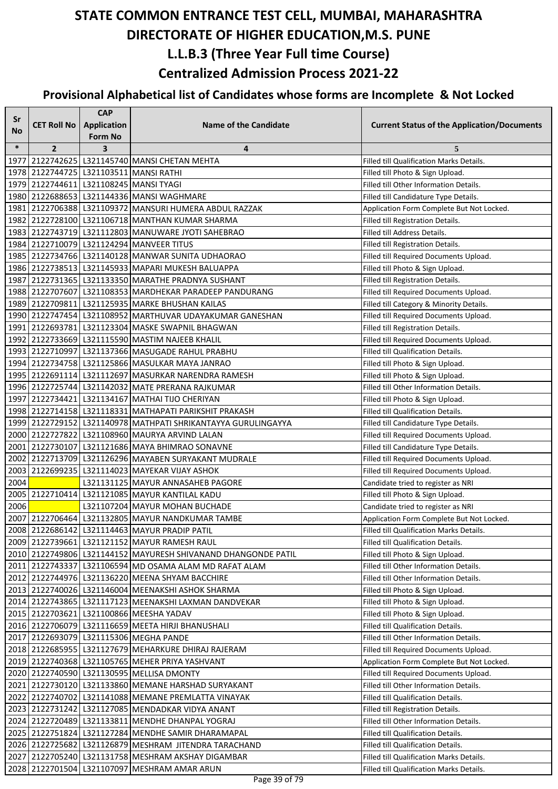| Sr     |                    | <b>CAP</b>                    |                                                                                                               |                                                                            |
|--------|--------------------|-------------------------------|---------------------------------------------------------------------------------------------------------------|----------------------------------------------------------------------------|
| No     | <b>CET Roll No</b> | <b>Application</b><br>Form No | <b>Name of the Candidate</b>                                                                                  | <b>Current Status of the Application/Documents</b>                         |
| $\ast$ | $\overline{2}$     | 3                             | 4                                                                                                             | 5                                                                          |
| 1977   |                    |                               | 2122742625 L321145740 MANSI CHETAN MEHTA                                                                      | Filled till Qualification Marks Details.                                   |
|        |                    |                               | 1978 2122744725 L321103511 MANSI RATHI                                                                        | Filled till Photo & Sign Upload.                                           |
|        |                    |                               | 1979 2122744611 L321108245 MANSI TYAGI                                                                        | Filled till Other Information Details.                                     |
|        |                    |                               | 1980 2122688653 L321144336 MANSI WAGHMARE                                                                     | Filled till Candidature Type Details.                                      |
|        |                    |                               | 1981 2122706388 L321109372 MANSURI HUMERA ABDUL RAZZAK                                                        | Application Form Complete But Not Locked.                                  |
|        |                    |                               | 1982   2122728100   L321106718   MANTHAN KUMAR SHARMA                                                         | Filled till Registration Details.                                          |
|        |                    |                               | 1983 2122743719 L321112803 MANUWARE JYOTI SAHEBRAO                                                            | Filled till Address Details.                                               |
|        |                    |                               | 1984 2122710079 L321124294 MANVEER TITUS                                                                      | Filled till Registration Details.                                          |
|        |                    |                               | 1985   2122734766   L321140128   MANWAR SUNITA UDHAORAO                                                       | Filled till Required Documents Upload.                                     |
|        |                    |                               | 1986 2122738513 L321145933 MAPARI MUKESH BALUAPPA                                                             | Filled till Photo & Sign Upload.                                           |
|        |                    |                               | 1987 2122731365 L321133350 MARATHE PRADNYA SUSHANT                                                            | Filled till Registration Details.                                          |
|        |                    |                               | 1988 2122707607 L321108353 MARDHEKAR PARADEEP PANDURANG                                                       | Filled till Required Documents Upload.                                     |
|        |                    |                               | 1989 2122709811 L321125935 MARKE BHUSHAN KAILAS                                                               | Filled till Category & Minority Details.                                   |
|        |                    |                               | 1990 2122747454 L321108952 MARTHUVAR UDAYAKUMAR GANESHAN                                                      | Filled till Required Documents Upload.                                     |
|        |                    |                               | 1991 2122693781 L321123304 MASKE SWAPNIL BHAGWAN                                                              | Filled till Registration Details.                                          |
|        |                    |                               | 1992 2122733669 L321115590 MASTIM NAJEEB KHALIL                                                               | Filled till Required Documents Upload.                                     |
|        |                    |                               | 1993 2122710997 L321137366 MASUGADE RAHUL PRABHU                                                              | Filled till Qualification Details.                                         |
|        |                    |                               | 1994 2122734758 L321125866 MASULKAR MAYA JANRAO                                                               | Filled till Photo & Sign Upload.                                           |
|        |                    |                               | 1995 2122691114 L321112697 MASURKAR NARENDRA RAMESH                                                           | Filled till Photo & Sign Upload.                                           |
|        |                    |                               | 1996 2122725744 L321142032 MATE PRERANA RAJKUMAR                                                              | Filled till Other Information Details.                                     |
|        |                    |                               | 1997 2122734421 L321134167 MATHAI TIJO CHERIYAN                                                               | Filled till Photo & Sign Upload.                                           |
|        |                    |                               | 1998 2122714158 L321118331 MATHAPATI PARIKSHIT PRAKASH                                                        | Filled till Qualification Details.                                         |
|        |                    |                               | 1999   2122729152   L321140978   MATHPATI SHRIKANTAYYA GURULINGAYYA                                           | Filled till Candidature Type Details.                                      |
|        |                    |                               | 2000 2122727822 L321108960 MAURYA ARVIND LALAN                                                                | Filled till Required Documents Upload.                                     |
|        |                    |                               | 2001 2122730107 L321121686 MAYA BHIMRAO SONAVNE                                                               | Filled till Candidature Type Details.                                      |
|        |                    |                               | 2002 2122713709 L321126296 MAYABEN SURYAKANT MUDRALE                                                          | Filled till Required Documents Upload.                                     |
|        |                    |                               | 2003 2122699235 L321114023 MAYEKAR VIJAY ASHOK                                                                | Filled till Required Documents Upload.                                     |
| 2004   |                    |                               | L321131125 MAYUR ANNASAHEB PAGORE                                                                             | Candidate tried to register as NRI                                         |
|        |                    |                               | 2005 2122710414 L321121085 MAYUR KANTILAL KADU                                                                | Filled till Photo & Sign Upload.                                           |
| 2006   |                    |                               | L321107204 MAYUR MOHAN BUCHADE                                                                                | Candidate tried to register as NRI                                         |
|        |                    |                               | 2007 2122706464 L321132805 MAYUR NANDKUMAR TAMBE                                                              | Application Form Complete But Not Locked.                                  |
|        |                    |                               | 2008 2122686142 L321114463 MAYUR PRADIP PATIL                                                                 | Filled till Qualification Marks Details.                                   |
|        |                    |                               | 2009 2122739661 L321121152 MAYUR RAMESH RAUL<br>2010 2122749806 L321144152 MAYURESH SHIVANAND DHANGONDE PATIL | Filled till Qualification Details.                                         |
|        |                    |                               | 2011 2122743337 L321106594 MD OSAMA ALAM MD RAFAT ALAM                                                        | Filled till Photo & Sign Upload.<br>Filled till Other Information Details. |
|        |                    |                               | 2012 2122744976 L321136220 MEENA SHYAM BACCHIRE                                                               | Filled till Other Information Details.                                     |
|        |                    |                               | 2013 2122740026 L321146004 MEENAKSHI ASHOK SHARMA                                                             | Filled till Photo & Sign Upload.                                           |
|        |                    |                               | 2014 2122743865 L321117123 MEENAKSHI LAXMAN DANDVEKAR                                                         | Filled till Photo & Sign Upload.                                           |
|        |                    |                               | 2015 2122703621 L321100866 MEESHA YADAV                                                                       | Filled till Photo & Sign Upload.                                           |
|        |                    |                               | 2016 2122706079 L321116659 MEETA HIRJI BHANUSHALI                                                             | Filled till Qualification Details.                                         |
|        |                    |                               | 2017 2122693079 L321115306 MEGHA PANDE                                                                        | Filled till Other Information Details.                                     |
|        |                    |                               | 2018 2122685955 L321127679 MEHARKURE DHIRAJ RAJERAM                                                           | Filled till Required Documents Upload.                                     |
|        |                    |                               | 2019 2122740368 L321105765 MEHER PRIYA YASHVANT                                                               | Application Form Complete But Not Locked.                                  |
|        |                    |                               | 2020 2122740590 L321130595 MELLISA DMONTY                                                                     | Filled till Required Documents Upload.                                     |
|        |                    |                               | 2021 2122730120   L321133860   MEMANE HARSHAD SURYAKANT                                                       | Filled till Other Information Details.                                     |
|        |                    |                               | 2022 2122740702 L321141088 MEMANE PREMLATTA VINAYAK                                                           | Filled till Qualification Details.                                         |
|        |                    |                               | 2023 2122731242 L321127085 MENDADKAR VIDYA ANANT                                                              | Filled till Registration Details.                                          |
|        |                    |                               | 2024 2122720489 L321133811 MENDHE DHANPAL YOGRAJ                                                              | Filled till Other Information Details.                                     |
|        |                    |                               | 2025   2122751824   L321127284   MENDHE SAMIR DHARAMAPAL                                                      | Filled till Qualification Details.                                         |
|        |                    |                               | 2026 2122725682 L321126879 MESHRAM JITENDRA TARACHAND                                                         | Filled till Qualification Details.                                         |
|        |                    |                               | 2027 2122705240 L321131758 MESHRAM AKSHAY DIGAMBAR                                                            | Filled till Qualification Marks Details.                                   |
|        |                    |                               | 2028 2122701504 L321107097 MESHRAM AMAR ARUN                                                                  | Filled till Qualification Marks Details.                                   |
|        |                    |                               |                                                                                                               |                                                                            |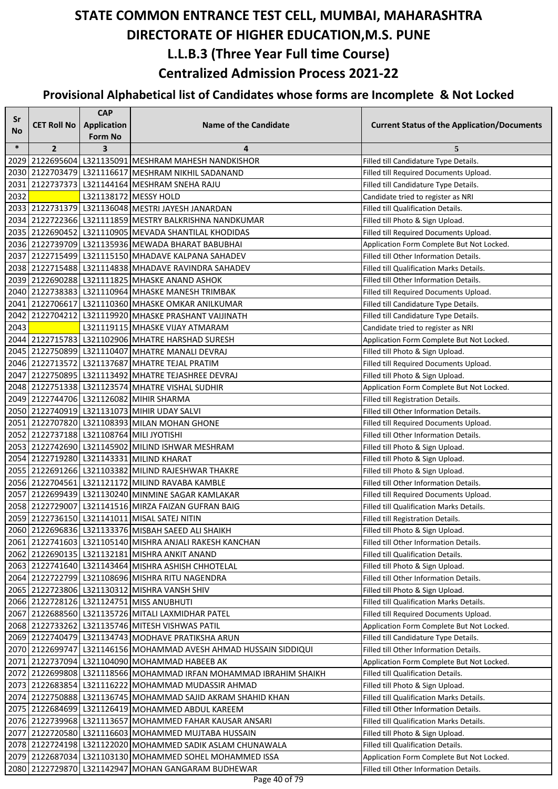| Sr     |                    | <b>CAP</b>              |                                                                   |                                                    |
|--------|--------------------|-------------------------|-------------------------------------------------------------------|----------------------------------------------------|
| No     | <b>CET Roll No</b> | <b>Application</b>      | <b>Name of the Candidate</b>                                      | <b>Current Status of the Application/Documents</b> |
|        |                    | Form No                 |                                                                   |                                                    |
| $\ast$ | $\overline{2}$     | $\overline{\mathbf{3}}$ | 4                                                                 | 5                                                  |
|        |                    |                         | 2029 2122695604 L321135091 MESHRAM MAHESH NANDKISHOR              | Filled till Candidature Type Details.              |
|        |                    |                         | 2030 2122703479 L321116617 MESHRAM NIKHIL SADANAND                | Filled till Required Documents Upload.             |
|        |                    |                         | 2031 2122737373 L321144164 MESHRAM SNEHA RAJU                     | Filled till Candidature Type Details.              |
| 2032   |                    |                         | L321138172 MESSY HOLD                                             | Candidate tried to register as NRI                 |
|        |                    |                         | 2033 2122731379 L321136048 MESTRI JAYESH JANARDAN                 | Filled till Qualification Details.                 |
|        |                    |                         | 2034 2122722366 L321111859 MESTRY BALKRISHNA NANDKUMAR            | Filled till Photo & Sign Upload.                   |
|        |                    |                         | 2035 2122690452 L321110905 MEVADA SHANTILAL KHODIDAS              | Filled till Required Documents Upload.             |
|        |                    |                         | 2036   2122739709   L321135936   MEWADA BHARAT BABUBHAI           | Application Form Complete But Not Locked.          |
|        |                    |                         | 2037 2122715499 L321115150 MHADAVE KALPANA SAHADEV                | Filled till Other Information Details.             |
|        |                    |                         | 2038 2122715488 L321114838 MHADAVE RAVINDRA SAHADEV               | Filled till Qualification Marks Details.           |
|        |                    |                         | 2039 2122690288 L321111825 MHASKE ANAND ASHOK                     | Filled till Other Information Details.             |
|        |                    |                         | 2040 2122738383 L321110964 MHASKE MANESH TRIMBAK                  | Filled till Required Documents Upload.             |
|        |                    |                         | 2041 2122706617 L321110360 MHASKE OMKAR ANILKUMAR                 | Filled till Candidature Type Details.              |
|        |                    |                         | 2042 2122704212 L321119920 MHASKE PRASHANT VAIJINATH              | Filled till Candidature Type Details.              |
| 2043   |                    |                         | L321119115 MHASKE VIJAY ATMARAM                                   | Candidate tried to register as NRI                 |
|        |                    |                         | 2044 2122715783 L321102906 MHATRE HARSHAD SURESH                  | Application Form Complete But Not Locked.          |
|        |                    |                         | 2045 2122750899 L321110407 MHATRE MANALI DEVRAJ                   | Filled till Photo & Sign Upload.                   |
|        |                    |                         | 2046 2122713572 L321137687 MHATRE TEJAL PRATIM                    | Filled till Required Documents Upload.             |
|        |                    |                         | 2047   2122750895   L321113492  MHATRE TEJASHREE DEVRAJ           | Filled till Photo & Sign Upload.                   |
|        |                    |                         | 2048 2122751338 L321123574 MHATRE VISHAL SUDHIR                   | Application Form Complete But Not Locked.          |
|        |                    |                         | 2049 2122744706 L321126082 MIHIR SHARMA                           | Filled till Registration Details.                  |
|        |                    |                         | 2050 2122740919 L321131073 MIHIR UDAY SALVI                       | Filled till Other Information Details.             |
|        |                    |                         | 2051 2122707820 L321108393 MILAN MOHAN GHONE                      | Filled till Required Documents Upload.             |
|        |                    |                         | 2052 2122737188 L321108764 MILI JYOTISHI                          | Filled till Other Information Details.             |
|        |                    |                         | 2053 2122742690 L321145902 MILIND ISHWAR MESHRAM                  | Filled till Photo & Sign Upload.                   |
|        |                    |                         | 2054 2122719280 L321143331 MILIND KHARAT                          | Filled till Photo & Sign Upload.                   |
|        |                    |                         | 2055 2122691266 L321103382 MILIND RAJESHWAR THAKRE                | Filled till Photo & Sign Upload.                   |
|        |                    |                         | 2056 2122704561 L321121172 MILIND RAVABA KAMBLE                   | Filled till Other Information Details.             |
|        |                    |                         | 2057 2122699439 L321130240 MINMINE SAGAR KAMLAKAR                 | Filled till Required Documents Upload.             |
|        |                    |                         | 2058 2122729007 L321141516 MIRZA FAIZAN GUFRAN BAIG               | Filled till Qualification Marks Details.           |
|        |                    |                         | 2059 2122736150 L321141011 MISAL SATEJ NITIN                      | Filled till Registration Details.                  |
|        |                    |                         | 2060 2122696836 L321133376 MISBAH SAEED ALI SHAIKH                | Filled till Photo & Sign Upload.                   |
|        |                    |                         | 2061   2122741603   L321105140 MISHRA ANJALI RAKESH KANCHAN       | Filled till Other Information Details.             |
|        |                    |                         | 2062   2122690135   L321132181   MISHRA ANKIT ANAND               | Filled till Qualification Details.                 |
|        |                    |                         | 2063   2122741640   L321143464   MISHRA ASHISH CHHOTELAL          | Filled till Photo & Sign Upload.                   |
|        |                    |                         | 2064   2122722799   L321108696   MISHRA RITU NAGENDRA             | Filled till Other Information Details.             |
|        |                    |                         | 2065 2122723806 L321130312 MISHRA VANSH SHIV                      | Filled till Photo & Sign Upload.                   |
|        |                    |                         | 2066 2122728126 L321124751 MISS ANUBHUTI                          | Filled till Qualification Marks Details.           |
|        |                    |                         | 2067 2122688560 L321135726 MITALI LAXMIDHAR PATEL                 | Filled till Required Documents Upload.             |
|        |                    |                         | 2068 2122733262 L321135746 MITESH VISHWAS PATIL                   | Application Form Complete But Not Locked.          |
|        |                    |                         | 2069 2122740479 L321134743 MODHAVE PRATIKSHA ARUN                 | Filled till Candidature Type Details.              |
|        |                    |                         | 2070 2122699747 L321146156 MOHAMMAD AVESH AHMAD HUSSAIN SIDDIQUI  | Filled till Other Information Details.             |
|        |                    |                         | 2071 2122737094 L321104090 MOHAMMAD HABEEB AK                     | Application Form Complete But Not Locked.          |
|        |                    |                         | 2072 2122699808 L321118566 MOHAMMAD IRFAN MOHAMMAD IBRAHIM SHAIKH | Filled till Qualification Details.                 |
|        |                    |                         | 2073 2122683854 L321116222 MOHAMMAD MUDASSIR AHMAD                | Filled till Photo & Sign Upload.                   |
|        |                    |                         | 2074 2122750888 L321136745 MOHAMMAD SAJID AKRAM SHAHID KHAN       | Filled till Qualification Marks Details.           |
|        |                    |                         | 2075 2122684699 L321126419 MOHAMMED ABDUL KAREEM                  | Filled till Other Information Details.             |
|        |                    |                         | 2076 2122739968   L321113657 MOHAMMED FAHAR KAUSAR ANSARI         | Filled till Qualification Marks Details.           |
|        |                    |                         | 2077   2122720580   L321116603   MOHAMMED MUJTABA HUSSAIN         | Filled till Photo & Sign Upload.                   |
|        |                    |                         | 2078 2122724198 L321122020 MOHAMMED SADIK ASLAM CHUNAWALA         | Filled till Qualification Details.                 |
|        |                    |                         | 2079   2122687034   L321103130   MOHAMMED SOHEL MOHAMMED ISSA     | Application Form Complete But Not Locked.          |
|        |                    |                         | 2080 2122729870 L321142947 MOHAN GANGARAM BUDHEWAR                | Filled till Other Information Details.             |
|        |                    |                         | $D_{200}$ $AD_{2}$ of $70$                                        |                                                    |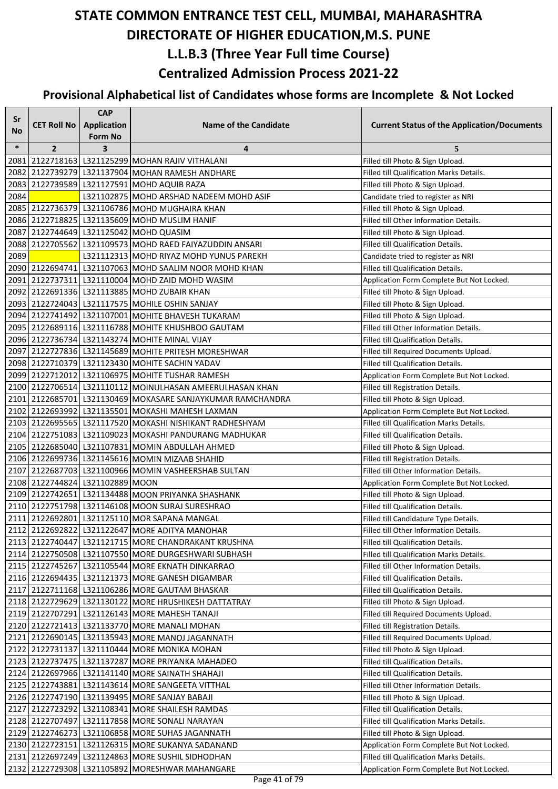| Sr     |                                 | <b>CAP</b>                    |                                                                                                   |                                                                             |
|--------|---------------------------------|-------------------------------|---------------------------------------------------------------------------------------------------|-----------------------------------------------------------------------------|
| No     | <b>CET Roll No</b>              | <b>Application</b><br>Form No | <b>Name of the Candidate</b>                                                                      | <b>Current Status of the Application/Documents</b>                          |
| $\ast$ | $\overline{2}$                  | 3                             | 4                                                                                                 | 5                                                                           |
| 2081   |                                 |                               | 2122718163 L321125299 MOHAN RAJIV VITHALANI                                                       | Filled till Photo & Sign Upload.                                            |
|        |                                 |                               | 2082 2122739279 L321137904 MOHAN RAMESH ANDHARE                                                   | Filled till Qualification Marks Details.                                    |
|        |                                 |                               | 2083 2122739589 L321127591 MOHD AQUIB RAZA                                                        | Filled till Photo & Sign Upload.                                            |
| 2084   |                                 |                               | L321102875 MOHD ARSHAD NADEEM MOHD ASIF                                                           | Candidate tried to register as NRI                                          |
|        |                                 |                               | 2085 2122736379 L321106786 MOHD MUGHAIRA KHAN                                                     | Filled till Photo & Sign Upload.                                            |
|        |                                 |                               | 2086 2122718825 L321135609 MOHD MUSLIM HANIF                                                      | Filled till Other Information Details.                                      |
|        |                                 |                               | 2087 2122744649 L321125042 MOHD QUASIM                                                            | Filled till Photo & Sign Upload.                                            |
| 2088   |                                 |                               | 2122705562   L321109573   MOHD RAED FAIYAZUDDIN ANSARI                                            | Filled till Qualification Details.                                          |
| 2089   |                                 |                               | L321112313 MOHD RIYAZ MOHD YUNUS PAREKH                                                           | Candidate tried to register as NRI                                          |
|        |                                 |                               | 2090 2122694741 L321107063 MOHD SAALIM NOOR MOHD KHAN                                             | <b>Filled till Qualification Details.</b>                                   |
|        |                                 |                               | 2091 2122737311 L321110004 MOHD ZAID MOHD WASIM                                                   | Application Form Complete But Not Locked.                                   |
|        |                                 |                               | 2092 2122691336 L321113885 MOHD ZUBAIR KHAN                                                       | Filled till Photo & Sign Upload.                                            |
|        |                                 |                               | 2093 2122724043 L321117575 MOHILE OSHIN SANJAY                                                    | Filled till Photo & Sign Upload.                                            |
|        |                                 |                               | 2094 2122741492 L321107001 MOHITE BHAVESH TUKARAM                                                 | Filled till Photo & Sign Upload.                                            |
|        |                                 |                               | 2095 2122689116 L321116788 MOHITE KHUSHBOO GAUTAM                                                 | Filled till Other Information Details.                                      |
|        |                                 |                               | 2096 2122736734 L321143274 MOHITE MINAL VIJAY                                                     | Filled till Qualification Details.                                          |
|        |                                 |                               | 2097 2122727836 L321145689 MOHITE PRITESH MORESHWAR                                               | Filled till Required Documents Upload.                                      |
|        |                                 |                               | 2098 2122710379 L321123430 MOHITE SACHIN YADAV                                                    | <b>Filled till Qualification Details.</b>                                   |
|        |                                 |                               | 2099 2122712012 L321106975 MOHITE TUSHAR RAMESH                                                   | Application Form Complete But Not Locked.                                   |
|        |                                 |                               | 2100 2122706514 L321110112 MOINULHASAN AMEERULHASAN KHAN                                          | Filled till Registration Details.                                           |
|        |                                 |                               | 2101 2122685701 L321130469 MOKASARE SANJAYKUMAR RAMCHANDRA                                        | Filled till Photo & Sign Upload.                                            |
|        |                                 |                               | 2102 2122693992 L321135501 MOKASHI MAHESH LAXMAN                                                  | Application Form Complete But Not Locked.                                   |
|        |                                 |                               | 2103 2122695565 L321117520 MOKASHI NISHIKANT RADHESHYAM                                           | Filled till Qualification Marks Details.                                    |
|        |                                 |                               | 2104 2122751083 L321109023 MOKASHI PANDURANG MADHUKAR                                             | Filled till Qualification Details.                                          |
|        |                                 |                               | 2105 2122685040 L321107831 MOMIN ABDULLAH AHMED<br>2106 2122699736 L321145616 MOMIN MIZAAB SHAHID | Filled till Photo & Sign Upload.                                            |
|        |                                 |                               | 2107 2122687703 L321100966 MOMIN VASHEERSHAB SULTAN                                               | Filled till Registration Details.<br>Filled till Other Information Details. |
|        | 2108 2122744824 L321102889 MOON |                               |                                                                                                   | Application Form Complete But Not Locked.                                   |
|        |                                 |                               | 2109 2122742651 L321134488 MOON PRIYANKA SHASHANK                                                 | Filled till Photo & Sign Upload.                                            |
|        |                                 |                               | 2110 2122751798 L321146108 MOON SURAJ SURESHRAO                                                   | Filled till Qualification Details.                                          |
|        |                                 |                               | 2111 2122692801 L321125110 MOR SAPANA MANGAL                                                      | Filled till Candidature Type Details.                                       |
|        |                                 |                               | 2112 2122692822 L321122647 MORE ADITYA MANOHAR                                                    | Filled till Other Information Details.                                      |
|        |                                 |                               | 2113 2122740447 L321121715 MORE CHANDRAKANT KRUSHNA                                               | Filled till Qualification Details.                                          |
|        |                                 |                               | 2114 2122750508 L321107550 MORE DURGESHWARI SUBHASH                                               | Filled till Qualification Marks Details.                                    |
|        |                                 |                               | 2115 2122745267 L321105544 MORE EKNATH DINKARRAO                                                  | Filled till Other Information Details.                                      |
|        |                                 |                               | 2116 2122694435   L321121373   MORE GANESH DIGAMBAR                                               | Filled till Qualification Details.                                          |
|        |                                 |                               | 2117 2122711168 L321106286 MORE GAUTAM BHASKAR                                                    | Filled till Qualification Details.                                          |
|        |                                 |                               | 2118 2122729629 L321130122 MORE HRUSHIKESH DATTATRAY                                              | Filled till Photo & Sign Upload.                                            |
|        |                                 |                               | 2119 2122707291 L321126143 MORE MAHESH TANAJI                                                     | Filled till Required Documents Upload.                                      |
|        |                                 |                               | 2120 2122721413   L321133770 MORE MANALI MOHAN                                                    | Filled till Registration Details.                                           |
|        |                                 |                               | 2121 2122690145   L321135943   MORE MANOJ JAGANNATH                                               | Filled till Required Documents Upload.                                      |
|        |                                 |                               | 2122 2122731137 L321110444 MORE MONIKA MOHAN                                                      | Filled till Photo & Sign Upload.                                            |
|        |                                 |                               | 2123 2122737475   L321137287 MORE PRIYANKA MAHADEO                                                | Filled till Qualification Details.                                          |
|        |                                 |                               | 2124 2122697966 L321141140 MORE SAINATH SHAHAJI                                                   | Filled till Qualification Details.                                          |
|        |                                 |                               | 2125 2122743881 L321143614 MORE SANGEETA VITTHAL                                                  | Filled till Other Information Details.                                      |
|        |                                 |                               | 2126 2122747190 L321139495 MORE SANJAY BABAJI                                                     | Filled till Photo & Sign Upload.                                            |
|        |                                 |                               | 2127 2122723292 L321108341 MORE SHAILESH RAMDAS                                                   | Filled till Qualification Details.                                          |
|        |                                 |                               | 2128 2122707497 L321117858 MORE SONALI NARAYAN                                                    | Filled till Qualification Marks Details.                                    |
|        |                                 |                               | 2129 2122746273 L321106858 MORE SUHAS JAGANNATH                                                   | Filled till Photo & Sign Upload.                                            |
|        |                                 |                               | 2130 2122723151 L321126315 MORE SUKANYA SADANAND                                                  | Application Form Complete But Not Locked.                                   |
|        |                                 |                               | 2131 2122697249 L321124863 MORE SUSHIL SIDHODHAN                                                  | Filled till Qualification Marks Details.                                    |
|        |                                 |                               | 2132 2122729308 L321105892 MORESHWAR MAHANGARE                                                    | Application Form Complete But Not Locked.                                   |
|        |                                 |                               |                                                                                                   |                                                                             |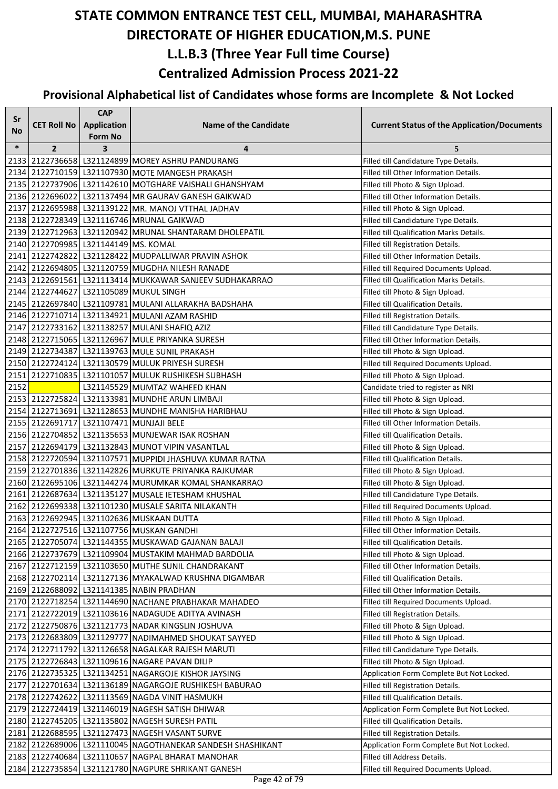| Sr        |                                      | <b>CAP</b>              |                                                                                                              |                                                                                 |
|-----------|--------------------------------------|-------------------------|--------------------------------------------------------------------------------------------------------------|---------------------------------------------------------------------------------|
| <b>No</b> | <b>CET Roll No</b>                   | Application             | <b>Name of the Candidate</b>                                                                                 | <b>Current Status of the Application/Documents</b>                              |
| $\ast$    |                                      | <b>Form No</b>          |                                                                                                              |                                                                                 |
|           | $\overline{2}$                       | $\overline{\mathbf{3}}$ | 4<br>2133 2122736658 L321124899 MOREY ASHRU PANDURANG                                                        | 5                                                                               |
|           |                                      |                         | 2134 2122710159 L321107930 MOTE MANGESH PRAKASH                                                              | Filled till Candidature Type Details.<br>Filled till Other Information Details. |
|           |                                      |                         | 2135 2122737906 L321142610 MOTGHARE VAISHALI GHANSHYAM                                                       | Filled till Photo & Sign Upload.                                                |
|           |                                      |                         | 2136 2122696022 L321137494 MR GAURAV GANESH GAIKWAD                                                          | Filled till Other Information Details.                                          |
|           |                                      |                         | 2137 2122695988 L321139122 MR. MANOJ VTTHAL JADHAV                                                           | Filled till Photo & Sign Upload.                                                |
|           |                                      |                         | 2138 2122728349 L321116746 MRUNAL GAIKWAD                                                                    | Filled till Candidature Type Details.                                           |
|           |                                      |                         | 2139 2122712963 L321120942 MRUNAL SHANTARAM DHOLEPATIL                                                       | <b>Filled till Qualification Marks Details.</b>                                 |
|           | 2140 2122709985 L321144149 MS. KOMAL |                         |                                                                                                              | Filled till Registration Details.                                               |
|           |                                      |                         | 2141 2122742822 L321128422 MUDPALLIWAR PRAVIN ASHOK                                                          | Filled till Other Information Details.                                          |
|           |                                      |                         | 2142 2122694805 L321120759 MUGDHA NILESH RANADE                                                              | Filled till Required Documents Upload.                                          |
|           |                                      |                         | 2143 2122691561 L321113414 MUKKAWAR SANJEEV SUDHAKARRAO                                                      | Filled till Qualification Marks Details.                                        |
|           |                                      |                         | 2144 2122744627 L321105089 MUKUL SINGH                                                                       | Filled till Photo & Sign Upload.                                                |
|           |                                      |                         | 2145 2122697840   L321109781 MULANI ALLARAKHA BADSHAHA                                                       | Filled till Qualification Details.                                              |
|           |                                      |                         | 2146 2122710714 L321134921 MULANI AZAM RASHID                                                                | Filled till Registration Details.                                               |
|           |                                      |                         | 2147 2122733162 L321138257 MULANI SHAFIQ AZIZ                                                                | Filled till Candidature Type Details.                                           |
|           |                                      |                         | 2148 2122715065   L321126967 MULE PRIYANKA SURESH                                                            | Filled till Other Information Details.                                          |
|           |                                      |                         | 2149 2122734387 L321139763 MULE SUNIL PRAKASH                                                                | Filled till Photo & Sign Upload.                                                |
|           |                                      |                         | 2150 2122724124 L321130579 MULUK PRIYESH SURESH                                                              | Filled till Required Documents Upload.                                          |
|           |                                      |                         | 2151 2122710835 L321101057 MULUK RUSHIKESH SUBHASH                                                           | Filled till Photo & Sign Upload.                                                |
| 2152      |                                      |                         | L321145529 MUMTAZ WAHEED KHAN                                                                                | Candidate tried to register as NRI                                              |
|           |                                      |                         | 2153 2122725824 L321133981 MUNDHE ARUN LIMBAJI                                                               | Filled till Photo & Sign Upload.                                                |
|           |                                      |                         | 2154 2122713691 L321128653 MUNDHE MANISHA HARIBHAU                                                           | Filled till Photo & Sign Upload.                                                |
|           |                                      |                         | 2155 2122691717 L321107471 MUNJAJI BELE                                                                      | Filled till Other Information Details.                                          |
|           |                                      |                         | 2156 2122704852 L321135653 MUNJEWAR ISAK ROSHAN                                                              | Filled till Qualification Details.                                              |
|           |                                      |                         | 2157 2122694179 L321132843 MUNOT VIPIN VASANTLAL                                                             | Filled till Photo & Sign Upload.                                                |
|           |                                      |                         | 2158 2122720594 L321107571 MUPPIDI JHASHUVA KUMAR RATNA                                                      | Filled till Qualification Details.                                              |
|           |                                      |                         | 2159 2122701836 L321142826 MURKUTE PRIYANKA RAJKUMAR                                                         | Filled till Photo & Sign Upload.                                                |
|           |                                      |                         | 2160 2122695106 L321144274 MURUMKAR KOMAL SHANKARRAO                                                         | Filled till Photo & Sign Upload.                                                |
|           |                                      |                         | 2161 2122687634 L321135127 MUSALE IETESHAM KHUSHAL                                                           | Filled till Candidature Type Details.                                           |
|           |                                      |                         | 2162 2122699338 L321101230 MUSALE SARITA NILAKANTH                                                           | Filled till Required Documents Upload.                                          |
|           |                                      |                         | 2163 2122692945 L321102636 MUSKAAN DUTTA                                                                     | Filled till Photo & Sign Upload.                                                |
|           |                                      |                         | 2164 2122727516 L321107756 MUSKAN GANDHI                                                                     | Filled till Other Information Details.                                          |
|           |                                      |                         | 2165 2122705074 L321144355 MUSKAWAD GAJANAN BALAJI                                                           | Filled till Qualification Details.                                              |
|           |                                      |                         | 2166 2122737679 L321109904 MUSTAKIM MAHMAD BARDOLIA                                                          | Filled till Photo & Sign Upload.                                                |
|           |                                      |                         | 2167 2122712159 L321103650 MUTHE SUNIL CHANDRAKANT                                                           | Filled till Other Information Details.                                          |
|           |                                      |                         | 2168 2122702114 L321127136 MYAKALWAD KRUSHNA DIGAMBAR                                                        | Filled till Qualification Details.                                              |
|           |                                      |                         | 2169 2122688092 L321141385 NABIN PRADHAN                                                                     | Filled till Other Information Details.                                          |
|           |                                      |                         | 2170 2122718254 L321144690 NACHANE PRABHAKAR MAHADEO                                                         | Filled till Required Documents Upload.                                          |
|           |                                      |                         | 2171 2122722019 L321103616 NADAGUDE ADITYA AVINASH                                                           | Filled till Registration Details.                                               |
|           |                                      |                         | 2172 2122750876 L321121773 NADAR KINGSLIN JOSHUVA                                                            | Filled till Photo & Sign Upload.                                                |
|           |                                      |                         | 2173 2122683809 L321129777 NADIMAHMED SHOUKAT SAYYED                                                         | Filled till Photo & Sign Upload.                                                |
|           |                                      |                         | 2174 2122711792 L321126658 NAGALKAR RAJESH MARUTI                                                            | Filled till Candidature Type Details.                                           |
|           |                                      |                         | 2175 2122726843 L321109616 NAGARE PAVAN DILIP                                                                | Filled till Photo & Sign Upload.                                                |
|           |                                      |                         | 2176 2122735325 L321134251 NAGARGOJE KISHOR JAYSING                                                          | Application Form Complete But Not Locked.                                       |
|           |                                      |                         | 2177 2122701634 L321136189 NAGARGOJE RUSHIKESH BABURAO                                                       | Filled till Registration Details.                                               |
|           |                                      |                         | 2178 2122742622 L321113569 NAGDA VINIT HASMUKH                                                               | Filled till Qualification Details.                                              |
|           |                                      |                         | 2179 2122724419 L321146019 NAGESH SATISH DHIWAR                                                              | Application Form Complete But Not Locked.                                       |
|           |                                      |                         | 2180 2122745205   L321135802 NAGESH SURESH PATIL                                                             | Filled till Qualification Details.                                              |
|           |                                      |                         | 2181 2122688595 L321127473 NAGESH VASANT SURVE<br>2182 2122689006 L321110045 NAGOTHANEKAR SANDESH SHASHIKANT | Filled till Registration Details.                                               |
|           |                                      |                         | 2183   2122740684   L321110657   NAGPAL BHARAT MANOHAR                                                       | Application Form Complete But Not Locked.<br>Filled till Address Details.       |
|           |                                      |                         | 2184 2122735854 L321121780 NAGPURE SHRIKANT GANESH                                                           |                                                                                 |
|           |                                      |                         |                                                                                                              | Filled till Required Documents Upload.                                          |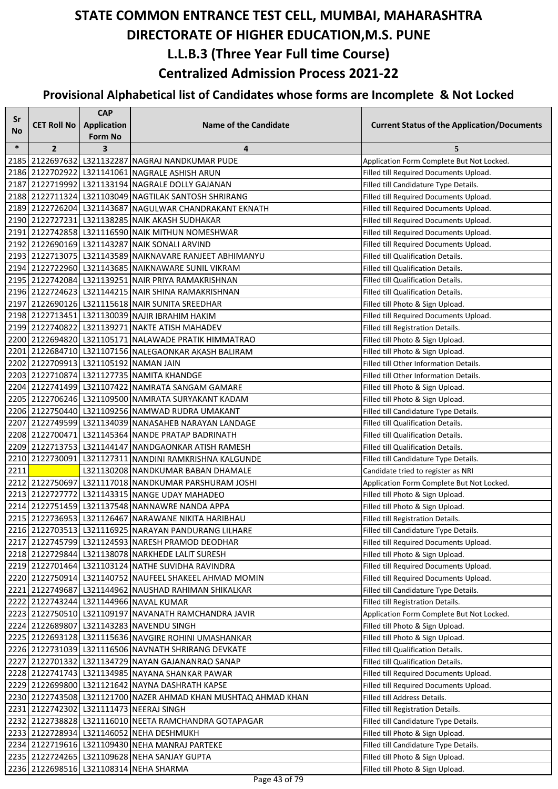| Sr     |                                       | <b>CAP</b>         |                                                                |                                                    |
|--------|---------------------------------------|--------------------|----------------------------------------------------------------|----------------------------------------------------|
| No     | <b>CET Roll No</b>                    | <b>Application</b> | <b>Name of the Candidate</b>                                   | <b>Current Status of the Application/Documents</b> |
|        |                                       | <b>Form No</b>     |                                                                |                                                    |
| $\ast$ | $\overline{2}$                        | 3                  | 4                                                              | 5                                                  |
|        |                                       |                    | 2185 2122697632 L321132287 NAGRAJ NANDKUMAR PUDE               | Application Form Complete But Not Locked.          |
|        |                                       |                    | 2186 2122702922 L321141061 NAGRALE ASHISH ARUN                 | Filled till Required Documents Upload.             |
|        |                                       |                    | 2187 2122719992 L321133194 NAGRALE DOLLY GAJANAN               | Filled till Candidature Type Details.              |
|        |                                       |                    | 2188 2122711324 L321103049 NAGTILAK SANTOSH SHRIRANG           | Filled till Required Documents Upload.             |
|        |                                       |                    | 2189 2122726204 L321143687 NAGULWAR CHANDRAKANT EKNATH         | Filled till Required Documents Upload.             |
|        |                                       |                    | 2190 2122727231 L321138285 NAIK AKASH SUDHAKAR                 | Filled till Required Documents Upload.             |
|        |                                       |                    | 2191 2122742858 L321116590 NAIK MITHUN NOMESHWAR               | Filled till Required Documents Upload.             |
|        |                                       |                    | 2192 2122690169 L321143287 NAIK SONALI ARVIND                  | Filled till Required Documents Upload.             |
|        |                                       |                    | 2193 2122713075 L321143589 NAIKNAVARE RANJEET ABHIMANYU        | Filled till Qualification Details.                 |
|        |                                       |                    | 2194 2122722960 L321143685 NAIKNAWARE SUNIL VIKRAM             | Filled till Qualification Details.                 |
|        |                                       |                    | 2195 2122742084 L321139251 NAIR PRIYA RAMAKRISHNAN             | Filled till Qualification Details.                 |
|        |                                       |                    | 2196 2122724623 L321144215 NAIR SHINA RAMAKRISHNAN             | Filled till Qualification Details.                 |
|        |                                       |                    | 2197 2122690126 L321115618 NAIR SUNITA SREEDHAR                | Filled till Photo & Sign Upload.                   |
|        |                                       |                    | 2198 2122713451 L321130039 NAJIR IBRAHIM HAKIM                 | Filled till Required Documents Upload.             |
|        |                                       |                    | 2199 2122740822 L321139271 NAKTE ATISH MAHADEV                 | Filled till Registration Details.                  |
|        |                                       |                    | 2200 2122694820 L321105171 NALAWADE PRATIK HIMMATRAO           | Filled till Photo & Sign Upload.                   |
|        |                                       |                    | 2201 2122684710 L321107156 NALEGAONKAR AKASH BALIRAM           | Filled till Photo & Sign Upload.                   |
|        | 2202 2122709913 L321105192 NAMAN JAIN |                    |                                                                | Filled till Other Information Details.             |
|        |                                       |                    | 2203 2122710874 L321127735 NAMITA KHANDGE                      | Filled till Other Information Details.             |
|        |                                       |                    | 2204 2122741499 L321107422 NAMRATA SANGAM GAMARE               | Filled till Photo & Sign Upload.                   |
|        |                                       |                    | 2205 2122706246 L321109500 NAMRATA SURYAKANT KADAM             | Filled till Photo & Sign Upload.                   |
|        |                                       |                    | 2206 2122750440 L321109256 NAMWAD RUDRA UMAKANT                | Filled till Candidature Type Details.              |
|        |                                       |                    | 2207 2122749599 L321134039 NANASAHEB NARAYAN LANDAGE           | Filled till Qualification Details.                 |
|        |                                       |                    | 2208 2122700471 L321145364 NANDE PRATAP BADRINATH              | Filled till Qualification Details.                 |
|        |                                       |                    | 2209 2122713753 L321144147 NANDGAONKAR ATISH RAMESH            | Filled till Qualification Details.                 |
| 2210   |                                       |                    | 2122730091 L321127311 NANDINI RAMKRISHNA KALGUNDE              | Filled till Candidature Type Details.              |
| 2211   |                                       |                    | L321130208 NANDKUMAR BABAN DHAMALE                             | Candidate tried to register as NRI                 |
|        |                                       |                    | 2212 2122750697 L321117018 NANDKUMAR PARSHURAM JOSHI           | Application Form Complete But Not Locked.          |
|        |                                       |                    | 2213 2122727772 L321143315 NANGE UDAY MAHADEO                  | Filled till Photo & Sign Upload.                   |
|        |                                       |                    | 2214 2122751459 L321137548 NANNAWRE NANDA APPA                 | Filled till Photo & Sign Upload.                   |
|        |                                       |                    | 2215 2122736953 L321126467 NARAWANE NIKITA HARIBHAU            | Filled till Registration Details.                  |
|        |                                       |                    | 2216 2122703513 L321116925 NARAYAN PANDURANG LILHARE           | Filled till Candidature Type Details.              |
|        |                                       |                    | 2217 2122745799 L321124593 NARESH PRAMOD DEODHAR               | Filled till Required Documents Upload.             |
|        |                                       |                    | 2218 2122729844 L321138078 NARKHEDE LALIT SURESH               | Filled till Photo & Sign Upload.                   |
|        |                                       |                    | 2219 2122701464 L321103124 NATHE SUVIDHA RAVINDRA              | Filled till Required Documents Upload.             |
|        |                                       |                    | 2220 2122750914 L321140752 NAUFEEL SHAKEEL AHMAD MOMIN         | Filled till Required Documents Upload.             |
|        |                                       |                    | 2221 2122749687 L321144962 NAUSHAD RAHIMAN SHIKALKAR           | Filled till Candidature Type Details.              |
|        |                                       |                    | 2222 2122743244 L321144966 NAVAL KUMAR                         | Filled till Registration Details.                  |
|        |                                       |                    | 2223 2122750510 L321109197 NAVANATH RAMCHANDRA JAVIR           | Application Form Complete But Not Locked.          |
|        |                                       |                    | 2224 2122689807 L321143283 NAVENDU SINGH                       | Filled till Photo & Sign Upload.                   |
|        |                                       |                    | 2225   2122693128   L321115636   NAVGIRE ROHINI UMASHANKAR     | Filled till Photo & Sign Upload.                   |
|        |                                       |                    | 2226 2122731039 L321116506 NAVNATH SHRIRANG DEVKATE            | Filled till Qualification Details.                 |
|        |                                       |                    | 2227   2122701332   L321134729  NAYAN GAJANANRAO SANAP         | Filled till Qualification Details.                 |
|        |                                       |                    | 2228 2122741743 L321134985 NAYANA SHANKAR PAWAR                | Filled till Required Documents Upload.             |
|        |                                       |                    | 2229 2122699800 L321121642 NAYNA DASHRATH KAPSE                | Filled till Required Documents Upload.             |
|        |                                       |                    | 2230 2122743508 L321121700 NAZER AHMAD KHAN MUSHTAQ AHMAD KHAN | Filled till Address Details.                       |
|        |                                       |                    | 2231 2122742302 L321111473 NEERAJ SINGH                        | Filled till Registration Details.                  |
|        |                                       |                    | 2232 2122738828 L321116010 NEETA RAMCHANDRA GOTAPAGAR          | Filled till Candidature Type Details.              |
|        |                                       |                    | 2233 2122728934 L321146052 NEHA DESHMUKH                       | Filled till Photo & Sign Upload.                   |
|        |                                       |                    | 2234 2122719616 L321109430 NEHA MANRAJ PARTEKE                 | Filled till Candidature Type Details.              |
|        |                                       |                    | 2235 2122724265 L321109628 NEHA SANJAY GUPTA                   | Filled till Photo & Sign Upload.                   |
|        |                                       |                    | 2236 2122698516 L321108314 NEHA SHARMA                         | Filled till Photo & Sign Upload.                   |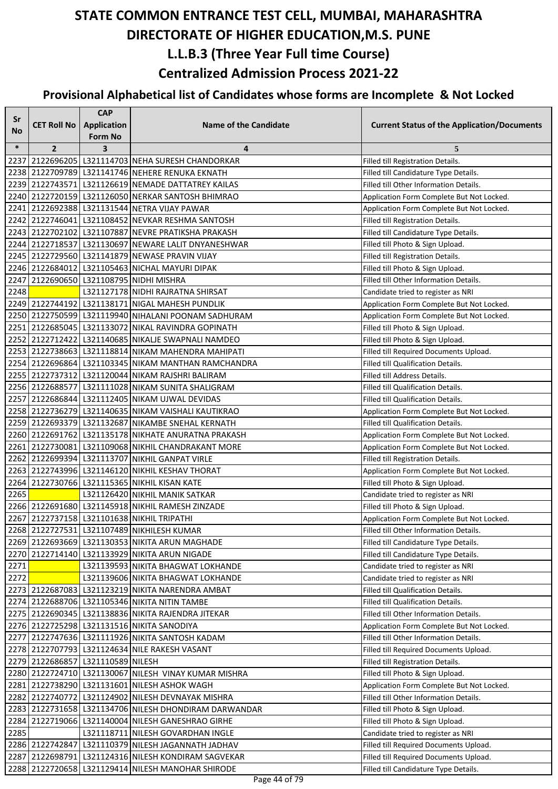| Sr     |                                   | <b>CAP</b>                           |                                                                                                      |                                                                               |
|--------|-----------------------------------|--------------------------------------|------------------------------------------------------------------------------------------------------|-------------------------------------------------------------------------------|
| No     | <b>CET Roll No</b>                | <b>Application</b><br><b>Form No</b> | <b>Name of the Candidate</b>                                                                         | <b>Current Status of the Application/Documents</b>                            |
| $\ast$ | $\overline{2}$                    | 3                                    | 4                                                                                                    | 5                                                                             |
| 2237   |                                   |                                      | 2122696205 L321114703 NEHA SURESH CHANDORKAR                                                         | Filled till Registration Details.                                             |
|        |                                   |                                      | 2238 2122709789 L321141746 NEHERE RENUKA EKNATH                                                      | Filled till Candidature Type Details.                                         |
|        |                                   |                                      | 2239 2122743571 L321126619 NEMADE DATTATREY KAILAS                                                   | Filled till Other Information Details.                                        |
|        |                                   |                                      | 2240 2122720159 L321126050 NERKAR SANTOSH BHIMRAO                                                    | Application Form Complete But Not Locked.                                     |
|        |                                   |                                      | 2241 2122692388 L321131544 NETRA VIJAY PAWAR                                                         | Application Form Complete But Not Locked.                                     |
|        |                                   |                                      | 2242 2122746041 L321108452 NEVKAR RESHMA SANTOSH                                                     | Filled till Registration Details.                                             |
|        |                                   |                                      | 2243 2122702102 L321107887 NEVRE PRATIKSHA PRAKASH                                                   | Filled till Candidature Type Details.                                         |
|        |                                   |                                      | 2244 2122718537 L321130697 NEWARE LALIT DNYANESHWAR                                                  | Filled till Photo & Sign Upload.                                              |
|        |                                   |                                      | 2245 2122729560 L321141879 NEWASE PRAVIN VIJAY                                                       | Filled till Registration Details.                                             |
|        |                                   |                                      | 2246 2122684012 L321105463 NICHAL MAYURI DIPAK                                                       | Filled till Photo & Sign Upload.                                              |
|        |                                   |                                      | 2247 2122690650 L321108795 NIDHI MISHRA                                                              | Filled till Other Information Details.                                        |
| 2248   |                                   |                                      | L321127178 NIDHI RAJRATNA SHIRSAT                                                                    | Candidate tried to register as NRI                                            |
|        |                                   |                                      | 2249 2122744192 L321138171 NIGAL MAHESH PUNDLIK                                                      | Application Form Complete But Not Locked.                                     |
|        |                                   |                                      | 2250 2122750599 L321119940 NIHALANI POONAM SADHURAM                                                  | Application Form Complete But Not Locked.                                     |
|        |                                   |                                      | 2251 2122685045 L321133072 NIKAL RAVINDRA GOPINATH                                                   | Filled till Photo & Sign Upload.                                              |
|        |                                   |                                      | 2252 2122712422 L321140685 NIKALJE SWAPNALI NAMDEO                                                   | Filled till Photo & Sign Upload.                                              |
|        |                                   |                                      | 2253   2122738663   L321118814   NIKAM MAHENDRA MAHIPATI                                             | Filled till Required Documents Upload.                                        |
|        |                                   |                                      | 2254 2122696864 L321103345 NIKAM MANTHAN RAMCHANDRA                                                  | Filled till Qualification Details.                                            |
|        |                                   |                                      | 2255 2122737312 L321120044 NIKAM RAJSHRI BALIRAM                                                     | Filled till Address Details.                                                  |
|        |                                   |                                      | 2256 2122688577 L321111028 NIKAM SUNITA SHALIGRAM                                                    | Filled till Qualification Details.                                            |
|        |                                   |                                      | 2257 2122686844 L321112405 NIKAM UJWAL DEVIDAS                                                       | Filled till Qualification Details.                                            |
|        |                                   |                                      | 2258 2122736279 L321140635 NIKAM VAISHALI KAUTIKRAO                                                  | Application Form Complete But Not Locked.                                     |
|        |                                   |                                      | 2259 2122693379 L321132687 NIKAMBE SNEHAL KERNATH                                                    | Filled till Qualification Details.                                            |
|        |                                   |                                      | 2260 2122691762 L321135178 NIKHATE ANURATNA PRAKASH                                                  | Application Form Complete But Not Locked.                                     |
|        |                                   |                                      | 2261 2122730081 L321109068 NIKHIL CHANDRAKANT MORE                                                   | Application Form Complete But Not Locked.                                     |
|        |                                   |                                      | 2262 2122699394 L321113707 NIKHIL GANPAT VIRLE                                                       | Filled till Registration Details.                                             |
|        |                                   |                                      | 2263 2122743996 L321146120 NIKHIL KESHAV THORAT                                                      | Application Form Complete But Not Locked.                                     |
|        |                                   |                                      | 2264 2122730766 L321115365 NIKHIL KISAN KATE                                                         | Filled till Photo & Sign Upload.                                              |
| 2265   |                                   |                                      | L321126420 NIKHIL MANIK SATKAR                                                                       | Candidate tried to register as NRI                                            |
|        |                                   |                                      | 2266 2122691680 L321145918 NIKHIL RAMESH ZINZADE                                                     | Filled till Photo & Sign Upload.                                              |
|        |                                   |                                      | 2267 2122737158 L321101638 NIKHIL TRIPATHI                                                           | Application Form Complete But Not Locked.                                     |
|        |                                   |                                      | 2268 2122727531 L321107489 NIKHILESH KUMAR                                                           | Filled till Other Information Details.                                        |
|        |                                   |                                      | 2269 2122693669 L321130353 NIKITA ARUN MAGHADE                                                       | Filled till Candidature Type Details.                                         |
|        |                                   |                                      | 2270 2122714140 L321133929 NIKITA ARUN NIGADE                                                        | Filled till Candidature Type Details.                                         |
| 2271   |                                   |                                      | L321139593 NIKITA BHAGWAT LOKHANDE                                                                   | Candidate tried to register as NRI                                            |
| 2272   |                                   |                                      | L321139606 NIKITA BHAGWAT LOKHANDE                                                                   | Candidate tried to register as NRI                                            |
|        |                                   |                                      | 2273 2122687083 L321123219 NIKITA NARENDRA AMBAT                                                     | Filled till Qualification Details.                                            |
|        |                                   |                                      | 2274 2122688706 L321105346 NIKITA NITIN TAMBE                                                        | Filled till Qualification Details.                                            |
|        |                                   |                                      | 2275 2122690345 L321138836 NIKITA RAJENDRA JITEKAR                                                   | Filled till Other Information Details.                                        |
|        |                                   |                                      | 2276 2122725298 L321131516 NIKITA SANODIYA                                                           | Application Form Complete But Not Locked.                                     |
|        |                                   |                                      | 2277 2122747636 L321111926 NIKITA SANTOSH KADAM                                                      | Filled till Other Information Details.                                        |
|        |                                   |                                      | 2278 2122707793 L321124634 NILE RAKESH VASANT                                                        | Filled till Required Documents Upload.                                        |
|        | 2279 2122686857 L321110589 NILESH |                                      |                                                                                                      | Filled till Registration Details.                                             |
|        |                                   |                                      | 2280 2122724710 L321130067 NILESH VINAY KUMAR MISHRA<br>2281 2122738290 L321131601 NILESH ASHOK WAGH | Filled till Photo & Sign Upload.<br>Application Form Complete But Not Locked. |
|        |                                   |                                      | 2282 2122740772 L321124902 NILESH DEVNAYAK MISHRA                                                    | Filled till Other Information Details.                                        |
|        |                                   |                                      | 2283 2122731658 L321134706 NILESH DHONDIRAM DARWANDAR                                                | Filled till Photo & Sign Upload.                                              |
| 2284   |                                   |                                      | 2122719066 L321140004 NILESH GANESHRAO GIRHE                                                         | Filled till Photo & Sign Upload.                                              |
| 2285   |                                   |                                      | L321118711 NILESH GOVARDHAN INGLE                                                                    | Candidate tried to register as NRI                                            |
|        |                                   |                                      | 2286 2122742847 L321110379 NILESH JAGANNATH JADHAV                                                   | Filled till Required Documents Upload.                                        |
|        |                                   |                                      | 2287 2122698791 L321124316 NILESH KONDIRAM SAGVEKAR                                                  | Filled till Required Documents Upload.                                        |
|        |                                   |                                      | 2288 2122720658 L321129414 NILESH MANOHAR SHIRODE                                                    | Filled till Candidature Type Details.                                         |
|        |                                   |                                      |                                                                                                      |                                                                               |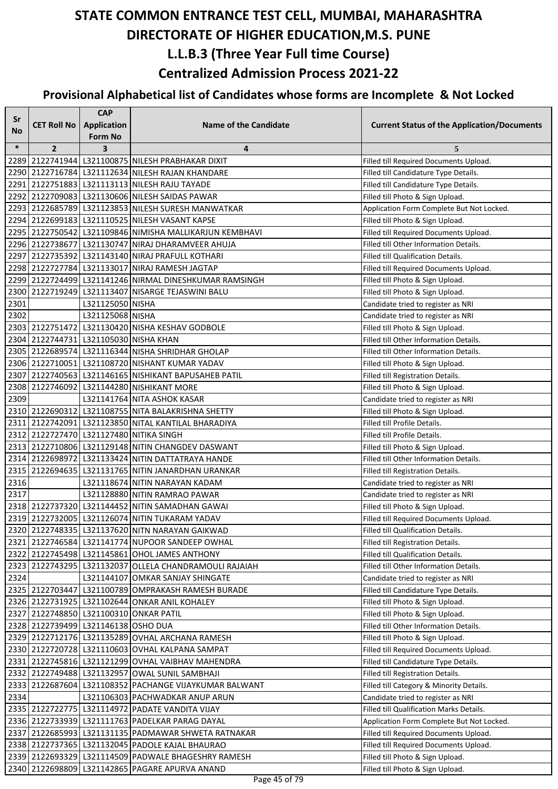| Sr     |                                       | <b>CAP</b>       |                                                         |                                                    |
|--------|---------------------------------------|------------------|---------------------------------------------------------|----------------------------------------------------|
| No     | <b>CET Roll No</b>                    | Application      | <b>Name of the Candidate</b>                            | <b>Current Status of the Application/Documents</b> |
|        |                                       | <b>Form No</b>   |                                                         |                                                    |
| $\ast$ | $\overline{2}$                        | 3                | 4                                                       | 5                                                  |
|        |                                       |                  | 2289 2122741944 L321100875 NILESH PRABHAKAR DIXIT       | Filled till Required Documents Upload.             |
|        |                                       |                  | 2290 2122716784 L321112634 NILESH RAJAN KHANDARE        | Filled till Candidature Type Details.              |
|        |                                       |                  | 2291 2122751883 L321113113 NILESH RAJU TAYADE           | Filled till Candidature Type Details.              |
|        |                                       |                  | 2292 2122709083 L321130606 NILESH SAIDAS PAWAR          | Filled till Photo & Sign Upload.                   |
|        |                                       |                  | 2293 2122685789 L321123853 NILESH SURESH MANWATKAR      | Application Form Complete But Not Locked.          |
|        |                                       |                  | 2294 2122699183 L321110525 NILESH VASANT KAPSE          | Filled till Photo & Sign Upload.                   |
|        |                                       |                  | 2295 2122750542 L321109846 NIMISHA MALLIKARJUN KEMBHAVI | Filled till Required Documents Upload.             |
|        |                                       |                  | 2296 2122738677 L321130747 NIRAJ DHARAMVEER AHUJA       | Filled till Other Information Details.             |
|        |                                       |                  | 2297 2122735392 L321143140 NIRAJ PRAFULL KOTHARI        | Filled till Qualification Details.                 |
|        |                                       |                  | 2298 2122727784 L321133017 NIRAJ RAMESH JAGTAP          | Filled till Required Documents Upload.             |
|        |                                       |                  | 2299 2122724499 L321141246 NIRMAL DINESHKUMAR RAMSINGH  | Filled till Photo & Sign Upload.                   |
|        |                                       |                  | 2300 2122719249 L321113407 NISARGE TEJASWINI BALU       | Filled till Photo & Sign Upload.                   |
| 2301   |                                       | L321125050 NISHA |                                                         | Candidate tried to register as NRI                 |
| 2302   |                                       | L321125068 NISHA |                                                         | Candidate tried to register as NRI                 |
|        |                                       |                  | 2303 2122751472 L321130420 NISHA KESHAV GODBOLE         | Filled till Photo & Sign Upload.                   |
|        | 2304 2122744731 L321105030 NISHA KHAN |                  |                                                         | Filled till Other Information Details.             |
|        |                                       |                  | 2305 2122689574 L321116344 NISHA SHRIDHAR GHOLAP        | Filled till Other Information Details.             |
|        |                                       |                  | 2306 2122710051 L321108720 NISHANT KUMAR YADAV          | Filled till Photo & Sign Upload.                   |
|        |                                       |                  | 2307 2122740563   L321146165 NISHIKANT BAPUSAHEB PATIL  | Filled till Registration Details.                  |
|        |                                       |                  | 2308 2122746092 L321144280 NISHIKANT MORE               | Filled till Photo & Sign Upload.                   |
| 2309   |                                       |                  | L321141764 NITA ASHOK KASAR                             | Candidate tried to register as NRI                 |
|        |                                       |                  | 2310 2122690312 L321108755 NITA BALAKRISHNA SHETTY      | Filled till Photo & Sign Upload.                   |
|        |                                       |                  | 2311 2122742091 L321123850 NITAL KANTILAL BHARADIYA     | Filled till Profile Details.                       |
|        |                                       |                  | 2312 2122727470 L321127480 NITIKA SINGH                 | Filled till Profile Details.                       |
|        |                                       |                  | 2313 2122710806 L321129148 NITIN CHANGDEV DASWANT       | Filled till Photo & Sign Upload.                   |
|        |                                       |                  | 2314 2122698972 L321133424 NITIN DATTATRAYA HANDE       | Filled till Other Information Details.             |
|        |                                       |                  | 2315 2122694635 L321131765 NITIN JANARDHAN URANKAR      | Filled till Registration Details.                  |
| 2316   |                                       |                  | L321118674 NITIN NARAYAN KADAM                          | Candidate tried to register as NRI                 |
| 2317   |                                       |                  | L321128880 NITIN RAMRAO PAWAR                           | Candidate tried to register as NRI                 |
|        |                                       |                  | 2318 2122737320 L321144452 NITIN SAMADHAN GAWAI         | Filled till Photo & Sign Upload.                   |
|        |                                       |                  | 2319 2122732005 L321126074 NITIN TUKARAM YADAV          | Filled till Required Documents Upload.             |
|        |                                       |                  | 2320 2122748335 L321137620 NITN NARAYAN GAIKWAD         | Filled till Qualification Details.                 |
|        |                                       |                  | 2321 2122746584 L321141774 NUPOOR SANDEEP OWHAL         | Filled till Registration Details.                  |
|        |                                       |                  | 2322 2122745498 L321145861 OHOL JAMES ANTHONY           | Filled till Qualification Details.                 |
|        |                                       |                  | 2323 2122743295 L321132037 OLLELA CHANDRAMOULI RAJAIAH  | Filled till Other Information Details.             |
| 2324   |                                       |                  | L321144107 OMKAR SANJAY SHINGATE                        | Candidate tried to register as NRI                 |
|        |                                       |                  | 2325 2122703447 L321100789 OMPRAKASH RAMESH BURADE      | Filled till Candidature Type Details.              |
|        |                                       |                  | 2326 2122731925 L321102644 ONKAR ANIL KOHALEY           | Filled till Photo & Sign Upload.                   |
|        |                                       |                  | 2327 2122748850 L321100310 ONKAR PATIL                  | Filled till Photo & Sign Upload.                   |
|        | 2328 2122739499 L321146138 OSHO DUA   |                  |                                                         | Filled till Other Information Details.             |
|        |                                       |                  | 2329 2122712176 L321135289 OVHAL ARCHANA RAMESH         | Filled till Photo & Sign Upload.                   |
|        |                                       |                  | 2330 2122720728 L321110603 OVHAL KALPANA SAMPAT         | Filled till Required Documents Upload.             |
|        |                                       |                  | 2331 2122745816 L321121299 OVHAL VAIBHAV MAHENDRA       | Filled till Candidature Type Details.              |
|        |                                       |                  | 2332 2122749488 L321132957 OWAL SUNIL SAMBHAJI          | Filled till Registration Details.                  |
|        |                                       |                  | 2333 2122687604 L321108352 PACHANGE VIJAYKUMAR BALWANT  | Filled till Category & Minority Details.           |
| 2334   |                                       |                  | L321106303 PACHWADKAR ANUP ARUN                         | Candidate tried to register as NRI                 |
|        |                                       |                  | 2335 2122722775 L321114972 PADATE VANDITA VIJAY         | Filled till Qualification Marks Details.           |
|        |                                       |                  | 2336 2122733939 L321111763 PADELKAR PARAG DAYAL         | Application Form Complete But Not Locked.          |
|        |                                       |                  | 2337 2122685993 L321131135 PADMAWAR SHWETA RATNAKAR     | Filled till Required Documents Upload.             |
|        |                                       |                  | 2338 2122737365 L321132045 PADOLE KAJAL BHAURAO         | Filled till Required Documents Upload.             |
|        |                                       |                  | 2339 2122693329 L321114509 PADWALE BHAGESHRY RAMESH     | Filled till Photo & Sign Upload.                   |
|        |                                       |                  | 2340 2122698809 L321142865 PAGARE APURVA ANAND          |                                                    |
|        |                                       |                  |                                                         | Filled till Photo & Sign Upload.                   |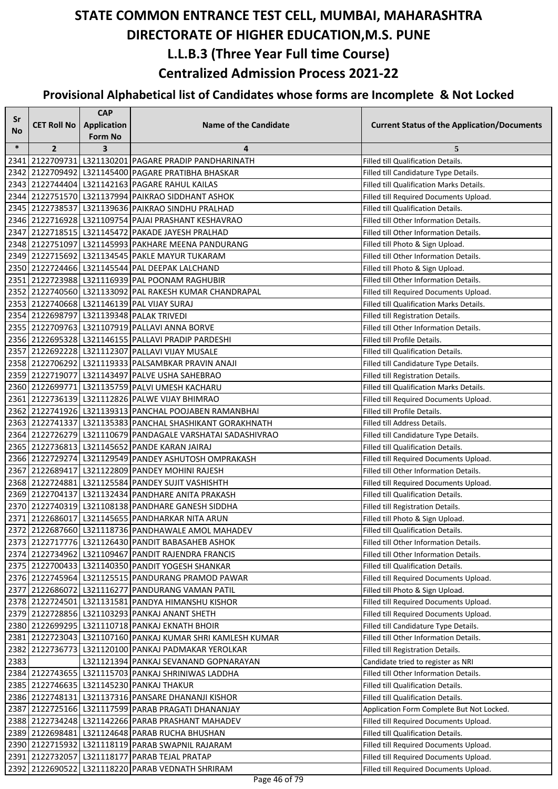| Sr     |                    | <b>CAP</b>              |                                                            |                                                    |
|--------|--------------------|-------------------------|------------------------------------------------------------|----------------------------------------------------|
| No     | <b>CET Roll No</b> | <b>Application</b>      | <b>Name of the Candidate</b>                               | <b>Current Status of the Application/Documents</b> |
|        |                    | Form No                 |                                                            |                                                    |
| $\ast$ | $\overline{2}$     | $\overline{\mathbf{3}}$ | 4                                                          | 5                                                  |
| 2341   |                    |                         | 2122709731 L321130201 PAGARE PRADIP PANDHARINATH           | <b>Filled till Qualification Details.</b>          |
|        |                    |                         | 2342 2122709492 L321145400 PAGARE PRATIBHA BHASKAR         | Filled till Candidature Type Details.              |
|        |                    |                         | 2343 2122744404 L321142163 PAGARE RAHUL KAILAS             | Filled till Qualification Marks Details.           |
|        |                    |                         | 2344 2122751570 L321137994 PAIKRAO SIDDHANT ASHOK          | Filled till Required Documents Upload.             |
|        |                    |                         | 2345 2122738537 L321139636 PAIKRAO SINDHU PRALHAD          | Filled till Qualification Details.                 |
|        |                    |                         | 2346 2122716928 L321109754 PAJAI PRASHANT KESHAVRAO        | Filled till Other Information Details.             |
|        |                    |                         | 2347 2122718515   L321145472   PAKADE JAYESH PRALHAD       | Filled till Other Information Details.             |
|        |                    |                         | 2348 2122751097 L321145993 PAKHARE MEENA PANDURANG         | Filled till Photo & Sign Upload.                   |
|        |                    |                         | 2349 2122715692 L321134545 PAKLE MAYUR TUKARAM             | Filled till Other Information Details.             |
|        |                    |                         | 2350 2122724466 L321145544 PAL DEEPAK LALCHAND             | Filled till Photo & Sign Upload.                   |
|        |                    |                         | 2351 2122723988 L321116939 PAL POONAM RAGHUBIR             | Filled till Other Information Details.             |
|        |                    |                         | 2352 2122740560 L321133092 PAL RAKESH KUMAR CHANDRAPAL     | Filled till Required Documents Upload.             |
|        |                    |                         | 2353 2122740668 L321146139 PAL VIJAY SURAJ                 | Filled till Qualification Marks Details.           |
|        |                    |                         | 2354 2122698797 L321139348 PALAK TRIVEDI                   | Filled till Registration Details.                  |
|        |                    |                         | 2355 2122709763 L321107919 PALLAVI ANNA BORVE              | Filled till Other Information Details.             |
|        |                    |                         | 2356 2122695328 L321146155 PALLAVI PRADIP PARDESHI         | Filled till Profile Details.                       |
|        |                    |                         | 2357 2122692228 L321112307 PALLAVI VIJAY MUSALE            | Filled till Qualification Details.                 |
|        |                    |                         | 2358 2122706292 L321119333 PALSAMBKAR PRAVIN ANAJI         | Filled till Candidature Type Details.              |
|        |                    |                         | 2359 2122719077 L321143497 PALVE USHA SAHEBRAO             | Filled till Registration Details.                  |
|        |                    |                         | 2360 2122699771 L321135759 PALVI UMESH KACHARU             | Filled till Qualification Marks Details.           |
|        |                    |                         | 2361 2122736139 L321112826 PALWE VIJAY BHIMRAO             | Filled till Required Documents Upload.             |
|        |                    |                         | 2362 2122741926 L321139313 PANCHAL POOJABEN RAMANBHAI      | Filled till Profile Details.                       |
|        |                    |                         | 2363 2122741337 L321135383 PANCHAL SHASHIKANT GORAKHNATH   | Filled till Address Details.                       |
|        |                    |                         | 2364 2122726279 L321110679 PANDAGALE VARSHATAI SADASHIVRAO | Filled till Candidature Type Details.              |
|        |                    |                         | 2365   2122736813   L321145652   PANDE KARAN JAIRAJ        | Filled till Qualification Details.                 |
|        |                    |                         | 2366 2122729274 L321129549 PANDEY ASHUTOSH OMPRAKASH       | Filled till Required Documents Upload.             |
|        |                    |                         | 2367 2122689417 L321122809 PANDEY MOHINI RAJESH            | Filled till Other Information Details.             |
|        |                    |                         | 2368 2122724881 L321125584 PANDEY SUJIT VASHISHTH          | Filled till Required Documents Upload.             |
|        |                    |                         | 2369 2122704137 L321132434 PANDHARE ANITA PRAKASH          | Filled till Qualification Details.                 |
|        |                    |                         | 2370 2122740319 L321108138 PANDHARE GANESH SIDDHA          | Filled till Registration Details.                  |
|        |                    |                         | 2371 2122686017 L321145655 PANDHARKAR NITA ARUN            | Filled till Photo & Sign Upload.                   |
|        |                    |                         | 2372 2122687660 L321118736 PANDHAWALE AMOL MAHADEV         | Filled till Qualification Details.                 |
|        |                    |                         | 2373 2122717776 L321126430 PANDIT BABASAHEB ASHOK          | Filled till Other Information Details.             |
|        |                    |                         | 2374 2122734962 L321109467 PANDIT RAJENDRA FRANCIS         | Filled till Other Information Details.             |
|        |                    |                         | 2375 2122700433 L321140350 PANDIT YOGESH SHANKAR           | Filled till Qualification Details.                 |
|        |                    |                         | 2376 2122745964 L321125515 PANDURANG PRAMOD PAWAR          | Filled till Required Documents Upload.             |
|        |                    |                         | 2377 2122686072 L321116277 PANDURANG VAMAN PATIL           | Filled till Photo & Sign Upload.                   |
|        |                    |                         | 2378 2122724501 L321131581 PANDYA HIMANSHU KISHOR          | Filled till Required Documents Upload.             |
|        |                    |                         | 2379 2122728856 L321103293 PANKAJ ANANT SHETH              | Filled till Required Documents Upload.             |
|        |                    |                         | 2380 2122699295 L321110718 PANKAJ EKNATH BHOIR             | Filled till Candidature Type Details.              |
|        |                    |                         | 2381 2122723043 L321107160 PANKAJ KUMAR SHRI KAMLESH KUMAR | Filled till Other Information Details.             |
| 2382   |                    |                         | 2122736773   L321120100   PANKAJ PADMAKAR YEROLKAR         | Filled till Registration Details.                  |
| 2383   |                    |                         | L321121394 PANKAJ SEVANAND GOPNARAYAN                      | Candidate tried to register as NRI                 |
|        |                    |                         | 2384   2122743655   L321115703   PANKAJ SHRINIWAS LADDHA   | Filled till Other Information Details.             |
|        |                    |                         | 2385 2122746635 L321145230 PANKAJ THAKUR                   | Filled till Qualification Details.                 |
|        |                    |                         | 2386 2122748131 L321137316 PANSARE DHANANJI KISHOR         | Filled till Qualification Details.                 |
|        |                    |                         | 2387 2122725166 L321117599 PARAB PRAGATI DHANANJAY         | Application Form Complete But Not Locked.          |
|        |                    |                         | 2388 2122734248 L321142266 PARAB PRASHANT MAHADEV          | Filled till Required Documents Upload.             |
|        |                    |                         | 2389 2122698481 L321124648 PARAB RUCHA BHUSHAN             | Filled till Qualification Details.                 |
|        |                    |                         | 2390 2122715932 L321118119 PARAB SWAPNIL RAJARAM           | Filled till Required Documents Upload.             |
|        |                    |                         | 2391 2122732057 L321118177 PARAB TEJAL PRATAP              | Filled till Required Documents Upload.             |
|        |                    |                         | 2392 2122690522 L321118220 PARAB VEDNATH SHRIRAM           | Filled till Required Documents Upload.             |
|        |                    |                         |                                                            |                                                    |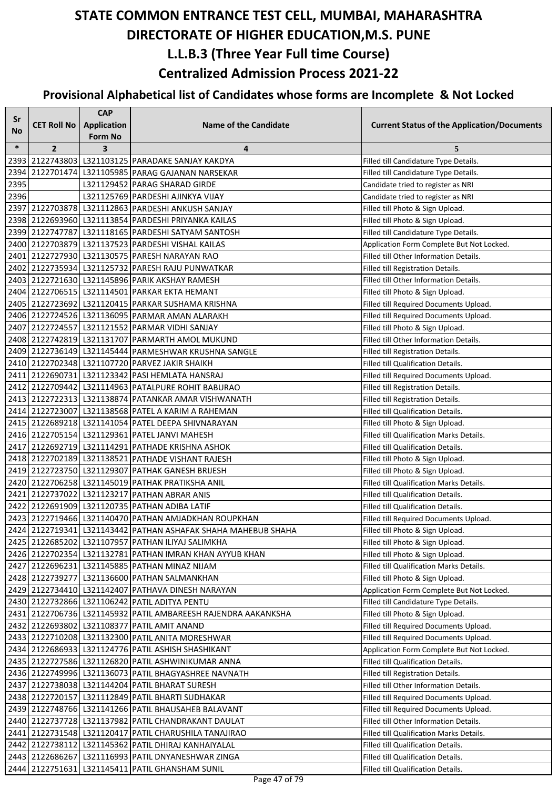| Sr     |                    | <b>CAP</b>                           |                                                               |                                                    |
|--------|--------------------|--------------------------------------|---------------------------------------------------------------|----------------------------------------------------|
| No     | <b>CET Roll No</b> | <b>Application</b><br><b>Form No</b> | <b>Name of the Candidate</b>                                  | <b>Current Status of the Application/Documents</b> |
| $\ast$ | $\mathbf{2}$       | 3                                    | 4                                                             | 5                                                  |
|        |                    |                                      | 2393 2122743803 L321103125 PARADAKE SANJAY KAKDYA             | Filled till Candidature Type Details.              |
| 2394   |                    |                                      | 2122701474 L321105985 PARAG GAJANAN NARSEKAR                  | Filled till Candidature Type Details.              |
| 2395   |                    |                                      | L321129452 PARAG SHARAD GIRDE                                 | Candidate tried to register as NRI                 |
| 2396   |                    |                                      | L321125769 PARDESHI AJINKYA VIJAY                             | Candidate tried to register as NRI                 |
|        |                    |                                      | 2397 2122703878 L321112863 PARDESHI ANKUSH SANJAY             | Filled till Photo & Sign Upload.                   |
|        |                    |                                      | 2398 2122693960 L321113854 PARDESHI PRIYANKA KAILAS           | Filled till Photo & Sign Upload.                   |
|        |                    |                                      | 2399 2122747787 L321118165 PARDESHI SATYAM SANTOSH            | Filled till Candidature Type Details.              |
|        |                    |                                      | 2400 2122703879 L321137523 PARDESHI VISHAL KAILAS             | Application Form Complete But Not Locked.          |
|        |                    |                                      | 2401 2122727930 L321130575 PARESH NARAYAN RAO                 | Filled till Other Information Details.             |
|        |                    |                                      | 2402 2122735934 L321125732 PARESH RAJU PUNWATKAR              | Filled till Registration Details.                  |
|        |                    |                                      | 2403 2122721630 L321145896 PARIK AKSHAY RAMESH                | Filled till Other Information Details.             |
|        |                    |                                      | 2404 2122706515 L321114501 PARKAR EKTA HEMANT                 | Filled till Photo & Sign Upload.                   |
|        |                    |                                      | 2405 2122723692 L321120415 PARKAR SUSHAMA KRISHNA             | Filled till Required Documents Upload.             |
|        |                    |                                      | 2406 2122724526 L321136095 PARMAR AMAN ALARAKH                | Filled till Required Documents Upload.             |
|        |                    |                                      | 2407 2122724557 L321121552 PARMAR VIDHI SANJAY                | Filled till Photo & Sign Upload.                   |
|        |                    |                                      | 2408 2122742819 L321131707 PARMARTH AMOL MUKUND               | Filled till Other Information Details.             |
|        |                    |                                      | 2409 2122736149 L321145444 PARMESHWAR KRUSHNA SANGLE          | Filled till Registration Details.                  |
|        |                    |                                      | 2410 2122702348 L321107720 PARVEZ JAKIR SHAIKH                | Filled till Qualification Details.                 |
|        |                    |                                      | 2411 2122690731 L321123342 PASI HEMLATA HANSRAJ               | Filled till Required Documents Upload.             |
|        |                    |                                      | 2412 2122709442 L321114963 PATALPURE ROHIT BABURAO            | Filled till Registration Details.                  |
|        |                    |                                      | 2413 2122722313 L321138874 PATANKAR AMAR VISHWANATH           | Filled till Registration Details.                  |
|        |                    |                                      | 2414 2122723007 L321138568 PATEL A KARIM A RAHEMAN            | Filled till Qualification Details.                 |
|        |                    |                                      | 2415 2122689218 L321141054 PATEL DEEPA SHIVNARAYAN            | Filled till Photo & Sign Upload.                   |
|        |                    |                                      | 2416 2122705154 L321129361 PATEL JANVI MAHESH                 | Filled till Qualification Marks Details.           |
|        |                    |                                      | 2417 2122692719 L321114291 PATHADE KRISHNA ASHOK              | Filled till Qualification Details.                 |
|        |                    |                                      | 2418 2122702189 L321138521 PATHADE VISHANT RAJESH             | Filled till Photo & Sign Upload.                   |
|        |                    |                                      | 2419 2122723750 L321129307 PATHAK GANESH BRIJESH              | Filled till Photo & Sign Upload.                   |
|        |                    |                                      | 2420 2122706258 L321145019 PATHAK PRATIKSHA ANIL              | Filled till Qualification Marks Details.           |
|        |                    |                                      | 2421 2122737022 L321123217 PATHAN ABRAR ANIS                  | Filled till Qualification Details.                 |
|        |                    |                                      | 2422 2122691909 L321120735 PATHAN ADIBA LATIF                 | Filled till Qualification Details.                 |
|        |                    |                                      | 2423 2122719466 L321140470 PATHAN AMJADKHAN ROUPKHAN          | Filled till Required Documents Upload.             |
|        |                    |                                      | 2424 2122719341 L321143442 PATHAN ASHAFAK SHAHA MAHEBUB SHAHA | Filled till Photo & Sign Upload.                   |
|        |                    |                                      | 2425 2122685202 L321107957 PATHAN ILIYAJ SALIMKHA             | Filled till Photo & Sign Upload.                   |
|        |                    |                                      | 2426 2122702354 L321132781 PATHAN IMRAN KHAN AYYUB KHAN       | Filled till Photo & Sign Upload.                   |
|        |                    |                                      | 2427 2122696231 L321145885 PATHAN MINAZ NIJAM                 | Filled till Qualification Marks Details.           |
|        |                    |                                      | 2428 2122739277 L321136600 PATHAN SALMANKHAN                  | Filled till Photo & Sign Upload.                   |
|        |                    |                                      | 2429 2122734410 L321142407 PATHAVA DINESH NARAYAN             | Application Form Complete But Not Locked.          |
|        |                    |                                      | 2430 2122732866 L321106242 PATIL ADITYA PENTU                 | Filled till Candidature Type Details.              |
|        |                    |                                      | 2431 2122706736 L321145932 PATIL AMBAREESH RAJENDRA AAKANKSHA | Filled till Photo & Sign Upload.                   |
|        |                    |                                      | 2432 2122693802 L321108377 PATIL AMIT ANAND                   | Filled till Required Documents Upload.             |
|        |                    |                                      | 2433 2122710208 L321132300 PATIL ANITA MORESHWAR              | Filled till Required Documents Upload.             |
|        |                    |                                      | 2434 2122686933 L321124776 PATIL ASHISH SHASHIKANT            | Application Form Complete But Not Locked.          |
|        |                    |                                      | 2435 2122727586 L321126820 PATIL ASHWINIKUMAR ANNA            | Filled till Qualification Details.                 |
|        |                    |                                      | 2436 2122749996 L321136073 PATIL BHAGYASHREE NAVNATH          | Filled till Registration Details.                  |
|        |                    |                                      | 2437 2122738038 L321144204 PATIL BHARAT SURESH                | Filled till Other Information Details.             |
|        |                    |                                      | 2438 2122720157 L321112849 PATIL BHARTI SUDHAKAR              | Filled till Required Documents Upload.             |
|        |                    |                                      | 2439 2122748766 L321141266 PATIL BHAUSAHEB BALAVANT           | Filled till Required Documents Upload.             |
|        |                    |                                      | 2440 2122737728 L321137982 PATIL CHANDRAKANT DAULAT           | Filled till Other Information Details.             |
|        |                    |                                      | 2441 2122731548   L321120417   PATIL CHARUSHILA TANAJIRAO     | Filled till Qualification Marks Details.           |
|        |                    |                                      | 2442 2122738112 L321145362 PATIL DHIRAJ KANHAIYALAL           | Filled till Qualification Details.                 |
|        |                    |                                      | 2443 2122686267 L321116993 PATIL DNYANESHWAR ZINGA            | Filled till Qualification Details.                 |
|        |                    |                                      | 2444 2122751631 L321145411 PATIL GHANSHAM SUNIL               | Filled till Qualification Details.                 |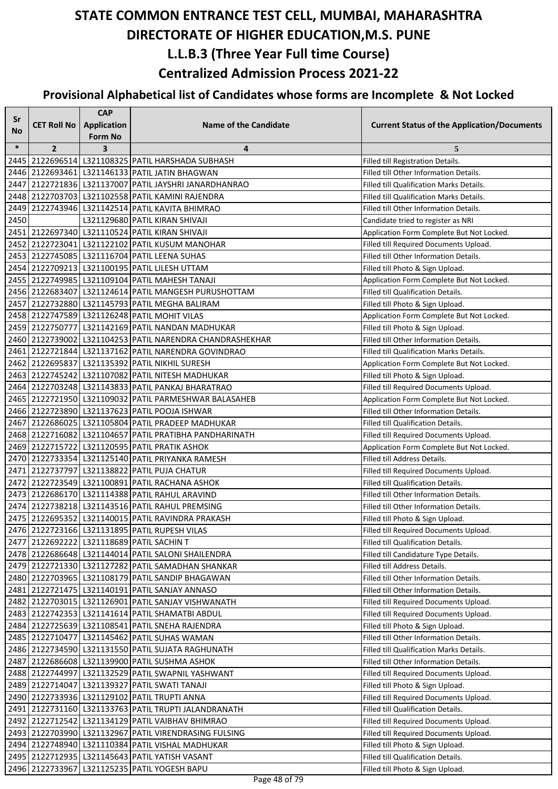| Sr     |                    | <b>CAP</b>         |                                                           |                                                    |
|--------|--------------------|--------------------|-----------------------------------------------------------|----------------------------------------------------|
| No     | <b>CET Roll No</b> | <b>Application</b> | <b>Name of the Candidate</b>                              | <b>Current Status of the Application/Documents</b> |
|        |                    | <b>Form No</b>     |                                                           |                                                    |
| $\ast$ | $\overline{2}$     | 3                  | 4                                                         | 5                                                  |
| 24451  |                    |                    | 2122696514   L321108325   PATIL HARSHADA SUBHASH          | Filled till Registration Details.                  |
|        |                    |                    | 2446 2122693461 L321146133 PATIL JATIN BHAGWAN            | Filled till Other Information Details.             |
| 2447   |                    |                    | 2122721836   L321137007   PATIL JAYSHRI JANARDHANRAO      | Filled till Qualification Marks Details.           |
|        |                    |                    | 2448 2122703703 L321102558 PATIL KAMINI RAJENDRA          | Filled till Qualification Marks Details.           |
|        |                    |                    | 2449   2122743946   L321142514   PATIL KAVITA BHIMRAO     | Filled till Other Information Details.             |
| 2450   |                    |                    | L321129680 PATIL KIRAN SHIVAJI                            | Candidate tried to register as NRI                 |
|        |                    |                    | 2451 2122697340 L321110524 PATIL KIRAN SHIVAJI            | Application Form Complete But Not Locked.          |
|        |                    |                    | 2452 2122723041 L321122102 PATIL KUSUM MANOHAR            | Filled till Required Documents Upload.             |
|        |                    |                    | 2453   2122745085   L321116704  PATIL LEENA SUHAS         | Filled till Other Information Details.             |
|        |                    |                    | 2454 2122709213 L321100195 PATIL LILESH UTTAM             | Filled till Photo & Sign Upload.                   |
|        |                    |                    | 2455 2122749985 L321109104 PATIL MAHESH TANAJI            | Application Form Complete But Not Locked.          |
|        |                    |                    | 2456 2122683407 L321124614 PATIL MANGESH PURUSHOTTAM      | Filled till Qualification Details.                 |
|        |                    |                    | 2457 2122732880 L321145793 PATIL MEGHA BALIRAM            | Filled till Photo & Sign Upload.                   |
|        |                    |                    | 2458 2122747589 L321126248 PATIL MOHIT VILAS              | Application Form Complete But Not Locked.          |
|        |                    |                    | 2459 2122750777 L321142169 PATIL NANDAN MADHUKAR          | Filled till Photo & Sign Upload.                   |
|        |                    |                    | 2460 2122739002 L321104253 PATIL NARENDRA CHANDRASHEKHAR  | Filled till Other Information Details.             |
|        |                    |                    | 2461   2122721844   L321137162   PATIL NARENDRA GOVINDRAO | Filled till Qualification Marks Details.           |
|        |                    |                    | 2462 2122695837 L321135392 PATIL NIKHIL SURESH            | Application Form Complete But Not Locked.          |
|        |                    |                    | 2463 2122745242 L321107082 PATIL NITESH MADHUKAR          | Filled till Photo & Sign Upload.                   |
|        |                    |                    | 2464 2122703248 L321143833 PATIL PANKAJ BHARATRAO         | Filled till Required Documents Upload.             |
|        |                    |                    | 2465 2122721950 L321109032 PATIL PARMESHWAR BALASAHEB     | Application Form Complete But Not Locked.          |
|        |                    |                    | 2466 2122723890 L321137623 PATIL POOJA ISHWAR             | Filled till Other Information Details.             |
|        |                    |                    | 2467 2122686025 L321105804 PATIL PRADEEP MADHUKAR         | Filled till Qualification Details.                 |
|        |                    |                    | 2468 2122716082 L321104657 PATIL PRATIBHA PANDHARINATH    | Filled till Required Documents Upload.             |
|        |                    |                    | 2469 2122715722 L321120595 PATIL PRATIK ASHOK             | Application Form Complete But Not Locked.          |
|        |                    |                    | 2470   2122733354   L321125140   PATIL PRIYANKA RAMESH    | Filled till Address Details.                       |
|        |                    |                    | 2471 2122737797 L321138822 PATIL PUJA CHATUR              | Filled till Required Documents Upload.             |
|        |                    |                    | 2472 2122723549 L321100891 PATIL RACHANA ASHOK            | Filled till Qualification Details.                 |
|        |                    |                    | 2473 2122686170 L321114388 PATIL RAHUL ARAVIND            | Filled till Other Information Details.             |
|        |                    |                    | 2474 2122738218 L321143516 PATIL RAHUL PREMSING           | Filled till Other Information Details.             |
|        |                    |                    | 2475 2122695352 L321140015 PATIL RAVINDRA PRAKASH         | Filled till Photo & Sign Upload.                   |
|        |                    |                    | 2476 2122723166 L321131895 PATIL RUPESH VILAS             | Filled till Required Documents Upload.             |
|        |                    |                    | 2477 2122692222 L321118689 PATIL SACHIN T                 | Filled till Qualification Details.                 |
|        |                    |                    | 2478 2122686648 L321144014 PATIL SALONI SHAILENDRA        | Filled till Candidature Type Details.              |
|        |                    |                    | 2479 2122721330 L321127282 PATIL SAMADHAN SHANKAR         | Filled till Address Details.                       |
|        |                    |                    | 2480 2122703965 L321108179 PATIL SANDIP BHAGAWAN          | Filled till Other Information Details.             |
|        |                    |                    | 2481 2122721475 L321140191 PATIL SANJAY ANNASO            | Filled till Other Information Details.             |
|        |                    |                    | 2482 2122703015 L321126901 PATIL SANJAY VISHWANATH        | Filled till Required Documents Upload.             |
|        |                    |                    | 2483   2122742353   L321141614   PATIL SHAMATBI ABDUL     | Filled till Required Documents Upload.             |
|        |                    |                    | 2484 2122725639 L321108541 PATIL SNEHA RAJENDRA           | Filled till Photo & Sign Upload.                   |
|        |                    |                    | 2485   2122710477   L321145462   PATIL SUHAS WAMAN        | Filled till Other Information Details.             |
|        |                    |                    | 2486   2122734590   L321131550   PATIL SUJATA RAGHUNATH   | Filled till Qualification Marks Details.           |
|        |                    |                    | 2487 2122686608 L321139900 PATIL SUSHMA ASHOK             | Filled till Other Information Details.             |
|        |                    |                    | 2488 2122744997 L321132529 PATIL SWAPNIL YASHWANT         | Filled till Required Documents Upload.             |
|        |                    |                    | 2489 2122714047 L321139327 PATIL SWATI TANAJI             | Filled till Photo & Sign Upload.                   |
|        |                    |                    | 2490 2122733936 L321129102 PATIL TRUPTI ANNA              | Filled till Required Documents Upload.             |
|        |                    |                    | 2491 2122731160 L321133763 PATIL TRUPTI JALANDRANATH      | Filled till Qualification Details.                 |
|        |                    |                    | 2492 2122712542 L321134129 PATIL VAIBHAV BHIMRAO          | Filled till Required Documents Upload.             |
|        |                    |                    | 2493 2122703990 L321132967 PATIL VIRENDRASING FULSING     | Filled till Required Documents Upload.             |
|        |                    |                    | 2494 2122748940 L321110384 PATIL VISHAL MADHUKAR          | Filled till Photo & Sign Upload.                   |
|        |                    |                    | 2495   2122712935   L321145643   PATIL YATISH VASANT      | Filled till Qualification Details.                 |
|        |                    |                    | 2496 2122733967 L321125235 PATIL YOGESH BAPU              | Filled till Photo & Sign Upload.                   |
|        |                    |                    |                                                           |                                                    |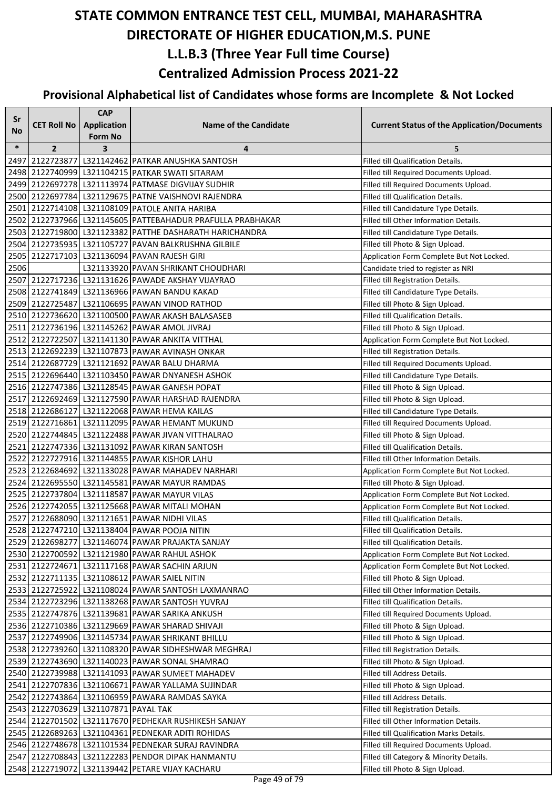| Sr     |                                      | <b>CAP</b>         |                                                            |                                                    |
|--------|--------------------------------------|--------------------|------------------------------------------------------------|----------------------------------------------------|
| No     | <b>CET Roll No</b>                   | <b>Application</b> | <b>Name of the Candidate</b>                               | <b>Current Status of the Application/Documents</b> |
|        |                                      | <b>Form No</b>     |                                                            |                                                    |
| $\ast$ | $\overline{2}$                       | 3                  | 4                                                          | 5                                                  |
|        |                                      |                    | 2497 2122723877 L321142462 PATKAR ANUSHKA SANTOSH          | Filled till Qualification Details.                 |
|        |                                      |                    | 2498 2122740999 L321104215 PATKAR SWATI SITARAM            | Filled till Required Documents Upload.             |
|        |                                      |                    | 2499 2122697278 L321113974 PATMASE DIGVIJAY SUDHIR         | Filled till Required Documents Upload.             |
|        |                                      |                    | 2500 2122697784 L321129675 PATNE VAISHNOVI RAJENDRA        | Filled till Qualification Details.                 |
|        |                                      |                    | 2501 2122714108 L321108109 PATOLE ANITA HARIBA             | Filled till Candidature Type Details.              |
|        |                                      |                    | 2502 2122737966 L321145605 PATTEBAHADUR PRAFULLA PRABHAKAR | Filled till Other Information Details.             |
|        |                                      |                    | 2503 2122719800 L321123382 PATTHE DASHARATH HARICHANDRA    | Filled till Candidature Type Details.              |
|        |                                      |                    | 2504 2122735935 L321105727 PAVAN BALKRUSHNA GILBILE        | Filled till Photo & Sign Upload.                   |
|        |                                      |                    | 2505   2122717103   L321136094   PAVAN RAJESH GIRI         | Application Form Complete But Not Locked.          |
| 2506   |                                      |                    | L321133920 PAVAN SHRIKANT CHOUDHARI                        | Candidate tried to register as NRI                 |
|        |                                      |                    | 2507 2122717236 L321131626 PAWADE AKSHAY VIJAYRAO          | Filled till Registration Details.                  |
|        |                                      |                    | 2508 2122741849 L321136966 PAWAN BANDU KAKAD               | Filled till Candidature Type Details.              |
|        |                                      |                    | 2509 2122725487 L321106695 PAWAN VINOD RATHOD              | Filled till Photo & Sign Upload.                   |
|        |                                      |                    | 2510 2122736620 L321100500 PAWAR AKASH BALASASEB           | Filled till Qualification Details.                 |
|        |                                      |                    | 2511 2122736196 L321145262 PAWAR AMOL JIVRAJ               | Filled till Photo & Sign Upload.                   |
|        |                                      |                    | 2512 2122722507 L321141130 PAWAR ANKITA VITTHAL            | Application Form Complete But Not Locked.          |
|        |                                      |                    | 2513 2122692239 L321107873 PAWAR AVINASH ONKAR             | Filled till Registration Details.                  |
|        |                                      |                    | 2514 2122687729 L321121692 PAWAR BALU DHARMA               | Filled till Required Documents Upload.             |
|        |                                      |                    | 2515 2122696440 L321103450 PAWAR DNYANESH ASHOK            | Filled till Candidature Type Details.              |
|        |                                      |                    | 2516 2122747386 L321128545 PAWAR GANESH POPAT              | Filled till Photo & Sign Upload.                   |
|        |                                      |                    | 2517 2122692469 L321127590 PAWAR HARSHAD RAJENDRA          | Filled till Photo & Sign Upload.                   |
|        |                                      |                    | 2518 2122686127 L321122068 PAWAR HEMA KAILAS               | Filled till Candidature Type Details.              |
|        |                                      |                    | 2519 2122716861 L321112095 PAWAR HEMANT MUKUND             | Filled till Required Documents Upload.             |
|        |                                      |                    | 2520 2122744845 L321122488 PAWAR JIVAN VITTHALRAO          | Filled till Photo & Sign Upload.                   |
|        |                                      |                    | 2521 2122747336 L321131092 PAWAR KIRAN SANTOSH             | Filled till Qualification Details.                 |
|        |                                      |                    | 2522 2122727916 L321144855 PAWAR KISHOR LAHU               | Filled till Other Information Details.             |
|        |                                      |                    | 2523 2122684692 L321133028 PAWAR MAHADEV NARHARI           | Application Form Complete But Not Locked.          |
|        |                                      |                    | 2524 2122695550 L321145581 PAWAR MAYUR RAMDAS              | Filled till Photo & Sign Upload.                   |
|        |                                      |                    | 2525 2122737804 L321118587 PAWAR MAYUR VILAS               | Application Form Complete But Not Locked.          |
|        |                                      |                    | 2526 2122742055 L321125668 PAWAR MITALI MOHAN              | Application Form Complete But Not Locked.          |
|        |                                      |                    | 2527 2122688090 L321121651 PAWAR NIDHI VILAS               | Filled till Qualification Details.                 |
|        |                                      |                    | 2528 2122747210 L321138404 PAWAR POOJA NITIN               | Filled till Qualification Details.                 |
|        |                                      |                    | 2529 2122698277 L321146074 PAWAR PRAJAKTA SANJAY           | Filled till Qualification Details.                 |
|        |                                      |                    | 2530 2122700592 L321121980 PAWAR RAHUL ASHOK               | Application Form Complete But Not Locked.          |
|        |                                      |                    | 2531 2122724671 L321117168 PAWAR SACHIN ARJUN              | Application Form Complete But Not Locked.          |
|        |                                      |                    | 2532 2122711135 L321108612 PAWAR SAIEL NITIN               | Filled till Photo & Sign Upload.                   |
|        |                                      |                    | 2533 2122725922 L321108024 PAWAR SANTOSH LAXMANRAO         | Filled till Other Information Details.             |
|        |                                      |                    | 2534 2122723296 L321138268 PAWAR SANTOSH YUVRAJ            | Filled till Qualification Details.                 |
|        |                                      |                    | 2535 2122747876 L321139681 PAWAR SARIKA ANKUSH             | Filled till Required Documents Upload.             |
|        |                                      |                    | 2536 2122710386 L321129669 PAWAR SHARAD SHIVAJI            | Filled till Photo & Sign Upload.                   |
|        |                                      |                    | 2537 2122749906 L321145734 PAWAR SHRIKANT BHILLU           | Filled till Photo & Sign Upload.                   |
|        |                                      |                    | 2538 2122739260 L321108320 PAWAR SIDHESHWAR MEGHRAJ        | Filled till Registration Details.                  |
|        |                                      |                    | 2539 2122743690 L321140023 PAWAR SONAL SHAMRAO             | Filled till Photo & Sign Upload.                   |
|        |                                      |                    | 2540 2122739988 L321141093 PAWAR SUMEET MAHADEV            | Filled till Address Details.                       |
|        |                                      |                    | 2541 2122707836 L321106671 PAWAR YALLAMA SUJINDAR          | Filled till Photo & Sign Upload.                   |
|        |                                      |                    | 2542 2122743864 L321106959 PAWARA RAMDAS SAYKA             | Filled till Address Details.                       |
|        | 2543 2122703629 L321107871 PAYAL TAK |                    |                                                            | Filled till Registration Details.                  |
|        |                                      |                    | 2544 2122701502 L321117670 PEDHEKAR RUSHIKESH SANJAY       | Filled till Other Information Details.             |
|        |                                      |                    | 2545   2122689263   L321104361   PEDNEKAR ADITI ROHIDAS    | Filled till Qualification Marks Details.           |
|        |                                      |                    | 2546   2122748678   L321101534   PEDNEKAR SURAJ RAVINDRA   | Filled till Required Documents Upload.             |
|        |                                      |                    | 2547   2122708843   L321122283   PENDOR DIPAK HANMANTU     | Filled till Category & Minority Details.           |
|        |                                      |                    | 2548 2122719072 L321139442 PETARE VIJAY KACHARU            | Filled till Photo & Sign Upload.                   |
|        |                                      |                    |                                                            |                                                    |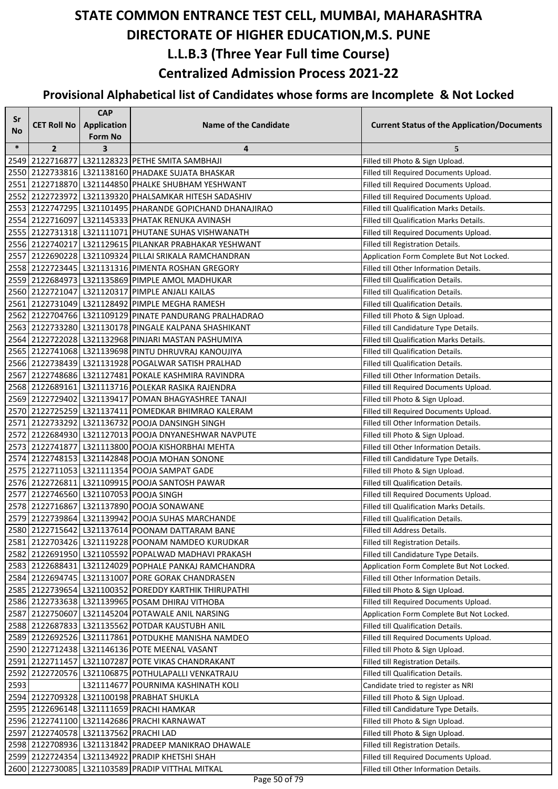| Sr     |                                       | <b>CAP</b>         |                                                          |                                                    |
|--------|---------------------------------------|--------------------|----------------------------------------------------------|----------------------------------------------------|
| No     | <b>CET Roll No</b>                    | <b>Application</b> | <b>Name of the Candidate</b>                             | <b>Current Status of the Application/Documents</b> |
|        |                                       | <b>Form No</b>     |                                                          |                                                    |
| $\ast$ | $\overline{2}$                        | 3                  | 4                                                        | 5                                                  |
|        |                                       |                    | 2549 2122716877 L321128323 PETHE SMITA SAMBHAJI          | Filled till Photo & Sign Upload.                   |
|        |                                       |                    | 2550 2122733816 L321138160 PHADAKE SUJATA BHASKAR        | Filled till Required Documents Upload.             |
|        |                                       |                    | 2551 2122718870 L321144850 PHALKE SHUBHAM YESHWANT       | Filled till Required Documents Upload.             |
|        |                                       |                    | 2552 2122723972 L321139320 PHALSAMKAR HITESH SADASHIV    | Filled till Required Documents Upload.             |
|        |                                       |                    | 2553 2122747295 L321101495 PHARANDE GOPICHAND DHANAJIRAO | <b>Filled till Qualification Marks Details.</b>    |
|        |                                       |                    | 2554 2122716097 L321145333 PHATAK RENUKA AVINASH         | Filled till Qualification Marks Details.           |
|        |                                       |                    | 2555 2122731318 L321111071 PHUTANE SUHAS VISHWANATH      | Filled till Required Documents Upload.             |
|        |                                       |                    | 2556 2122740217 L321129615 PILANKAR PRABHAKAR YESHWANT   | Filled till Registration Details.                  |
|        |                                       |                    | 2557 2122690228 L321109324 PILLAI SRIKALA RAMCHANDRAN    | Application Form Complete But Not Locked.          |
|        |                                       |                    | 2558 2122723445 L321131316 PIMENTA ROSHAN GREGORY        | Filled till Other Information Details.             |
|        |                                       |                    | 2559 2122684973 L321135869 PIMPLE AMOL MADHUKAR          | Filled till Qualification Details.                 |
|        |                                       |                    | 2560 2122721047 L321120317 PIMPLE ANJALI KAILAS          | Filled till Qualification Details.                 |
|        |                                       |                    | 2561 2122731049 L321128492 PIMPLE MEGHA RAMESH           | Filled till Qualification Details.                 |
|        |                                       |                    | 2562 2122704766 L321109129 PINATE PANDURANG PRALHADRAO   | Filled till Photo & Sign Upload.                   |
|        |                                       |                    | 2563 2122733280 L321130178 PINGALE KALPANA SHASHIKANT    | Filled till Candidature Type Details.              |
|        |                                       |                    | 2564 2122722028 L321132968 PINJARI MASTAN PASHUMIYA      | Filled till Qualification Marks Details.           |
|        |                                       |                    | 2565 2122741068 L321139698 PINTU DHRUVRAJ KANOUJIYA      | Filled till Qualification Details.                 |
|        |                                       |                    | 2566 2122738439 L321131928 POGALWAR SATISH PRALHAD       | Filled till Qualification Details.                 |
|        |                                       |                    | 2567 2122748686 L321127481 POKALE KASHMIRA RAVINDRA      | Filled till Other Information Details.             |
|        |                                       |                    | 2568 2122689161 L321113716 POLEKAR RASIKA RAJENDRA       | Filled till Required Documents Upload.             |
|        |                                       |                    | 2569 2122729402 L321139417 POMAN BHAGYASHREE TANAJI      | Filled till Photo & Sign Upload.                   |
|        |                                       |                    | 2570 2122725259 L321137411 POMEDKAR BHIMRAO KALERAM      | Filled till Required Documents Upload.             |
|        |                                       |                    | 2571 2122733292 L321136732 POOJA DANSINGH SINGH          | Filled till Other Information Details.             |
|        |                                       |                    | 2572 2122684930 L321127013 POOJA DNYANESHWAR NAVPUTE     | Filled till Photo & Sign Upload.                   |
|        |                                       |                    | 2573   2122741877   L321113800   POOJA KISHORBHAI MEHTA  | Filled till Other Information Details.             |
|        |                                       |                    | 2574 2122748153 L321142848 POOJA MOHAN SONONE            | Filled till Candidature Type Details.              |
|        |                                       |                    | 2575 2122711053 L321111354 POOJA SAMPAT GADE             | Filled till Photo & Sign Upload.                   |
|        |                                       |                    | 2576 2122726811 L321109915 POOJA SANTOSH PAWAR           | Filled till Qualification Details.                 |
|        |                                       |                    | 2577 2122746560 L321107053 POOJA SINGH                   | Filled till Required Documents Upload.             |
|        |                                       |                    | 2578 2122716867 L321137890 POOJA SONAWANE                | Filled till Qualification Marks Details.           |
|        |                                       |                    | 2579 2122739864 L321139942 POOJA SUHAS MARCHANDE         | Filled till Qualification Details.                 |
|        |                                       |                    | 2580 2122715642 L321137614 POONAM DATTARAM BANE          | Filled till Address Details.                       |
|        |                                       |                    | 2581 2122703426 L321119228 POONAM NAMDEO KURUDKAR        | Filled till Registration Details.                  |
|        |                                       |                    | 2582 2122691950 L321105592 POPALWAD MADHAVI PRAKASH      | Filled till Candidature Type Details.              |
|        |                                       |                    | 2583 2122688431 L321124029 POPHALE PANKAJ RAMCHANDRA     | Application Form Complete But Not Locked.          |
|        |                                       |                    | 2584 2122694745 L321131007 PORE GORAK CHANDRASEN         | Filled till Other Information Details.             |
|        |                                       |                    | 2585 2122739654 L321100352 POREDDY KARTHIK THIRUPATHI    | Filled till Photo & Sign Upload.                   |
|        |                                       |                    | 2586 2122733638 L321139965 POSAM DHIRAJ VITHOBA          | Filled till Required Documents Upload.             |
|        |                                       |                    | 2587 2122750607 L321145204 POTAWALE ANIL NARSING         | Application Form Complete But Not Locked.          |
|        |                                       |                    | 2588 2122687833 L321135562 POTDAR KAUSTUBH ANIL          | Filled till Qualification Details.                 |
|        |                                       |                    | 2589 2122692526 L321117861 POTDUKHE MANISHA NAMDEO       | Filled till Required Documents Upload.             |
|        |                                       |                    | 2590 2122712438 L321146136 POTE MEENAL VASANT            | Filled till Photo & Sign Upload.                   |
|        |                                       |                    | 2591 2122711457 L321107287 POTE VIKAS CHANDRAKANT        | Filled till Registration Details.                  |
|        |                                       |                    | 2592 2122720576 L321106875 POTHULAPALLI VENKATRAJU       | Filled till Qualification Details.                 |
| 2593   |                                       |                    | L321114677 POURNIMA KASHINATH KOLI                       | Candidate tried to register as NRI                 |
|        |                                       |                    | 2594 2122709328 L321100198 PRABHAT SHUKLA                | Filled till Photo & Sign Upload.                   |
|        |                                       |                    | 2595 2122696148 L321111659 PRACHI HAMKAR                 | Filled till Candidature Type Details.              |
|        |                                       |                    | 2596 2122741100 L321142686 PRACHI KARNAWAT               | Filled till Photo & Sign Upload.                   |
|        | 2597 2122740578 L321137562 PRACHI LAD |                    |                                                          | Filled till Photo & Sign Upload.                   |
|        |                                       |                    | 2598 2122708936 L321131842 PRADEEP MANIKRAO DHAWALE      | Filled till Registration Details.                  |
|        |                                       |                    | 2599 2122724354 L321134922 PRADIP KHETSHI SHAH           | Filled till Required Documents Upload.             |
|        |                                       |                    | 2600 2122730085 L321103589 PRADIP VITTHAL MITKAL         | Filled till Other Information Details.             |
|        |                                       |                    |                                                          |                                                    |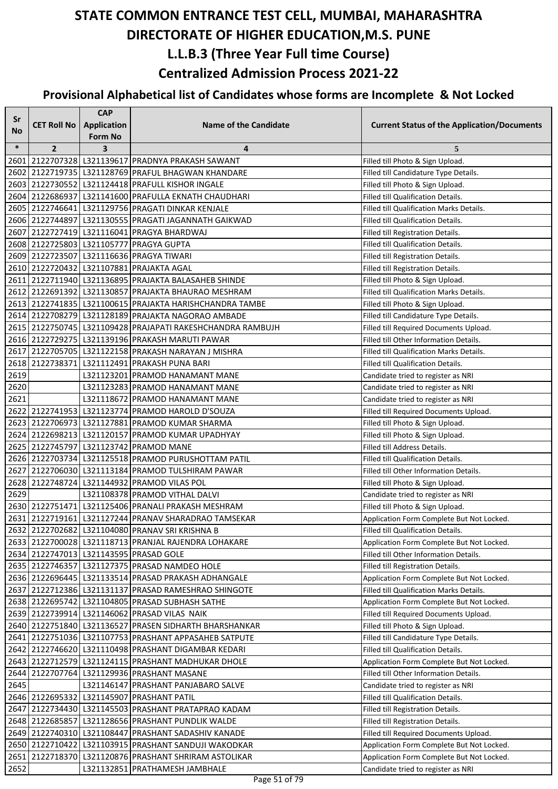| Sr        |                    | <b>CAP</b>              |                                                             |                                                    |
|-----------|--------------------|-------------------------|-------------------------------------------------------------|----------------------------------------------------|
| <b>No</b> | <b>CET Roll No</b> | <b>Application</b>      | <b>Name of the Candidate</b>                                | <b>Current Status of the Application/Documents</b> |
|           |                    | <b>Form No</b>          |                                                             |                                                    |
| $\ast$    | $\overline{2}$     | $\overline{\mathbf{3}}$ | 4                                                           | 5                                                  |
| 2601      |                    |                         | 2122707328 L321139617 PRADNYA PRAKASH SAWANT                | Filled till Photo & Sign Upload.                   |
| 2602      |                    |                         | 2122719735 L321128769 PRAFUL BHAGWAN KHANDARE               | Filled till Candidature Type Details.              |
|           |                    |                         | 2603 2122730552 L321124418 PRAFULL KISHOR INGALE            | Filled till Photo & Sign Upload.                   |
|           |                    |                         | 2604 2122686937 L321141600 PRAFULLA EKNATH CHAUDHARI        | <b>Filled till Qualification Details.</b>          |
|           |                    |                         | 2605 2122746641 L321129756 PRAGATI DINKAR KENJALE           | Filled till Qualification Marks Details.           |
|           |                    |                         | 2606 2122744897 L321130555 PRAGATI JAGANNATH GAIKWAD        | Filled till Qualification Details.                 |
|           |                    |                         | 2607 2122727419 L321116041 PRAGYA BHARDWAJ                  | Filled till Registration Details.                  |
|           |                    |                         | 2608 2122725803 L321105777 PRAGYA GUPTA                     | Filled till Qualification Details.                 |
|           |                    |                         | 2609 2122723507 L321116636 PRAGYA TIWARI                    | Filled till Registration Details.                  |
|           |                    |                         | 2610 2122720432 L321107881 PRAJAKTA AGAL                    | Filled till Registration Details.                  |
|           |                    |                         | 2611 2122711940 L321136895 PRAJAKTA BALASAHEB SHINDE        | Filled till Photo & Sign Upload.                   |
|           |                    |                         | 2612 2122691392 L321130857 PRAJAKTA BHAURAO MESHRAM         | Filled till Qualification Marks Details.           |
|           |                    |                         | 2613 2122741835   L321100615   PRAJAKTA HARISHCHANDRA TAMBE | Filled till Photo & Sign Upload.                   |
|           |                    |                         | 2614 2122708279 L321128189 PRAJAKTA NAGORAO AMBADE          | Filled till Candidature Type Details.              |
|           |                    |                         | 2615 2122750745 L321109428 PRAJAPATI RAKESHCHANDRA RAMBUJH  | Filled till Required Documents Upload.             |
|           |                    |                         | 2616 2122729275   L321139196 PRAKASH MARUTI PAWAR           | Filled till Other Information Details.             |
|           |                    |                         | 2617 2122705705 L321122158 PRAKASH NARAYAN J MISHRA         | Filled till Qualification Marks Details.           |
|           |                    |                         | 2618 2122738371 L321112491 PRAKASH PUNA BARI                | Filled till Qualification Details.                 |
| 2619      |                    |                         | L321123201 PRAMOD HANAMANT MANE                             | Candidate tried to register as NRI                 |
| 2620      |                    |                         | L321123283 PRAMOD HANAMANT MANE                             | Candidate tried to register as NRI                 |
| 2621      |                    |                         | L321118672 PRAMOD HANAMANT MANE                             | Candidate tried to register as NRI                 |
|           |                    |                         | 2622 2122741953 L321123774 PRAMOD HAROLD D'SOUZA            | Filled till Required Documents Upload.             |
|           |                    |                         | 2623 2122706973 L321127881 PRAMOD KUMAR SHARMA              | Filled till Photo & Sign Upload.                   |
| 2624      |                    |                         | 2122698213 L321120157 PRAMOD KUMAR UPADHYAY                 | Filled till Photo & Sign Upload.                   |
|           |                    |                         | 2625 2122745797 L321123742 PRAMOD MANE                      | Filled till Address Details.                       |
|           |                    |                         | 2626 2122703734 L321125518 PRAMOD PURUSHOTTAM PATIL         | <b>Filled till Qualification Details.</b>          |
| 2627      |                    |                         | 2122706030 L321113184 PRAMOD TULSHIRAM PAWAR                | Filled till Other Information Details.             |
| 2628      |                    |                         | 2122748724 L321144932 PRAMOD VILAS POL                      | Filled till Photo & Sign Upload.                   |
| 2629      |                    |                         | L321108378 PRAMOD VITHAL DALVI                              | Candidate tried to register as NRI                 |
|           |                    |                         | 2630 2122751471 L321125406 PRANALI PRAKASH MESHRAM          | Filled till Photo & Sign Upload.                   |
|           |                    |                         | 2631 2122719161 L321127244 PRANAV SHARADRAO TAMSEKAR        | Application Form Complete But Not Locked.          |
|           |                    |                         | 2632 2122702682 L321104080 PRANAV SRI KRISHNA B             | Filled till Qualification Details.                 |
|           |                    |                         | 2633 2122700028 L321118713 PRANJAL RAJENDRA LOHAKARE        | Application Form Complete But Not Locked.          |
|           |                    |                         | 2634 2122747013 L321143595 PRASAD GOLE                      | Filled till Other Information Details.             |
|           |                    |                         | 2635 2122746357 L321127375 PRASAD NAMDEO HOLE               | Filled till Registration Details.                  |
|           |                    |                         | 2636 2122696445 L321133514 PRASAD PRAKASH ADHANGALE         | Application Form Complete But Not Locked.          |
|           |                    |                         | 2637 2122712386 L321131137 PRASAD RAMESHRAO SHINGOTE        | Filled till Qualification Marks Details.           |
|           |                    |                         | 2638 2122695742 L321104805 PRASAD SUBHASH SATHE             | Application Form Complete But Not Locked.          |
|           |                    |                         | 2639 2122739914 L321146062 PRASAD VILAS NAIK                | Filled till Required Documents Upload.             |
|           |                    |                         | 2640 2122751840 L321136527 PRASEN SIDHARTH BHARSHANKAR      | Filled till Photo & Sign Upload.                   |
|           |                    |                         | 2641 2122751036 L321107753 PRASHANT APPASAHEB SATPUTE       | Filled till Candidature Type Details.              |
|           |                    |                         | 2642 2122746620 L321110498 PRASHANT DIGAMBAR KEDARI         | Filled till Qualification Details.                 |
|           |                    |                         | 2643 2122712579 L321124115 PRASHANT MADHUKAR DHOLE          | Application Form Complete But Not Locked.          |
| 2644      |                    |                         | 2122707764 L321129936 PRASHANT MASANE                       | Filled till Other Information Details.             |
| 2645      |                    |                         | L321146147 PRASHANT PANJABARO SALVE                         | Candidate tried to register as NRI                 |
|           |                    |                         | 2646 2122695332 L321145907 PRASHANT PATIL                   | Filled till Qualification Details.                 |
| 2647      |                    |                         | 2122734430 L321145503 PRASHANT PRATAPRAO KADAM              | Filled till Registration Details.                  |
|           |                    |                         | 2648 2122685857 L321128656 PRASHANT PUNDLIK WALDE           | Filled till Registration Details.                  |
|           |                    |                         | 2649 2122740310 L321108447 PRASHANT SADASHIV KANADE         | Filled till Required Documents Upload.             |
|           | 2650 2122710422    |                         | L321103915 PRASHANT SANDUJI WAKODKAR                        | Application Form Complete But Not Locked.          |
| 2651      | 2122718370         |                         | L321120876 PRASHANT SHRIRAM ASTOLIKAR                       | Application Form Complete But Not Locked.          |
| 2652      |                    |                         | L321132851 PRATHAMESH JAMBHALE                              | Candidate tried to register as NRI                 |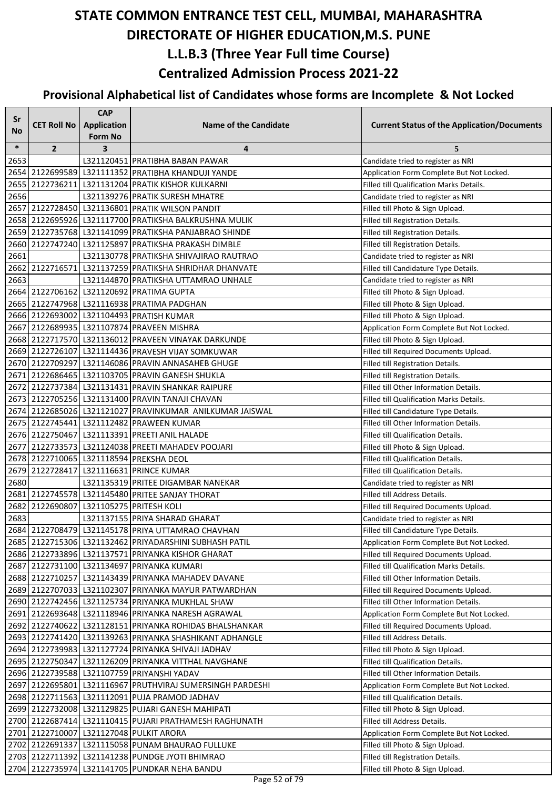| Sr     |                    | <b>CAP</b>                           |                                                                                                  |                                                                                     |
|--------|--------------------|--------------------------------------|--------------------------------------------------------------------------------------------------|-------------------------------------------------------------------------------------|
| No     | <b>CET Roll No</b> | <b>Application</b><br><b>Form No</b> | <b>Name of the Candidate</b>                                                                     | <b>Current Status of the Application/Documents</b>                                  |
| $\ast$ | $\overline{2}$     | $\overline{\mathbf{3}}$              | 4                                                                                                | 5                                                                                   |
| 2653   |                    |                                      | L321120451 PRATIBHA BABAN PAWAR                                                                  | Candidate tried to register as NRI                                                  |
|        |                    |                                      | 2654 2122699589 L321111352 PRATIBHA KHANDUJI YANDE                                               | Application Form Complete But Not Locked.                                           |
|        |                    |                                      | 2655 2122736211 L321131204 PRATIK KISHOR KULKARNI                                                | Filled till Qualification Marks Details.                                            |
| 2656   |                    |                                      | L321139276 PRATIK SURESH MHATRE                                                                  | Candidate tried to register as NRI                                                  |
|        |                    |                                      | 2657 2122728450 L321136801 PRATIK WILSON PANDIT                                                  | Filled till Photo & Sign Upload.                                                    |
|        |                    |                                      | 2658 2122695926 L321117700 PRATIKSHA BALKRUSHNA MULIK                                            | Filled till Registration Details.                                                   |
|        |                    |                                      | 2659 2122735768 L321141099 PRATIKSHA PANJABRAO SHINDE                                            | Filled till Registration Details.                                                   |
|        |                    |                                      | 2660 2122747240 L321125897 PRATIKSHA PRAKASH DIMBLE                                              | Filled till Registration Details.                                                   |
| 2661   |                    |                                      | L321130778 PRATIKSHA SHIVAJIRAO RAUTRAO                                                          | Candidate tried to register as NRI                                                  |
| 2662   |                    |                                      | 2122716571   L321137259   PRATIKSHA SHRIDHAR DHANVATE                                            | Filled till Candidature Type Details.                                               |
| 2663   |                    |                                      | L321144870 PRATIKSHA UTTAMRAO UNHALE                                                             | Candidate tried to register as NRI                                                  |
|        |                    |                                      | 2664 2122706162 L321120692 PRATIMA GUPTA                                                         | Filled till Photo & Sign Upload.                                                    |
|        |                    |                                      | 2665 2122747968 L321116938 PRATIMA PADGHAN                                                       | Filled till Photo & Sign Upload.                                                    |
|        |                    |                                      | 2666 2122693002 L321104493 PRATISH KUMAR                                                         | Filled till Photo & Sign Upload.                                                    |
|        |                    |                                      | 2667 2122689935 L321107874 PRAVEEN MISHRA                                                        | Application Form Complete But Not Locked.                                           |
|        |                    |                                      | 2668 2122717570 L321136012 PRAVEEN VINAYAK DARKUNDE                                              | Filled till Photo & Sign Upload.                                                    |
|        |                    |                                      | 2669 2122726107 L321114436 PRAVESH VIJAY SOMKUWAR                                                | Filled till Required Documents Upload.                                              |
|        |                    |                                      | 2670 2122709297 L321146086 PRAVIN ANNASAHEB GHUGE                                                | Filled till Registration Details.                                                   |
|        |                    |                                      | 2671 2122686465 L321103705 PRAVIN GANESH SHUKLA                                                  | Filled till Registration Details.                                                   |
|        |                    |                                      | 2672 2122737384 L321131431 PRAVIN SHANKAR RAIPURE                                                | Filled till Other Information Details.                                              |
|        |                    |                                      | 2673 2122705256 L321131400 PRAVIN TANAJI CHAVAN                                                  | Filled till Qualification Marks Details.                                            |
|        |                    |                                      | 2674 2122685026 L321121027 PRAVINKUMAR ANILKUMAR JAISWAL                                         | Filled till Candidature Type Details.                                               |
|        |                    |                                      | 2675 2122745441 L321112482 PRAWEEN KUMAR                                                         | Filled till Other Information Details.                                              |
|        |                    |                                      | 2676 2122750467 L321113391 PREETI ANIL HALADE                                                    | Filled till Qualification Details.                                                  |
|        |                    |                                      | 2677 2122733573 L321124038 PREETI MAHADEV POOJARI                                                | Filled till Photo & Sign Upload.                                                    |
|        |                    |                                      | 2678 2122710065 L321118594 PREKSHA DEOL                                                          | Filled till Qualification Details.                                                  |
| 2679   |                    |                                      | 2122728417 L321116631 PRINCE KUMAR                                                               | Filled till Qualification Details.                                                  |
| 2680   |                    |                                      | L321135319 PRITEE DIGAMBAR NANEKAR                                                               | Candidate tried to register as NRI                                                  |
|        |                    |                                      | 2681 2122745578 L321145480 PRITEE SANJAY THORAT                                                  | Filled till Address Details.                                                        |
|        |                    |                                      | 2682 2122690807 L321105275 PRITESH KOLI                                                          | Filled till Required Documents Upload.                                              |
| 2683   |                    |                                      | L321137155 PRIYA SHARAD GHARAT                                                                   | Candidate tried to register as NRI                                                  |
|        |                    |                                      | 2684 2122708479 L321145178 PRIYA UTTAMRAO CHAVHAN                                                | Filled till Candidature Type Details.                                               |
|        |                    |                                      | 2685 2122715306 L321132462 PRIYADARSHINI SUBHASH PATIL                                           | Application Form Complete But Not Locked.                                           |
|        |                    |                                      | 2686 2122733896 L321137571 PRIYANKA KISHOR GHARAT                                                | Filled till Required Documents Upload.                                              |
|        |                    |                                      | 2687 2122731100 L321134697 PRIYANKA KUMARI<br>2688 2122710257 L321143439 PRIYANKA MAHADEV DAVANE | Filled till Qualification Marks Details.                                            |
|        |                    |                                      | 2689 2122707033 L321102307 PRIYANKA MAYUR PATWARDHAN                                             | Filled till Other Information Details.                                              |
|        |                    |                                      | 2690 2122742456 L321125734 PRIYANKA MUKHLAL SHAW                                                 | Filled till Required Documents Upload.<br>Filled till Other Information Details.    |
|        |                    |                                      | 2691 2122693648 L321118946 PRIYANKA NARESH AGRAWAL                                               |                                                                                     |
|        |                    |                                      | 2692 2122740622 L321128151 PRIYANKA ROHIDAS BHALSHANKAR                                          | Application Form Complete But Not Locked.<br>Filled till Required Documents Upload. |
|        |                    |                                      | 2693 2122741420 L321139263 PRIYANKA SHASHIKANT ADHANGLE                                          | Filled till Address Details.                                                        |
|        |                    |                                      | 2694 2122739983 L321127724 PRIYANKA SHIVAJI JADHAV                                               | Filled till Photo & Sign Upload.                                                    |
|        |                    |                                      | 2695 2122750347 L321126209 PRIYANKA VITTHAL NAVGHANE                                             | Filled till Qualification Details.                                                  |
|        |                    |                                      | 2696 2122739588 L321107759 PRIYANSHI YADAV                                                       | Filled till Other Information Details.                                              |
|        |                    |                                      | 2697 2122695801 L321116967 PRUTHVIRAJ SUMERSINGH PARDESHI                                        | Application Form Complete But Not Locked.                                           |
|        |                    |                                      | 2698 2122711563 L321112091 PUJA PRAMOD JADHAV                                                    | Filled till Qualification Details.                                                  |
|        |                    |                                      | 2699 2122732008   L321129825   PUJARI GANESH MAHIPATI                                            | Filled till Photo & Sign Upload.                                                    |
|        |                    |                                      | 2700 2122687414   L321110415   PUJARI PRATHAMESH RAGHUNATH                                       | Filled till Address Details.                                                        |
|        |                    |                                      | 2701 2122710007 L321127048 PULKIT ARORA                                                          | Application Form Complete But Not Locked.                                           |
|        |                    |                                      | 2702 2122691337 L321115058 PUNAM BHAURAO FULLUKE                                                 | Filled till Photo & Sign Upload.                                                    |
|        |                    |                                      | 2703 2122711392 L321141238 PUNDGE JYOTI BHIMRAO                                                  | Filled till Registration Details.                                                   |
|        |                    |                                      | 2704 2122735974 L321141705 PUNDKAR NEHA BANDU                                                    | Filled till Photo & Sign Upload.                                                    |
|        |                    |                                      |                                                                                                  |                                                                                     |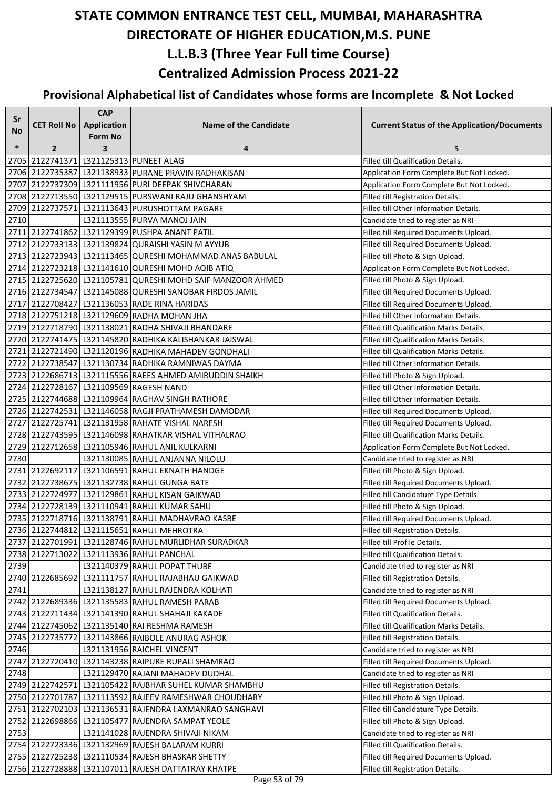| Sr     |                    | <b>CAP</b>         |                                                            |                                                    |
|--------|--------------------|--------------------|------------------------------------------------------------|----------------------------------------------------|
| No     | <b>CET Roll No</b> | <b>Application</b> | <b>Name of the Candidate</b>                               | <b>Current Status of the Application/Documents</b> |
|        |                    | <b>Form No</b>     |                                                            |                                                    |
| $\ast$ | $\overline{2}$     | 3                  | 4                                                          | 5                                                  |
|        |                    |                    | 2705 2122741371 L321125313 PUNEET ALAG                     | Filled till Qualification Details.                 |
|        |                    |                    | 2706 2122735387 L321138933 PURANE PRAVIN RADHAKISAN        | Application Form Complete But Not Locked.          |
|        |                    |                    | 2707 2122737309 L321111956 PURI DEEPAK SHIVCHARAN          | Application Form Complete But Not Locked.          |
|        |                    |                    | 2708 2122713550 L321129515 PURSWANI RAJU GHANSHYAM         | Filled till Registration Details.                  |
|        |                    |                    | 2709 2122737571 L321113643 PURUSHOTTAM PAGARE              | Filled till Other Information Details.             |
| 2710   |                    |                    | L321113555 PURVA MANOJ JAIN                                | Candidate tried to register as NRI                 |
|        |                    |                    | 2711 2122741862 L321129399 PUSHPA ANANT PATIL              | Filled till Required Documents Upload.             |
|        |                    |                    | 2712 2122733133 L321139824 QURAISHI YASIN M AYYUB          | Filled till Required Documents Upload.             |
|        |                    |                    | 2713 2122723943 L321113465 QURESHI MOHAMMAD ANAS BABULAL   | Filled till Photo & Sign Upload.                   |
|        |                    |                    | 2714 2122723218 L321141610 QURESHI MOHD AQIB ATIQ          | Application Form Complete But Not Locked.          |
|        |                    |                    | 2715 2122725620 L321105781 QURESHI MOHD SAIF MANZOOR AHMED | Filled till Photo & Sign Upload.                   |
|        |                    |                    | 2716 2122734547 L321145088 QURESHI SANOBAR FIRDOS JAMIL    | Filled till Required Documents Upload.             |
|        |                    |                    | 2717 2122708427 L321136053 RADE RINA HARIDAS               | Filled till Required Documents Upload.             |
|        |                    |                    | 2718 2122751218 L321129609 RADHA MOHAN JHA                 | Filled till Other Information Details.             |
|        |                    |                    | 2719 2122718790 L321138021 RADHA SHIVAJI BHANDARE          | Filled till Qualification Marks Details.           |
|        |                    |                    | 2720 2122741475   L321145820 RADHIKA KALISHANKAR JAISWAL   | Filled till Qualification Marks Details.           |
|        |                    |                    | 2721 2122721490 L321120196 RADHIKA MAHADEV GONDHALI        | Filled till Qualification Marks Details.           |
|        |                    |                    | 2722 2122738547 L321130734 RADHIKA RAMNIWAS DAYMA          | Filled till Other Information Details.             |
|        |                    |                    | 2723 2122686713 L321115556 RAEES AHMED AMIRUDDIN SHAIKH    | Filled till Photo & Sign Upload.                   |
|        |                    |                    | 2724 2122728167 L321109569 RAGESH NAND                     | Filled till Other Information Details.             |
|        |                    |                    | 2725 2122744688 L321109964 RAGHAV SINGH RATHORE            | Filled till Other Information Details.             |
|        |                    |                    | 2726 2122742531 L321146058 RAGJI PRATHAMESH DAMODAR        | Filled till Required Documents Upload.             |
|        |                    |                    | 2727 2122725741 L321131958 RAHATE VISHAL NARESH            | Filled till Required Documents Upload.             |
|        |                    |                    | 2728 2122743595 L321146098 RAHATKAR VISHAL VITHALRAO       | Filled till Qualification Marks Details.           |
| 2729   |                    |                    | 2122712658 L321105946 RAHUL ANIL KULKARNI                  | Application Form Complete But Not Locked.          |
| 2730   |                    |                    | L321130085 RAHUL ANJANNA NILOLU                            | Candidate tried to register as NRI                 |
|        |                    |                    | 2731 2122692117 L321106591 RAHUL EKNATH HANDGE             | Filled till Photo & Sign Upload.                   |
|        |                    |                    | 2732 2122738675 L321132738 RAHUL GUNGA BATE                | Filled till Required Documents Upload.             |
|        |                    |                    | 2733 2122724977 L321129861 RAHUL KISAN GAIKWAD             | Filled till Candidature Type Details.              |
|        |                    |                    | 2734 2122728139 L321110941 RAHUL KUMAR SAHU                | Filled till Photo & Sign Upload.                   |
|        |                    |                    | 2735 2122718716 L321138791 RAHUL MADHAVRAO KASBE           | Filled till Required Documents Upload.             |
|        |                    |                    | 2736 2122744812 L321115651 RAHUL MEHROTRA                  | Filled till Registration Details.                  |
|        |                    |                    | 2737 2122701991 L321128746 RAHUL MURLIDHAR SURADKAR        | Filled till Profile Details.                       |
|        |                    |                    | 2738 2122713022 L321113936 RAHUL PANCHAL                   | Filled till Qualification Details.                 |
| 2739   |                    |                    | L321140379 RAHUL POPAT THUBE                               | Candidate tried to register as NRI                 |
|        |                    |                    | 2740 2122685692 L321111757 RAHUL RAJABHAU GAIKWAD          | Filled till Registration Details.                  |
| 2741   |                    |                    | L321138127 RAHUL RAJENDRA KOLHATI                          | Candidate tried to register as NRI                 |
|        |                    |                    | 2742 2122689336 L321135583 RAHUL RAMESH PARAB              | Filled till Required Documents Upload.             |
|        |                    |                    | 2743   2122711434   L321141390   RAHUL SHAHAJI KAKADE      | Filled till Qualification Details.                 |
|        |                    |                    | 2744 2122745062 L321135140 RAI RESHMA RAMESH               | Filled till Qualification Marks Details.           |
|        |                    |                    | 2745 2122735772 L321143866 RAIBOLE ANURAG ASHOK            | Filled till Registration Details.                  |
| 2746   |                    |                    | L321131956 RAICHEL VINCENT                                 | Candidate tried to register as NRI                 |
|        |                    |                    | 2747   2122720410   L321143238   RAIPURE RUPALI SHAMRAO    | Filled till Required Documents Upload.             |
| 2748   |                    |                    | L321129470 RAJANI MAHADEV DUDHAL                           | Candidate tried to register as NRI                 |
|        |                    |                    | 2749 2122742571   L321105422 RAJBHAR SUHEL KUMAR SHAMBHU   | Filled till Registration Details.                  |
|        |                    |                    | 2750 2122701787 L321113592 RAJEEV RAMESHWAR CHOUDHARY      | Filled till Photo & Sign Upload.                   |
|        |                    |                    | 2751 2122702103   L321136531 RAJENDRA LAXMANRAO SANGHAVI   | Filled till Candidature Type Details.              |
|        |                    |                    | 2752 2122698866 L321105477 RAJENDRA SAMPAT YEOLE           | Filled till Photo & Sign Upload.                   |
| 2753   |                    |                    | L321141028 RAJENDRA SHIVAJI NIKAM                          | Candidate tried to register as NRI                 |
|        |                    |                    | 2754 2122723336 L321132969 RAJESH BALARAM KURRI            | Filled till Qualification Details.                 |
|        |                    |                    | 2755 2122725238 L321110534 RAJESH BHASKAR SHETTY           | Filled till Required Documents Upload.             |
|        |                    |                    | 2756 2122728888 L321107011 RAJESH DATTATRAY KHATPE         | Filled till Registration Details.                  |
|        |                    |                    | $D = 25.524$                                               |                                                    |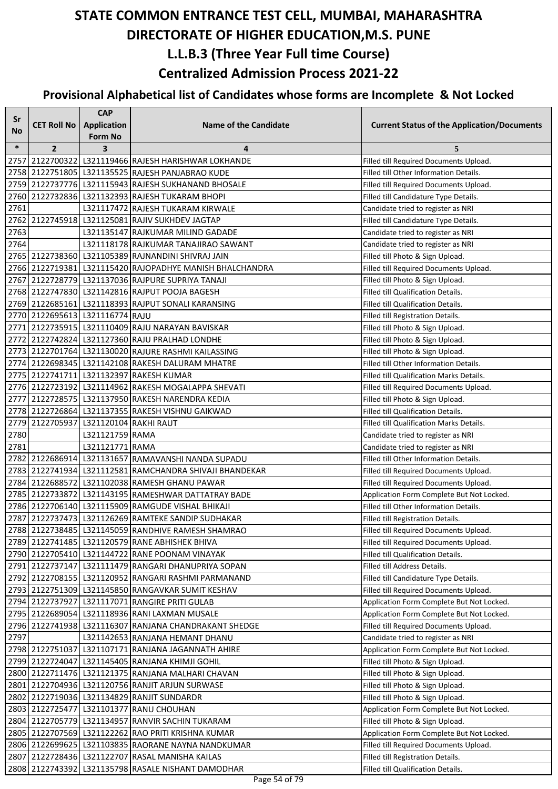| Sr        |                                       | <b>CAP</b>         |                                                          |                                                    |
|-----------|---------------------------------------|--------------------|----------------------------------------------------------|----------------------------------------------------|
| <b>No</b> | <b>CET Roll No</b>                    | <b>Application</b> | <b>Name of the Candidate</b>                             | <b>Current Status of the Application/Documents</b> |
|           |                                       | Form No            |                                                          |                                                    |
| $\ast$    | $\mathbf{2}$                          | 3                  | 4                                                        | 5                                                  |
| 2757      |                                       |                    | 2122700322 L321119466 RAJESH HARISHWAR LOKHANDE          | Filled till Required Documents Upload.             |
|           |                                       |                    | 2758 2122751805 L321135525 RAJESH PANJABRAO KUDE         | Filled till Other Information Details.             |
|           |                                       |                    | 2759 2122737776 L321115943 RAJESH SUKHANAND BHOSALE      | Filled till Required Documents Upload.             |
|           |                                       |                    | 2760 2122732836 L321132393 RAJESH TUKARAM BHOPI          | Filled till Candidature Type Details.              |
| 2761      |                                       |                    | L321117472 RAJESH TUKARAM KIRWALE                        | Candidate tried to register as NRI                 |
|           |                                       |                    | 2762 2122745918 L321125081 RAJIV SUKHDEV JAGTAP          | Filled till Candidature Type Details.              |
| 2763      |                                       |                    | L321135147 RAJKUMAR MILIND GADADE                        | Candidate tried to register as NRI                 |
| 2764      |                                       |                    | L321118178 RAJKUMAR TANAJIRAO SAWANT                     | Candidate tried to register as NRI                 |
|           |                                       |                    | 2765 2122738360 L321105389 RAJNANDINI SHIVRAJ JAIN       | Filled till Photo & Sign Upload.                   |
|           |                                       |                    | 2766 2122719381 L321115420 RAJOPADHYE MANISH BHALCHANDRA | Filled till Required Documents Upload.             |
|           |                                       |                    | 2767 2122728779 L321137036 RAJPURE SUPRIYA TANAJI        | Filled till Photo & Sign Upload.                   |
|           |                                       |                    | 2768 2122747830 L321142816 RAJPUT POOJA BAGESH           | Filled till Qualification Details.                 |
|           |                                       |                    | 2769 2122685161 L321118393 RAJPUT SONALI KARANSING       | Filled till Qualification Details.                 |
|           | 2770 2122695613 L321116774 RAJU       |                    |                                                          | Filled till Registration Details.                  |
|           |                                       |                    | 2771 2122735915 L321110409 RAJU NARAYAN BAVISKAR         | Filled till Photo & Sign Upload.                   |
|           |                                       |                    | 2772 2122742824 L321127360 RAJU PRALHAD LONDHE           | Filled till Photo & Sign Upload.                   |
|           |                                       |                    | 2773 2122701764 L321130020 RAJURE RASHMI KAILASSING      | Filled till Photo & Sign Upload.                   |
|           |                                       |                    | 2774 2122698345 L321142108 RAKESH DALURAM MHATRE         | Filled till Other Information Details.             |
|           |                                       |                    | 2775 2122741711 L321132397 RAKESH KUMAR                  | Filled till Qualification Marks Details.           |
|           |                                       |                    | 2776 2122723192 L321114962 RAKESH MOGALAPPA SHEVATI      | Filled till Required Documents Upload.             |
|           |                                       |                    | 2777 2122728575   L321137950 RAKESH NARENDRA KEDIA       | Filled till Photo & Sign Upload.                   |
|           |                                       |                    | 2778 2122726864 L321137355 RAKESH VISHNU GAIKWAD         | Filled till Qualification Details.                 |
|           | 2779 2122705937 L321120104 RAKHI RAUT |                    |                                                          | Filled till Qualification Marks Details.           |
| 2780      |                                       | L321121759 RAMA    |                                                          | Candidate tried to register as NRI                 |
| 2781      |                                       | L321121771 RAMA    |                                                          | Candidate tried to register as NRI                 |
|           |                                       |                    | 2782 2122686914 L321131657 RAMAVANSHI NANDA SUPADU       | Filled till Other Information Details.             |
|           |                                       |                    | 2783 2122741934 L321112581 RAMCHANDRA SHIVAJI BHANDEKAR  | Filled till Required Documents Upload.             |
|           |                                       |                    | 2784 2122688572 L321102038 RAMESH GHANU PAWAR            | Filled till Required Documents Upload.             |
|           |                                       |                    | 2785 2122733872 L321143195 RAMESHWAR DATTATRAY BADE      | Application Form Complete But Not Locked.          |
|           |                                       |                    | 2786 2122706140 L321115909 RAMGUDE VISHAL BHIKAJI        | Filled till Other Information Details.             |
|           |                                       |                    | 2787 2122737473 L321126269 RAMTEKE SANDIP SUDHAKAR       | Filled till Registration Details.                  |
|           |                                       |                    | 2788 2122738485 1321145059 RANDHIVE RAMESH SHAMRAO       | Filled till Required Documents Upload.             |
|           |                                       |                    | 2789 2122741485 L321120579 RANE ABHISHEK BHIVA           | Filled till Required Documents Upload.             |
|           |                                       |                    | 2790 2122705410 L321144722 RANE POONAM VINAYAK           | Filled till Qualification Details.                 |
|           |                                       |                    | 2791 2122737147 L321111479 RANGARI DHANUPRIYA SOPAN      | Filled till Address Details.                       |
|           |                                       |                    | 2792 2122708155 L321120952 RANGARI RASHMI PARMANAND      | Filled till Candidature Type Details.              |
|           |                                       |                    | 2793 2122751309 L321145850 RANGAVKAR SUMIT KESHAV        | Filled till Required Documents Upload.             |
|           |                                       |                    | 2794 2122737927 L321117071 RANGIRE PRITI GULAB           | Application Form Complete But Not Locked.          |
|           |                                       |                    | 2795 2122689054 L321118936 RANI LAXMAN MUSALE            | Application Form Complete But Not Locked.          |
|           |                                       |                    | 2796 2122741938   L321116307 RANJANA CHANDRAKANT SHEDGE  | Filled till Required Documents Upload.             |
| 2797      |                                       |                    | L321142653 RANJANA HEMANT DHANU                          | Candidate tried to register as NRI                 |
|           |                                       |                    | 2798 2122751037 L321107171 RANJANA JAGANNATH AHIRE       | Application Form Complete But Not Locked.          |
|           |                                       |                    | 2799 2122724047 L321145405 RANJANA KHIMJI GOHIL          | Filled till Photo & Sign Upload.                   |
|           |                                       |                    | 2800 2122711476 L321121375 RANJANA MALHARI CHAVAN        | Filled till Photo & Sign Upload.                   |
|           |                                       |                    | 2801 2122704936 L321120756 RANJIT ARJUN SURWASE          | Filled till Photo & Sign Upload.                   |
|           |                                       |                    | 2802 2122719036 L321134829 RANJIT SUNDARDR               | Filled till Photo & Sign Upload.                   |
|           |                                       |                    | 2803 2122725477 L321101377 RANU CHOUHAN                  | Application Form Complete But Not Locked.          |
|           |                                       |                    | 2804 2122705779 L321134957 RANVIR SACHIN TUKARAM         | Filled till Photo & Sign Upload.                   |
|           |                                       |                    | 2805 2122707569 L321122262 RAO PRITI KRISHNA KUMAR       | Application Form Complete But Not Locked.          |
|           |                                       |                    | 2806 2122699625 L321103835 RAORANE NAYNA NANDKUMAR       | Filled till Required Documents Upload.             |
|           |                                       |                    | 2807 2122728436 L321122707 RASAL MANISHA KAILAS          | Filled till Registration Details.                  |
|           |                                       |                    | 2808 2122743392 L321135798 RASALE NISHANT DAMODHAR       | Filled till Qualification Details.                 |
|           |                                       |                    | $D = -2E$                                                |                                                    |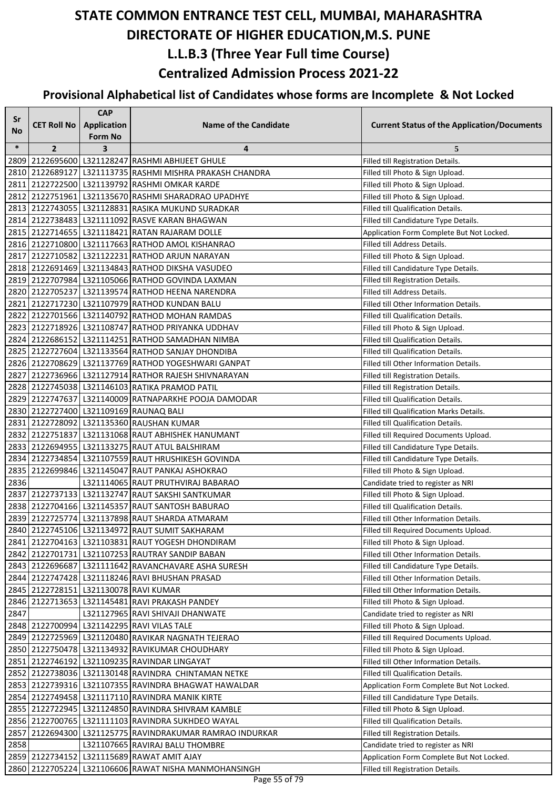| Sr<br>No | <b>CET Roll No</b>                    | <b>CAP</b><br><b>Application</b><br><b>Form No</b> | <b>Name of the Candidate</b>                                                                                | <b>Current Status of the Application/Documents</b>                                 |
|----------|---------------------------------------|----------------------------------------------------|-------------------------------------------------------------------------------------------------------------|------------------------------------------------------------------------------------|
| $\ast$   | $\overline{2}$                        | 3                                                  | 4                                                                                                           | 5                                                                                  |
| 2809     |                                       |                                                    | 2122695600 L321128247 RASHMI ABHIJEET GHULE                                                                 | Filled till Registration Details.                                                  |
|          |                                       |                                                    | 2810 2122689127 L321113735 RASHMI MISHRA PRAKASH CHANDRA                                                    | Filled till Photo & Sign Upload.                                                   |
| 2811     |                                       |                                                    | 2122722500 L321139792 RASHMI OMKAR KARDE                                                                    | Filled till Photo & Sign Upload.                                                   |
|          |                                       |                                                    | 2812 2122751961 L321135670 RASHMI SHARADRAO UPADHYE                                                         | Filled till Photo & Sign Upload.                                                   |
|          |                                       |                                                    | 2813 2122743055 L321128831 RASIKA MUKUND SURADKAR                                                           | Filled till Qualification Details.                                                 |
|          |                                       |                                                    | 2814 2122738483 L321111092 RASVE KARAN BHAGWAN                                                              | Filled till Candidature Type Details.                                              |
|          |                                       |                                                    | 2815 2122714655 L321118421 RATAN RAJARAM DOLLE                                                              | Application Form Complete But Not Locked.                                          |
|          |                                       |                                                    | 2816 2122710800 L321117663 RATHOD AMOL KISHANRAO                                                            | Filled till Address Details.                                                       |
|          |                                       |                                                    | 2817   2122710582   L321122231   RATHOD ARJUN NARAYAN                                                       | Filled till Photo & Sign Upload.                                                   |
|          |                                       |                                                    | 2818 2122691469 L321134843 RATHOD DIKSHA VASUDEO                                                            | Filled till Candidature Type Details.                                              |
|          |                                       |                                                    | 2819 2122707984 L321105066 RATHOD GOVINDA LAXMAN                                                            | Filled till Registration Details.                                                  |
|          |                                       |                                                    | 2820 2122705237 L321139574 RATHOD HEENA NARENDRA                                                            | Filled till Address Details.                                                       |
|          |                                       |                                                    | 2821 2122717230 L321107979 RATHOD KUNDAN BALU                                                               | Filled till Other Information Details.                                             |
|          |                                       |                                                    | 2822 2122701566 L321140792 RATHOD MOHAN RAMDAS                                                              | Filled till Qualification Details.                                                 |
|          |                                       |                                                    | 2823 2122718926 L321108747 RATHOD PRIYANKA UDDHAV                                                           | Filled till Photo & Sign Upload.                                                   |
|          |                                       |                                                    | 2824 2122686152 L321114251 RATHOD SAMADHAN NIMBA                                                            | Filled till Qualification Details.                                                 |
|          |                                       |                                                    | 2825   2122727604   L321133564   RATHOD SANJAY DHONDIBA                                                     | <b>Filled till Qualification Details.</b>                                          |
|          |                                       |                                                    | 2826 2122708629 L321137769 RATHOD YOGESHWARI GANPAT                                                         | Filled till Other Information Details.                                             |
|          |                                       |                                                    | 2827 2122736966 L321127914 RATHOR RAJESH SHIVNARAYAN                                                        | Filled till Registration Details.                                                  |
|          |                                       |                                                    | 2828 2122745038 L321146103 RATIKA PRAMOD PATIL                                                              | Filled till Registration Details.                                                  |
|          |                                       |                                                    | 2829 2122747637 L321140009 RATNAPARKHE POOJA DAMODAR                                                        | Filled till Qualification Details.                                                 |
|          |                                       |                                                    | 2830 2122727400 L321109169 RAUNAQ BALI                                                                      | Filled till Qualification Marks Details.                                           |
|          |                                       |                                                    | 2831 2122728092 L321135360 RAUSHAN KUMAR                                                                    | <b>Filled till Qualification Details.</b>                                          |
| 2832     |                                       |                                                    | 2122751837 L321131068 RAUT ABHISHEK HANUMANT                                                                | Filled till Required Documents Upload.                                             |
|          |                                       |                                                    | 2833 2122694955 L321133275 RAUT ATUL BALSHIRAM                                                              | Filled till Candidature Type Details.                                              |
|          |                                       |                                                    | 2834 2122734854 L321107559 RAUT HRUSHIKESH GOVINDA                                                          | Filled till Candidature Type Details.                                              |
| 2835     |                                       |                                                    | 2122699846 L321145047 RAUT PANKAJ ASHOKRAO                                                                  | Filled till Photo & Sign Upload.                                                   |
| 2836     |                                       |                                                    | L321114065 RAUT PRUTHVIRAJ BABARAO                                                                          | Candidate tried to register as NRI                                                 |
|          |                                       |                                                    | 2837 2122737133   L321132747 RAUT SAKSHI SANTKUMAR                                                          | Filled till Photo & Sign Upload.                                                   |
|          |                                       |                                                    | 2838 2122704166 L321145357 RAUT SANTOSH BABURAO                                                             | Filled till Qualification Details.                                                 |
|          |                                       |                                                    | 2839 2122725774 L321137898 RAUT SHARDA ATMARAM                                                              | Filled till Other Information Details.                                             |
|          |                                       |                                                    | 2840 2122745106 L321134972 RAUT SUMIT SAKHARAM                                                              | Filled till Required Documents Upload.                                             |
|          |                                       |                                                    | 2841 2122704163   L321103831 RAUT YOGESH DHONDIRAM                                                          | Filled till Photo & Sign Upload.                                                   |
|          |                                       |                                                    | 2842 2122701731 L321107253 RAUTRAY SANDIP BABAN                                                             | Filled till Other Information Details.                                             |
|          |                                       |                                                    | 2843 2122696687 L321111642 RAVANCHAVARE ASHA SURESH                                                         | Filled till Candidature Type Details.                                              |
|          |                                       |                                                    | 2844 2122747428 L321118246 RAVI BHUSHAN PRASAD                                                              | Filled till Other Information Details.                                             |
|          | 2845 2122728151 L321130078 RAVI KUMAR |                                                    |                                                                                                             | Filled till Other Information Details.                                             |
|          |                                       |                                                    | 2846 2122713653 L321145481 RAVI PRAKASH PANDEY                                                              | Filled till Photo & Sign Upload.                                                   |
| 2847     |                                       |                                                    | L321127965 RAVI SHIVAJI DHANWATE                                                                            | Candidate tried to register as NRI                                                 |
|          |                                       |                                                    | 2848 2122700994 L321142295 RAVI VILAS TALE                                                                  | Filled till Photo & Sign Upload.                                                   |
|          |                                       |                                                    | 2849 2122725969 L321120480 RAVIKAR NAGNATH TEJERAO                                                          | Filled till Required Documents Upload.                                             |
|          |                                       |                                                    | 2850 2122750478 L321134932 RAVIKUMAR CHOUDHARY                                                              | Filled till Photo & Sign Upload.                                                   |
|          |                                       |                                                    | 2851 2122746192 L321109235 RAVINDAR LINGAYAT                                                                | Filled till Other Information Details.                                             |
|          |                                       |                                                    | 2852 2122738036 L321130148 RAVINDRA CHINTAMAN NETKE<br>2853 2122739316 L321107355 RAVINDRA BHAGWAT HAWALDAR | Filled till Qualification Details.                                                 |
|          |                                       |                                                    | 2854 2122749458   L321117110 RAVINDRA MANIK KIRTE                                                           | Application Form Complete But Not Locked.<br>Filled till Candidature Type Details. |
|          |                                       |                                                    | 2855 2122722945 L321124850 RAVINDRA SHIVRAM KAMBLE                                                          | Filled till Photo & Sign Upload.                                                   |
|          |                                       |                                                    | 2856 2122700765   L321111103   RAVINDRA SUKHDEO WAYAL                                                       | Filled till Qualification Details.                                                 |
| 2857     |                                       |                                                    | 2122694300 L321125775 RAVINDRAKUMAR RAMRAO INDURKAR                                                         | Filled till Registration Details.                                                  |
| 2858     |                                       |                                                    | L321107665 RAVIRAJ BALU THOMBRE                                                                             | Candidate tried to register as NRI                                                 |
|          |                                       |                                                    | 2859 2122734152 L321115689 RAWAT AMIT AJAY                                                                  | Application Form Complete But Not Locked.                                          |
|          |                                       |                                                    | 2860 2122705224 L321106606 RAWAT NISHA MANMOHANSINGH                                                        | Filled till Registration Details.                                                  |
|          |                                       |                                                    |                                                                                                             |                                                                                    |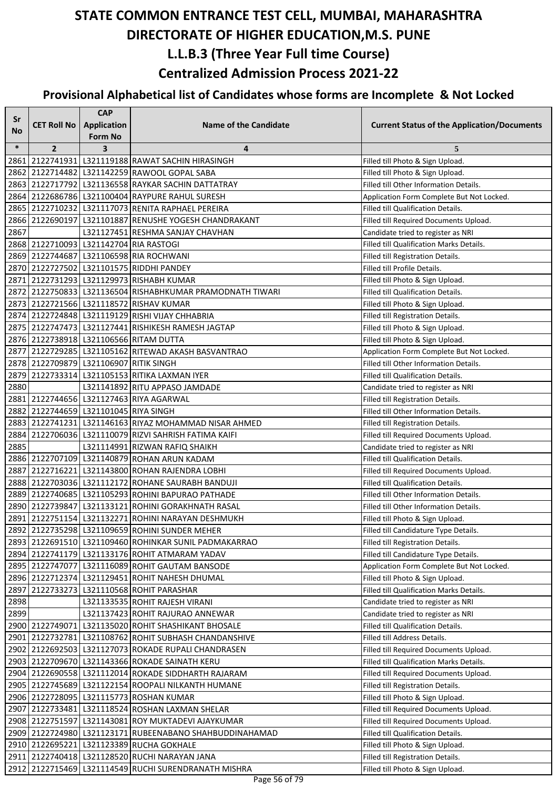| Sr     |                                        | <b>CAP</b>         |                                                           |                                                    |
|--------|----------------------------------------|--------------------|-----------------------------------------------------------|----------------------------------------------------|
| No     | <b>CET Roll No</b>                     | <b>Application</b> | <b>Name of the Candidate</b>                              | <b>Current Status of the Application/Documents</b> |
|        |                                        | <b>Form No</b>     |                                                           |                                                    |
| $\ast$ | $\overline{2}$                         | 3                  | 4                                                         | 5                                                  |
| 2861   |                                        |                    | 2122741931 L321119188 RAWAT SACHIN HIRASINGH              | Filled till Photo & Sign Upload.                   |
|        |                                        |                    | 2862 2122714482 L321142259 RAWOOL GOPAL SABA              | Filled till Photo & Sign Upload.                   |
|        |                                        |                    | 2863 2122717792 L321136558 RAYKAR SACHIN DATTATRAY        | Filled till Other Information Details.             |
|        |                                        |                    | 2864 2122686786 L321100404 RAYPURE RAHUL SURESH           | Application Form Complete But Not Locked.          |
|        |                                        |                    | 2865 2122710232 L321117073 RENITA RAPHAEL PEREIRA         | Filled till Qualification Details.                 |
| 2866   |                                        |                    | 2122690197 L321101887 RENUSHE YOGESH CHANDRAKANT          | Filled till Required Documents Upload.             |
| 2867   |                                        |                    | L321127451 RESHMA SANJAY CHAVHAN                          | Candidate tried to register as NRI                 |
|        | 2868 2122710093 L321142704 RIA RASTOGI |                    |                                                           | Filled till Qualification Marks Details.           |
|        |                                        |                    | 2869   2122744687   L321106598  RIA ROCHWANI              | Filled till Registration Details.                  |
|        |                                        |                    | 2870 2122727502 L321101575 RIDDHI PANDEY                  | Filled till Profile Details.                       |
|        |                                        |                    | 2871 2122731293 L321129973 RISHABH KUMAR                  | Filled till Photo & Sign Upload.                   |
|        |                                        |                    | 2872 2122750833 L321136504 RISHABHKUMAR PRAMODNATH TIWARI | Filled till Qualification Details.                 |
|        |                                        |                    | 2873 2122721566 L321118572 RISHAV KUMAR                   | Filled till Photo & Sign Upload.                   |
|        |                                        |                    | 2874 2122724848 L321119129 RISHI VIJAY CHHABRIA           | Filled till Registration Details.                  |
|        |                                        |                    | 2875 2122747473 L321127441 RISHIKESH RAMESH JAGTAP        | Filled till Photo & Sign Upload.                   |
|        |                                        |                    | 2876 2122738918 L321106566 RITAM DUTTA                    | Filled till Photo & Sign Upload.                   |
|        |                                        |                    | 2877   2122729285   L321105162  RITEWAD AKASH BASVANTRAO  | Application Form Complete But Not Locked.          |
|        | 2878 2122709879 L321106907 RITIK SINGH |                    |                                                           | Filled till Other Information Details.             |
|        |                                        |                    | 2879 2122733314 L321105153 RITIKA LAXMAN IYER             | Filled till Qualification Details.                 |
| 2880   |                                        |                    | L321141892 RITU APPASO JAMDADE                            | Candidate tried to register as NRI                 |
|        |                                        |                    | 2881 2122744656 L321127463 RIYA AGARWAL                   | Filled till Registration Details.                  |
|        | 2882 2122744659 L321101045 RIYA SINGH  |                    |                                                           | Filled till Other Information Details.             |
|        |                                        |                    | 2883 2122741231 L321146163 RIYAZ MOHAMMAD NISAR AHMED     | Filled till Registration Details.                  |
| 2884   |                                        |                    | 2122706036   L321110079   RIZVI SAHRISH FATIMA KAIFI      | Filled till Required Documents Upload.             |
| 2885   |                                        |                    | L321114991 RIZWAN RAFIQ SHAIKH                            | Candidate tried to register as NRI                 |
|        |                                        |                    | 2886 2122707109 L321140879 ROHAN ARUN KADAM               | Filled till Qualification Details.                 |
|        |                                        |                    | 2887 2122716221 L321143800 ROHAN RAJENDRA LOBHI           | Filled till Required Documents Upload.             |
|        |                                        |                    | 2888 2122703036 L321112172 ROHANE SAURABH BANDUJI         | Filled till Qualification Details.                 |
|        |                                        |                    | 2889 2122740685 L321105293 ROHINI BAPURAO PATHADE         | Filled till Other Information Details.             |
|        |                                        |                    | 2890 2122739847 L321133121 ROHINI GORAKHNATH RASAL        | Filled till Other Information Details.             |
|        |                                        |                    | 2891 2122751154 L321132271 ROHINI NARAYAN DESHMUKH        | Filled till Photo & Sign Upload.                   |
|        |                                        |                    | 2892 2122735298 L321109659 ROHINI SUNDER MEHER            | Filled till Candidature Type Details.              |
|        |                                        |                    | 2893 2122691510 L321109460 ROHINKAR SUNIL PADMAKARRAO     | Filled till Registration Details.                  |
|        |                                        |                    | 2894   2122741179   L321133176   ROHIT ATMARAM YADAV      | Filled till Candidature Type Details.              |
|        |                                        |                    | 2895 2122747077 L321116089 ROHIT GAUTAM BANSODE           | Application Form Complete But Not Locked.          |
|        |                                        |                    | 2896 2122712374 L321129451 ROHIT NAHESH DHUMAL            | Filled till Photo & Sign Upload.                   |
| 2897   |                                        |                    | 2122733273 L321110568 ROHIT PARASHAR                      | Filled till Qualification Marks Details.           |
| 2898   |                                        |                    | L321133535 ROHIT RAJESH VIRANI                            | Candidate tried to register as NRI                 |
| 2899   |                                        |                    | L321137423 ROHIT RAJURAO ANNEWAR                          | Candidate tried to register as NRI                 |
|        |                                        |                    | 2900 2122749071 L321135020 ROHIT SHASHIKANT BHOSALE       | Filled till Qualification Details.                 |
|        |                                        |                    | 2901 2122732781 L321108762 ROHIT SUBHASH CHANDANSHIVE     | Filled till Address Details.                       |
|        |                                        |                    | 2902   2122692503   L321127073  ROKADE RUPALI CHANDRASEN  | Filled till Required Documents Upload.             |
|        |                                        |                    | 2903 2122709670 L321143366 ROKADE SAINATH KERU            | Filled till Qualification Marks Details.           |
|        |                                        |                    | 2904 2122690558 L321112014 ROKADE SIDDHARTH RAJARAM       | Filled till Required Documents Upload.             |
|        |                                        |                    | 2905   2122745689   L321122154   ROOPALI NILKANTH HUMANE  | Filled till Registration Details.                  |
|        |                                        |                    | 2906 2122728095 L321115773 ROSHAN KUMAR                   | Filled till Photo & Sign Upload.                   |
|        |                                        |                    | 2907 2122733481 L321118524 ROSHAN LAXMAN SHELAR           | Filled till Required Documents Upload.             |
|        |                                        |                    | 2908 2122751597 L321143081 ROY MUKTADEVI AJAYKUMAR        | Filled till Required Documents Upload.             |
|        |                                        |                    | 2909 2122724980 L321123171 RUBEENABANO SHAHBUDDINAHAMAD   | Filled till Qualification Details.                 |
|        |                                        |                    | 2910   2122695221   L321123389  RUCHA GOKHALE             | Filled till Photo & Sign Upload.                   |
|        |                                        |                    | 2911 2122740418   L321128520 RUCHI NARAYAN JANA           | Filled till Registration Details.                  |
|        |                                        |                    | 2912 2122715469 L321114549 RUCHI SURENDRANATH MISHRA      | Filled till Photo & Sign Upload.                   |
|        |                                        |                    |                                                           |                                                    |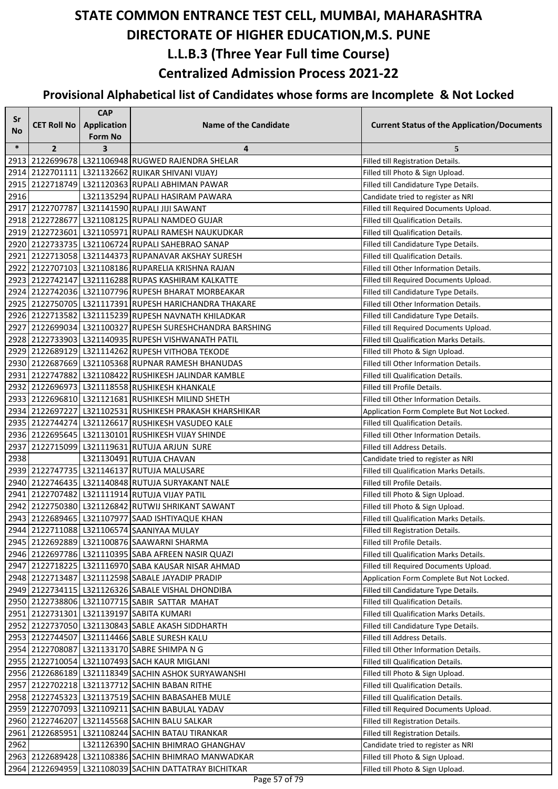| Sr     |                    | <b>CAP</b>                           |                                                          |                                                    |
|--------|--------------------|--------------------------------------|----------------------------------------------------------|----------------------------------------------------|
| No     | <b>CET Roll No</b> | <b>Application</b><br><b>Form No</b> | <b>Name of the Candidate</b>                             | <b>Current Status of the Application/Documents</b> |
| $\ast$ | $\overline{2}$     | 3                                    | 4                                                        | 5                                                  |
|        |                    |                                      | 2913 2122699678   L321106948   RUGWED RAJENDRA SHELAR    | Filled till Registration Details.                  |
|        |                    |                                      | 2914 2122701111 L321132662 RUIKAR SHIVANI VIJAYJ         | Filled till Photo & Sign Upload.                   |
|        |                    |                                      | 2915 2122718749 L321120363 RUPALI ABHIMAN PAWAR          | Filled till Candidature Type Details.              |
| 2916   |                    |                                      | L321135294 RUPALI HASIRAM PAWARA                         | Candidate tried to register as NRI                 |
|        |                    |                                      | 2917 2122707787 L321141590 RUPALI JIJI SAWANT            | Filled till Required Documents Upload.             |
|        |                    |                                      | 2918 2122728677 L321108125 RUPALI NAMDEO GUJAR           | Filled till Qualification Details.                 |
|        |                    |                                      | 2919 2122723601 L321105971 RUPALI RAMESH NAUKUDKAR       | Filled till Qualification Details.                 |
|        |                    |                                      | 2920 2122733735   L321106724 RUPALI SAHEBRAO SANAP       | Filled till Candidature Type Details.              |
|        |                    |                                      | 2921   2122713058   L321144373  RUPANAVAR AKSHAY SURESH  | Filled till Qualification Details.                 |
|        |                    |                                      | 2922 2122707103 L321108186 RUPARELIA KRISHNA RAJAN       | Filled till Other Information Details.             |
|        |                    |                                      | 2923 2122742147 L321116288 RUPAS KASHIRAM KALKATTE       | Filled till Required Documents Upload.             |
|        |                    |                                      | 2924 2122742036 L321107796 RUPESH BHARAT MORBEAKAR       | Filled till Candidature Type Details.              |
|        |                    |                                      | 2925 2122750705 L321117391 RUPESH HARICHANDRA THAKARE    | Filled till Other Information Details.             |
|        |                    |                                      | 2926 2122713582 L321115239 RUPESH NAVNATH KHILADKAR      | Filled till Candidature Type Details.              |
|        |                    |                                      | 2927 2122699034 L321100327 RUPESH SURESHCHANDRA BARSHING | Filled till Required Documents Upload.             |
|        |                    |                                      | 2928 2122733903 L321140935 RUPESH VISHWANATH PATIL       | Filled till Qualification Marks Details.           |
|        |                    |                                      | 2929   2122689129   L321114262  RUPESH VITHOBA TEKODE    | Filled till Photo & Sign Upload.                   |
|        |                    |                                      | 2930 2122687669 L321105368 RUPNAR RAMESH BHANUDAS        | Filled till Other Information Details.             |
|        |                    |                                      | 2931 2122747882 L321108422 RUSHIKESH JALINDAR KAMBLE     | Filled till Qualification Details.                 |
|        |                    |                                      | 2932 2122696973 L321118558 RUSHIKESH KHANKALE            | Filled till Profile Details.                       |
|        |                    |                                      | 2933 2122696810 L321121681 RUSHIKESH MILIND SHETH        | Filled till Other Information Details.             |
|        |                    |                                      | 2934 2122697227 L321102531 RUSHIKESH PRAKASH KHARSHIKAR  | Application Form Complete But Not Locked.          |
|        |                    |                                      | 2935 2122744274 L321126617 RUSHIKESH VASUDEO KALE        | Filled till Qualification Details.                 |
|        |                    |                                      | 2936 2122695645 L321130101 RUSHIKESH VIJAY SHINDE        | Filled till Other Information Details.             |
| 2937   |                    |                                      | 2122715099 L321119631 RUTUJA ARJUN SURE                  | Filled till Address Details.                       |
| 2938   |                    |                                      | L321130491 RUTUJA CHAVAN                                 | Candidate tried to register as NRI                 |
|        |                    |                                      | 2939 2122747735 L321146137 RUTUJA MALUSARE               | Filled till Qualification Marks Details.           |
|        |                    |                                      | 2940 2122746435 L321140848 RUTUJA SURYAKANT NALE         | Filled till Profile Details.                       |
|        |                    |                                      | 2941 2122707482 L321111914 RUTUJA VIJAY PATIL            | Filled till Photo & Sign Upload.                   |
|        |                    |                                      | 2942 2122750380 L321126842 RUTWIJ SHRIKANT SAWANT        | Filled till Photo & Sign Upload.                   |
|        |                    |                                      | 2943 2122689465   L321107977 SAAD ISHTIYAQUE KHAN        | Filled till Qualification Marks Details.           |
|        |                    |                                      | 2944 2122711088 L321106574 SAANIYAA MULAY                | Filled till Registration Details.                  |
|        |                    |                                      | 2945 2122692889 L321100876 SAAWARNI SHARMA               | Filled till Profile Details.                       |
|        |                    |                                      | 2946 2122697786 L321110395 SABA AFREEN NASIR QUAZI       | Filled till Qualification Marks Details.           |
|        |                    |                                      | 2947 2122718225 L321116970 SABA KAUSAR NISAR AHMAD       | Filled till Required Documents Upload.             |
|        |                    |                                      | 2948 2122713487 L321112598 SABALE JAYADIP PRADIP         | Application Form Complete But Not Locked.          |
|        |                    |                                      | 2949 2122734115 L321126326 SABALE VISHAL DHONDIBA        | Filled till Candidature Type Details.              |
|        |                    |                                      | 2950 2122738806 L321107715 SABIR SATTAR MAHAT            | Filled till Qualification Details.                 |
|        |                    |                                      | 2951 2122731301 L321139197 SABITA KUMARI                 | Filled till Qualification Marks Details.           |
|        |                    |                                      | 2952 2122737050 L321130843 SABLE AKASH SIDDHARTH         | Filled till Candidature Type Details.              |
|        |                    |                                      | 2953 2122744507 L321114466 SABLE SURESH KALU             | Filled till Address Details.                       |
|        |                    |                                      | 2954   2122708087   L321133170  SABRE SHIMPA N G         | Filled till Other Information Details.             |
|        |                    |                                      | 2955 2122710054 L321107493 SACH KAUR MIGLANI             | Filled till Qualification Details.                 |
|        |                    |                                      | 2956 2122686189 L321118349 SACHIN ASHOK SURYAWANSHI      | Filled till Photo & Sign Upload.                   |
|        |                    |                                      | 2957 2122702218 L321137712 SACHIN BABAN RITHE            | Filled till Qualification Details.                 |
|        |                    |                                      | 2958 2122745323 L321137519 SACHIN BABASAHEB MULE         | Filled till Qualification Details.                 |
|        |                    |                                      | 2959 2122707093 L321109211 SACHIN BABULAL YADAV          | Filled till Required Documents Upload.             |
|        |                    |                                      | 2960 2122746207 L321145568 SACHIN BALU SALKAR            | Filled till Registration Details.                  |
| 2961   |                    |                                      | 2122685951 L321108244 SACHIN BATAU TIRANKAR              | Filled till Registration Details.                  |
| 2962   |                    |                                      | L321126390 SACHIN BHIMRAO GHANGHAV                       | Candidate tried to register as NRI                 |
|        |                    |                                      | 2963 2122689428 L321108386 SACHIN BHIMRAO MANWADKAR      | Filled till Photo & Sign Upload.                   |
|        |                    |                                      | 2964 2122694959 L321108039 SACHIN DATTATRAY BICHITKAR    | Filled till Photo & Sign Upload.                   |
|        |                    |                                      |                                                          |                                                    |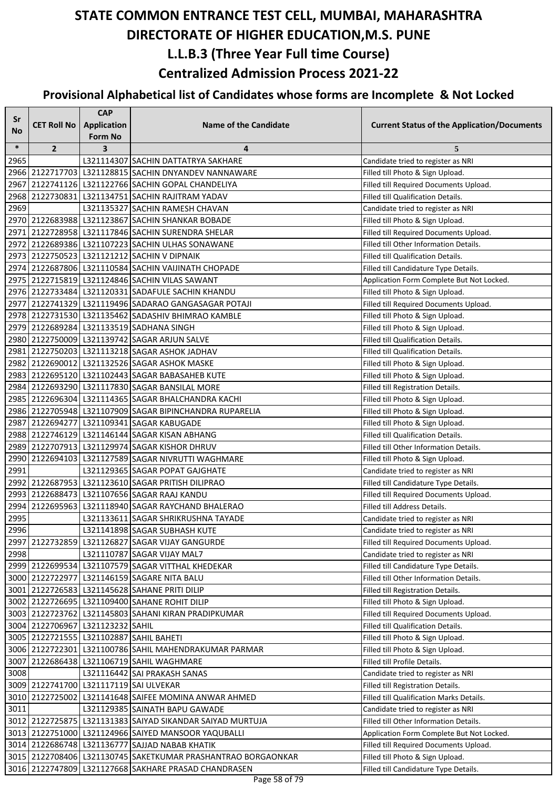| Sr     |                                  | <b>CAP</b>         |                                                              |                                                    |
|--------|----------------------------------|--------------------|--------------------------------------------------------------|----------------------------------------------------|
|        | <b>CET Roll No</b>               | <b>Application</b> | <b>Name of the Candidate</b>                                 | <b>Current Status of the Application/Documents</b> |
| No     |                                  | <b>Form No</b>     |                                                              |                                                    |
| $\ast$ | $\overline{2}$                   | 3                  | 4                                                            | 5                                                  |
| 2965   |                                  |                    | L321114307 SACHIN DATTATRYA SAKHARE                          | Candidate tried to register as NRI                 |
|        |                                  |                    | 2966 2122717703   L321128815   SACHIN DNYANDEV NANNAWARE     | Filled till Photo & Sign Upload.                   |
| 2967   |                                  |                    | 2122741126 L321122766 SACHIN GOPAL CHANDELIYA                | Filled till Required Documents Upload.             |
|        |                                  |                    | 2968 2122730831 L321134751 SACHIN RAJITRAM YADAV             | Filled till Qualification Details.                 |
| 2969   |                                  |                    | L321135327 SACHIN RAMESH CHAVAN                              | Candidate tried to register as NRI                 |
|        |                                  |                    | 2970 2122683988 L321123867 SACHIN SHANKAR BOBADE             | Filled till Photo & Sign Upload.                   |
|        |                                  |                    | 2971 2122728958   L321117846 SACHIN SURENDRA SHELAR          | Filled till Required Documents Upload.             |
|        |                                  |                    | 2972 2122689386 L321107223 SACHIN ULHAS SONAWANE             | Filled till Other Information Details.             |
|        |                                  |                    | 2973 2122750523 L321121212 SACHIN V DIPNAIK                  | Filled till Qualification Details.                 |
|        |                                  |                    | 2974 2122687806 L321110584 SACHIN VAIJINATH CHOPADE          | Filled till Candidature Type Details.              |
|        |                                  |                    | 2975 2122715819 L321124846 SACHIN VILAS SAWANT               | Application Form Complete But Not Locked.          |
|        |                                  |                    | 2976 2122733484 L321120331 SADAFULE SACHIN KHANDU            | Filled till Photo & Sign Upload.                   |
|        |                                  |                    | 2977 2122741329 L321119496 SADARAO GANGASAGAR POTAJI         | Filled till Required Documents Upload.             |
|        |                                  |                    | 2978 2122731530 L321135462 SADASHIV BHIMRAO KAMBLE           | Filled till Photo & Sign Upload.                   |
|        |                                  |                    | 2979 2122689284 L321133519 SADHANA SINGH                     | Filled till Photo & Sign Upload.                   |
|        |                                  |                    | 2980 2122750009 L321139742 SAGAR ARJUN SALVE                 | Filled till Qualification Details.                 |
|        |                                  |                    | 2981 2122750203 L321113218 SAGAR ASHOK JADHAV                | Filled till Qualification Details.                 |
|        |                                  |                    | 2982 2122690012 L321132526 SAGAR ASHOK MASKE                 | Filled till Photo & Sign Upload.                   |
|        |                                  |                    | 2983 2122695120 L321102443 SAGAR BABASAHEB KUTE              | Filled till Photo & Sign Upload.                   |
|        |                                  |                    | 2984 2122693290 L321117830 SAGAR BANSILAL MORE               | Filled till Registration Details.                  |
|        |                                  |                    | 2985 2122696304 L321114365 SAGAR BHALCHANDRA KACHI           | Filled till Photo & Sign Upload.                   |
|        |                                  |                    | 2986 2122705948 L321107909 SAGAR BIPINCHANDRA RUPARELIA      | Filled till Photo & Sign Upload.                   |
|        |                                  |                    | 2987 2122694277 L321109341 SAGAR KABUGADE                    | Filled till Photo & Sign Upload.                   |
|        |                                  |                    | 2988 2122746129 L321146144 SAGAR KISAN ABHANG                | Filled till Qualification Details.                 |
|        |                                  |                    | 2989 2122707913 L321129974 SAGAR KISHOR DHRUV                | Filled till Other Information Details.             |
| 2990   |                                  |                    | 2122694103   L321127589 SAGAR NIVRUTTI WAGHMARE              | Filled till Photo & Sign Upload.                   |
| 2991   |                                  |                    | L321129365 SAGAR POPAT GAJGHATE                              | Candidate tried to register as NRI                 |
|        |                                  |                    | 2992 2122687953 L321123610 SAGAR PRITISH DILIPRAO            | Filled till Candidature Type Details.              |
|        |                                  |                    | 2993 2122688473 L321107656 SAGAR RAAJ KANDU                  | Filled till Required Documents Upload.             |
|        |                                  |                    | 2994 2122695963 L321118940 SAGAR RAYCHAND BHALERAO           | Filled till Address Details.                       |
| 2995   |                                  |                    | L321133611 SAGAR SHRIKRUSHNA TAYADE                          | Candidate tried to register as NRI                 |
| 2996   |                                  |                    | L321141898 SAGAR SUBHASH KUTE                                | Candidate tried to register as NRI                 |
| 2997   |                                  |                    | 2122732859 L321126827 SAGAR VIJAY GANGURDE                   | Filled till Required Documents Upload.             |
| 2998   |                                  |                    | L321110787 SAGAR VIJAY MAL7                                  | Candidate tried to register as NRI                 |
|        |                                  |                    | 2999 2122699534 L321107579 SAGAR VITTHAL KHEDEKAR            | Filled till Candidature Type Details.              |
|        | 3000 2122722977                  |                    | L321146159 SAGARE NITA BALU                                  | Filled till Other Information Details.             |
|        |                                  |                    | 3001 2122726583 L321145628 SAHANE PRITI DILIP                | Filled till Registration Details.                  |
|        |                                  |                    | 3002 2122726695 L321109400 SAHANE ROHIT DILIP                | Filled till Photo & Sign Upload.                   |
|        |                                  |                    | 3003 2122723762 L321145803 SAHANI KIRAN PRADIPKUMAR          | Filled till Required Documents Upload.             |
|        | 3004 2122706967 L321123232 SAHIL |                    |                                                              | Filled till Qualification Details.                 |
|        |                                  |                    | 3005 2122721555 L321102887 SAHIL BAHETI                      | Filled till Photo & Sign Upload.                   |
|        |                                  |                    | 3006 2122722301 L321100786 SAHIL MAHENDRAKUMAR PARMAR        | Filled till Photo & Sign Upload.                   |
| 3007   |                                  |                    | 2122686438   L321106719   SAHIL WAGHMARE                     | Filled till Profile Details.                       |
| 3008   |                                  |                    | L321116442 SAI PRAKASH SANAS                                 | Candidate tried to register as NRI                 |
|        |                                  |                    | 3009 2122741700 L321117119 SAI ULVEKAR                       | Filled till Registration Details.                  |
|        |                                  |                    | 3010 2122725002 L321141648 SAIFEE MOMINA ANWAR AHMED         | Filled till Qualification Marks Details.           |
| 3011   |                                  |                    | L321129385 SAINATH BAPU GAWADE                               | Candidate tried to register as NRI                 |
|        |                                  |                    | 3012 2122725875   L321131383 SAIYAD SIKANDAR SAIYAD MURTUJA  | Filled till Other Information Details.             |
|        |                                  |                    | 3013 2122751000 L321124966 SAIYED MANSOOR YAQUBALLI          | Application Form Complete But Not Locked.          |
|        |                                  |                    | 3014 2122686748 L321136777 SAJJAD NABAB KHATIK               | Filled till Required Documents Upload.             |
|        |                                  |                    | 3015 2122708406 L321130745 SAKETKUMAR PRASHANTRAO BORGAONKAR | Filled till Photo & Sign Upload.                   |
|        |                                  |                    | 3016 2122747809 L321127668 SAKHARE PRASAD CHANDRASEN         | Filled till Candidature Type Details.              |
|        |                                  |                    |                                                              |                                                    |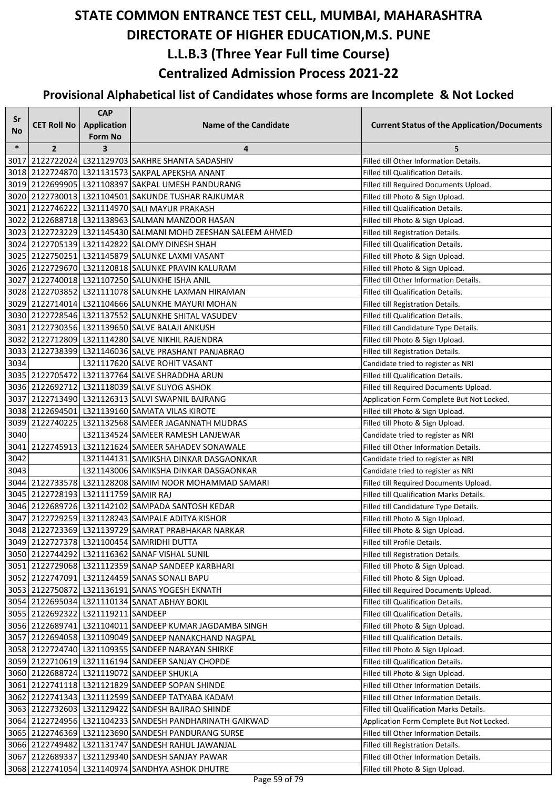| Sr     |                                      | <b>CAP</b>         |                                                                                                                 |                                                                         |
|--------|--------------------------------------|--------------------|-----------------------------------------------------------------------------------------------------------------|-------------------------------------------------------------------------|
| No     | <b>CET Roll No</b>                   | <b>Application</b> | <b>Name of the Candidate</b>                                                                                    | <b>Current Status of the Application/Documents</b>                      |
|        |                                      | <b>Form No</b>     |                                                                                                                 |                                                                         |
| $\ast$ | $\overline{2}$                       | 3                  | 4                                                                                                               | 5                                                                       |
|        |                                      |                    | 3017 2122722024 L321129703 SAKHRE SHANTA SADASHIV                                                               | Filled till Other Information Details.                                  |
|        |                                      |                    | 3018 2122724870 L321131573 SAKPAL APEKSHA ANANT<br>3019 2122699905 L321108397 SAKPAL UMESH PANDURANG            | Filled till Qualification Details.                                      |
|        |                                      |                    |                                                                                                                 | Filled till Required Documents Upload.                                  |
|        |                                      |                    | 3020 2122730013 L321104501 SAKUNDE TUSHAR RAJKUMAR                                                              | Filled till Photo & Sign Upload.                                        |
|        |                                      |                    | 3021 2122746222 L321114970 SALI MAYUR PRAKASH                                                                   | Filled till Qualification Details.                                      |
|        |                                      |                    | 3022 2122688718 L321138963 SALMAN MANZOOR HASAN<br>3023 2122723229 L321145430 SALMANI MOHD ZEESHAN SALEEM AHMED | Filled till Photo & Sign Upload.                                        |
|        |                                      |                    | 3024 2122705139 L321142822 SALOMY DINESH SHAH                                                                   | Filled till Registration Details.<br>Filled till Qualification Details. |
|        |                                      |                    | 3025 2122750251 L321145879 SALUNKE LAXMI VASANT                                                                 | Filled till Photo & Sign Upload.                                        |
|        |                                      |                    | 3026 2122729670 L321120818 SALUNKE PRAVIN KALURAM                                                               | Filled till Photo & Sign Upload.                                        |
|        |                                      |                    | 3027 2122740018 L321107250 SALUNKHE ISHA ANIL                                                                   | Filled till Other Information Details.                                  |
|        |                                      |                    | 3028 2122703852 L321111078 SALUNKHE LAXMAN HIRAMAN                                                              | Filled till Qualification Details.                                      |
|        |                                      |                    | 3029 2122714014 L321104666 SALUNKHE MAYURI MOHAN                                                                | Filled till Registration Details.                                       |
|        |                                      |                    | 3030 2122728546   L321137552 SALUNKHE SHITAL VASUDEV                                                            | Filled till Qualification Details.                                      |
|        |                                      |                    | 3031 2122730356 L321139650 SALVE BALAJI ANKUSH                                                                  | Filled till Candidature Type Details.                                   |
|        |                                      |                    | 3032 2122712809 L321114280 SALVE NIKHIL RAJENDRA                                                                | Filled till Photo & Sign Upload.                                        |
|        |                                      |                    | 3033 2122738399 L321146036 SALVE PRASHANT PANJABRAO                                                             | Filled till Registration Details.                                       |
| 3034   |                                      |                    | L321117620 SALVE ROHIT VASANT                                                                                   | Candidate tried to register as NRI                                      |
|        |                                      |                    | 3035 2122705472 L321137764 SALVE SHRADDHA ARUN                                                                  | Filled till Qualification Details.                                      |
|        |                                      |                    | 3036 2122692712 L321118039 SALVE SUYOG ASHOK                                                                    | Filled till Required Documents Upload.                                  |
|        |                                      |                    | 3037 2122713490 L321126313 SALVI SWAPNIL BAJRANG                                                                | Application Form Complete But Not Locked.                               |
|        |                                      |                    | 3038 2122694501 L321139160 SAMATA VILAS KIROTE                                                                  | Filled till Photo & Sign Upload.                                        |
|        |                                      |                    | 3039 2122740225 L321132568 SAMEER JAGANNATH MUDRAS                                                              | Filled till Photo & Sign Upload.                                        |
| 3040   |                                      |                    | L321134524 SAMEER RAMESH LANJEWAR                                                                               | Candidate tried to register as NRI                                      |
| 3041   |                                      |                    | 2122745913 L321121624 SAMEER SAHADEV SONAWALE                                                                   | Filled till Other Information Details.                                  |
| 3042   |                                      |                    | L321144131 SAMIKSHA DINKAR DASGAONKAR                                                                           | Candidate tried to register as NRI                                      |
| 3043   |                                      |                    | L321143006 SAMIKSHA DINKAR DASGAONKAR                                                                           | Candidate tried to register as NRI                                      |
|        |                                      |                    | 3044 2122733578 L321128208 SAMIM NOOR MOHAMMAD SAMARI                                                           | Filled till Required Documents Upload.                                  |
|        | 3045 2122728193 L321111759 SAMIR RAJ |                    |                                                                                                                 | Filled till Qualification Marks Details.                                |
|        |                                      |                    | 3046 2122689726 L321142102 SAMPADA SANTOSH KEDAR                                                                | Filled till Candidature Type Details.                                   |
|        |                                      |                    | 3047 2122729259 L321128243 SAMPALE ADITYA KISHOR                                                                | Filled till Photo & Sign Upload.                                        |
|        |                                      |                    | 3048 2122723369 L321139729 SAMRAT PRABHAKAR NARKAR                                                              | Filled till Photo & Sign Upload.                                        |
|        |                                      |                    | 3049 2122727378 L321100454 SAMRIDHI DUTTA                                                                       | Filled till Profile Details.                                            |
|        |                                      |                    | 3050 2122744292 L321116362 SANAF VISHAL SUNIL                                                                   | Filled till Registration Details.                                       |
|        |                                      |                    | 3051 2122729068 L321112359 SANAP SANDEEP KARBHARI                                                               | Filled till Photo & Sign Upload.                                        |
|        |                                      |                    | 3052 2122747091 L321124459 SANAS SONALI BAPU                                                                    | Filled till Photo & Sign Upload.                                        |
|        |                                      |                    | 3053 2122750872 L321136191 SANAS YOGESH EKNATH                                                                  | Filled till Required Documents Upload.                                  |
|        |                                      |                    | 3054 2122695034 L321110134 SANAT ABHAY BOKIL                                                                    | Filled till Qualification Details.                                      |
|        | 3055 2122692322 L321119211 SANDEEP   |                    |                                                                                                                 | Filled till Qualification Details.                                      |
|        |                                      |                    | 3056 2122689741 L321104011 SANDEEP KUMAR JAGDAMBA SINGH                                                         | Filled till Photo & Sign Upload.                                        |
|        |                                      |                    | 3057 2122694058 L321109049 SANDEEP NANAKCHAND NAGPAL                                                            | Filled till Qualification Details.                                      |
|        |                                      |                    | 3058 2122724740 L321109355 SANDEEP NARAYAN SHIRKE                                                               | Filled till Photo & Sign Upload.                                        |
|        |                                      |                    | 3059 2122710619 L321116194 SANDEEP SANJAY CHOPDE                                                                | Filled till Qualification Details.                                      |
|        |                                      |                    | 3060 2122688724 L321119072 SANDEEP SHUKLA                                                                       | Filled till Photo & Sign Upload.                                        |
|        |                                      |                    | 3061 2122741118 L321121829 SANDEEP SOPAN SHINDE                                                                 | Filled till Other Information Details.                                  |
|        |                                      |                    | 3062 2122741343 L321112599 SANDEEP TATYABA KADAM                                                                | Filled till Other Information Details.                                  |
|        |                                      |                    | 3063 2122732603 L321129422 SANDESH BAJIRAO SHINDE                                                               | Filled till Qualification Marks Details.                                |
|        |                                      |                    | 3064 2122724956 L321104233 SANDESH PANDHARINATH GAIKWAD                                                         | Application Form Complete But Not Locked.                               |
|        |                                      |                    | 3065 2122746369 L321123690 SANDESH PANDURANG SURSE                                                              | Filled till Other Information Details.                                  |
|        |                                      |                    | 3066 2122749482 L321131747 SANDESH RAHUL JAWANJAL                                                               | Filled till Registration Details.                                       |
|        | 3067 2122689337                      |                    | L321129340 SANDESH SANJAY PAWAR                                                                                 | Filled till Other Information Details.                                  |
|        |                                      |                    | 3068 2122741054 L321140974 SANDHYA ASHOK DHUTRE                                                                 | Filled till Photo & Sign Upload.                                        |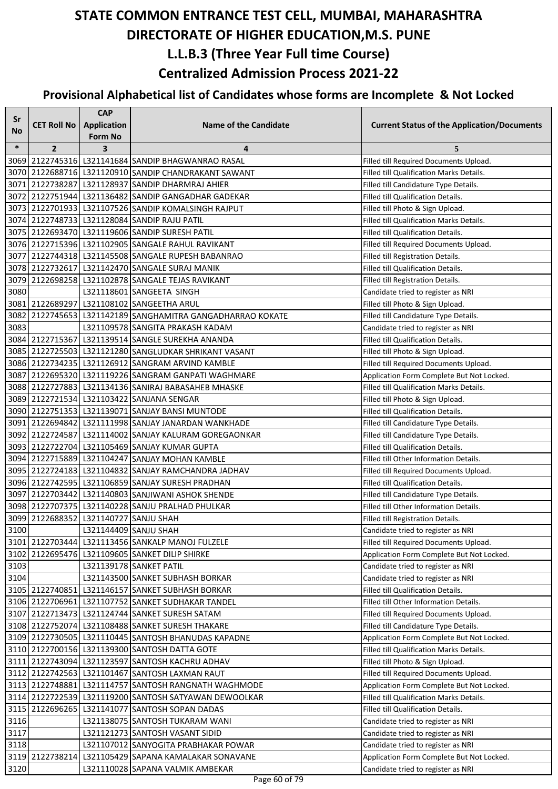| Sr           |                                       | <b>CAP</b>         |                                                                                              |                                                                                    |
|--------------|---------------------------------------|--------------------|----------------------------------------------------------------------------------------------|------------------------------------------------------------------------------------|
| No           | <b>CET Roll No</b>                    | <b>Application</b> | <b>Name of the Candidate</b>                                                                 | <b>Current Status of the Application/Documents</b>                                 |
|              |                                       | Form No            |                                                                                              |                                                                                    |
| $\ast$       | $\overline{2}$                        | 3                  | 4<br>3069 2122745316 L321141684 SANDIP BHAGWANRAO RASAL                                      | 5                                                                                  |
|              |                                       |                    | 3070 2122688716 L321120910 SANDIP CHANDRAKANT SAWANT                                         | Filled till Required Documents Upload.<br>Filled till Qualification Marks Details. |
|              |                                       |                    | 3071 2122738287 L321128937 SANDIP DHARMRAJ AHIER                                             | Filled till Candidature Type Details.                                              |
|              |                                       |                    | 3072 2122751944 L321136482 SANDIP GANGADHAR GADEKAR                                          | Filled till Qualification Details.                                                 |
|              |                                       |                    | 3073 2122701933 L321107526 SANDIP KOMALSINGH RAJPUT                                          | Filled till Photo & Sign Upload.                                                   |
|              |                                       |                    | 3074 2122748733 L321128084 SANDIP RAJU PATIL                                                 | Filled till Qualification Marks Details.                                           |
|              |                                       |                    | 3075 2122693470 L321119606 SANDIP SURESH PATIL                                               | Filled till Qualification Details.                                                 |
|              |                                       |                    | 3076 2122715396 L321102905 SANGALE RAHUL RAVIKANT                                            | Filled till Required Documents Upload.                                             |
|              |                                       |                    | 3077 2122744318 L321145508 SANGALE RUPESH BABANRAO                                           | Filled till Registration Details.                                                  |
|              |                                       |                    | 3078 2122732617 L321142470 SANGALE SURAJ MANIK                                               | Filled till Qualification Details.                                                 |
|              |                                       |                    | 3079 2122698258 L321102878 SANGALE TEJAS RAVIKANT                                            | Filled till Registration Details.                                                  |
| 3080         |                                       |                    | L321118601 SANGEETA SINGH                                                                    | Candidate tried to register as NRI                                                 |
|              |                                       |                    | 3081 2122689297 L321108102 SANGEETHA ARUL                                                    | Filled till Photo & Sign Upload.                                                   |
|              |                                       |                    | 3082 2122745653 L321142189 SANGHAMITRA GANGADHARRAO KOKATE                                   | Filled till Candidature Type Details.                                              |
| 3083         |                                       |                    | L321109578 SANGITA PRAKASH KADAM                                                             | Candidate tried to register as NRI                                                 |
|              |                                       |                    | 3084 2122715367 L321139514 SANGLE SUREKHA ANANDA                                             | Filled till Qualification Details.                                                 |
|              |                                       |                    | 3085 2122725503 L321121280 SANGLUDKAR SHRIKANT VASANT                                        | Filled till Photo & Sign Upload.                                                   |
|              |                                       |                    | 3086   2122734235   L321126912  SANGRAM ARVIND KAMBLE                                        | Filled till Required Documents Upload.                                             |
|              |                                       |                    | 3087 2122695320 L321119226 SANGRAM GANPATI WAGHMARE                                          | Application Form Complete But Not Locked.                                          |
|              |                                       |                    | 3088 2122727883 L321134136 SANIRAJ BABASAHEB MHASKE                                          | Filled till Qualification Marks Details.                                           |
|              |                                       |                    | 3089 2122721534 L321103422 SANJANA SENGAR                                                    | Filled till Photo & Sign Upload.                                                   |
|              |                                       |                    | 3090 2122751353 L321139071 SANJAY BANSI MUNTODE                                              | Filled till Qualification Details.                                                 |
|              |                                       |                    | 3091 2122694842 L321111998 SANJAY JANARDAN WANKHADE                                          | Filled till Candidature Type Details.                                              |
|              |                                       |                    | 3092 2122724587 L321114002 SANJAY KALURAM GOREGAONKAR                                        | Filled till Candidature Type Details.                                              |
|              |                                       |                    | 3093 2122722704 L321105469 SANJAY KUMAR GUPTA                                                | Filled till Qualification Details.                                                 |
|              |                                       |                    | 3094 2122715889 L321104247 SANJAY MOHAN KAMBLE                                               | Filled till Other Information Details.                                             |
|              |                                       |                    | 3095 2122724183 L321104832 SANJAY RAMCHANDRA JADHAV                                          | Filled till Required Documents Upload.                                             |
|              |                                       |                    | 3096 2122742595   L321106859 SANJAY SURESH PRADHAN                                           | Filled till Qualification Details.                                                 |
|              |                                       |                    | 3097 2122703442   L321140803 SANJIWANI ASHOK SHENDE                                          | Filled till Candidature Type Details.                                              |
|              |                                       |                    | 3098 2122707375   L321140228 SANJU PRALHAD PHULKAR                                           | Filled till Other Information Details.                                             |
|              | 3099 2122688352 L321140727 SANJU SHAH |                    |                                                                                              | Filled till Registration Details.                                                  |
| 3100         |                                       |                    | L321144409 SANJU SHAH                                                                        | Candidate tried to register as NRI                                                 |
|              |                                       |                    | 3101 2122703444 L321113456 SANKALP MANOJ FULZELE                                             | Filled till Required Documents Upload.                                             |
|              |                                       |                    | 3102 2122695476 L321109605 SANKET DILIP SHIRKE                                               | Application Form Complete But Not Locked.                                          |
| 3103         |                                       |                    | L321139178 SANKET PATIL                                                                      | Candidate tried to register as NRI                                                 |
| 3104         |                                       |                    | L321143500 SANKET SUBHASH BORKAR                                                             | Candidate tried to register as NRI                                                 |
|              |                                       |                    | 3105 2122740851 L321146157 SANKET SUBHASH BORKAR                                             | Filled till Qualification Details.                                                 |
|              |                                       |                    | 3106 2122706961 L321107752 SANKET SUDHAKAR TANDEL                                            | Filled till Other Information Details.                                             |
|              |                                       |                    | 3107 2122713473 L321124744 SANKET SURESH SATAM                                               | Filled till Required Documents Upload.                                             |
|              |                                       |                    | 3108 2122752074 L321108488 SANKET SURESH THAKARE                                             | Filled till Candidature Type Details.                                              |
|              |                                       |                    | 3109 2122730505 L321110445 SANTOSH BHANUDAS KAPADNE                                          | Application Form Complete But Not Locked.                                          |
|              |                                       |                    | 3110 2122700156   L321139300 SANTOSH DATTA GOTE                                              | Filled till Qualification Marks Details.                                           |
|              |                                       |                    | 3111 2122743094 L321123597 SANTOSH KACHRU ADHAV                                              | Filled till Photo & Sign Upload.                                                   |
|              |                                       |                    | 3112 2122742563 L321101467 SANTOSH LAXMAN RAUT                                               | Filled till Required Documents Upload.                                             |
|              |                                       |                    | 3113 2122748881 L321114757 SANTOSH RANGNATH WAGHMODE                                         | Application Form Complete But Not Locked.                                          |
|              |                                       |                    | 3114 2122722539 L321119200 SANTOSH SATYAWAN DEWOOLKAR                                        | Filled till Qualification Marks Details.                                           |
|              |                                       |                    | 3115 2122696265 L321141077 SANTOSH SOPAN DADAS                                               | Filled till Qualification Details.                                                 |
| 3116<br>3117 |                                       |                    | L321138075 SANTOSH TUKARAM WANI                                                              | Candidate tried to register as NRI                                                 |
| 3118         |                                       |                    | L321121273 SANTOSH VASANT SIDID                                                              | Candidate tried to register as NRI<br>Candidate tried to register as NRI           |
|              |                                       |                    | L321107012 SANYOGITA PRABHAKAR POWAR<br>3119 2122738214 L321105429 SAPANA KAMALAKAR SONAVANE | Application Form Complete But Not Locked.                                          |
| 3120         |                                       |                    | L321110028 SAPANA VALMIK AMBEKAR                                                             | Candidate tried to register as NRI                                                 |
|              |                                       |                    |                                                                                              |                                                                                    |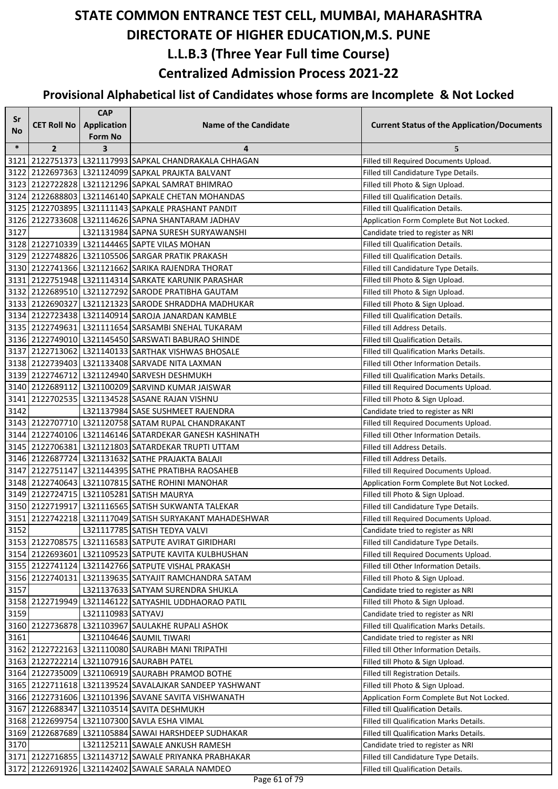| Sr     |                    | <b>CAP</b>         |                                                            |                                                    |
|--------|--------------------|--------------------|------------------------------------------------------------|----------------------------------------------------|
| No     | <b>CET Roll No</b> | Application        | <b>Name of the Candidate</b>                               | <b>Current Status of the Application/Documents</b> |
|        |                    | Form No            |                                                            |                                                    |
| $\ast$ | $\overline{2}$     | 3                  | 4                                                          | 5                                                  |
| 3121   |                    |                    | 2122751373 L321117993 SAPKAL CHANDRAKALA CHHAGAN           | Filled till Required Documents Upload.             |
|        |                    |                    | 3122 2122697363 L321124099 SAPKAL PRAJKTA BALVANT          | Filled till Candidature Type Details.              |
|        |                    |                    | 3123 2122722828 L321121296 SAPKAL SAMRAT BHIMRAO           | Filled till Photo & Sign Upload.                   |
|        |                    |                    | 3124 2122688803 L321146140 SAPKALE CHETAN MOHANDAS         | Filled till Qualification Details.                 |
|        |                    |                    | 3125 2122703895 L321111143 SAPKALE PRASHANT PANDIT         | Filled till Qualification Details.                 |
|        |                    |                    | 3126 2122733608 L321114626 SAPNA SHANTARAM JADHAV          | Application Form Complete But Not Locked.          |
| 3127   |                    |                    | L321131984 SAPNA SURESH SURYAWANSHI                        | Candidate tried to register as NRI                 |
|        |                    |                    | 3128 2122710339 L321144465 SAPTE VILAS MOHAN               | Filled till Qualification Details.                 |
|        |                    |                    | 3129 2122748826 L321105506 SARGAR PRATIK PRAKASH           | Filled till Qualification Details.                 |
|        |                    |                    | 3130 2122741366 L321121662 SARIKA RAJENDRA THORAT          | Filled till Candidature Type Details.              |
|        |                    |                    | 3131 2122751948 L321114314 SARKATE KARUNIK PARASHAR        | Filled till Photo & Sign Upload.                   |
|        |                    |                    | 3132 2122689510 L321127292 SARODE PRATIBHA GAUTAM          | Filled till Photo & Sign Upload.                   |
|        |                    |                    | 3133 2122690327 L321121323 SARODE SHRADDHA MADHUKAR        | Filled till Photo & Sign Upload.                   |
|        |                    |                    | 3134 2122723438 L321140914 SAROJA JANARDAN KAMBLE          | Filled till Qualification Details.                 |
|        |                    |                    | 3135 2122749631 L321111654 SARSAMBI SNEHAL TUKARAM         | Filled till Address Details.                       |
|        |                    |                    | 3136 2122749010 L321145450 SARSWATI BABURAO SHINDE         | Filled till Qualification Details.                 |
|        |                    |                    | 3137 2122713062 L321140133 SARTHAK VISHWAS BHOSALE         | Filled till Qualification Marks Details.           |
|        |                    |                    | 3138 2122739403 L321133408 SARVADE NITA LAXMAN             | Filled till Other Information Details.             |
|        |                    |                    | 3139 2122746712 L321124940 SARVESH DESHMUKH                | Filled till Qualification Marks Details.           |
|        |                    |                    | 3140 2122689112 L321100209 SARVIND KUMAR JAISWAR           | Filled till Required Documents Upload.             |
|        |                    |                    | 3141 2122702535 L321134528 SASANE RAJAN VISHNU             | Filled till Photo & Sign Upload.                   |
| 3142   |                    |                    | L321137984 SASE SUSHMEET RAJENDRA                          | Candidate tried to register as NRI                 |
|        |                    |                    | 3143 2122707710 L321120758 SATAM RUPAL CHANDRAKANT         | Filled till Required Documents Upload.             |
|        |                    |                    | 3144 2122740106 L321146146 SATARDEKAR GANESH KASHINATH     | Filled till Other Information Details.             |
|        |                    |                    | 3145 2122706381 L321121803 SATARDEKAR TRUPTI UTTAM         | Filled till Address Details.                       |
|        |                    |                    | 3146 2122687724 L321131632 SATHE PRAJAKTA BALAJI           | Filled till Address Details.                       |
|        |                    |                    | 3147 2122751147 L321144395 SATHE PRATIBHA RAOSAHEB         | Filled till Required Documents Upload.             |
|        |                    |                    | 3148 2122740643 L321107815 SATHE ROHINI MANOHAR            | Application Form Complete But Not Locked.          |
|        |                    |                    | 3149 2122724715 L321105281 SATISH MAURYA                   | Filled till Photo & Sign Upload.                   |
|        |                    |                    | 3150 2122719917 L321116565 SATISH SUKWANTA TALEKAR         | Filled till Candidature Type Details.              |
|        |                    |                    | 3151 2122742218 L321117049 SATISH SURYAKANT MAHADESHWAR    | Filled till Required Documents Upload.             |
| 3152   |                    |                    | L321117785 SATISH TEDYA VALVI                              | Candidate tried to register as NRI                 |
|        |                    |                    | 3153 2122708575 L321116583 SATPUTE AVIRAT GIRIDHARI        | Filled till Candidature Type Details.              |
|        |                    |                    | 3154 2122693601 L321109523 SATPUTE KAVITA KULBHUSHAN       | Filled till Required Documents Upload.             |
|        |                    |                    | 3155 2122741124 L321142766 SATPUTE VISHAL PRAKASH          | Filled till Other Information Details.             |
|        |                    |                    | 3156 2122740131 L321139635 SATYAJIT RAMCHANDRA SATAM       | Filled till Photo & Sign Upload.                   |
| 3157   |                    |                    | L321137633 SATYAM SURENDRA SHUKLA                          | Candidate tried to register as NRI                 |
|        |                    |                    | 3158 2122719949   L321146122 SATYASHIL UDDHAORAO PATIL     | Filled till Photo & Sign Upload.                   |
| 3159   |                    | L321110983 SATYAVJ |                                                            | Candidate tried to register as NRI                 |
|        |                    |                    | 3160 2122736878 L321103967 SAULAKHE RUPALI ASHOK           | Filled till Qualification Marks Details.           |
| 3161   |                    |                    | L321104646 SAUMIL TIWARI                                   | Candidate tried to register as NRI                 |
|        |                    |                    | 3162 2122722163 L321110080 SAURABH MANI TRIPATHI           | Filled till Other Information Details.             |
|        |                    |                    | 3163 2122722214 L321107916 SAURABH PATEL                   | Filled till Photo & Sign Upload.                   |
|        |                    |                    | 3164 2122735009 L321106919 SAURABH PRAMOD BOTHE            | Filled till Registration Details.                  |
|        |                    |                    | 3165 2122711618 L321139524 SAVALAJKAR SANDEEP YASHWANT     | Filled till Photo & Sign Upload.                   |
|        |                    |                    | 3166 2122731606 L321101396 SAVANE SAVITA VISHWANATH        | Application Form Complete But Not Locked.          |
|        |                    |                    | 3167 2122688347 L321103514 SAVITA DESHMUKH                 | Filled till Qualification Details.                 |
|        |                    |                    | 3168 2122699754 L321107300 SAVLA ESHA VIMAL                | Filled till Qualification Marks Details.           |
|        |                    |                    | 3169 2122687689 L321105884 SAWAI HARSHDEEP SUDHAKAR        | Filled till Qualification Marks Details.           |
| 3170   |                    |                    | L321125211 SAWALE ANKUSH RAMESH                            | Candidate tried to register as NRI                 |
|        |                    |                    | 3171   2122716855   L321143712   SAWALE PRIYANKA PRABHAKAR | Filled till Candidature Type Details.              |
|        |                    |                    | 3172 2122691926 L321142402 SAWALE SARALA NAMDEO            | Filled till Qualification Details.                 |
|        |                    |                    |                                                            |                                                    |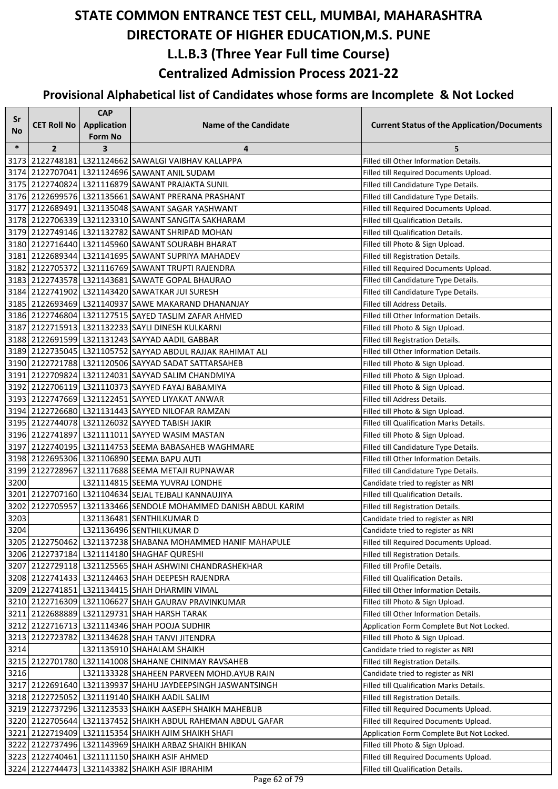| Sr     |                    | <b>CAP</b>         |                                                                |                                                    |
|--------|--------------------|--------------------|----------------------------------------------------------------|----------------------------------------------------|
| No     | <b>CET Roll No</b> | <b>Application</b> | <b>Name of the Candidate</b>                                   | <b>Current Status of the Application/Documents</b> |
| $\ast$ |                    | <b>Form No</b>     |                                                                |                                                    |
|        | $\overline{2}$     | 3                  | 4<br>3173 2122748181 L321124662 SAWALGI VAIBHAV KALLAPPA       | 5<br>Filled till Other Information Details.        |
|        |                    |                    | 3174 2122707041 L321124696 SAWANT ANIL SUDAM                   | Filled till Required Documents Upload.             |
|        |                    |                    | 3175 2122740824 L321116879 SAWANT PRAJAKTA SUNIL               | Filled till Candidature Type Details.              |
|        |                    |                    | 3176 2122699576 L321135661 SAWANT PRERANA PRASHANT             | Filled till Candidature Type Details.              |
|        |                    |                    | 3177 2122689491 L321135048 SAWANT SAGAR YASHWANT               | Filled till Required Documents Upload.             |
|        |                    |                    | 3178 2122706339 L321123310 SAWANT SANGITA SAKHARAM             | Filled till Qualification Details.                 |
|        |                    |                    | 3179 2122749146 L321132782 SAWANT SHRIPAD MOHAN                | Filled till Qualification Details.                 |
|        |                    |                    | 3180 2122716440 L321145960 SAWANT SOURABH BHARAT               | Filled till Photo & Sign Upload.                   |
|        |                    |                    | 3181 2122689344 L321141695 SAWANT SUPRIYA MAHADEV              | Filled till Registration Details.                  |
|        |                    |                    | 3182 2122705372 L321116769 SAWANT TRUPTI RAJENDRA              | Filled till Required Documents Upload.             |
|        |                    |                    | 3183 2122743578 L321143681 SAWATE GOPAL BHAURAO                | Filled till Candidature Type Details.              |
|        |                    |                    | 3184 2122741902 L321143420 SAWATKAR JUI SURESH                 | Filled till Candidature Type Details.              |
|        |                    |                    | 3185 2122693469 L321140937 SAWE MAKARAND DHANANJAY             | Filled till Address Details.                       |
|        |                    |                    | 3186 2122746804 L321127515 SAYED TASLIM ZAFAR AHMED            | Filled till Other Information Details.             |
|        |                    |                    | 3187 2122715913 L321132233 SAYLI DINESH KULKARNI               | Filled till Photo & Sign Upload.                   |
|        |                    |                    | 3188 2122691599 L321131243 SAYYAD AADIL GABBAR                 | Filled till Registration Details.                  |
|        |                    |                    | 3189 2122735045 L321105752 SAYYAD ABDUL RAJJAK RAHIMAT ALI     | Filled till Other Information Details.             |
|        |                    |                    | 3190 2122721788 L321120506 SAYYAD SADAT SATTARSAHEB            | Filled till Photo & Sign Upload.                   |
|        |                    |                    | 3191 2122709824 L321124031 SAYYAD SALIM CHANDMIYA              | Filled till Photo & Sign Upload.                   |
|        |                    |                    | 3192 2122706119 L321110373 SAYYED FAYAJ BABAMIYA               | Filled till Photo & Sign Upload.                   |
|        |                    |                    | 3193 2122747669 L321122451 SAYYED LIYAKAT ANWAR                | Filled till Address Details.                       |
|        |                    |                    | 3194 2122726680 L321131443 SAYYED NILOFAR RAMZAN               | Filled till Photo & Sign Upload.                   |
|        |                    |                    | 3195 2122744078 L321126032 SAYYED TABISH JAKIR                 | Filled till Qualification Marks Details.           |
|        |                    |                    | 3196 2122741897 L321111011 SAYYED WASIM MASTAN                 | Filled till Photo & Sign Upload.                   |
|        |                    |                    | 3197 2122740195 L321114753 SEEMA BABASAHEB WAGHMARE            | Filled till Candidature Type Details.              |
|        |                    |                    | 3198 2122695306 L321106890 SEEMA BAPU AUTI                     | Filled till Other Information Details.             |
| 3199   |                    |                    | 2122728967 L321117688 SEEMA METAJI RUPNAWAR                    | Filled till Candidature Type Details.              |
| 3200   |                    |                    | L321114815 SEEMA YUVRAJ LONDHE                                 | Candidate tried to register as NRI                 |
|        |                    |                    | 3201 2122707160 L321104634 SEJAL TEJBALI KANNAUJIYA            | Filled till Qualification Details.                 |
|        |                    |                    | 3202 2122705957 L321133466 SENDOLE MOHAMMED DANISH ABDUL KARIM | Filled till Registration Details.                  |
| 3203   |                    |                    | L321136481 SENTHILKUMAR D                                      | Candidate tried to register as NRI                 |
| 3204   |                    |                    | L321136496 SENTHILKUMAR D                                      | Candidate tried to register as NRI                 |
|        |                    |                    | 3205 2122750462 L321137238 SHABANA MOHAMMED HANIF MAHAPULE     | Filled till Required Documents Upload.             |
|        |                    |                    | 3206 2122737184 L321114180 SHAGHAF QURESHI                     | Filled till Registration Details.                  |
|        |                    |                    | 3207 2122729118 L321125565 SHAH ASHWINI CHANDRASHEKHAR         | Filled till Profile Details.                       |
|        |                    |                    | 3208 2122741433 L321124463 SHAH DEEPESH RAJENDRA               | Filled till Qualification Details.                 |
|        |                    |                    | 3209 2122741851 L321134415 SHAH DHARMIN VIMAL                  | Filled till Other Information Details.             |
|        |                    |                    | 3210 2122716309 L321106627 SHAH GAURAV PRAVINKUMAR             | Filled till Photo & Sign Upload.                   |
|        |                    |                    | 3211 2122688889 L321129731 SHAH HARSH TARAK                    | Filled till Other Information Details.             |
|        |                    |                    | 3212 2122716713   L321114346 SHAH POOJA SUDHIR                 | Application Form Complete But Not Locked.          |
|        |                    |                    | 3213 2122723782 L321134628 SHAH TANVI JITENDRA                 | Filled till Photo & Sign Upload.                   |
| 3214   |                    |                    | L321135910 SHAHALAM SHAIKH                                     | Candidate tried to register as NRI                 |
|        |                    |                    | 3215 2122701780 L321141008 SHAHANE CHINMAY RAVSAHEB            | Filled till Registration Details.                  |
| 3216   |                    |                    | L321133328 SHAHEEN PARVEEN MOHD. AYUB RAIN                     | Candidate tried to register as NRI                 |
|        |                    |                    | 3217 2122691640   L321139937   SHAHU JAYDEEPSINGH JASWANTSINGH | Filled till Qualification Marks Details.           |
|        |                    |                    | 3218 2122725052 L321119140 SHAIKH AADIL SALIM                  | Filled till Registration Details.                  |
|        |                    |                    | 3219 2122737296 L321123533 SHAIKH AASEPH SHAIKH MAHEBUB        | Filled till Required Documents Upload.             |
|        |                    |                    | 3220 2122705644 L321137452 SHAIKH ABDUL RAHEMAN ABDUL GAFAR    | Filled till Required Documents Upload.             |
|        |                    |                    | 3221 2122719409 L321115354 SHAIKH AJIM SHAIKH SHAFI            | Application Form Complete But Not Locked.          |
|        |                    |                    | 3222 2122737496 L321143969 SHAIKH ARBAZ SHAIKH BHIKAN          | Filled till Photo & Sign Upload.                   |
|        |                    |                    | 3223 2122740461 L321111150 SHAIKH ASIF AHMED                   | Filled till Required Documents Upload.             |
|        |                    |                    | 3224 2122744473 L321143382 SHAIKH ASIF IBRAHIM                 | Filled till Qualification Details.                 |
|        |                    |                    |                                                                |                                                    |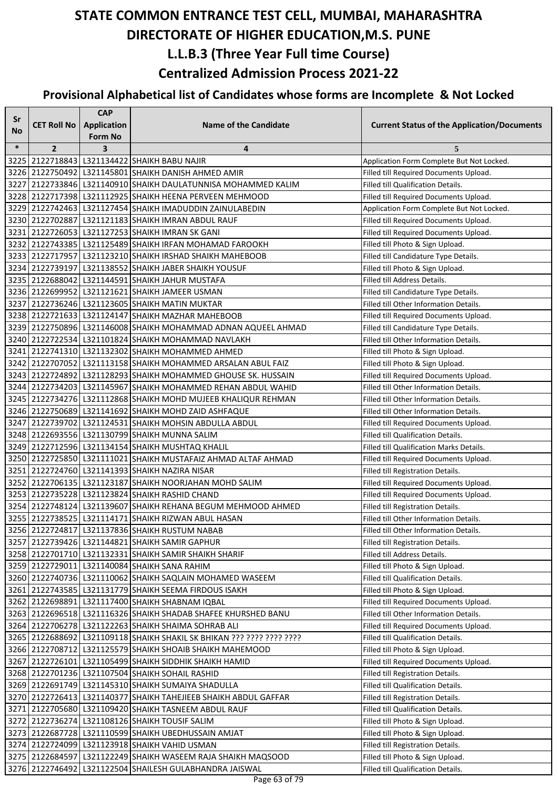| Sr     |                    | <b>CAP</b>              |                                                                       |                                                    |
|--------|--------------------|-------------------------|-----------------------------------------------------------------------|----------------------------------------------------|
| No     | <b>CET Roll No</b> | <b>Application</b>      | <b>Name of the Candidate</b>                                          | <b>Current Status of the Application/Documents</b> |
|        |                    | Form No                 |                                                                       |                                                    |
| $\ast$ | $\overline{2}$     | $\overline{\mathbf{3}}$ | 4                                                                     | 5                                                  |
|        |                    |                         | 3225 2122718843 L321134422 SHAIKH BABU NAJIR                          | Application Form Complete But Not Locked.          |
|        |                    |                         | 3226   2122750492   L321145801   SHAIKH DANISH AHMED AMIR             | Filled till Required Documents Upload.             |
|        |                    |                         | 3227 2122733846 L321140910 SHAIKH DAULATUNNISA MOHAMMED KALIM         | Filled till Qualification Details.                 |
|        |                    |                         | 3228 2122717398 L321112925 SHAIKH HEENA PERVEEN MEHMOOD               | Filled till Required Documents Upload.             |
|        |                    |                         | 3229 2122742463 L321127454 SHAIKH IMADUDDIN ZAINULABEDIN              | Application Form Complete But Not Locked.          |
|        |                    |                         | 3230 2122702887 L321121183 SHAIKH IMRAN ABDUL RAUF                    | Filled till Required Documents Upload.             |
|        |                    |                         | 3231 2122726053 L321127253 SHAIKH IMRAN SK GANI                       | Filled till Required Documents Upload.             |
|        |                    |                         | 3232 2122743385 L321125489 SHAIKH IRFAN MOHAMAD FAROOKH               | Filled till Photo & Sign Upload.                   |
|        |                    |                         | 3233 2122717957 L321123210 SHAIKH IRSHAD SHAIKH MAHEBOOB              | Filled till Candidature Type Details.              |
|        |                    |                         | 3234 2122739197 L321138552 SHAIKH JABER SHAIKH YOUSUF                 | Filled till Photo & Sign Upload.                   |
|        |                    |                         | 3235 2122688042 L321144591 SHAIKH JAHUR MUSTAFA                       | Filled till Address Details.                       |
|        |                    |                         | 3236 2122699952 L321121621 SHAIKH JAMEER USMAN                        | Filled till Candidature Type Details.              |
|        |                    |                         | 3237 2122736246 L321123605 SHAIKH MATIN MUKTAR                        | Filled till Other Information Details.             |
|        |                    |                         | 3238 2122721633 L321124147 SHAIKH MAZHAR MAHEBOOB                     | Filled till Required Documents Upload.             |
|        |                    |                         | 3239 2122750896 L321146008 SHAIKH MOHAMMAD ADNAN AQUEEL AHMAD         | Filled till Candidature Type Details.              |
|        |                    |                         | 3240 2122722534 L321101824 SHAIKH MOHAMMAD NAVLAKH                    | Filled till Other Information Details.             |
|        |                    |                         | 3241 2122741310 L321132302 SHAIKH MOHAMMED AHMED                      | Filled till Photo & Sign Upload.                   |
|        |                    |                         | 3242 2122707052 L321113158 SHAIKH MOHAMMED ARSALAN ABUL FAIZ          | Filled till Photo & Sign Upload.                   |
|        |                    |                         | 3243 2122724892 L321128293 SHAIKH MOHAMMED GHOUSE SK. HUSSAIN         | Filled till Required Documents Upload.             |
|        |                    |                         | 3244 2122734203 L321145967 SHAIKH MOHAMMED REHAN ABDUL WAHID          | Filled till Other Information Details.             |
|        |                    |                         | 3245 2122734276 L321112868 SHAIKH MOHD MUJEEB KHALIQUR REHMAN         | Filled till Other Information Details.             |
|        |                    |                         | 3246 2122750689 L321141692 SHAIKH MOHD ZAID ASHFAQUE                  | Filled till Other Information Details.             |
|        |                    |                         | 3247 2122739702 L321124531 SHAIKH MOHSIN ABDULLA ABDUL                | Filled till Required Documents Upload.             |
|        |                    |                         | 3248 2122693556 L321130799 SHAIKH MUNNA SALIM                         | Filled till Qualification Details.                 |
|        |                    |                         | 3249 2122712596 L321134154 SHAIKH MUSHTAQ KHALIL                      | Filled till Qualification Marks Details.           |
|        |                    |                         | 3250 2122725850 L321111021 SHAIKH MUSTAFAIZ AHMAD ALTAF AHMAD         | Filled till Required Documents Upload.             |
|        |                    |                         | 3251 2122724760 L321141393 SHAIKH NAZIRA NISAR                        | Filled till Registration Details.                  |
|        |                    |                         | 3252 2122706135 L321123187 SHAIKH NOORJAHAN MOHD SALIM                | Filled till Required Documents Upload.             |
|        |                    |                         | 3253 2122735228 L321123824 SHAIKH RASHID CHAND                        | Filled till Required Documents Upload.             |
|        |                    |                         | 3254 2122748124 L321139607 SHAIKH REHANA BEGUM MEHMOOD AHMED          | Filled till Registration Details.                  |
|        |                    |                         | 3255 2122738525 L321114171 SHAIKH RIZWAN ABUL HASAN                   | Filled till Other Information Details.             |
|        |                    |                         | 3256 2122724817 L321137836 SHAIKH RUSTUM NABAB                        | Filled till Other Information Details.             |
|        |                    |                         | 3257 2122739426 L321144821 SHAIKH SAMIR GAPHUR                        | Filled till Registration Details.                  |
|        |                    |                         | 3258 2122701710 L321132331 SHAIKH SAMIR SHAIKH SHARIF                 | Filled till Address Details.                       |
|        |                    |                         | 3259 2122729011 L321140084 SHAIKH SANA RAHIM                          | Filled till Photo & Sign Upload.                   |
|        |                    |                         | 3260 2122740736 L321110062 SHAIKH SAQLAIN MOHAMED WASEEM              | Filled till Qualification Details.                 |
|        |                    |                         | 3261 2122743585 L321131779 SHAIKH SEEMA FIRDOUS ISAKH                 | Filled till Photo & Sign Upload.                   |
|        |                    |                         | 3262 2122698891 L321117400 SHAIKH SHABNAM IQBAL                       | Filled till Required Documents Upload.             |
|        |                    |                         | 3263 2122696518 L321116326 SHAIKH SHADAB SHAFEE KHURSHED BANU         | Filled till Other Information Details.             |
|        |                    |                         | 3264 2122706278 L321122263 SHAIKH SHAIMA SOHRAB ALI                   | Filled till Required Documents Upload.             |
|        |                    |                         | 3265 2122688692 L321109118 SHAIKH SHAKIL SK BHIKAN ??? ???? ???? ???? | Filled till Qualification Details.                 |
|        |                    |                         | 3266 2122708712 L321125579 SHAIKH SHOAIB SHAIKH MAHEMOOD              | Filled till Photo & Sign Upload.                   |
|        |                    |                         | 3267 2122726101 L321105499 SHAIKH SIDDHIK SHAIKH HAMID                | Filled till Required Documents Upload.             |
|        |                    |                         | 3268 2122701236 L321107504 SHAIKH SOHAIL RASHID                       | Filled till Registration Details.                  |
|        |                    |                         | 3269 2122691749 L321145310 SHAIKH SUMAIYA SHADULLA                    | Filled till Qualification Details.                 |
|        |                    |                         | 3270 2122726413 L321140377 SHAIKH TAHEJIEEB SHAIKH ABDUL GAFFAR       | Filled till Registration Details.                  |
|        |                    |                         | 3271 2122705680 L321109420 SHAIKH TASNEEM ABDUL RAUF                  | Filled till Qualification Details.                 |
|        |                    |                         | 3272 2122736274 L321108126 SHAIKH TOUSIF SALIM                        | Filled till Photo & Sign Upload.                   |
|        |                    |                         | 3273 2122687728 L321110599 SHAIKH UBEDHUSSAIN AMJAT                   | Filled till Photo & Sign Upload.                   |
|        |                    |                         | 3274 2122724099 L321123918 SHAIKH VAHID USMAN                         | Filled till Registration Details.                  |
|        |                    |                         | 3275 2122684597 L321122249 SHAIKH WASEEM RAJA SHAIKH MAQSOOD          | Filled till Photo & Sign Upload.                   |
|        |                    |                         | 3276 2122746492 L321122504 SHAILESH GULABHANDRA JAISWAL               | Filled till Qualification Details.                 |
|        |                    |                         |                                                                       |                                                    |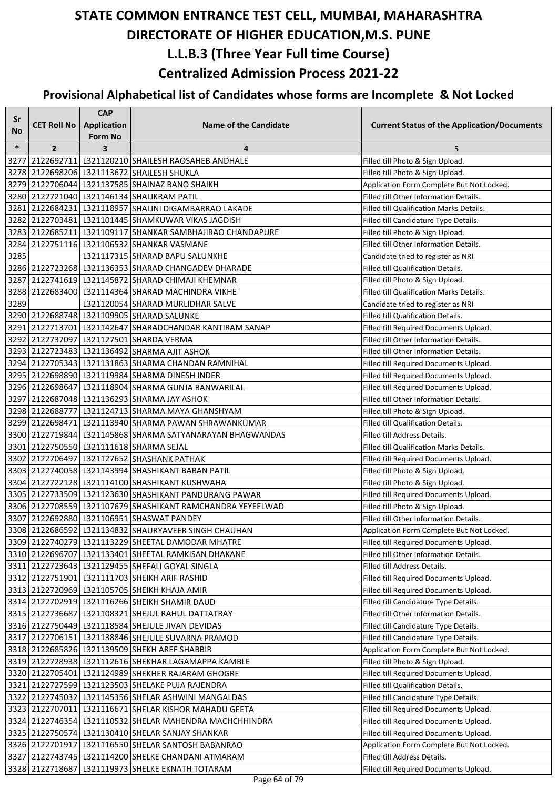| Sr     |                    | <b>CAP</b>                           |                                                                 |                                                    |
|--------|--------------------|--------------------------------------|-----------------------------------------------------------------|----------------------------------------------------|
| No     | <b>CET Roll No</b> | <b>Application</b><br><b>Form No</b> | <b>Name of the Candidate</b>                                    | <b>Current Status of the Application/Documents</b> |
| $\ast$ | $\overline{2}$     | 3                                    | 4                                                               | 5                                                  |
| 3277   |                    |                                      | 2122692711 L321120210 SHAILESH RAOSAHEB ANDHALE                 | Filled till Photo & Sign Upload.                   |
|        |                    |                                      | 3278 2122698206 L321113672 SHAILESH SHUKLA                      | Filled till Photo & Sign Upload.                   |
|        |                    |                                      | 3279 2122706044 L321137585 SHAINAZ BANO SHAIKH                  | Application Form Complete But Not Locked.          |
|        |                    |                                      | 3280 2122721040 L321146134 SHALIKRAM PATIL                      | Filled till Other Information Details.             |
| 3281   |                    |                                      | 2122684231 L321118957 SHALINI DIGAMBARRAO LAKADE                | Filled till Qualification Marks Details.           |
| 3282   |                    |                                      | 2122703481 L321101445 SHAMKUWAR VIKAS JAGDISH                   | Filled till Candidature Type Details.              |
|        |                    |                                      | 3283 2122685211 L321109117 SHANKAR SAMBHAJIRAO CHANDAPURE       | Filled till Photo & Sign Upload.                   |
| 3284   |                    |                                      | 2122751116 L321106532 SHANKAR VASMANE                           | Filled till Other Information Details.             |
| 3285   |                    |                                      | L321117315 SHARAD BAPU SALUNKHE                                 | Candidate tried to register as NRI                 |
|        |                    |                                      | 3286 2122723268 L321136353 SHARAD CHANGADEV DHARADE             | Filled till Qualification Details.                 |
| 3287   |                    |                                      | 2122741619 L321145872 SHARAD CHIMAJI KHEMNAR                    | Filled till Photo & Sign Upload.                   |
| 3288   |                    |                                      | 2122683400 L321114364 SHARAD MACHINDRA VIKHE                    | Filled till Qualification Marks Details.           |
| 3289   |                    |                                      | L321120054 SHARAD MURLIDHAR SALVE                               | Candidate tried to register as NRI                 |
|        |                    |                                      | 3290 2122688748 L321109905 SHARAD SALUNKE                       | Filled till Qualification Details.                 |
|        |                    |                                      | 3291 2122713701 L321142647 SHARADCHANDAR KANTIRAM SANAP         | Filled till Required Documents Upload.             |
|        |                    |                                      | 3292 2122737097 L321127501 SHARDA VERMA                         | Filled till Other Information Details.             |
|        |                    |                                      | 3293 2122723483 L321136492 SHARMA AJIT ASHOK                    | Filled till Other Information Details.             |
|        |                    |                                      | 3294 2122705343 L321131863 SHARMA CHANDAN RAMNIHAL              | Filled till Required Documents Upload.             |
|        |                    |                                      | 3295 2122698890 L321119984 SHARMA DINESH INDER                  | Filled till Required Documents Upload.             |
|        |                    |                                      | 3296 2122698647 L321118904 SHARMA GUNJA BANWARILAL              | Filled till Required Documents Upload.             |
|        |                    |                                      | 3297 2122687048 L321136293 SHARMA JAY ASHOK                     | Filled till Other Information Details.             |
|        |                    |                                      | 3298 2122688777 L321124713 SHARMA MAYA GHANSHYAM                | Filled till Photo & Sign Upload.                   |
|        |                    |                                      | 3299 2122698471 L321113940 SHARMA PAWAN SHRAWANKUMAR            | Filled till Qualification Details.                 |
|        |                    |                                      | 3300   2122719844   L321145868   SHARMA SATYANARAYAN BHAGWANDAS | Filled till Address Details.                       |
|        |                    |                                      | 3301 2122750550 L321111618 SHARMA SEJAL                         | Filled till Qualification Marks Details.           |
|        |                    |                                      | 3302 2122706497 L321127652 SHASHANK PATHAK                      | Filled till Required Documents Upload.             |
|        |                    |                                      | 3303 2122740058 L321143994 SHASHIKANT BABAN PATIL               | Filled till Photo & Sign Upload.                   |
|        |                    |                                      | 3304 2122722128 L321114100 SHASHIKANT KUSHWAHA                  | Filled till Photo & Sign Upload.                   |
|        |                    |                                      | 3305 2122733509 L321123630 SHASHIKANT PANDURANG PAWAR           | Filled till Required Documents Upload.             |
|        |                    |                                      | 3306 2122708559 L321107679 SHASHIKANT RAMCHANDRA YEYEELWAD      | Filled till Photo & Sign Upload.                   |
|        |                    |                                      | 3307 2122692880 L321106951 SHASWAT PANDEY                       | Filled till Other Information Details.             |
|        |                    |                                      | 3308 2122686592 L321134832 SHAURYAVEER SINGH CHAUHAN            | Application Form Complete But Not Locked.          |
|        |                    |                                      | 3309 2122740279 L321113229 SHEETAL DAMODAR MHATRE               | Filled till Required Documents Upload.             |
|        |                    |                                      | 3310 2122696707 L321133401 SHEETAL RAMKISAN DHAKANE             | Filled till Other Information Details.             |
|        |                    |                                      | 3311 2122723643 L321129455 SHEFALI GOYAL SINGLA                 | Filled till Address Details.                       |
|        |                    |                                      | 3312 2122751901 L321111703 SHEIKH ARIF RASHID                   | Filled till Required Documents Upload.             |
|        |                    |                                      | 3313 2122720969 L321105705 SHEIKH KHAJA AMIR                    | Filled till Required Documents Upload.             |
|        |                    |                                      | 3314 2122702919 L321116266 SHEIKH SHAMIR DAUD                   | Filled till Candidature Type Details.              |
|        |                    |                                      | 3315 2122736687 L321108321 SHEJUL RAHUL DATTATRAY               | Filled till Other Information Details.             |
|        |                    |                                      | 3316 2122750449 L321118584 SHEJULE JIVAN DEVIDAS                | Filled till Candidature Type Details.              |
|        |                    |                                      | 3317 2122706151 L321138846 SHEJULE SUVARNA PRAMOD               | Filled till Candidature Type Details.              |
|        |                    |                                      | 3318 2122685826 L321139509 SHEKH AREF SHABBIR                   | Application Form Complete But Not Locked.          |
|        |                    |                                      | 3319 2122728938 L321112616 SHEKHAR LAGAMAPPA KAMBLE             | Filled till Photo & Sign Upload.                   |
|        |                    |                                      | 3320 2122705401 L321124989 SHEKHER RAJARAM GHOGRE               | Filled till Required Documents Upload.             |
|        |                    |                                      | 3321 2122727599 L321123503 SHELAKE PUJA RAJENDRA                | Filled till Qualification Details.                 |
|        |                    |                                      | 3322 2122745032 L321145356 SHELAR ASHWINI MANGALDAS             | Filled till Candidature Type Details.              |
|        |                    |                                      | 3323 2122707011 L321116671 SHELAR KISHOR MAHADU GEETA           | Filled till Required Documents Upload.             |
|        |                    |                                      | 3324 2122746354 L321110532 SHELAR MAHENDRA MACHCHHINDRA         | Filled till Required Documents Upload.             |
|        |                    |                                      | 3325 2122750574 L321130410 SHELAR SANJAY SHANKAR                | Filled till Required Documents Upload.             |
|        |                    |                                      | 3326 2122701917 L321116550 SHELAR SANTOSH BABANRAO              | Application Form Complete But Not Locked.          |
|        |                    |                                      | 3327 2122743745 L321114200 SHELKE CHANDANI ATMARAM              | Filled till Address Details.                       |
|        |                    |                                      | 3328 2122718687 L321119973 SHELKE EKNATH TOTARAM                | Filled till Required Documents Upload.             |
|        |                    |                                      |                                                                 |                                                    |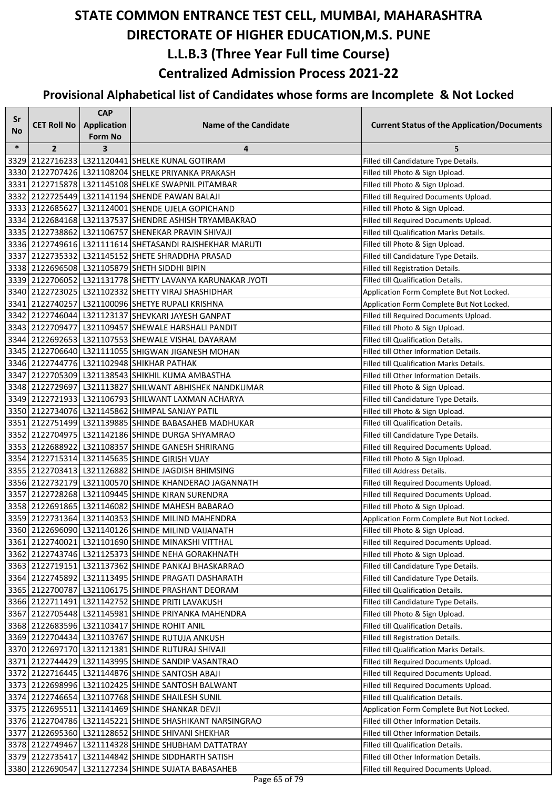| Sr     |                    | <b>CAP</b>         |                                                           |                                                    |
|--------|--------------------|--------------------|-----------------------------------------------------------|----------------------------------------------------|
| No     | <b>CET Roll No</b> | <b>Application</b> | <b>Name of the Candidate</b>                              | <b>Current Status of the Application/Documents</b> |
|        |                    | <b>Form No</b>     |                                                           |                                                    |
| $\ast$ | $\overline{2}$     | 3                  | 4                                                         | 5                                                  |
|        |                    |                    | 3329 2122716233 L321120441 SHELKE KUNAL GOTIRAM           | Filled till Candidature Type Details.              |
|        |                    |                    | 3330 2122707426 L321108204 SHELKE PRIYANKA PRAKASH        | Filled till Photo & Sign Upload.                   |
|        |                    |                    | 3331 2122715878 L321145108 SHELKE SWAPNIL PITAMBAR        | Filled till Photo & Sign Upload.                   |
|        |                    |                    | 3332 2122725449 L321141194 SHENDE PAWAN BALAJI            | Filled till Required Documents Upload.             |
|        |                    |                    | 3333 2122685627 L321124001 SHENDE UJELA GOPICHAND         | Filled till Photo & Sign Upload.                   |
|        |                    |                    | 3334 2122684168 L321137537 SHENDRE ASHISH TRYAMBAKRAO     | Filled till Required Documents Upload.             |
|        |                    |                    | 3335 2122738862 L321106757 SHENEKAR PRAVIN SHIVAJI        | Filled till Qualification Marks Details.           |
|        |                    |                    | 3336 2122749616 L321111614 SHETASANDI RAJSHEKHAR MARUTI   | Filled till Photo & Sign Upload.                   |
|        |                    |                    | 3337 2122735332 L321145152 SHETE SHRADDHA PRASAD          | Filled till Candidature Type Details.              |
|        |                    |                    | 3338 2122696508 L321105879 SHETH SIDDHI BIPIN             | Filled till Registration Details.                  |
|        |                    |                    | 3339 2122706052 L321131778 SHETTY LAVANYA KARUNAKAR JYOTI | Filled till Qualification Details.                 |
|        |                    |                    | 3340 2122723025 L321102332 SHETTY VIRAJ SHASHIDHAR        | Application Form Complete But Not Locked.          |
|        |                    |                    | 3341 2122740257 L321100096 SHETYE RUPALI KRISHNA          | Application Form Complete But Not Locked.          |
|        |                    |                    | 3342 2122746044 L321123137 SHEVKARI JAYESH GANPAT         | Filled till Required Documents Upload.             |
|        |                    |                    | 3343 2122709477 L321109457 SHEWALE HARSHALI PANDIT        | Filled till Photo & Sign Upload.                   |
|        |                    |                    | 3344 2122692653 L321107553 SHEWALE VISHAL DAYARAM         | Filled till Qualification Details.                 |
|        |                    |                    | 3345 2122706640 L321111055 SHIGWAN JIGANESH MOHAN         | Filled till Other Information Details.             |
|        |                    |                    | 3346 2122744776 L321102948 SHIKHAR PATHAK                 | Filled till Qualification Marks Details.           |
|        |                    |                    | 3347 2122705309 L321138543 SHIKHIL KUMA AMBASTHA          | Filled till Other Information Details.             |
|        |                    |                    | 3348 2122729697 L321113827 SHILWANT ABHISHEK NANDKUMAR    | Filled till Photo & Sign Upload.                   |
|        |                    |                    | 3349 2122721933 L321106793 SHILWANT LAXMAN ACHARYA        | Filled till Candidature Type Details.              |
|        |                    |                    | 3350 2122734076 L321145862 SHIMPAL SANJAY PATIL           | Filled till Photo & Sign Upload.                   |
|        |                    |                    | 3351 2122751499 L321139885 SHINDE BABASAHEB MADHUKAR      | Filled till Qualification Details.                 |
|        |                    |                    | 3352 2122704975 L321142186 SHINDE DURGA SHYAMRAO          | Filled till Candidature Type Details.              |
|        |                    |                    | 3353 2122688922 L321108357 SHINDE GANESH SHRIRANG         | Filled till Required Documents Upload.             |
|        |                    |                    | 3354 2122715314 L321145635 SHINDE GIRISH VIJAY            | Filled till Photo & Sign Upload.                   |
|        |                    |                    | 3355 2122703413 L321126882 SHINDE JAGDISH BHIMSING        | Filled till Address Details.                       |
|        |                    |                    | 3356 2122732179 L321100570 SHINDE KHANDERAO JAGANNATH     | Filled till Required Documents Upload.             |
|        |                    |                    | 3357 2122728268 L321109445 SHINDE KIRAN SURENDRA          | Filled till Required Documents Upload.             |
|        |                    |                    | 3358 2122691865   L321146082 SHINDE MAHESH BABARAO        | Filled till Photo & Sign Upload.                   |
|        |                    |                    | 3359 2122731364 L321140353 SHINDE MILIND MAHENDRA         | Application Form Complete But Not Locked.          |
|        |                    |                    | 3360 2122696090 L321140126 SHINDE MILIND VAIJANATH        | Filled till Photo & Sign Upload.                   |
|        |                    |                    | 3361 2122740021 L321101690 SHINDE MINAKSHI VITTHAL        | Filled till Required Documents Upload.             |
|        |                    |                    | 3362 2122743746 L321125373 SHINDE NEHA GORAKHNATH         | Filled till Photo & Sign Upload.                   |
|        |                    |                    | 3363   2122719151   L321137362   SHINDE PANKAJ BHASKARRAO | Filled till Candidature Type Details.              |
|        |                    |                    | 3364 2122745892 L321113495 SHINDE PRAGATI DASHARATH       | Filled till Candidature Type Details.              |
|        |                    |                    | 3365 2122700787 L321106175 SHINDE PRASHANT DEORAM         | Filled till Qualification Details.                 |
|        |                    |                    | 3366 2122711491 L321142752 SHINDE PRITI LAVAKUSH          | Filled till Candidature Type Details.              |
|        |                    |                    | 3367 2122705448 L321145981 SHINDE PRIYANKA MAHENDRA       | Filled till Photo & Sign Upload.                   |
|        |                    |                    | 3368 2122683596 L321103417 SHINDE ROHIT ANIL              | Filled till Qualification Details.                 |
|        |                    |                    | 3369 2122704434 L321103767 SHINDE RUTUJA ANKUSH           | Filled till Registration Details.                  |
|        |                    |                    | 3370 2122697170 L321121381 SHINDE RUTURAJ SHIVAJI         | Filled till Qualification Marks Details.           |
|        |                    |                    | 3371 2122744429 L321143995 SHINDE SANDIP VASANTRAO        | Filled till Required Documents Upload.             |
|        |                    |                    | 3372 2122716445 L321144876 SHINDE SANTOSH ABAJI           | Filled till Required Documents Upload.             |
|        |                    |                    | 3373 2122698996 L321102425 SHINDE SANTOSH BALWANT         | Filled till Required Documents Upload.             |
|        |                    |                    | 3374 2122746654 L321107768 SHINDE SHAILESH SUNIL          | Filled till Qualification Details.                 |
|        |                    |                    | 3375 2122695511 L321141469 SHINDE SHANKAR DEVJI           | Application Form Complete But Not Locked.          |
|        |                    |                    | 3376 2122704786 L321145221 SHINDE SHASHIKANT NARSINGRAO   | Filled till Other Information Details.             |
|        |                    |                    | 3377 2122695360 L321128652 SHINDE SHIVANI SHEKHAR         | Filled till Other Information Details.             |
|        |                    |                    | 3378 2122749467 L321114328 SHINDE SHUBHAM DATTATRAY       | Filled till Qualification Details.                 |
|        |                    |                    | 3379 2122735417 L321144842 SHINDE SIDDHARTH SATISH        | Filled till Other Information Details.             |
|        |                    |                    | 3380 2122690547 L321127234 SHINDE SUJATA BABASAHEB        | Filled till Required Documents Upload.             |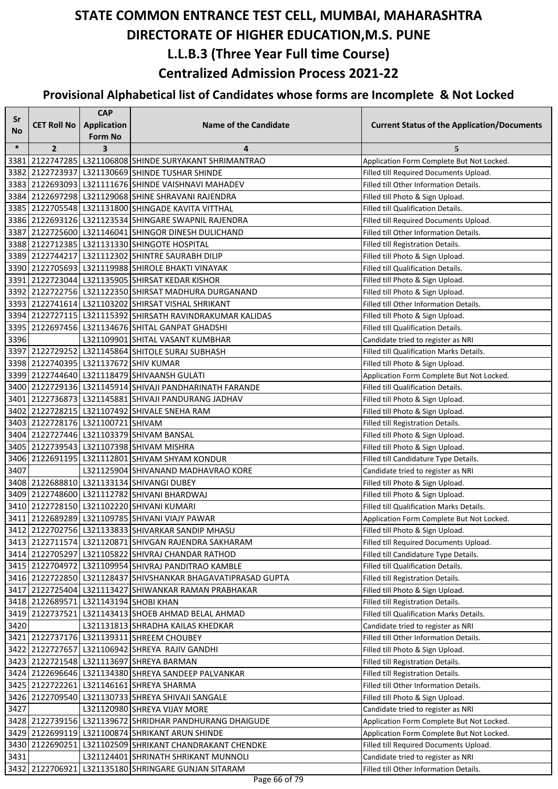| Sr     |                                       | <b>CAP</b>         |                                                                                                            |                                                                                |
|--------|---------------------------------------|--------------------|------------------------------------------------------------------------------------------------------------|--------------------------------------------------------------------------------|
| No     | <b>CET Roll No</b>                    | <b>Application</b> | <b>Name of the Candidate</b>                                                                               | <b>Current Status of the Application/Documents</b>                             |
|        |                                       | <b>Form No</b>     |                                                                                                            |                                                                                |
| $\ast$ | $\overline{2}$                        | 3                  | 4                                                                                                          | 5                                                                              |
| 3381   |                                       |                    | 2122747285 L321106808 SHINDE SURYAKANT SHRIMANTRAO                                                         | Application Form Complete But Not Locked.                                      |
|        |                                       |                    | 3382 2122723937 L321130669 SHINDE TUSHAR SHINDE                                                            | Filled till Required Documents Upload.                                         |
|        |                                       |                    | 3383 2122693093 L321111676 SHINDE VAISHNAVI MAHADEV                                                        | Filled till Other Information Details.                                         |
|        |                                       |                    | 3384 2122697298 L321129068 SHINE SHRAVANI RAJENDRA                                                         | Filled till Photo & Sign Upload.                                               |
|        |                                       |                    | 3385 2122705548 L321131800 SHINGADE KAVITA VITTHAL                                                         | Filled till Qualification Details.                                             |
|        |                                       |                    | 3386 2122693126 L321123534 SHINGARE SWAPNIL RAJENDRA                                                       | Filled till Required Documents Upload.                                         |
|        |                                       |                    | 3387 2122725600 L321146041 SHINGOR DINESH DULICHAND                                                        | Filled till Other Information Details.                                         |
|        |                                       |                    | 3388 2122712385 L321131330 SHINGOTE HOSPITAL                                                               | Filled till Registration Details.                                              |
|        |                                       |                    | 3389 2122744217 L321112302 SHINTRE SAURABH DILIP                                                           | Filled till Photo & Sign Upload.                                               |
|        |                                       |                    | 3390 2122705693 L321119988 SHIROLE BHAKTI VINAYAK                                                          | Filled till Qualification Details.                                             |
|        |                                       |                    | 3391 2122723044 L321135905 SHIRSAT KEDAR KISHOR                                                            | Filled till Photo & Sign Upload.                                               |
|        |                                       |                    | 3392 2122722756 L321122350 SHIRSAT MADHURA DURGANAND<br>3393 2122741614 L321103202 SHIRSAT VISHAL SHRIKANT | Filled till Photo & Sign Upload.<br>Filled till Other Information Details.     |
|        |                                       |                    | 3394 2122727115 L321115392 SHIRSATH RAVINDRAKUMAR KALIDAS                                                  |                                                                                |
|        |                                       |                    | 3395 2122697456 L321134676 SHITAL GANPAT GHADSHI                                                           | Filled till Photo & Sign Upload.<br>Filled till Qualification Details.         |
| 3396   |                                       |                    | L321109901 SHITAL VASANT KUMBHAR                                                                           |                                                                                |
|        |                                       |                    | 3397 2122729252 L321145864 SHITOLE SURAJ SUBHASH                                                           | Candidate tried to register as NRI<br>Filled till Qualification Marks Details. |
|        | 3398 2122740395 L321137672 SHIV KUMAR |                    |                                                                                                            | Filled till Photo & Sign Upload.                                               |
|        |                                       |                    | 3399 2122744640 L321118479 SHIVAANSH GULATI                                                                | Application Form Complete But Not Locked.                                      |
|        |                                       |                    | 3400 2122729136 L321145914 SHIVAJI PANDHARINATH FARANDE                                                    | Filled till Qualification Details.                                             |
|        |                                       |                    | 3401 2122736873   L321145881 SHIVAJI PANDURANG JADHAV                                                      |                                                                                |
|        |                                       |                    | 3402 2122728215 L321107492 SHIVALE SNEHA RAM                                                               | Filled till Photo & Sign Upload.                                               |
|        | 3403 2122728176 L321100721 SHIVAM     |                    |                                                                                                            | Filled till Photo & Sign Upload.                                               |
|        |                                       |                    | 3404 2122727446 L321103379 SHIVAM BANSAL                                                                   | Filled till Registration Details.<br>Filled till Photo & Sign Upload.          |
|        |                                       |                    | 3405   2122739543   L321107398  SHIVAM MISHRA                                                              | Filled till Photo & Sign Upload.                                               |
| 3406   |                                       |                    | 2122691195   L321112801   SHIVAM SHYAM KONDUR                                                              | Filled till Candidature Type Details.                                          |
| 3407   |                                       |                    | L321125904 SHIVANAND MADHAVRAO KORE                                                                        | Candidate tried to register as NRI                                             |
|        |                                       |                    | 3408 2122688810 L321133134 SHIVANGI DUBEY                                                                  | Filled till Photo & Sign Upload.                                               |
|        |                                       |                    | 3409 2122748600 L321112782 SHIVANI BHARDWAJ                                                                | Filled till Photo & Sign Upload.                                               |
|        |                                       |                    | 3410 2122728150 L321102220 SHIVANI KUMARI                                                                  | Filled till Qualification Marks Details.                                       |
|        |                                       |                    | 3411 2122689289 L321109785 SHIVANI VIAJY PAWAR                                                             | Application Form Complete But Not Locked.                                      |
|        |                                       |                    | 3412 2122702756 L321133833 SHIVARKAR SANDIP MHASU                                                          | Filled till Photo & Sign Upload.                                               |
|        |                                       |                    | 3413 2122711574 L321120871 SHIVGAN RAJENDRA SAKHARAM                                                       | Filled till Required Documents Upload.                                         |
|        |                                       |                    | 3414 2122705297 L321105822 SHIVRAJ CHANDAR RATHOD                                                          | Filled till Candidature Type Details.                                          |
|        |                                       |                    | 3415   2122704972   L321109954   SHIVRAJ PANDITRAO KAMBLE                                                  | Filled till Qualification Details.                                             |
|        |                                       |                    | 3416 2122722850 L321128437 SHIVSHANKAR BHAGAVATIPRASAD GUPTA                                               | Filled till Registration Details.                                              |
|        |                                       |                    | 3417 2122725404 L321113427 SHIWANKAR RAMAN PRABHAKAR                                                       | Filled till Photo & Sign Upload.                                               |
|        | 3418 2122689571 L321143194 SHOBI KHAN |                    |                                                                                                            | Filled till Registration Details.                                              |
|        |                                       |                    | 3419 2122737521 L321143413 SHOEB AHMAD BELAL AHMAD                                                         | Filled till Qualification Marks Details.                                       |
| 3420   |                                       |                    | L321131813 SHRADHA KAILAS KHEDKAR                                                                          | Candidate tried to register as NRI                                             |
|        |                                       |                    | 3421 2122737176 L321139311 SHREEM CHOUBEY                                                                  | Filled till Other Information Details.                                         |
|        |                                       |                    | 3422 2122727657 L321106942 SHREYA RAJIV GANDHI                                                             | Filled till Photo & Sign Upload.                                               |
|        |                                       |                    | 3423   2122721548   L321113697  SHREYA BARMAN                                                              | Filled till Registration Details.                                              |
|        |                                       |                    | 3424 2122696646 L321134380 SHREYA SANDEEP PALVANKAR                                                        | Filled till Registration Details.                                              |
|        |                                       |                    | 3425 2122722261 L321146161 SHREYA SHARMA                                                                   | Filled till Other Information Details.                                         |
|        |                                       |                    | 3426 2122709540 L321130733 SHREYA SHIVAJI SANGALE                                                          | Filled till Photo & Sign Upload.                                               |
| 3427   |                                       |                    | L321120980 SHREYA VIJAY MORE                                                                               | Candidate tried to register as NRI                                             |
|        |                                       |                    | 3428 2122739156 L321139672 SHRIDHAR PANDHURANG DHAIGUDE                                                    | Application Form Complete But Not Locked.                                      |
|        |                                       |                    | 3429 2122699119 L321100874 SHRIKANT ARUN SHINDE                                                            | Application Form Complete But Not Locked.                                      |
|        |                                       |                    | 3430 2122690251 L321102509 SHRIKANT CHANDRAKANT CHENDKE                                                    | Filled till Required Documents Upload.                                         |
| 3431   |                                       |                    | L321124401 SHRINATH SHRIKANT MUNNOLI                                                                       | Candidate tried to register as NRI                                             |
|        | 3432 2122706921                       |                    | L321135180 SHRINGARE GUNJAN SITARAM                                                                        | Filled till Other Information Details.                                         |
|        |                                       |                    |                                                                                                            |                                                                                |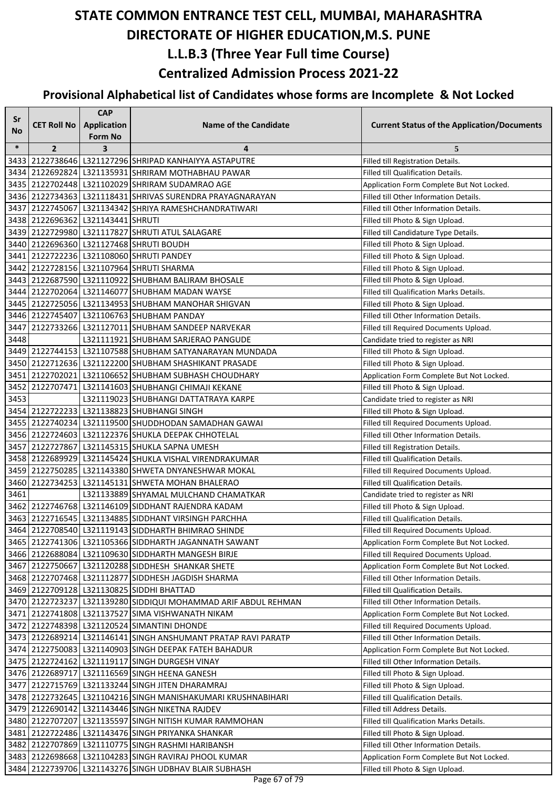| Sr<br>No | <b>CET Roll No</b>                | <b>CAP</b><br><b>Application</b>          | <b>Name of the Candidate</b>                                       | <b>Current Status of the Application/Documents</b> |
|----------|-----------------------------------|-------------------------------------------|--------------------------------------------------------------------|----------------------------------------------------|
| $\ast$   | $\overline{2}$                    | <b>Form No</b><br>$\overline{\mathbf{3}}$ | 4                                                                  | 5                                                  |
| 3433     |                                   |                                           | 2122738646 L321127296 SHRIPAD KANHAIYYA ASTAPUTRE                  | Filled till Registration Details.                  |
| 3434     |                                   |                                           | 2122692824 L321135931 SHRIRAM MOTHABHAU PAWAR                      | Filled till Qualification Details.                 |
| 3435     |                                   |                                           | 2122702448   L321102029 SHRIRAM SUDAMRAO AGE                       | Application Form Complete But Not Locked.          |
|          |                                   |                                           | 3436 2122734363 L321118431 SHRIVAS SURENDRA PRAYAGNARAYAN          | Filled till Other Information Details.             |
|          |                                   |                                           | 3437 2122745067 L321134342 SHRIYA RAMESHCHANDRATIWARI              | Filled till Other Information Details.             |
|          | 3438 2122696362 L321143441 SHRUTI |                                           |                                                                    | Filled till Photo & Sign Upload.                   |
|          |                                   |                                           | 3439 2122729980 L321117827 SHRUTI ATUL SALAGARE                    | Filled till Candidature Type Details.              |
|          |                                   |                                           | 3440 2122696360 L321127468 SHRUTI BOUDH                            | Filled till Photo & Sign Upload.                   |
|          |                                   |                                           | 3441 2122722236 L321108060 SHRUTI PANDEY                           | Filled till Photo & Sign Upload.                   |
|          |                                   |                                           | 3442 2122728156 L321107964 SHRUTI SHARMA                           | Filled till Photo & Sign Upload.                   |
|          |                                   |                                           | 3443 2122687590 L321110922 SHUBHAM BALIRAM BHOSALE                 | Filled till Photo & Sign Upload.                   |
|          |                                   |                                           | 3444 2122702064 L321146077 SHUBHAM MADAN WAYSE                     | Filled till Qualification Marks Details.           |
|          |                                   |                                           | 3445 2122725056 L321134953 SHUBHAM MANOHAR SHIGVAN                 | Filled till Photo & Sign Upload.                   |
|          |                                   |                                           | 3446 2122745407 L321106763 SHUBHAM PANDAY                          | Filled till Other Information Details.             |
| 3447     |                                   |                                           | 2122733266 L321127011 SHUBHAM SANDEEP NARVEKAR                     | Filled till Required Documents Upload.             |
| 3448     |                                   |                                           | L321111921 SHUBHAM SARJERAO PANGUDE                                | Candidate tried to register as NRI                 |
|          |                                   |                                           | 3449 2122744153 L321107588 SHUBHAM SATYANARAYAN MUNDADA            | Filled till Photo & Sign Upload.                   |
|          |                                   |                                           | 3450 2122712636 L321122200 SHUBHAM SHASHIKANT PRASADE              | Filled till Photo & Sign Upload.                   |
| 3451     |                                   |                                           | 2122702021 L321106652 SHUBHAM SUBHASH CHOUDHARY                    | Application Form Complete But Not Locked.          |
| 3452     |                                   |                                           | 2122707471   L321141603 SHUBHANGI CHIMAJI KEKANE                   | Filled till Photo & Sign Upload.                   |
| 3453     |                                   |                                           | L321119023 SHUBHANGI DATTATRAYA KARPE                              | Candidate tried to register as NRI                 |
|          |                                   |                                           | 3454 2122722233 L321138823 SHUBHANGI SINGH                         | Filled till Photo & Sign Upload.                   |
| 3455     |                                   |                                           | 2122740234 L321119500 SHUDDHODAN SAMADHAN GAWAI                    | Filled till Required Documents Upload.             |
|          |                                   |                                           | 3456 2122724603 L321122376 SHUKLA DEEPAK CHHOTELAL                 | Filled till Other Information Details.             |
|          |                                   |                                           | 3457 2122727867 L321145315 SHUKLA SAPNA UMESH                      | Filled till Registration Details.                  |
|          |                                   |                                           | 3458 2122689929 L321145424 SHUKLA VISHAL VIRENDRAKUMAR             | Filled till Qualification Details.                 |
|          |                                   |                                           | 3459 2122750285 L321143380 SHWETA DNYANESHWAR MOKAL                | Filled till Required Documents Upload.             |
| 3460     |                                   |                                           | 2122734253 L321145131 SHWETA MOHAN BHALERAO                        | Filled till Qualification Details.                 |
| 3461     |                                   |                                           | L321133889 SHYAMAL MULCHAND CHAMATKAR                              | Candidate tried to register as NRI                 |
|          |                                   |                                           | 3462 2122746768 L321146109 SIDDHANT RAJENDRA KADAM                 | Filled till Photo & Sign Upload.                   |
|          |                                   |                                           | 3463 2122716545 L321134885 SIDDHANT VIRSINGH PARCHHA               | Filled till Qualification Details.                 |
|          |                                   |                                           | 3464 2122708540 L321119143 SIDDHARTH BHIMRAO SHINDE                | Filled till Required Documents Upload.             |
|          |                                   |                                           | 3465 2122741306 L321105366 SIDDHARTH JAGANNATH SAWANT              | Application Form Complete But Not Locked.          |
|          |                                   |                                           | 3466 2122688084 L321109630 SIDDHARTH MANGESH BIRJE                 | Filled till Required Documents Upload.             |
|          |                                   |                                           | 3467 2122750667 L321120288 SIDDHESH SHANKAR SHETE                  | Application Form Complete But Not Locked.          |
|          |                                   |                                           | 3468 2122707468 L321112877 SIDDHESH JAGDISH SHARMA                 | Filled till Other Information Details.             |
|          |                                   |                                           | 3469 2122709128 L321130825 SIDDHI BHATTAD                          | Filled till Qualification Details.                 |
|          |                                   |                                           | 3470 2122723237 L321139280 SIDDIQUI MOHAMMAD ARIF ABDUL REHMAN     | Filled till Other Information Details.             |
|          |                                   |                                           | 3471 2122741808 L321137527 SIMA VISHWANATH NIKAM                   | Application Form Complete But Not Locked.          |
|          |                                   |                                           | 3472 2122748398 L321120524 SIMANTINI DHONDE                        | Filled till Required Documents Upload.             |
|          |                                   |                                           | 3473   2122689214   L321146141  SINGH ANSHUMANT PRATAP RAVI PARATP | Filled till Other Information Details.             |
|          |                                   |                                           | 3474   2122750083   L321140903  SINGH DEEPAK FATEH BAHADUR         | Application Form Complete But Not Locked.          |
|          |                                   |                                           | 3475 2122724162 L321119117 SINGH DURGESH VINAY                     | Filled till Other Information Details.             |
|          |                                   |                                           | 3476 2122689717 L321116569 SINGH HEENA GANESH                      | Filled till Photo & Sign Upload.                   |
|          |                                   |                                           | 3477 2122715769 L321133244 SINGH JITEN DHARAMRAJ                   | Filled till Photo & Sign Upload.                   |
|          |                                   |                                           | 3478 2122732645 L321104216 SINGH MANISHAKUMARI KRUSHNABIHARI       | Filled till Qualification Details.                 |
|          |                                   |                                           | 3479 2122690142 L321143446 SINGH NIKETNA RAJDEV                    | Filled till Address Details.                       |
|          |                                   |                                           | 3480 2122707207 L321135597 SINGH NITISH KUMAR RAMMOHAN             | Filled till Qualification Marks Details.           |
| 3481     |                                   |                                           | 2122722486   L321143476 SINGH PRIYANKA SHANKAR                     | Filled till Photo & Sign Upload.                   |
|          |                                   |                                           | 3482 2122707869 L321110775 SINGH RASHMI HARIBANSH                  | Filled till Other Information Details.             |
|          |                                   |                                           | 3483 2122698668 L321104283 SINGH RAVIRAJ PHOOL KUMAR               | Application Form Complete But Not Locked.          |
|          |                                   |                                           | 3484 2122739706 L321143276 SINGH UDBHAV BLAIR SUBHASH              | Filled till Photo & Sign Upload.                   |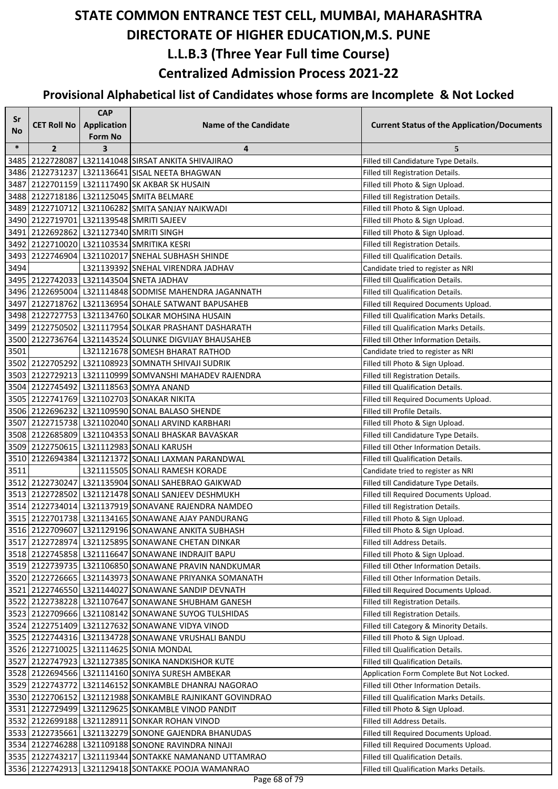| Sr        |                    | <b>CAP</b>              |                                                          |                                                    |
|-----------|--------------------|-------------------------|----------------------------------------------------------|----------------------------------------------------|
| <b>No</b> | <b>CET Roll No</b> | <b>Application</b>      | <b>Name of the Candidate</b>                             | <b>Current Status of the Application/Documents</b> |
|           |                    | <b>Form No</b>          |                                                          |                                                    |
| $\ast$    | $\overline{2}$     | $\overline{\mathbf{3}}$ | 4                                                        | 5                                                  |
|           |                    |                         | 3485 2122728087 L321141048 SIRSAT ANKITA SHIVAJIRAO      | Filled till Candidature Type Details.              |
|           |                    |                         | 3486 2122731237 L321136641 SISAL NEETA BHAGWAN           | Filled till Registration Details.                  |
| 3487      |                    |                         | 2122701159 L321117490 SK AKBAR SK HUSAIN                 | Filled till Photo & Sign Upload.                   |
|           |                    |                         | 3488 2122718186 L321125045 SMITA BELMARE                 | Filled till Registration Details.                  |
|           |                    |                         | 3489 2122710712 L321106282 SMITA SANJAY NAIKWADI         | Filled till Photo & Sign Upload.                   |
|           |                    |                         | 3490 2122719701 L321139548 SMRITI SAJEEV                 | Filled till Photo & Sign Upload.                   |
|           |                    |                         | 3491 2122692862 L321127340 SMRITI SINGH                  | Filled till Photo & Sign Upload.                   |
|           |                    |                         | 3492 2122710020 L321103534 SMRITIKA KESRI                | Filled till Registration Details.                  |
|           |                    |                         | 3493 2122746904 L321102017 SNEHAL SUBHASH SHINDE         | Filled till Qualification Details.                 |
| 3494      |                    |                         | L321139392 SNEHAL VIRENDRA JADHAV                        | Candidate tried to register as NRI                 |
|           |                    |                         | 3495 2122742033 L321143504 SNETA JADHAV                  | Filled till Qualification Details.                 |
|           |                    |                         | 3496 2122695004 L321114848 SODMISE MAHENDRA JAGANNATH    | Filled till Qualification Details.                 |
|           |                    |                         | 3497 2122718762 L321136954 SOHALE SATWANT BAPUSAHEB      | Filled till Required Documents Upload.             |
|           |                    |                         | 3498 2122727753 L321134760 SOLKAR MOHSINA HUSAIN         | Filled till Qualification Marks Details.           |
|           |                    |                         | 3499 2122750502 L321117954 SOLKAR PRASHANT DASHARATH     | <b>Filled till Qualification Marks Details.</b>    |
|           |                    |                         | 3500 2122736764 L321143524 SOLUNKE DIGVIJAY BHAUSAHEB    | Filled till Other Information Details.             |
| 3501      |                    |                         | L321121678 SOMESH BHARAT RATHOD                          | Candidate tried to register as NRI                 |
|           |                    |                         | 3502 2122705292 L321108923 SOMNATH SHIVAJI SUDRIK        | Filled till Photo & Sign Upload.                   |
|           |                    |                         | 3503 2122729213 L321110999 SOMVANSHI MAHADEV RAJENDRA    | Filled till Registration Details.                  |
|           |                    |                         | 3504 2122745492 L321118563 SOMYA ANAND                   | Filled till Qualification Details.                 |
|           |                    |                         | 3505 2122741769 L321102703 SONAKAR NIKITA                | Filled till Required Documents Upload.             |
|           |                    |                         | 3506 2122696232 L321109590 SONAL BALASO SHENDE           | Filled till Profile Details.                       |
|           |                    |                         | 3507 2122715738 L321102040 SONALI ARVIND KARBHARI        | Filled till Photo & Sign Upload.                   |
|           |                    |                         | 3508 2122685809 L321104353 SONALI BHASKAR BAVASKAR       | Filled till Candidature Type Details.              |
|           |                    |                         | 3509 2122750615 L321112983 SONALI KARUSH                 | Filled till Other Information Details.             |
|           |                    |                         | 3510 2122694384 L321121372 SONALI LAXMAN PARANDWAL       | Filled till Qualification Details.                 |
| 3511      |                    |                         | L321115505 SONALI RAMESH KORADE                          | Candidate tried to register as NRI                 |
|           |                    |                         | 3512 2122730247 L321135904 SONALI SAHEBRAO GAIKWAD       | Filled till Candidature Type Details.              |
|           |                    |                         | 3513 2122728502 L321121478 SONALI SANJEEV DESHMUKH       | Filled till Required Documents Upload.             |
|           |                    |                         | 3514 2122734014 L321137919 SONAVANE RAJENDRA NAMDEO      | Filled till Registration Details.                  |
|           |                    |                         | 3515 2122701738 L321134165 SONAWANE AJAY PANDURANG       | Filled till Photo & Sign Upload.                   |
|           |                    |                         | 3516 2122709607 L321129196 SONAWANE ANKITA SUBHASH       | Filled till Photo & Sign Upload.                   |
|           |                    |                         | 3517 2122728974 L321125895 SONAWANE CHETAN DINKAR        | Filled till Address Details.                       |
|           |                    |                         | 3518 2122745858 L321116647 SONAWANE INDRAJIT BAPU        | Filled till Photo & Sign Upload.                   |
|           |                    |                         | 3519 2122739735 L321106850 SONAWANE PRAVIN NANDKUMAR     | Filled till Other Information Details.             |
|           |                    |                         | 3520 2122726665 L321143973 SONAWANE PRIYANKA SOMANATH    | Filled till Other Information Details.             |
|           |                    |                         | 3521 2122746550 L321144027 SONAWANE SANDIP DEVNATH       | Filled till Required Documents Upload.             |
|           |                    |                         | 3522 2122738228 L321107647 SONAWANE SHUBHAM GANESH       | Filled till Registration Details.                  |
|           |                    |                         | 3523 2122709666 L321108142 SONAWANE SUYOG TULSHIDAS      | Filled till Registration Details.                  |
|           |                    |                         | 3524 2122751409 L321127632 SONAWANE VIDYA VINOD          | Filled till Category & Minority Details.           |
|           |                    |                         | 3525 2122744316 L321134728 SONAWANE VRUSHALI BANDU       | Filled till Photo & Sign Upload.                   |
|           |                    |                         | 3526 2122710025 L321114625 SONIA MONDAL                  | Filled till Qualification Details.                 |
|           |                    |                         | 3527 2122747923 L321127385 SONIKA NANDKISHOR KUTE        | Filled till Qualification Details.                 |
|           |                    |                         | 3528 2122694566 L321114160 SONIYA SURESH AMBEKAR         | Application Form Complete But Not Locked.          |
|           |                    |                         | 3529 2122743772 L321146152 SONKAMBLE DHANRAJ NAGORAO     | Filled till Other Information Details.             |
|           |                    |                         | 3530 2122706152 L321121988 SONKAMBLE RAJNIKANT GOVINDRAO | Filled till Qualification Marks Details.           |
|           |                    |                         | 3531 2122729499 L321129625 SONKAMBLE VINOD PANDIT        | Filled till Photo & Sign Upload.                   |
|           |                    |                         | 3532 2122699188 L321128911 SONKAR ROHAN VINOD            | Filled till Address Details.                       |
|           |                    |                         | 3533   2122735661   L321132279 SONONE GAJENDRA BHANUDAS  | Filled till Required Documents Upload.             |
|           |                    |                         | 3534 2122746288 L321109188 SONONE RAVINDRA NINAJI        | Filled till Required Documents Upload.             |
|           | 3535 2122743217    |                         | L321119344 SONTAKKE NAMANAND UTTAMRAO                    | Filled till Qualification Details.                 |
|           |                    |                         | 3536 2122742913 L321129418 SONTAKKE POOJA WAMANRAO       | Filled till Qualification Marks Details.           |
|           |                    |                         |                                                          |                                                    |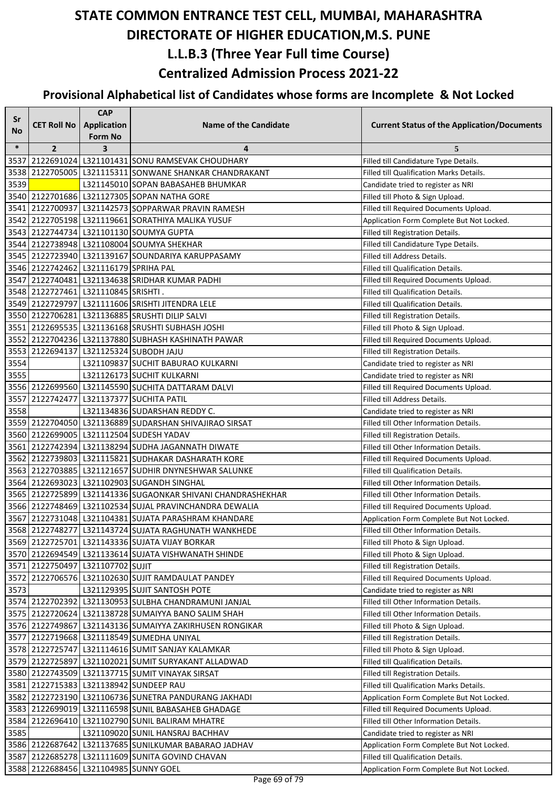| Sr        |                                       | <b>CAP</b>                    |                                                             |                                                    |
|-----------|---------------------------------------|-------------------------------|-------------------------------------------------------------|----------------------------------------------------|
| <b>No</b> | <b>CET Roll No</b>                    | <b>Application</b><br>Form No | <b>Name of the Candidate</b>                                | <b>Current Status of the Application/Documents</b> |
| $\ast$    | $\overline{2}$                        | 3                             | 4                                                           | 5                                                  |
| 3537      |                                       |                               | 2122691024 L321101431 SONU RAMSEVAK CHOUDHARY               | Filled till Candidature Type Details.              |
|           |                                       |                               | 3538 2122705005 L321115311 SONWANE SHANKAR CHANDRAKANT      | Filled till Qualification Marks Details.           |
| 3539      |                                       |                               | L321145010 SOPAN BABASAHEB BHUMKAR                          | Candidate tried to register as NRI                 |
|           |                                       |                               | 3540 2122701686 L321127305 SOPAN NATHA GORE                 | Filled till Photo & Sign Upload.                   |
|           |                                       |                               | 3541 2122700937 L321142573 SOPPARWAR PRAVIN RAMESH          | Filled till Required Documents Upload.             |
|           |                                       |                               | 3542 2122705198 L321119661 SORATHIYA MALIKA YUSUF           | Application Form Complete But Not Locked.          |
|           |                                       |                               | 3543 2122744734 L321101130 SOUMYA GUPTA                     | Filled till Registration Details.                  |
|           |                                       |                               | 3544 2122738948 L321108004 SOUMYA SHEKHAR                   | Filled till Candidature Type Details.              |
|           |                                       |                               | 3545 2122723940 L321139167 SOUNDARIYA KARUPPASAMY           | Filled till Address Details.                       |
|           | 3546 2122742462 L321116179 SPRIHA PAL |                               |                                                             | Filled till Qualification Details.                 |
|           |                                       |                               | 3547 2122740481 L321134638 SRIDHAR KUMAR PADHI              | Filled till Required Documents Upload.             |
|           | 3548 2122727461 L321110845 SRISHTI.   |                               |                                                             | Filled till Qualification Details.                 |
|           |                                       |                               | 3549 2122729797 L321111606 SRISHTI JITENDRA LELE            | Filled till Qualification Details.                 |
|           |                                       |                               | 3550 2122706281 L321136885 SRUSHTI DILIP SALVI              | Filled till Registration Details.                  |
|           |                                       |                               | 3551 2122695535 L321136168 SRUSHTI SUBHASH JOSHI            | Filled till Photo & Sign Upload.                   |
|           |                                       |                               | 3552 2122704236 L321137880 SUBHASH KASHINATH PAWAR          | Filled till Required Documents Upload.             |
|           |                                       |                               | 3553 2122694137 L321125324 SUBODH JAJU                      | Filled till Registration Details.                  |
| 3554      |                                       |                               | L321109837 SUCHIT BABURAO KULKARNI                          | Candidate tried to register as NRI                 |
| 3555      |                                       |                               | L321126173 SUCHIT KULKARNI                                  | Candidate tried to register as NRI                 |
|           |                                       |                               | 3556 2122699560 L321145590 SUCHITA DATTARAM DALVI           | Filled till Required Documents Upload.             |
|           |                                       |                               | 3557 2122742477 L321137377 SUCHITA PATIL                    | Filled till Address Details.                       |
| 3558      |                                       |                               | L321134836 SUDARSHAN REDDY C.                               | Candidate tried to register as NRI                 |
|           |                                       |                               | 3559 2122704050 L321136889 SUDARSHAN SHIVAJIRAO SIRSAT      | Filled till Other Information Details.             |
|           |                                       |                               | 3560 2122699005 L321112504 SUDESH YADAV                     | Filled till Registration Details.                  |
|           |                                       |                               | 3561 2122742394 L321138294 SUDHA JAGANNATH DIWATE           | Filled till Other Information Details.             |
|           |                                       |                               | 3562 2122739803 L321115821 SUDHAKAR DASHARATH KORE          | Filled till Required Documents Upload.             |
|           |                                       |                               | 3563 2122703885 L321121657 SUDHIR DNYNESHWAR SALUNKE        | Filled till Qualification Details.                 |
|           |                                       |                               | 3564 2122693023 L321102903 SUGANDH SINGHAL                  | Filled till Other Information Details.             |
|           |                                       |                               | 3565 2122725899 L321141336 SUGAONKAR SHIVANI CHANDRASHEKHAR | Filled till Other Information Details.             |
|           |                                       |                               | 3566 2122748469 L321102534 SUJAL PRAVINCHANDRA DEWALIA      | Filled till Required Documents Upload.             |
|           |                                       |                               | 3567 2122731048 L321104381 SUJATA PARASHRAM KHANDARE        | Application Form Complete But Not Locked.          |
|           |                                       |                               | 3568 2122748277 L321143724 SUJATA RAGHUNATH WANKHEDE        | Filled till Other Information Details.             |
|           |                                       |                               | 3569 2122725701 L321143336 SUJATA VIJAY BORKAR              | Filled till Photo & Sign Upload.                   |
|           |                                       |                               | 3570 2122694549 L321133614 SUJATA VISHWANATH SHINDE         | Filled till Photo & Sign Upload.                   |
|           | 3571 2122750497 L321107702 SUJIT      |                               |                                                             | Filled till Registration Details.                  |
|           |                                       |                               | 3572 2122706576 L321102630 SUJIT RAMDAULAT PANDEY           | Filled till Required Documents Upload.             |
| 3573      |                                       |                               | L321129395 SUJIT SANTOSH POTE                               | Candidate tried to register as NRI                 |
|           |                                       |                               | 3574 2122702392 L321130953 SULBHA CHANDRAMUNI JANJAL        | Filled till Other Information Details.             |
|           |                                       |                               | 3575 2122720624 L321138728 SUMAIYYA BANO SALIM SHAH         | Filled till Other Information Details.             |
|           |                                       |                               | 3576 2122749867 L321143136 SUMAIYYA ZAKIRHUSEN RONGIKAR     | Filled till Photo & Sign Upload.                   |
|           |                                       |                               | 3577 2122719668 L321118549 SUMEDHA UNIYAL                   | Filled till Registration Details.                  |
|           |                                       |                               | 3578 2122725747 L321114616 SUMIT SANJAY KALAMKAR            | Filled till Photo & Sign Upload.                   |
|           |                                       |                               | 3579 2122725897 L321102021 SUMIT SURYAKANT ALLADWAD         | Filled till Qualification Details.                 |
|           |                                       |                               | 3580 2122743509 L321137715 SUMIT VINAYAK SIRSAT             | Filled till Registration Details.                  |
|           |                                       |                               | 3581 2122715383 L321138942 SUNDEEP RAU                      | Filled till Qualification Marks Details.           |
|           |                                       |                               | 3582 2122723190 L321106736 SUNETRA PANDURANG JAKHADI        | Application Form Complete But Not Locked.          |
|           |                                       |                               | 3583 2122699019 L321116598 SUNIL BABASAHEB GHADAGE          | Filled till Required Documents Upload.             |
|           |                                       |                               | 3584 2122696410 L321102790 SUNIL BALIRAM MHATRE             | Filled till Other Information Details.             |
| 3585      |                                       |                               | L321109020 SUNIL HANSRAJ BACHHAV                            | Candidate tried to register as NRI                 |
|           |                                       |                               | 3586 2122687642 L321137685 SUNILKUMAR BABARAO JADHAV        | Application Form Complete But Not Locked.          |
|           |                                       |                               | 3587 2122685278 L321111609 SUNITA GOVIND CHAVAN             | Filled till Qualification Details.                 |
|           |                                       |                               | 3588 2122688456 L321104985 SUNNY GOEL                       | Application Form Complete But Not Locked.          |
|           |                                       |                               |                                                             |                                                    |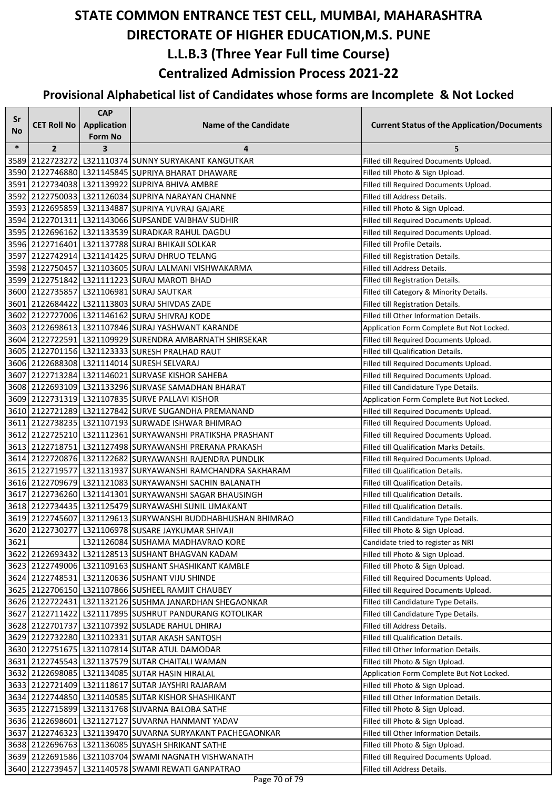| Sr     |                    | <b>CAP</b>         |                                                                  |                                                    |
|--------|--------------------|--------------------|------------------------------------------------------------------|----------------------------------------------------|
| No     | <b>CET Roll No</b> | <b>Application</b> | <b>Name of the Candidate</b>                                     | <b>Current Status of the Application/Documents</b> |
|        |                    | <b>Form No</b>     |                                                                  |                                                    |
| $\ast$ | $\overline{2}$     | 3                  | 4                                                                | 5                                                  |
|        |                    |                    | 3589 2122723272 L321110374 SUNNY SURYAKANT KANGUTKAR             | Filled till Required Documents Upload.             |
|        |                    |                    | 3590 2122746880 L321145845 SUPRIYA BHARAT DHAWARE                | Filled till Photo & Sign Upload.                   |
|        |                    |                    | 3591 2122734038 L321139922 SUPRIYA BHIVA AMBRE                   | Filled till Required Documents Upload.             |
|        |                    |                    | 3592 2122750033 L321126034 SUPRIYA NARAYAN CHANNE                | Filled till Address Details.                       |
|        |                    |                    | 3593 2122695859 L321134887 SUPRIYA YUVRAJ GAJARE                 | Filled till Photo & Sign Upload.                   |
|        |                    |                    | 3594 2122701311 L321143066 SUPSANDE VAIBHAV SUDHIR               | Filled till Required Documents Upload.             |
|        |                    |                    | 3595 2122696162 L321133539 SURADKAR RAHUL DAGDU                  | Filled till Required Documents Upload.             |
|        |                    |                    | 3596 2122716401 L321137788 SURAJ BHIKAJI SOLKAR                  | Filled till Profile Details.                       |
|        |                    |                    | 3597 2122742914 L321141425 SURAJ DHRUO TELANG                    | Filled till Registration Details.                  |
|        |                    |                    | 3598 2122750457 L321103605 SURAJ LALMANI VISHWAKARMA             | Filled till Address Details.                       |
|        |                    |                    | 3599 2122751842 L321111223 SURAJ MAROTI BHAD                     | Filled till Registration Details.                  |
|        |                    |                    | 3600 2122735857 L321106981 SURAJ SAUTKAR                         | Filled till Category & Minority Details.           |
|        |                    |                    | 3601 2122684422 L321113803 SURAJ SHIVDAS ZADE                    | Filled till Registration Details.                  |
|        |                    |                    | 3602 2122727006 L321146162 SURAJ SHIVRAJ KODE                    | Filled till Other Information Details.             |
|        |                    |                    | 3603 2122698613 L321107846 SURAJ YASHWANT KARANDE                | Application Form Complete But Not Locked.          |
|        |                    |                    | 3604 2122722591 L321109929 SURENDRA AMBARNATH SHIRSEKAR          | Filled till Required Documents Upload.             |
|        |                    |                    | 3605 2122701156 L321123333 SURESH PRALHAD RAUT                   | Filled till Qualification Details.                 |
|        |                    |                    | 3606 2122688308 L321114014 SURESH SELVARAJ                       | Filled till Required Documents Upload.             |
|        |                    |                    | 3607   2122713284   L321146021 SURVASE KISHOR SAHEBA             | Filled till Required Documents Upload.             |
|        |                    |                    | 3608 2122693109 L321133296 SURVASE SAMADHAN BHARAT               | Filled till Candidature Type Details.              |
|        |                    |                    | 3609 2122731319 L321107835 SURVE PALLAVI KISHOR                  | Application Form Complete But Not Locked.          |
|        |                    |                    | 3610 2122721289 L321127842 SURVE SUGANDHA PREMANAND              | Filled till Required Documents Upload.             |
|        |                    |                    | 3611 2122738235 L321107193 SURWADE ISHWAR BHIMRAO                | Filled till Required Documents Upload.             |
|        |                    |                    | 3612 2122725210 L321112361 SURYAWANSHI PRATIKSHA PRASHANT        | Filled till Required Documents Upload.             |
|        |                    |                    | 3613   2122718751   L321127498   SURYAWANSHI PRERANA PRAKASH     | Filled till Qualification Marks Details.           |
|        |                    |                    | 3614   2122720876   L321122682   SURYAWANSHI RAJENDRA PUNDLIK    | Filled till Required Documents Upload.             |
|        |                    |                    | 3615   2122719577   L321131937   SURYAWANSHI RAMCHANDRA SAKHARAM | Filled till Qualification Details.                 |
|        |                    |                    | 3616 2122709679 L321121083 SURYAWANSHI SACHIN BALANATH           | Filled till Qualification Details.                 |
|        |                    |                    | 3617 2122736260 L321141301 SURYAWANSHI SAGAR BHAUSINGH           | Filled till Qualification Details.                 |
|        |                    |                    | 3618 2122734435 L321125479 SURYAWASHI SUNIL UMAKANT              | Filled till Qualification Details.                 |
|        |                    |                    | 3619 2122745607 L321129613 SURYWANSHI BUDDHABHUSHAN BHIMRAO      | Filled till Candidature Type Details.              |
|        |                    |                    | 3620 2122730277 L321106978 SUSARE JAYKUMAR SHIVAJI               | Filled till Photo & Sign Upload.                   |
| 3621   |                    |                    | L321126084 SUSHAMA MADHAVRAO KORE                                | Candidate tried to register as NRI                 |
|        |                    |                    | 3622 2122693432 L321128513 SUSHANT BHAGVAN KADAM                 | Filled till Photo & Sign Upload.                   |
|        |                    |                    | 3623 2122749006 L321109163 SUSHANT SHASHIKANT KAMBLE             | Filled till Photo & Sign Upload.                   |
|        |                    |                    | 3624 2122748531 L321120636 SUSHANT VIJU SHINDE                   | Filled till Required Documents Upload.             |
|        |                    |                    | 3625 2122706150 L321107866 SUSHEEL RAMJIT CHAUBEY                | Filled till Required Documents Upload.             |
|        |                    |                    | 3626 2122722431 L321132126 SUSHMA JANARDHAN SHEGAONKAR           | Filled till Candidature Type Details.              |
|        |                    |                    | 3627 2122711422 L321117895 SUSHRUT PANDURANG KOTOLIKAR           | Filled till Candidature Type Details.              |
|        |                    |                    | 3628 2122701737 L321107392 SUSLADE RAHUL DHIRAJ                  | Filled till Address Details.                       |
|        |                    |                    | 3629 2122732280 L321102331 SUTAR AKASH SANTOSH                   | Filled till Qualification Details.                 |
|        |                    |                    | 3630 2122751675 L321107814 SUTAR ATUL DAMODAR                    | Filled till Other Information Details.             |
|        |                    |                    | 3631 2122745543 L321137579 SUTAR CHAITALI WAMAN                  | Filled till Photo & Sign Upload.                   |
|        |                    |                    | 3632 2122698085 L321134085 SUTAR HASIN HIRALAL                   | Application Form Complete But Not Locked.          |
|        |                    |                    | 3633 2122721409 L321118617 SUTAR JAYSHRI RAJARAM                 | Filled till Photo & Sign Upload.                   |
|        |                    |                    | 3634 2122744850 L321140585 SUTAR KISHOR SHASHIKANT               | Filled till Other Information Details.             |
|        |                    |                    | 3635 2122715899 L321131768 SUVARNA BALOBA SATHE                  | Filled till Photo & Sign Upload.                   |
|        |                    |                    | 3636 2122698601 L321127127 SUVARNA HANMANT YADAV                 | Filled till Photo & Sign Upload.                   |
|        |                    |                    | 3637 2122746323 L321139470 SUVARNA SURYAKANT PACHEGAONKAR        | Filled till Other Information Details.             |
|        |                    |                    | 3638 2122696763 L321136085 SUYASH SHRIKANT SATHE                 | Filled till Photo & Sign Upload.                   |
|        |                    |                    | 3639 2122691586 L321103704 SWAMI NAGNATH VISHWANATH              | Filled till Required Documents Upload.             |
|        |                    |                    | 3640 2122739457 L321140578 SWAMI REWATI GANPATRAO                | Filled till Address Details.                       |
|        |                    |                    |                                                                  |                                                    |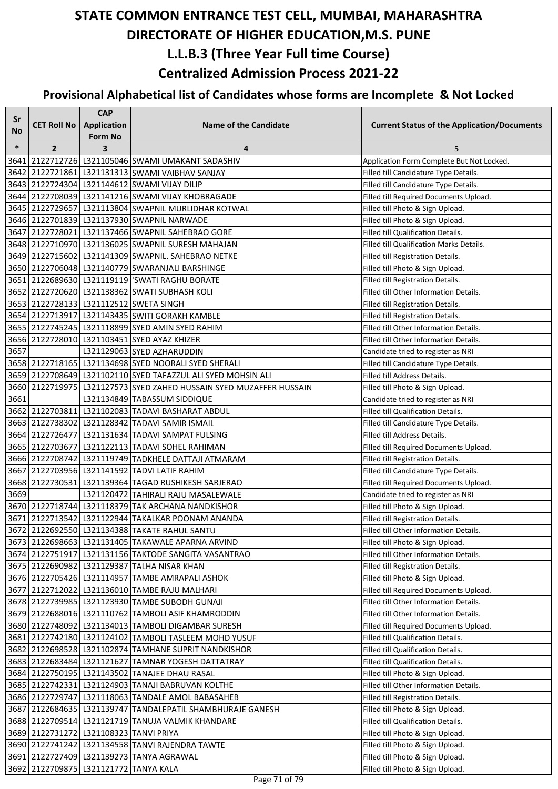| Sr     |                                        | <b>CAP</b>              |                                                                     |                                                    |
|--------|----------------------------------------|-------------------------|---------------------------------------------------------------------|----------------------------------------------------|
| No     | <b>CET Roll No</b>                     | Application             | <b>Name of the Candidate</b>                                        | <b>Current Status of the Application/Documents</b> |
|        |                                        | Form No                 |                                                                     |                                                    |
| $\ast$ | $\overline{2}$                         | $\overline{\mathbf{3}}$ | 4                                                                   | 5                                                  |
| 3641   |                                        |                         | 2122712726 L321105046 SWAMI UMAKANT SADASHIV                        | Application Form Complete But Not Locked.          |
|        |                                        |                         | 3642 2122721861 L321131313 SWAMI VAIBHAV SANJAY                     | Filled till Candidature Type Details.              |
|        |                                        |                         | 3643 2122724304 L321144612 SWAMI VIJAY DILIP                        | Filled till Candidature Type Details.              |
|        |                                        |                         | 3644 2122708039 L321141216 SWAMI VIJAY KHOBRAGADE                   | Filled till Required Documents Upload.             |
|        |                                        |                         | 3645 2122729657 L321113804 SWAPNIL MURLIDHAR KOTWAL                 | Filled till Photo & Sign Upload.                   |
|        |                                        |                         | 3646 2122701839 L321137930 SWAPNIL NARWADE                          | Filled till Photo & Sign Upload.                   |
|        |                                        |                         | 3647 2122728021 L321137466 SWAPNIL SAHEBRAO GORE                    | Filled till Qualification Details.                 |
|        |                                        |                         | 3648 2122710970 L321136025 SWAPNIL SURESH MAHAJAN                   | Filled till Qualification Marks Details.           |
|        |                                        |                         | 3649 2122715602 L321141309 SWAPNIL. SAHEBRAO NETKE                  | Filled till Registration Details.                  |
|        |                                        |                         | 3650 2122706048 L321140779 SWARANJALI BARSHINGE                     | Filled till Photo & Sign Upload.                   |
|        |                                        |                         | 3651 2122689630 L321119119 SWATI RAGHU BORATE                       | Filled till Registration Details.                  |
|        |                                        |                         | 3652 2122720620 L321138362 SWATI SUBHASH KOLI                       | Filled till Other Information Details.             |
|        |                                        |                         | 3653 2122728133 L321112512 SWETA SINGH                              | Filled till Registration Details.                  |
|        |                                        |                         | 3654 2122713917 L321143435 SWITI GORAKH KAMBLE                      | Filled till Registration Details.                  |
|        |                                        |                         | 3655 2122745245 L321118899 SYED AMIN SYED RAHIM                     | Filled till Other Information Details.             |
|        |                                        |                         | 3656 2122728010 L321103451 SYED AYAZ KHIZER                         | Filled till Other Information Details.             |
| 3657   |                                        |                         | L321129063 SYED AZHARUDDIN                                          | Candidate tried to register as NRI                 |
|        |                                        |                         | 3658 2122718165   L321134698 SYED NOORALI SYED SHERALI              | Filled till Candidature Type Details.              |
|        |                                        |                         | 3659 2122708649 L321102110 SYED TAFAZZUL ALI SYED MOHSIN ALI        | Filled till Address Details.                       |
|        |                                        |                         | 3660 2122719975 L321127573 SYED ZAHED HUSSAIN SYED MUZAFFER HUSSAIN | Filled till Photo & Sign Upload.                   |
| 3661   |                                        |                         | L321134849 TABASSUM SIDDIQUE                                        | Candidate tried to register as NRI                 |
|        |                                        |                         | 3662 2122703811 L321102083 TADAVI BASHARAT ABDUL                    | Filled till Qualification Details.                 |
|        |                                        |                         | 3663 2122738302 L321128342 TADAVI SAMIR ISMAIL                      | Filled till Candidature Type Details.              |
|        |                                        |                         | 3664 2122726477 L321131634 TADAVI SAMPAT FULSING                    | Filled till Address Details.                       |
|        |                                        |                         | 3665 2122703677 L321122113 TADAVI SOHEL RAHIMAN                     | Filled till Required Documents Upload.             |
|        |                                        |                         | 3666  2122708742  L321119749 TADKHELE DATTAJI ATMARAM               | Filled till Registration Details.                  |
|        |                                        |                         | 3667 2122703956 L321141592 TADVI LATIF RAHIM                        | Filled till Candidature Type Details.              |
|        |                                        |                         | 3668 2122730531 L321139364 TAGAD RUSHIKESH SARJERAO                 | Filled till Required Documents Upload.             |
| 3669   |                                        |                         | L321120472 TAHIRALI RAJU MASALEWALE                                 | Candidate tried to register as NRI                 |
|        |                                        |                         | 3670 2122718744 L321118379 TAK ARCHANA NANDKISHOR                   | Filled till Photo & Sign Upload.                   |
|        |                                        |                         | 3671 2122713542 L321122944 TAKALKAR POONAM ANANDA                   | Filled till Registration Details.                  |
|        |                                        |                         | 3672 2122692550 L321134388 TAKATE RAHUL SANTU                       | Filled till Other Information Details.             |
|        |                                        |                         | 3673 2122698663 L321131405 TAKAWALE APARNA ARVIND                   | Filled till Photo & Sign Upload.                   |
|        |                                        |                         | 3674   2122751917   L321131156   TAKTODE SANGITA VASANTRAO          | Filled till Other Information Details.             |
|        |                                        |                         | 3675   2122690982   L321129387   TALHA NISAR KHAN                   | Filled till Registration Details.                  |
|        |                                        |                         | 3676 2122705426 L321114957 TAMBE AMRAPALI ASHOK                     | Filled till Photo & Sign Upload.                   |
|        |                                        |                         | 3677 2122712022 L321136010 TAMBE RAJU MALHARI                       | Filled till Required Documents Upload.             |
|        |                                        |                         | 3678 2122739985 L321123930 TAMBE SUBODH GUNAJI                      | Filled till Other Information Details.             |
|        |                                        |                         | 3679 2122688016 L321110762 TAMBOLI ASIF KHAMRODDIN                  | Filled till Other Information Details.             |
|        |                                        |                         | 3680 2122748092 L321134013 TAMBOLI DIGAMBAR SURESH                  | Filled till Required Documents Upload.             |
|        |                                        |                         | 3681 2122742180 L321124102 TAMBOLI TASLEEM MOHD YUSUF               | Filled till Qualification Details.                 |
|        |                                        |                         | 3682 2122698528 L321102874 TAMHANE SUPRIT NANDKISHOR                | Filled till Qualification Details.                 |
|        |                                        |                         | 3683 2122683484 L321121627 TAMNAR YOGESH DATTATRAY                  | Filled till Qualification Details.                 |
|        |                                        |                         | 3684 2122750195 L321143502 TANAJEE DHAU RASAL                       | Filled till Photo & Sign Upload.                   |
|        |                                        |                         | 3685 2122742331 L321124903 TANAJI BABRUVAN KOLTHE                   | Filled till Other Information Details.             |
|        |                                        |                         | 3686 2122729747 L321118063 TANDALE AMOL BABASAHEB                   | Filled till Registration Details.                  |
|        |                                        |                         | 3687 2122684635   L321139747 TANDALEPATIL SHAMBHURAJE GANESH        | Filled till Photo & Sign Upload.                   |
|        |                                        |                         | 3688 2122709514 L321121719 TANUJA VALMIK KHANDARE                   | Filled till Qualification Details.                 |
|        | 3689 2122731272 L321108323 TANVI PRIYA |                         |                                                                     | Filled till Photo & Sign Upload.                   |
|        |                                        |                         | 3690   2122741242   L321134558   TANVI RAJENDRA TAWTE               | Filled till Photo & Sign Upload.                   |
|        |                                        |                         | 3691   2122727409   L321139273  TANYA AGRAWAL                       | Filled till Photo & Sign Upload.                   |
|        | 3692 2122709875 L321121772 TANYA KALA  |                         |                                                                     | Filled till Photo & Sign Upload.                   |
|        |                                        |                         |                                                                     |                                                    |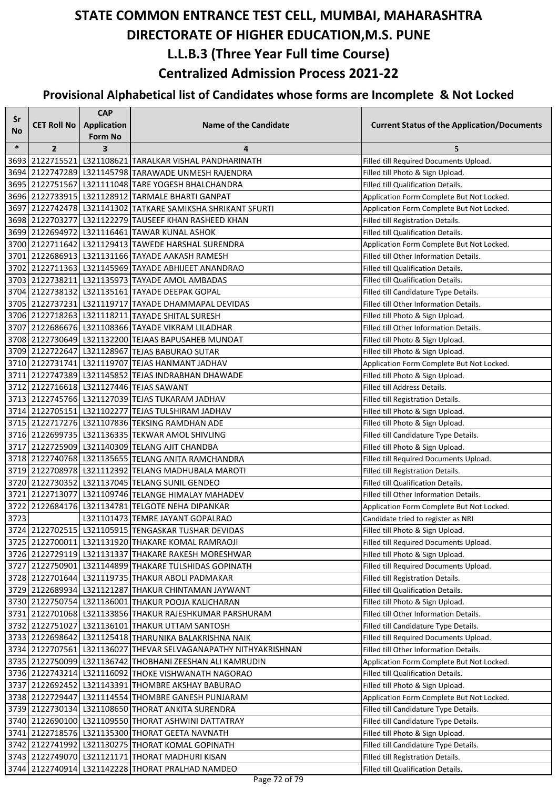| Sr        |                    | <b>CAP</b>              |                                                                                                      |                                                                            |
|-----------|--------------------|-------------------------|------------------------------------------------------------------------------------------------------|----------------------------------------------------------------------------|
| <b>No</b> | <b>CET Roll No</b> | <b>Application</b>      | <b>Name of the Candidate</b>                                                                         | <b>Current Status of the Application/Documents</b>                         |
|           |                    | <b>Form No</b>          |                                                                                                      |                                                                            |
| $\ast$    | $\overline{2}$     | $\overline{\mathbf{3}}$ | 4                                                                                                    | 5                                                                          |
|           |                    |                         | 3693 2122715521 L321108621 TARALKAR VISHAL PANDHARINATH                                              | Filled till Required Documents Upload.                                     |
|           |                    |                         | 3694 2122747289 L321145798 TARAWADE UNMESH RAJENDRA                                                  | Filled till Photo & Sign Upload.                                           |
|           |                    |                         | 3695 2122751567 L321111048 TARE YOGESH BHALCHANDRA                                                   | Filled till Qualification Details.                                         |
|           |                    |                         | 3696 2122733915   L321128912 TARMALE BHARTI GANPAT                                                   | Application Form Complete But Not Locked.                                  |
|           |                    |                         | 3697 2122742478 L321141302 TATKARE SAMIKSHA SHRIKANT SFURTI                                          | Application Form Complete But Not Locked.                                  |
|           |                    |                         | 3698 2122703277 L321122279 TAUSEEF KHAN RASHEED KHAN                                                 | Filled till Registration Details.                                          |
|           |                    |                         | 3699 2122694972 L321116461 TAWAR KUNAL ASHOK                                                         | Filled till Qualification Details.                                         |
|           |                    |                         | 3700 2122711642 L321129413 TAWEDE HARSHAL SURENDRA                                                   | Application Form Complete But Not Locked.                                  |
|           |                    |                         | 3701 2122686913 L321131166 TAYADE AAKASH RAMESH                                                      | Filled till Other Information Details.                                     |
|           |                    |                         | 3702 2122711363 L321145969 TAYADE ABHIJEET ANANDRAO                                                  | Filled till Qualification Details.                                         |
|           |                    |                         | 3703 2122738211 L321135973 TAYADE AMOL AMBADAS                                                       | Filled till Qualification Details.                                         |
|           |                    |                         | 3704 2122738132 L321135161 TAYADE DEEPAK GOPAL                                                       | Filled till Candidature Type Details.                                      |
|           |                    |                         | 3705 2122737231 L321119717 TAYADE DHAMMAPAL DEVIDAS                                                  | Filled till Other Information Details.                                     |
|           |                    |                         | 3706 2122718263 L321118211 TAYADE SHITAL SURESH<br>3707 2122686676 L321108366 TAYADE VIKRAM LILADHAR | Filled till Photo & Sign Upload.<br>Filled till Other Information Details. |
|           |                    |                         | 3708 2122730649 L321132200 TEJAAS BAPUSAHEB MUNOAT                                                   |                                                                            |
|           |                    |                         | 3709 2122722647 L321128967 TEJAS BABURAO SUTAR                                                       | Filled till Photo & Sign Upload.                                           |
|           |                    |                         | 3710 2122731741 L321119707 TEJAS HANMANT JADHAV                                                      | Filled till Photo & Sign Upload.                                           |
|           |                    |                         | 3711 2122747389 L321145852 TEJAS INDRABHAN DHAWADE                                                   | Application Form Complete But Not Locked.                                  |
|           |                    |                         | 3712 2122716618 L321127446 TEJAS SAWANT                                                              | Filled till Photo & Sign Upload.<br>Filled till Address Details.           |
|           |                    |                         | 3713 2122745766 L321127039 TEJAS TUKARAM JADHAV                                                      |                                                                            |
|           |                    |                         | 3714 2122705151 L321102277 TEJAS TULSHIRAM JADHAV                                                    | Filled till Registration Details.                                          |
|           |                    |                         | 3715 2122717276 L321107836 TEKSING RAMDHAN ADE                                                       | Filled till Photo & Sign Upload.<br>Filled till Photo & Sign Upload.       |
|           |                    |                         | 3716 2122699735   L321136335   TEKWAR AMOL SHIVLING                                                  | Filled till Candidature Type Details.                                      |
|           |                    |                         | 3717 2122725909 L321140309 TELANG AJIT CHANDBA                                                       | Filled till Photo & Sign Upload.                                           |
|           |                    |                         | 3718 2122740768 L321135655 TELANG ANITA RAMCHANDRA                                                   | Filled till Required Documents Upload.                                     |
|           |                    |                         | 3719 2122708978 L321112392 TELANG MADHUBALA MAROTI                                                   | Filled till Registration Details.                                          |
|           |                    |                         | 3720 2122730352 L321137045 TELANG SUNIL GENDEO                                                       | Filled till Qualification Details.                                         |
|           |                    |                         | 3721 2122713077 L321109746 TELANGE HIMALAY MAHADEV                                                   | Filled till Other Information Details.                                     |
|           |                    |                         | 3722 2122684176 L321134781 TELGOTE NEHA DIPANKAR                                                     | Application Form Complete But Not Locked.                                  |
| 3723      |                    |                         | L321101473 TEMRE JAYANT GOPALRAO                                                                     | Candidate tried to register as NRI                                         |
|           |                    |                         | 3724 2122702515 L321105915 TENGASKAR TUSHAR DEVIDAS                                                  | Filled till Photo & Sign Upload.                                           |
|           |                    |                         | 3725 2122700011 L321131920 THAKARE KOMAL RAMRAOJI                                                    | Filled till Required Documents Upload.                                     |
|           |                    |                         | 3726 2122729119 L321131337 THAKARE RAKESH MORESHWAR                                                  | Filled till Photo & Sign Upload.                                           |
|           |                    |                         | 3727 2122750901 L321144899 THAKARE TULSHIDAS GOPINATH                                                | Filled till Required Documents Upload.                                     |
|           |                    |                         | 3728 2122701644 L321119735 THAKUR ABOLI PADMAKAR                                                     | Filled till Registration Details.                                          |
|           |                    |                         | 3729 2122689934 L321121287 THAKUR CHINTAMAN JAYWANT                                                  | Filled till Qualification Details.                                         |
|           |                    |                         | 3730 2122750754 L321136001 THAKUR POOJA KALICHARAN                                                   | Filled till Photo & Sign Upload.                                           |
|           |                    |                         | 3731 2122701068 L321133856 THAKUR RAJESHKUMAR PARSHURAM                                              | Filled till Other Information Details.                                     |
|           |                    |                         | 3732 2122751027 L321136101 THAKUR UTTAM SANTOSH                                                      | Filled till Candidature Type Details.                                      |
|           |                    |                         | 3733 2122698642 L321125418 THARUNIKA BALAKRISHNA NAIK                                                | Filled till Required Documents Upload.                                     |
|           |                    |                         | 3734 2122707561 L321136027 THEVAR SELVAGANAPATHY NITHYAKRISHNAN                                      | Filled till Other Information Details.                                     |
|           |                    |                         | 3735 2122750099 L321136742 THOBHANI ZEESHAN ALI KAMRUDIN                                             | Application Form Complete But Not Locked.                                  |
|           |                    |                         | 3736 2122743214 L321116092 THOKE VISHWANATH NAGORAO                                                  | Filled till Qualification Details.                                         |
|           |                    |                         | 3737 2122692452 L321143391 THOMBRE AKSHAY BABURAO                                                    | Filled till Photo & Sign Upload.                                           |
|           |                    |                         | 3738 2122729447 L321114554 THOMBRE GANESH PUNJARAM                                                   | Application Form Complete But Not Locked.                                  |
|           |                    |                         | 3739 2122730134 L321108650 THORAT ANKITA SURENDRA                                                    | Filled till Candidature Type Details.                                      |
|           |                    |                         | 3740 2122690100 L321109550 THORAT ASHWINI DATTATRAY                                                  | Filled till Candidature Type Details.                                      |
|           |                    |                         | 3741 2122718576 L321135300 THORAT GEETA NAVNATH                                                      | Filled till Photo & Sign Upload.                                           |
|           |                    |                         | 3742 2122741992 L321130275 THORAT KOMAL GOPINATH                                                     | Filled till Candidature Type Details.                                      |
|           |                    |                         | 3743 2122749070 L321121171 THORAT MADHURI KISAN                                                      | Filled till Registration Details.                                          |
|           |                    |                         | 3744 2122740914 L321142228 THORAT PRALHAD NAMDEO                                                     | Filled till Qualification Details.                                         |
|           |                    |                         |                                                                                                      |                                                                            |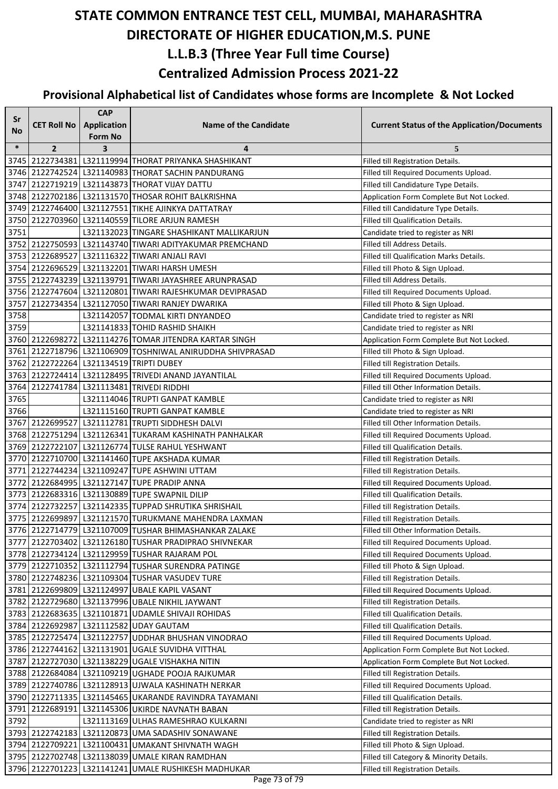| Sr        |                    | <b>CAP</b>              |                                                           |                                                    |
|-----------|--------------------|-------------------------|-----------------------------------------------------------|----------------------------------------------------|
| <b>No</b> | <b>CET Roll No</b> | Application             | <b>Name of the Candidate</b>                              | <b>Current Status of the Application/Documents</b> |
|           |                    | <b>Form No</b>          |                                                           |                                                    |
| $\ast$    | $\overline{2}$     | $\overline{\mathbf{3}}$ | 4                                                         | 5                                                  |
|           |                    |                         | 3745 2122734381 L321119994 THORAT PRIYANKA SHASHIKANT     | Filled till Registration Details.                  |
|           |                    |                         | 3746 2122742524 L321140983 THORAT SACHIN PANDURANG        | Filled till Required Documents Upload.             |
|           |                    |                         | 3747 2122719219 L321143873 THORAT VIJAY DATTU             | Filled till Candidature Type Details.              |
|           |                    |                         | 3748 2122702186 L321131570 THOSAR ROHIT BALKRISHNA        | Application Form Complete But Not Locked.          |
|           |                    |                         | 3749 2122746400 L321127551 TIKHE AJINKYA DATTATRAY        | Filled till Candidature Type Details.              |
|           |                    |                         | 3750 2122703960 L321140559 TILORE ARJUN RAMESH            | Filled till Qualification Details.                 |
| 3751      |                    |                         | L321132023 TINGARE SHASHIKANT MALLIKARJUN                 | Candidate tried to register as NRI                 |
|           |                    |                         | 3752 2122750593 L321143740 TIWARI ADITYAKUMAR PREMCHAND   | Filled till Address Details.                       |
|           |                    |                         | 3753 2122689527 L321116322 TIWARI ANJALI RAVI             | Filled till Qualification Marks Details.           |
|           |                    |                         | 3754 2122696529 L321132201 TIWARI HARSH UMESH             | Filled till Photo & Sign Upload.                   |
|           |                    |                         | 3755 2122743239 L321139791 TIWARI JAYASHREE ARUNPRASAD    | Filled till Address Details.                       |
|           |                    |                         | 3756 2122747604 L321120801 TIWARI RAJESHKUMAR DEVIPRASAD  | Filled till Required Documents Upload.             |
|           |                    |                         | 3757 2122734354 L321127050 TIWARI RANJEY DWARIKA          | Filled till Photo & Sign Upload.                   |
| 3758      |                    |                         | L321142057 TODMAL KIRTI DNYANDEO                          | Candidate tried to register as NRI                 |
| 3759      |                    |                         | L321141833 TOHID RASHID SHAIKH                            | Candidate tried to register as NRI                 |
|           |                    |                         | 3760 2122698272 L321114276 TOMAR JITENDRA KARTAR SINGH    | Application Form Complete But Not Locked.          |
|           |                    |                         | 3761 2122718796 L321106909 TOSHNIWAL ANIRUDDHA SHIVPRASAD | Filled till Photo & Sign Upload.                   |
|           |                    |                         | 3762 2122722264 L321134519 TRIPTI DUBEY                   | Filled till Registration Details.                  |
|           |                    |                         | 3763 2122724414 L321128495 TRIVEDI ANAND JAYANTILAL       | Filled till Required Documents Upload.             |
|           |                    |                         | 3764 2122741784 L321113481 TRIVEDI RIDDHI                 | Filled till Other Information Details.             |
| 3765      |                    |                         | L321114046 TRUPTI GANPAT KAMBLE                           | Candidate tried to register as NRI                 |
| 3766      |                    |                         | L321115160 TRUPTI GANPAT KAMBLE                           | Candidate tried to register as NRI                 |
|           |                    |                         | 3767 2122699527 L321112781 TRUPTI SIDDHESH DALVI          | Filled till Other Information Details.             |
|           |                    |                         | 3768 2122751294 L321126341 TUKARAM KASHINATH PANHALKAR    | Filled till Required Documents Upload.             |
|           |                    |                         | 3769 2122722107 L321126774 TULSE RAHUL YESHWANT           | Filled till Qualification Details.                 |
|           |                    |                         | 3770 2122710700 L321141460 TUPE AKSHADA KUMAR             | Filled till Registration Details.                  |
|           |                    |                         | 3771 2122744234 L321109247 TUPE ASHWINI UTTAM             | Filled till Registration Details.                  |
|           |                    |                         | 3772 2122684995 L321127147 TUPE PRADIP ANNA               | Filled till Required Documents Upload.             |
|           |                    |                         | 3773 2122683316 L321130889 TUPE SWAPNIL DILIP             | Filled till Qualification Details.                 |
|           |                    |                         | 3774 2122732257 L321142335 TUPPAD SHRUTIKA SHRISHAIL      | Filled till Registration Details.                  |
|           |                    |                         | 3775 2122699897 L321121570 TURUKMANE MAHENDRA LAXMAN      | Filled till Registration Details.                  |
|           |                    |                         | 3776 2122714779   L321107009 TUSHAR BHIMASHANKAR ZALAKE   | Filled till Other Information Details.             |
|           |                    |                         | 3777 2122703402 L321126180 TUSHAR PRADIPRAO SHIVNEKAR     | Filled till Required Documents Upload.             |
|           |                    |                         | 3778 2122734124 L321129959 TUSHAR RAJARAM POL             | Filled till Required Documents Upload.             |
|           |                    |                         | 3779 2122710352 L321112794 TUSHAR SURENDRA PATINGE        | Filled till Photo & Sign Upload.                   |
|           |                    |                         | 3780 2122748236 L321109304 TUSHAR VASUDEV TURE            | Filled till Registration Details.                  |
|           |                    |                         | 3781 2122699809 L321124997 UBALE KAPIL VASANT             | Filled till Required Documents Upload.             |
|           |                    |                         | 3782 2122729680 L321137996 UBALE NIKHIL JAYWANT           | Filled till Registration Details.                  |
|           |                    |                         | 3783 2122683635 L321101871 UDAMLE SHIVAJI ROHIDAS         | Filled till Qualification Details.                 |
|           |                    |                         | 3784 2122692987 L321112582 UDAY GAUTAM                    | Filled till Qualification Details.                 |
|           |                    |                         | 3785 2122725474 L321122757 UDDHAR BHUSHAN VINODRAO        | Filled till Required Documents Upload.             |
|           |                    |                         | 3786 2122744162 L321131901 UGALE SUVIDHA VITTHAL          | Application Form Complete But Not Locked.          |
|           |                    |                         | 3787 2122727030 L321138229 UGALE VISHAKHA NITIN           | Application Form Complete But Not Locked.          |
|           |                    |                         | 3788 2122684084 L321109219 UGHADE POOJA RAJKUMAR          | Filled till Registration Details.                  |
|           |                    |                         | 3789 2122740786 L321128913 UJWALA KASHINATH NERKAR        | Filled till Required Documents Upload.             |
|           |                    |                         | 3790 2122711335 L321145465 UKARANDE RAVINDRA TAYAMANI     | Filled till Qualification Details.                 |
|           |                    |                         | 3791 2122689191 L321145306 UKIRDE NAVNATH BABAN           | Filled till Registration Details.                  |
| 3792      |                    |                         | L321113169 ULHAS RAMESHRAO KULKARNI                       | Candidate tried to register as NRI                 |
|           |                    |                         | 3793 2122742183 L321120873 UMA SADASHIV SONAWANE          | Filled till Registration Details.                  |
|           |                    |                         | 3794 2122709221 L321100431 UMAKANT SHIVNATH WAGH          | Filled till Photo & Sign Upload.                   |
|           |                    |                         | 3795 2122702748 L321138039 UMALE KIRAN RAMDHAN            | Filled till Category & Minority Details.           |
|           |                    |                         | 3796 2122701223 L321141241 UMALE RUSHIKESH MADHUKAR       | Filled till Registration Details.                  |
|           |                    |                         |                                                           |                                                    |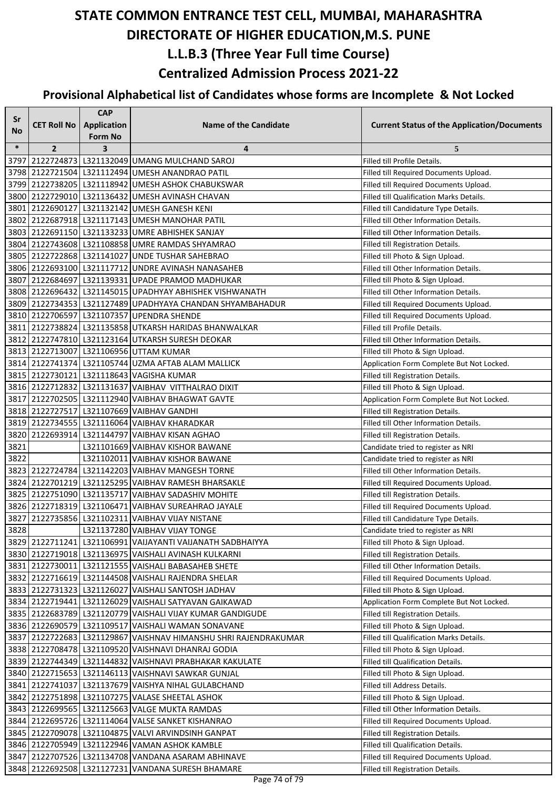| Sr     |                    | <b>CAP</b>              |                                                                       |                                                    |
|--------|--------------------|-------------------------|-----------------------------------------------------------------------|----------------------------------------------------|
| No     | <b>CET Roll No</b> | <b>Application</b>      | <b>Name of the Candidate</b>                                          | <b>Current Status of the Application/Documents</b> |
| $\ast$ |                    | <b>Form No</b>          |                                                                       |                                                    |
| 3797   | $\overline{2}$     | $\overline{\mathbf{3}}$ | 4<br>2122724873 L321132049 UMANG MULCHAND SAROJ                       | 5<br>Filled till Profile Details.                  |
| 3798   |                    |                         | 2122721504 L321112494 UMESH ANANDRAO PATIL                            | Filled till Required Documents Upload.             |
| 3799   |                    |                         | 2122738205 L321118942 UMESH ASHOK CHABUKSWAR                          | Filled till Required Documents Upload.             |
|        |                    |                         | 3800 2122729010 L321136432 UMESH AVINASH CHAVAN                       | Filled till Qualification Marks Details.           |
|        |                    |                         | 3801 2122690127 L321132142 UMESH GANESH KENI                          | Filled till Candidature Type Details.              |
|        |                    |                         | 3802 2122687918 L321117143 UMESH MANOHAR PATIL                        | Filled till Other Information Details.             |
| 3803   |                    |                         | 2122691150 L321133233 UMRE ABHISHEK SANJAY                            | Filled till Other Information Details.             |
|        |                    |                         | 3804 2122743608 L321108858 UMRE RAMDAS SHYAMRAO                       | Filled till Registration Details.                  |
|        |                    |                         | 3805 2122722868 L321141027 UNDE TUSHAR SAHEBRAO                       | Filled till Photo & Sign Upload.                   |
|        |                    |                         | 3806 2122693100 L321117712 UNDRE AVINASH NANASAHEB                    | Filled till Other Information Details.             |
| 3807   |                    |                         | 2122684697 L321139331 UPADE PRAMOD MADHUKAR                           | Filled till Photo & Sign Upload.                   |
|        |                    |                         | 3808 2122696432 L321145015 UPADHYAY ABHISHEK VISHWANATH               | Filled till Other Information Details.             |
|        |                    |                         | 3809 2122734353 L321127489 UPADHYAYA CHANDAN SHYAMBAHADUR             | Filled till Required Documents Upload.             |
|        |                    |                         | 3810 2122706597 L321107357 UPENDRA SHENDE                             | Filled till Required Documents Upload.             |
|        |                    |                         | 3811 2122738824 L321135858 UTKARSH HARIDAS BHANWALKAR                 | Filled till Profile Details.                       |
|        |                    |                         | 3812 2122747810 L321123164 UTKARSH SURESH DEOKAR                      | Filled till Other Information Details.             |
|        |                    |                         | 3813 2122713007 L321106956 UTTAM KUMAR                                | Filled till Photo & Sign Upload.                   |
|        |                    |                         | 3814 2122741374 L321105744 UZMA AFTAB ALAM MALLICK                    | Application Form Complete But Not Locked.          |
|        |                    |                         | 3815 2122730121 L321118643 VAGISHA KUMAR                              | Filled till Registration Details.                  |
|        |                    |                         | 3816 2122712832 L321131637 VAIBHAV VITTHALRAO DIXIT                   | Filled till Photo & Sign Upload.                   |
|        |                    |                         | 3817 2122702505 L321112940 VAIBHAV BHAGWAT GAVTE                      | Application Form Complete But Not Locked.          |
|        |                    |                         | 3818 2122727517 L321107669 VAIBHAV GANDHI                             | Filled till Registration Details.                  |
|        |                    |                         | 3819 2122734555 L321116064 VAIBHAV KHARADKAR                          | Filled till Other Information Details.             |
| 3820   |                    |                         | 2122693914 L321144797 VAIBHAV KISAN AGHAO                             | Filled till Registration Details.                  |
| 3821   |                    |                         | L321101669 VAIBHAV KISHOR BAWANE                                      | Candidate tried to register as NRI                 |
| 3822   |                    |                         | L321102011 VAIBHAV KISHOR BAWANE                                      | Candidate tried to register as NRI                 |
|        |                    |                         | 3823 2122724784 L321142203 VAIBHAV MANGESH TORNE                      | Filled till Other Information Details.             |
| 3824   |                    |                         | 2122701219 L321125295 VAIBHAV RAMESH BHARSAKLE                        | Filled till Required Documents Upload.             |
|        |                    |                         | 3825 2122751090 L321135717 VAIBHAV SADASHIV MOHITE                    | Filled till Registration Details.                  |
|        |                    |                         | 3826 2122718319 L321106471 VAIBHAV SUREAHRAO JAYALE                   | Filled till Required Documents Upload.             |
| 3827   |                    |                         | 2122735856 L321102311 VAIBHAV VIJAY NISTANE                           | Filled till Candidature Type Details.              |
| 3828   |                    |                         | L321137280 VAIBHAV VIJAY TONGE                                        | Candidate tried to register as NRI                 |
|        |                    |                         | 3829 2122711241 L321106991 VAIJAYANTI VAIJANATH SADBHAIYYA            | Filled till Photo & Sign Upload.                   |
|        |                    |                         | 3830 2122719018 L321136975 VAISHALI AVINASH KULKARNI                  | Filled till Registration Details.                  |
|        |                    |                         | 3831 2122730011 L321121555 VAISHALI BABASAHEB SHETE                   | Filled till Other Information Details.             |
|        |                    |                         | 3832 2122716619 L321144508 VAISHALI RAJENDRA SHELAR                   | Filled till Required Documents Upload.             |
|        |                    |                         | 3833 2122731323 L321126027 VAISHALI SANTOSH JADHAV                    | Filled till Photo & Sign Upload.                   |
|        |                    |                         | 3834 2122719441 L321126029 VAISHALI SATYAVAN GAIKAWAD                 | Application Form Complete But Not Locked.          |
|        |                    |                         | 3835 2122683789 L321120779 VAISHALI VIJAY KUMAR GANDIGUDE             | Filled till Registration Details.                  |
|        |                    |                         | 3836 2122690579 L321109517 VAISHALI WAMAN SONAVANE                    | Filled till Photo & Sign Upload.                   |
|        |                    |                         | 3837   2122722683   L321129867   VAISHNAV HIMANSHU SHRI RAJENDRAKUMAR | Filled till Qualification Marks Details.           |
|        |                    |                         | 3838   2122708478   L321109520   VAISHNAVI DHANRAJ GODIA              | Filled till Photo & Sign Upload.                   |
|        |                    |                         | 3839 2122744349 L321144832 VAISHNAVI PRABHAKAR KAKULATE               | Filled till Qualification Details.                 |
|        |                    |                         | 3840 2122715653   L321146113 VAISHNAVI SAWKAR GUNJAL                  | Filled till Photo & Sign Upload.                   |
|        |                    |                         | 3841 2122741037 L321137679 VAISHYA NIHAL GULABCHAND                   | Filled till Address Details.                       |
|        |                    |                         | 3842 2122751898 L321107275 VALASE SHEETAL ASHOK                       | Filled till Photo & Sign Upload.                   |
|        |                    |                         | 3843 2122699565 L321125663 VALGE MUKTA RAMDAS                         | Filled till Other Information Details.             |
|        |                    |                         | 3844 2122695726 L321114064 VALSE SANKET KISHANRAO                     | Filled till Required Documents Upload.             |
|        |                    |                         | 3845 2122709078 L321104875 VALVI ARVINDSINH GANPAT                    | Filled till Registration Details.                  |
|        |                    |                         | 3846 2122705949 L321122946 VAMAN ASHOK KAMBLE                         | Filled till Qualification Details.                 |
| 3847   |                    |                         | 2122707526 L321134708 VANDANA ASARAM ABHINAVE                         | Filled till Required Documents Upload.             |
|        |                    |                         | 3848 2122692508 L321127231 VANDANA SURESH BHAMARE                     | Filled till Registration Details.                  |
|        |                    |                         |                                                                       |                                                    |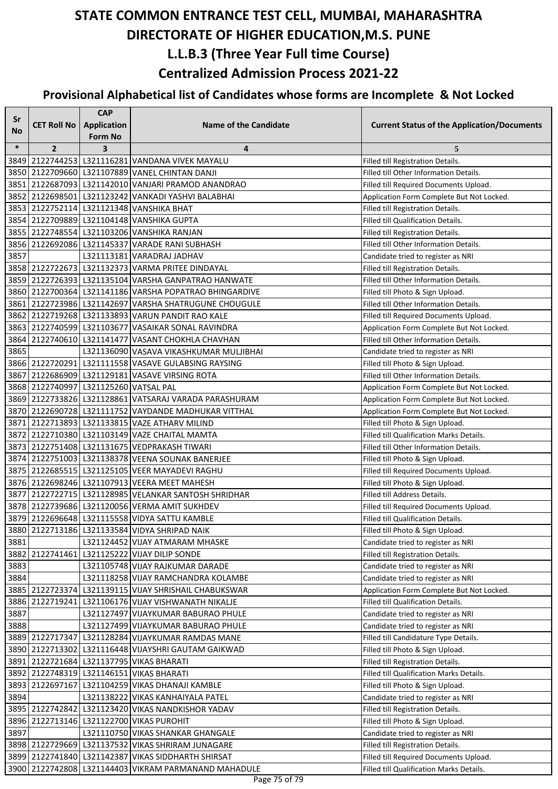| Sr           |                                       | <b>CAP</b>         |                                                                                                   |                                                                                |
|--------------|---------------------------------------|--------------------|---------------------------------------------------------------------------------------------------|--------------------------------------------------------------------------------|
| No           | <b>CET Roll No</b>                    | <b>Application</b> | <b>Name of the Candidate</b>                                                                      | <b>Current Status of the Application/Documents</b>                             |
|              |                                       | Form No            |                                                                                                   |                                                                                |
| $\ast$       | $\overline{2}$                        | 3                  | 4                                                                                                 | 5                                                                              |
|              |                                       |                    | 3849 2122744253 L321116281 VANDANA VIVEK MAYALU<br>3850 2122709660 L321107889 VANEL CHINTAN DANJI | Filled till Registration Details.<br>Filled till Other Information Details.    |
|              |                                       |                    | 3851 2122687093 L321142010 VANJARI PRAMOD ANANDRAO                                                | Filled till Required Documents Upload.                                         |
|              |                                       |                    | 3852 2122698501 L321123242 VANKADI YASHVI BALABHAI                                                |                                                                                |
|              |                                       |                    | 3853 2122752114 L321121348 VANSHIKA BHAT                                                          | Application Form Complete But Not Locked.<br>Filled till Registration Details. |
|              |                                       |                    | 3854 2122709889 L321104148 VANSHIKA GUPTA                                                         | Filled till Qualification Details.                                             |
|              |                                       |                    | 3855 2122748554 L321103206 VANSHIKA RANJAN                                                        | Filled till Registration Details.                                              |
| 3856         |                                       |                    | 2122692086 L321145337 VARADE RANI SUBHASH                                                         | Filled till Other Information Details.                                         |
| 3857         |                                       |                    | L321113181 VARADRAJ JADHAV                                                                        | Candidate tried to register as NRI                                             |
|              |                                       |                    | 3858 2122722673   L321132373 VARMA PRITEE DINDAYAL                                                | Filled till Registration Details.                                              |
|              |                                       |                    | 3859 2122726393 L321135104 VARSHA GANPATRAO HANWATE                                               | Filled till Other Information Details.                                         |
|              |                                       |                    | 3860 2122700364 L321141186 VARSHA POPATRAO BHINGARDIVE                                            | Filled till Photo & Sign Upload.                                               |
|              |                                       |                    | 3861 2122723986 L321142697 VARSHA SHATRUGUNE CHOUGULE                                             | Filled till Other Information Details.                                         |
|              |                                       |                    | 3862 2122719268 L321133893 VARUN PANDIT RAO KALE                                                  | Filled till Required Documents Upload.                                         |
|              |                                       |                    | 3863 2122740599 L321103677 VASAIKAR SONAL RAVINDRA                                                | Application Form Complete But Not Locked.                                      |
|              |                                       |                    | 3864 2122740610 L321141477 VASANT CHOKHLA CHAVHAN                                                 | Filled till Other Information Details.                                         |
| 3865         |                                       |                    | L321136090 VASAVA VIKASHKUMAR MULJIBHAI                                                           | Candidate tried to register as NRI                                             |
|              |                                       |                    | 3866 2122720291 L321111558 VASAVE GULABSING RAYSING                                               | Filled till Photo & Sign Upload.                                               |
|              |                                       |                    | 3867 2122686909 L321129181 VASAVE VIRSING ROTA                                                    | Filled till Other Information Details.                                         |
|              | 3868 2122740997 L321125260 VATSAL PAL |                    |                                                                                                   | Application Form Complete But Not Locked.                                      |
|              |                                       |                    | 3869 2122733826 L321128861 VATSARAJ VARADA PARASHURAM                                             | Application Form Complete But Not Locked.                                      |
|              |                                       |                    | 3870 2122690728   L321111752   VAYDANDE MADHUKAR VITTHAL                                          | Application Form Complete But Not Locked.                                      |
|              |                                       |                    | 3871 2122713893 L321133815 VAZE ATHARV MILIND                                                     | Filled till Photo & Sign Upload.                                               |
|              |                                       |                    | 3872 2122710380 L321103149 VAZE CHAITAL MAMTA                                                     | Filled till Qualification Marks Details.                                       |
|              |                                       |                    | 3873   2122751408   L321131675   VEDPRAKASH TIWARI                                                | Filled till Other Information Details.                                         |
|              |                                       |                    | 3874 2122751003 L321138378 VEENA SOUNAK BANERJEE                                                  | Filled till Photo & Sign Upload.                                               |
|              |                                       |                    | 3875 2122685515 L321125105 VEER MAYADEVI RAGHU                                                    | Filled till Required Documents Upload.                                         |
|              |                                       |                    | 3876 2122698246 L321107913 VEERA MEET MAHESH                                                      | Filled till Photo & Sign Upload.                                               |
|              |                                       |                    | 3877 2122722715 L321128985 VELANKAR SANTOSH SHRIDHAR                                              | Filled till Address Details.                                                   |
|              |                                       |                    | 3878 2122739686 L321120056 VERMA AMIT SUKHDEV                                                     | Filled till Required Documents Upload.                                         |
|              |                                       |                    | 3879 2122696648 L321115558 VIDYA SATTU KAMBLE                                                     | Filled till Qualification Details.                                             |
|              |                                       |                    | 3880 2122713186 L321133584 VIDYA SHRIPAD NAIK                                                     | Filled till Photo & Sign Upload.                                               |
| 3881         |                                       |                    | L321124452 VIJAY ATMARAM MHASKE                                                                   | Candidate tried to register as NRI                                             |
|              |                                       |                    | 3882 2122741461 L321125222 VIJAY DILIP SONDE                                                      | Filled till Registration Details.                                              |
| 3883         |                                       |                    | L321105748 VIJAY RAJKUMAR DARADE                                                                  | Candidate tried to register as NRI                                             |
| 3884         |                                       |                    | L321118258 VIJAY RAMCHANDRA KOLAMBE                                                               | Candidate tried to register as NRI                                             |
|              |                                       |                    | 3885 2122723374 L321139115 VIJAY SHRISHAIL CHABUKSWAR                                             | Application Form Complete But Not Locked.                                      |
| 3886         |                                       |                    | 2122719241 L321106176 VIJAY VISHWANATH NIKALJE                                                    | Filled till Qualification Details.                                             |
| 3887         |                                       |                    | L321127497 VIJAYKUMAR BABURAO PHULE                                                               | Candidate tried to register as NRI                                             |
| 3888         |                                       |                    | L321127499 VIJAYKUMAR BABURAO PHULE                                                               | Candidate tried to register as NRI                                             |
|              |                                       |                    | 3889 2122717347 L321128284 VIJAYKUMAR RAMDAS MANE                                                 | Filled till Candidature Type Details.                                          |
|              |                                       |                    | 3890   2122713302   L321116448   VIJAYSHRI GAUTAM GAIKWAD                                         | Filled till Photo & Sign Upload.                                               |
|              |                                       |                    | 3891 2122721684 L321137795 VIKAS BHARATI                                                          | Filled till Registration Details.                                              |
|              |                                       |                    | 3892 2122748319 L321146151 VIKAS BHARATI                                                          | Filled till Qualification Marks Details.                                       |
|              |                                       |                    | 3893 2122697167 L321104259 VIKAS DHANAJI KAMBLE                                                   | Filled till Photo & Sign Upload.                                               |
| 3894         |                                       |                    | L321138222 VIKAS KANHAIYALA PATEL                                                                 | Candidate tried to register as NRI                                             |
|              |                                       |                    | 3895 2122742842 L321123420 VIKAS NANDKISHOR YADAV                                                 | Filled till Registration Details.                                              |
| 3896<br>3897 |                                       |                    | 2122713146 L321122700 VIKAS PUROHIT<br>L321110750 VIKAS SHANKAR GHANGALE                          | Filled till Photo & Sign Upload.                                               |
|              |                                       |                    | 3898 2122729669 L321137532 VIKAS SHRIRAM JUNAGARE                                                 | Candidate tried to register as NRI<br>Filled till Registration Details.        |
|              |                                       |                    | 3899 2122741840 L321142387 VIKAS SIDDHARTH SHIRSAT                                                | Filled till Required Documents Upload.                                         |
|              |                                       |                    | 3900 2122742808 L321144403 VIKRAM PARMANAND MAHADULE                                              | Filled till Qualification Marks Details.                                       |
|              |                                       |                    |                                                                                                   |                                                                                |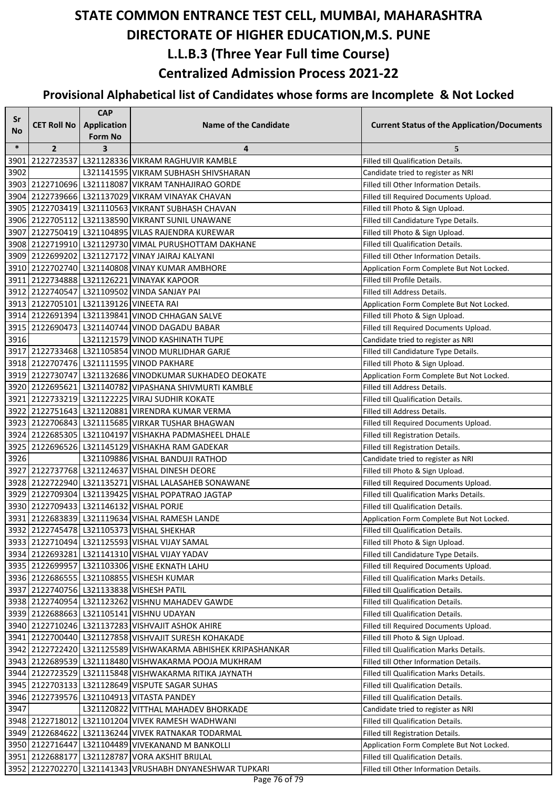| Sr     |                                        | <b>CAP</b>         |                                                              |                                                    |
|--------|----------------------------------------|--------------------|--------------------------------------------------------------|----------------------------------------------------|
| No     | <b>CET Roll No</b>                     | <b>Application</b> | <b>Name of the Candidate</b>                                 | <b>Current Status of the Application/Documents</b> |
|        |                                        | Form No            |                                                              |                                                    |
| $\ast$ | $\overline{2}$                         | 3                  | 4                                                            | 5                                                  |
| 3901   |                                        |                    | 2122723537 L321128336 VIKRAM RAGHUVIR KAMBLE                 | Filled till Qualification Details.                 |
| 3902   |                                        |                    | L321141595 VIKRAM SUBHASH SHIVSHARAN                         | Candidate tried to register as NRI                 |
|        |                                        |                    | 3903 2122710696 L321118087 VIKRAM TANHAJIRAO GORDE           | Filled till Other Information Details.             |
|        |                                        |                    | 3904 2122739666 L321137029 VIKRAM VINAYAK CHAVAN             | Filled till Required Documents Upload.             |
|        |                                        |                    | 3905 2122703419 L321110563 VIKRANT SUBHASH CHAVAN            | Filled till Photo & Sign Upload.                   |
|        |                                        |                    | 3906 2122705112 L321138590 VIKRANT SUNIL UNAWANE             | Filled till Candidature Type Details.              |
|        |                                        |                    | 3907 2122750419 L321104895 VILAS RAJENDRA KUREWAR            | Filled till Photo & Sign Upload.                   |
|        |                                        |                    | 3908 2122719910 L321129730 VIMAL PURUSHOTTAM DAKHANE         | Filled till Qualification Details.                 |
|        |                                        |                    | 3909   2122699202   L321127172   VINAY JAIRAJ KALYANI        | Filled till Other Information Details.             |
|        |                                        |                    | 3910 2122702740 L321140808 VINAY KUMAR AMBHORE               | Application Form Complete But Not Locked.          |
|        |                                        |                    | 3911 2122734888 L321126221 VINAYAK KAPOOR                    | Filled till Profile Details.                       |
|        |                                        |                    | 3912 2122740547 L321109502 VINDA SANJAY PAI                  | Filled till Address Details.                       |
|        | 3913 2122705101 L321139126 VINEETA RAI |                    |                                                              | Application Form Complete But Not Locked.          |
|        |                                        |                    | 3914 2122691394 L321139841 VINOD CHHAGAN SALVE               | Filled till Photo & Sign Upload.                   |
|        |                                        |                    | 3915 2122690473 L321140744 VINOD DAGADU BABAR                | Filled till Required Documents Upload.             |
| 3916   |                                        |                    | L321121579 VINOD KASHINATH TUPE                              | Candidate tried to register as NRI                 |
|        |                                        |                    | 3917 2122733468 L321105854 VINOD MURLIDHAR GARJE             | Filled till Candidature Type Details.              |
|        |                                        |                    | 3918 2122707476 L321111595 VINOD PAKHARE                     | Filled till Photo & Sign Upload.                   |
|        |                                        |                    | 3919 2122730747 L321132686 VINODKUMAR SUKHADEO DEOKATE       | Application Form Complete But Not Locked.          |
|        |                                        |                    | 3920 2122695621 L321140782 VIPASHANA SHIVMURTI KAMBLE        | Filled till Address Details.                       |
|        |                                        |                    | 3921 2122733219 L321122225 VIRAJ SUDHIR KOKATE               | Filled till Qualification Details.                 |
|        |                                        |                    | 3922 2122751643 L321120881 VIRENDRA KUMAR VERMA              | Filled till Address Details.                       |
|        |                                        |                    | 3923 2122706843 L321115685 VIRKAR TUSHAR BHAGWAN             | Filled till Required Documents Upload.             |
|        |                                        |                    | 3924 2122685305 L321104197 VISHAKHA PADMASHEEL DHALE         | Filled till Registration Details.                  |
|        |                                        |                    | 3925 2122696526 L321145129 VISHAKHA RAM GADEKAR              | Filled till Registration Details.                  |
| 3926   |                                        |                    | L321109886 VISHAL BANDUJI RATHOD                             | Candidate tried to register as NRI                 |
|        |                                        |                    | 3927 2122737768 L321124637 VISHAL DINESH DEORE               | Filled till Photo & Sign Upload.                   |
|        |                                        |                    | 3928 2122722940 L321135271 VISHAL LALASAHEB SONAWANE         | Filled till Required Documents Upload.             |
|        |                                        |                    | 3929 2122709304 L321139425 VISHAL POPATRAO JAGTAP            | Filled till Qualification Marks Details.           |
|        |                                        |                    | 3930 2122709433 L321146132 VISHAL PORJE                      | Filled till Qualification Details.                 |
|        |                                        |                    | 3931 2122683839 L321119634 VISHAL RAMESH LANDE               | Application Form Complete But Not Locked.          |
|        |                                        |                    | 3932 2122745478 L321105373 VISHAL SHEKHAR                    | Filled till Qualification Details.                 |
|        |                                        |                    | 3933 2122710494 L321125593 VISHAL VIJAY SAMAL                | Filled till Photo & Sign Upload.                   |
|        |                                        |                    | 3934 2122693281 L321141310 VISHAL VIJAY YADAV                | Filled till Candidature Type Details.              |
|        |                                        |                    | 3935 2122699957 L321103306 VISHE EKNATH LAHU                 | Filled till Required Documents Upload.             |
|        |                                        |                    | 3936 2122686555 L321108855 VISHESH KUMAR                     | Filled till Qualification Marks Details.           |
|        |                                        |                    | 3937 2122740756 L321133838 VISHESH PATIL                     | Filled till Qualification Details.                 |
|        |                                        |                    | 3938 2122740954 L321123262 VISHNU MAHADEV GAWDE              | Filled till Qualification Details.                 |
|        |                                        |                    | 3939 2122688663 L321105141 VISHNU UDAYAN                     | Filled till Qualification Details.                 |
|        |                                        |                    | 3940 2122710246 L321137283 VISHVAJIT ASHOK AHIRE             | Filled till Required Documents Upload.             |
|        |                                        |                    | 3941 2122700440 L321127858 VISHVAJIT SURESH KOHAKADE         | Filled till Photo & Sign Upload.                   |
|        |                                        |                    | 3942 2122722420 L321125589 VISHWAKARMA ABHISHEK KRIPASHANKAR | Filled till Qualification Marks Details.           |
|        |                                        |                    | 3943 2122689539 L321118480 VISHWAKARMA POOJA MUKHRAM         | Filled till Other Information Details.             |
|        |                                        |                    | 3944 2122723529 L321115848 VISHWAKARMA RITIKA JAYNATH        | Filled till Qualification Marks Details.           |
|        |                                        |                    | 3945 2122703133 L321128649 VISPUTE SAGAR SUHAS               | Filled till Qualification Details.                 |
|        |                                        |                    | 3946 2122739576 L321104913 VITASTA PANDEY                    | Filled till Qualification Details.                 |
| 3947   |                                        |                    | L321120822 VITTHAL MAHADEV BHORKADE                          | Candidate tried to register as NRI                 |
|        |                                        |                    | 3948 2122718012 L321101204 VIVEK RAMESH WADHWANI             | Filled till Qualification Details.                 |
|        |                                        |                    | 3949 2122684622 L321136244 VIVEK RATNAKAR TODARMAL           | Filled till Registration Details.                  |
|        |                                        |                    | 3950 2122716447 L321104489 VIVEKANAND M BANKOLLI             | Application Form Complete But Not Locked.          |
|        |                                        |                    | 3951 2122688177 L321128787 VORA AKSHIT BRIJLAL               | Filled till Qualification Details.                 |
|        |                                        |                    | 3952 2122702270 L321141343 VRUSHABH DNYANESHWAR TUPKARI      | Filled till Other Information Details.             |
|        |                                        |                    | Dago 76 of 70                                                |                                                    |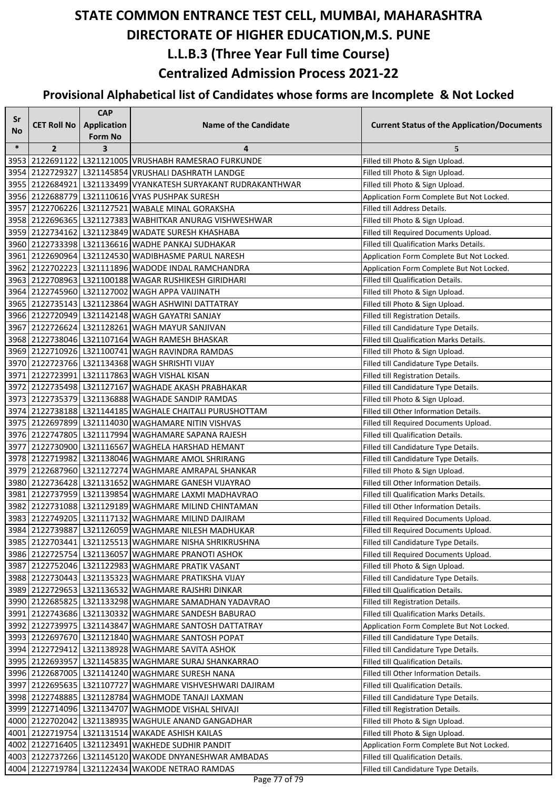| Sr     |                    | <b>CAP</b>                         |                                                               |                                                    |
|--------|--------------------|------------------------------------|---------------------------------------------------------------|----------------------------------------------------|
| No     | <b>CET Roll No</b> | <b>Application</b>                 | <b>Name of the Candidate</b>                                  | <b>Current Status of the Application/Documents</b> |
| $\ast$ | $\overline{2}$     | Form No<br>$\overline{\mathbf{3}}$ | 4                                                             | 5                                                  |
|        |                    |                                    | 3953 2122691122 L321121005 VRUSHABH RAMESRAO FURKUNDE         | Filled till Photo & Sign Upload.                   |
|        |                    |                                    | 3954 2122729327 L321145854 VRUSHALI DASHRATH LANDGE           | Filled till Photo & Sign Upload.                   |
|        |                    |                                    | 3955 2122684921 L321133499 VYANKATESH SURYAKANT RUDRAKANTHWAR | Filled till Photo & Sign Upload.                   |
|        |                    |                                    | 3956 2122688779 L321110616 VYAS PUSHPAK SURESH                | Application Form Complete But Not Locked.          |
|        |                    |                                    | 3957 2122706226 L321127521 WABALE MINAL GORAKSHA              | Filled till Address Details.                       |
|        |                    |                                    | 3958 2122696365 L321127383 WABHITKAR ANURAG VISHWESHWAR       | Filled till Photo & Sign Upload.                   |
|        |                    |                                    | 3959 2122734162 L321123849 WADATE SURESH KHASHABA             | Filled till Required Documents Upload.             |
|        |                    |                                    | 3960 2122733398 L321136616 WADHE PANKAJ SUDHAKAR              | Filled till Qualification Marks Details.           |
|        |                    |                                    | 3961 2122690964 L321124530 WADIBHASME PARUL NARESH            | Application Form Complete But Not Locked.          |
|        |                    |                                    | 3962 2122702223 L321111896 WADODE INDAL RAMCHANDRA            | Application Form Complete But Not Locked.          |
|        |                    |                                    | 3963 2122708963 L321100188 WAGAR RUSHIKESH GIRIDHARI          | Filled till Qualification Details.                 |
|        |                    |                                    | 3964 2122745960 L321127002 WAGH APPA VAIJINATH                | Filled till Photo & Sign Upload.                   |
|        |                    |                                    | 3965 2122735143 L321123864 WAGH ASHWINI DATTATRAY             | Filled till Photo & Sign Upload.                   |
|        |                    |                                    | 3966 2122720949 L321142148 WAGH GAYATRI SANJAY                | Filled till Registration Details.                  |
|        |                    |                                    | 3967 2122726624 L321128261 WAGH MAYUR SANJIVAN                | Filled till Candidature Type Details.              |
|        |                    |                                    | 3968 2122738046 L321107164 WAGH RAMESH BHASKAR                | Filled till Qualification Marks Details.           |
|        |                    |                                    | 3969 2122710926 L321100741 WAGH RAVINDRA RAMDAS               | Filled till Photo & Sign Upload.                   |
|        |                    |                                    | 3970 2122723766 L321134368 WAGH SHRISHTI VIJAY                | Filled till Candidature Type Details.              |
|        |                    |                                    | 3971 2122723991 L321117863 WAGH VISHAL KISAN                  | Filled till Registration Details.                  |
|        |                    |                                    | 3972 2122735498 L321127167 WAGHADE AKASH PRABHAKAR            | Filled till Candidature Type Details.              |
|        |                    |                                    | 3973 2122735379 L321136888 WAGHADE SANDIP RAMDAS              | Filled till Photo & Sign Upload.                   |
|        |                    |                                    | 3974 2122738188 L321144185 WAGHALE CHAITALI PURUSHOTTAM       | Filled till Other Information Details.             |
|        |                    |                                    | 3975 2122697899 L321114030 WAGHAMARE NITIN VISHVAS            | Filled till Required Documents Upload.             |
|        |                    |                                    | 3976 2122747805 L321117994 WAGHAMARE SAPANA RAJESH            | Filled till Qualification Details.                 |
|        |                    |                                    | 3977 2122730900 L321116567 WAGHELA HARSHAD HEMANT             | Filled till Candidature Type Details.              |
|        |                    |                                    | 3978 2122719982 L321138046 WAGHMARE AMOL SHRIRANG             | Filled till Candidature Type Details.              |
|        |                    |                                    | 3979 2122687960 L321127274 WAGHMARE AMRAPAL SHANKAR           | Filled till Photo & Sign Upload.                   |
|        |                    |                                    | 3980 2122736428 L321131652 WAGHMARE GANESH VIJAYRAO           | Filled till Other Information Details.             |
|        |                    |                                    | 3981 2122737959 L321139854 WAGHMARE LAXMI MADHAVRAO           | Filled till Qualification Marks Details.           |
|        |                    |                                    | 3982 2122731088 L321129189 WAGHMARE MILIND CHINTAMAN          | Filled till Other Information Details.             |
|        |                    |                                    | 3983 2122749205   L321117132   WAGHMARE MILIND DAJIRAM        | Filled till Required Documents Upload.             |
|        |                    |                                    | 3984 2122739887 L321126059 WAGHMARE NILESH MADHUKAR           | Filled till Required Documents Upload.             |
|        |                    |                                    | 3985 2122703441 L321125513 WAGHMARE NISHA SHRIKRUSHNA         | Filled till Candidature Type Details.              |
|        |                    |                                    | 3986 2122725754 L321136057 WAGHMARE PRANOTI ASHOK             | Filled till Required Documents Upload.             |
|        |                    |                                    | 3987 2122752046 L321122983 WAGHMARE PRATIK VASANT             | Filled till Photo & Sign Upload.                   |
|        |                    |                                    | 3988 2122730443 L321135323 WAGHMARE PRATIKSHA VIJAY           | Filled till Candidature Type Details.              |
|        |                    |                                    | 3989 2122729653 L321136532 WAGHMARE RAJSHRI DINKAR            | Filled till Qualification Details.                 |
|        |                    |                                    | 3990 2122685825 L321133298 WAGHMARE SAMADHAN YADAVRAO         | Filled till Registration Details.                  |
|        |                    |                                    | 3991 2122743686 L321130332 WAGHMARE SANDESH BABURAO           | Filled till Qualification Marks Details.           |
|        |                    |                                    | 3992 2122739975 L321143847 WAGHMARE SANTOSH DATTATRAY         | Application Form Complete But Not Locked.          |
|        |                    |                                    | 3993 2122697670 L321121840 WAGHMARE SANTOSH POPAT             | Filled till Candidature Type Details.              |
|        |                    |                                    | 3994 2122729412 L321138928 WAGHMARE SAVITA ASHOK              | Filled till Candidature Type Details.              |
|        |                    |                                    | 3995   2122693957   L321145835   WAGHMARE SURAJ SHANKARRAO    | Filled till Qualification Details.                 |
|        |                    |                                    | 3996 2122687005 L321141240 WAGHMARE SURESH NANA               | Filled till Other Information Details.             |
|        |                    |                                    | 3997 2122695635 L321107727 WAGHMARE VISHVESHWARI DAJIRAM      | Filled till Qualification Details.                 |
|        |                    |                                    | 3998 2122748885 L321128784 WAGHMODE TANAJI LAXMAN             | Filled till Candidature Type Details.              |
|        |                    |                                    | 3999 2122714096 L321134707 WAGHMODE VISHAL SHIVAJI            | Filled till Registration Details.                  |
|        |                    |                                    | 4000 2122702042 L321138935 WAGHULE ANAND GANGADHAR            | Filled till Photo & Sign Upload.                   |
|        |                    |                                    | 4001 2122719754 L321131514 WAKADE ASHISH KAILAS               | Filled till Photo & Sign Upload.                   |
|        |                    |                                    | 4002 2122716405 L321123491 WAKHEDE SUDHIR PANDIT              | Application Form Complete But Not Locked.          |
|        |                    |                                    | 4003   2122737266   L321145120   WAKODE DNYANESHWAR AMBADAS   | Filled till Qualification Details.                 |
|        |                    |                                    | 4004 2122719784 L321122434 WAKODE NETRAO RAMDAS               | Filled till Candidature Type Details.              |
|        |                    |                                    |                                                               |                                                    |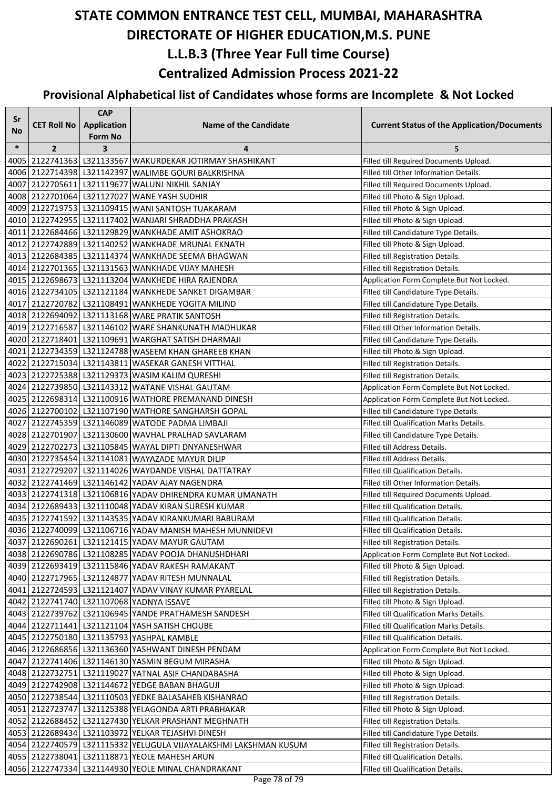| Sr        |                    | <b>CAP</b>              |                                                                  |                                                    |
|-----------|--------------------|-------------------------|------------------------------------------------------------------|----------------------------------------------------|
| <b>No</b> | <b>CET Roll No</b> | Application             | <b>Name of the Candidate</b>                                     | <b>Current Status of the Application/Documents</b> |
|           |                    | <b>Form No</b>          |                                                                  |                                                    |
| $\ast$    | $\overline{2}$     | $\overline{\mathbf{3}}$ | 4                                                                | 5                                                  |
|           |                    |                         | 4005 2122741363 L321133567 WAKURDEKAR JOTIRMAY SHASHIKANT        | Filled till Required Documents Upload.             |
|           |                    |                         | 4006 2122714398 L321142397 WALIMBE GOURI BALKRISHNA              | Filled till Other Information Details.             |
| 4007      |                    |                         | 2122705611 L321119677 WALUNJ NIKHIL SANJAY                       | Filled till Required Documents Upload.             |
|           |                    |                         | 4008 2122701064 L321127027 WANE YASH SUDHIR                      | Filled till Photo & Sign Upload.                   |
|           |                    |                         | 4009 2122719753   L321109415 WANI SANTOSH TUAKARAM               | Filled till Photo & Sign Upload.                   |
|           |                    |                         | 4010 2122742955 L321117402 WANJARI SHRADDHA PRAKASH              | Filled till Photo & Sign Upload.                   |
|           |                    |                         | 4011 2122684466 L321129829 WANKHADE AMIT ASHOKRAO                | Filled till Candidature Type Details.              |
|           |                    |                         | 4012   2122742889   L321140252   WANKHADE MRUNAL EKNATH          | Filled till Photo & Sign Upload.                   |
|           |                    |                         | 4013   2122684385   L321114374  WANKHADE SEEMA BHAGWAN           | Filled till Registration Details.                  |
|           |                    |                         | 4014 2122701365 L321131563 WANKHADE VIJAY MAHESH                 | Filled till Registration Details.                  |
|           |                    |                         | 4015 2122698673 L321113204 WANKHEDE HIRA RAJENDRA                | Application Form Complete But Not Locked.          |
|           |                    |                         | 4016 2122734105 L321121184 WANKHEDE SANKET DIGAMBAR              | Filled till Candidature Type Details.              |
|           |                    |                         | 4017 2122720782 L321108491 WANKHEDE YOGITA MILIND                | Filled till Candidature Type Details.              |
|           |                    |                         | 4018 2122694092 L321113168 WARE PRATIK SANTOSH                   | Filled till Registration Details.                  |
|           |                    |                         | 4019 2122716587 L321146102 WARE SHANKUNATH MADHUKAR              | Filled till Other Information Details.             |
|           |                    |                         | 4020 2122718401 L321109691 WARGHAT SATISH DHARMAJI               | Filled till Candidature Type Details.              |
|           |                    |                         | 4021 2122734359 L321124788 WASEEM KHAN GHAREEB KHAN              | Filled till Photo & Sign Upload.                   |
|           |                    |                         | 4022   2122715034   L321143811   WASEKAR GANESH VITTHAL          | Filled till Registration Details.                  |
|           |                    |                         | 4023 2122725388 L321129373 WASIM KALIM QURESHI                   | Filled till Registration Details.                  |
|           |                    |                         | 4024 2122739850 L321143312 WATANE VISHAL GAUTAM                  | Application Form Complete But Not Locked.          |
|           |                    |                         | 4025 2122698314 L321100916 WATHORE PREMANAND DINESH              | Application Form Complete But Not Locked.          |
|           |                    |                         | 4026 2122700102 L321107190 WATHORE SANGHARSH GOPAL               | Filled till Candidature Type Details.              |
|           |                    |                         | 4027 2122745359 L321146089 WATODE PADMA LIMBAJI                  | Filled till Qualification Marks Details.           |
|           |                    |                         | 4028 2122701907 L321130600 WAVHAL PRALHAD SAVLARAM               | Filled till Candidature Type Details.              |
|           |                    |                         | 4029 2122702273 L321105845 WAYAL DIPTI DNYANESHWAR               | Filled till Address Details.                       |
|           |                    |                         | 4030  2122735454  L321141081   WAYAZADE MAYUR DILIP              | Filled till Address Details.                       |
|           |                    |                         | 4031 2122729207 L321114026 WAYDANDE VISHAL DATTATRAY             | Filled till Qualification Details.                 |
|           |                    |                         | 4032 2122741469 L321146142 YADAV AJAY NAGENDRA                   | Filled till Other Information Details.             |
|           |                    |                         | 4033 2122741318 L321106816 YADAV DHIRENDRA KUMAR UMANATH         | Filled till Required Documents Upload.             |
|           |                    |                         | 4034 2122689433 L321110048 YADAV KIRAN SURESH KUMAR              | Filled till Qualification Details.                 |
|           |                    |                         | 4035 2122741592 L321143535 YADAV KIRANKUMARI BABURAM             | Filled till Qualification Details.                 |
|           |                    |                         | 4036 2122740099 L321106716 YADAV MANISH MAHESH MUNNIDEVI         | Filled till Qualification Details.                 |
|           |                    |                         | 4037 2122690261 L321121415 YADAV MAYUR GAUTAM                    | Filled till Registration Details.                  |
|           |                    |                         | 4038 2122690786 L321108285 YADAV POOJA DHANUSHDHARI              | Application Form Complete But Not Locked.          |
|           |                    |                         | 4039 2122693419 L321115846 YADAV RAKESH RAMAKANT                 | Filled till Photo & Sign Upload.                   |
|           |                    |                         | 4040   2122717965   L321124877   YADAV RITESH MUNNALAL           | Filled till Registration Details.                  |
|           |                    |                         | 4041 2122724593 L321121407 YADAV VINAY KUMAR PYARELAL            | Filled till Registration Details.                  |
|           |                    |                         | 4042 2122741740 L321107068 YADNYA ISSAVE                         | Filled till Photo & Sign Upload.                   |
|           |                    |                         | 4043 2122739762 L321106945 YANDE PRATHAMESH SANDESH              | Filled till Qualification Marks Details.           |
|           |                    |                         | 4044 2122711441 L321121104 YASH SATISH CHOUBE                    | Filled till Qualification Marks Details.           |
|           |                    |                         | 4045   2122750180   L321135793   YASHPAL KAMBLE                  | Filled till Qualification Details.                 |
|           |                    |                         | 4046   2122686856   L321136360   YASHWANT DINESH PENDAM          | Application Form Complete But Not Locked.          |
|           |                    |                         | 4047   2122741406   L321146130   YASMIN BEGUM MIRASHA            | Filled till Photo & Sign Upload.                   |
|           |                    |                         | 4048 2122732751 L321119027 YATNAL ASIF CHANDABASHA               | Filled till Photo & Sign Upload.                   |
|           |                    |                         | 4049 2122742908 L321144672 YEDGE BABAN BHAGUJI                   | Filled till Photo & Sign Upload.                   |
|           |                    |                         | 4050 2122738544 L321110503 YEDKE BALASAHEB KISHANRAO             | Filled till Registration Details.                  |
|           |                    |                         | 4051 2122723747 L321125388 YELAGONDA ARTI PRABHAKAR              | Filled till Photo & Sign Upload.                   |
|           |                    |                         | 4052 2122688452 L321127430 YELKAR PRASHANT MEGHNATH              | Filled till Registration Details.                  |
|           |                    |                         | 4053   2122689434   L321103972   YELKAR TEJASHVI DINESH          | Filled till Candidature Type Details.              |
|           |                    |                         | 4054 2122740579 L321115332 YELUGULA VIJAYALAKSHMI LAKSHMAN KUSUM | Filled till Registration Details.                  |
|           |                    |                         | 4055 2122738041 L321118871 YEOLE MAHESH ARUN                     | Filled till Qualification Details.                 |
|           |                    |                         | 4056 2122747334 L321144930 YEOLE MINAL CHANDRAKANT               | Filled till Qualification Details.                 |
|           |                    |                         |                                                                  |                                                    |